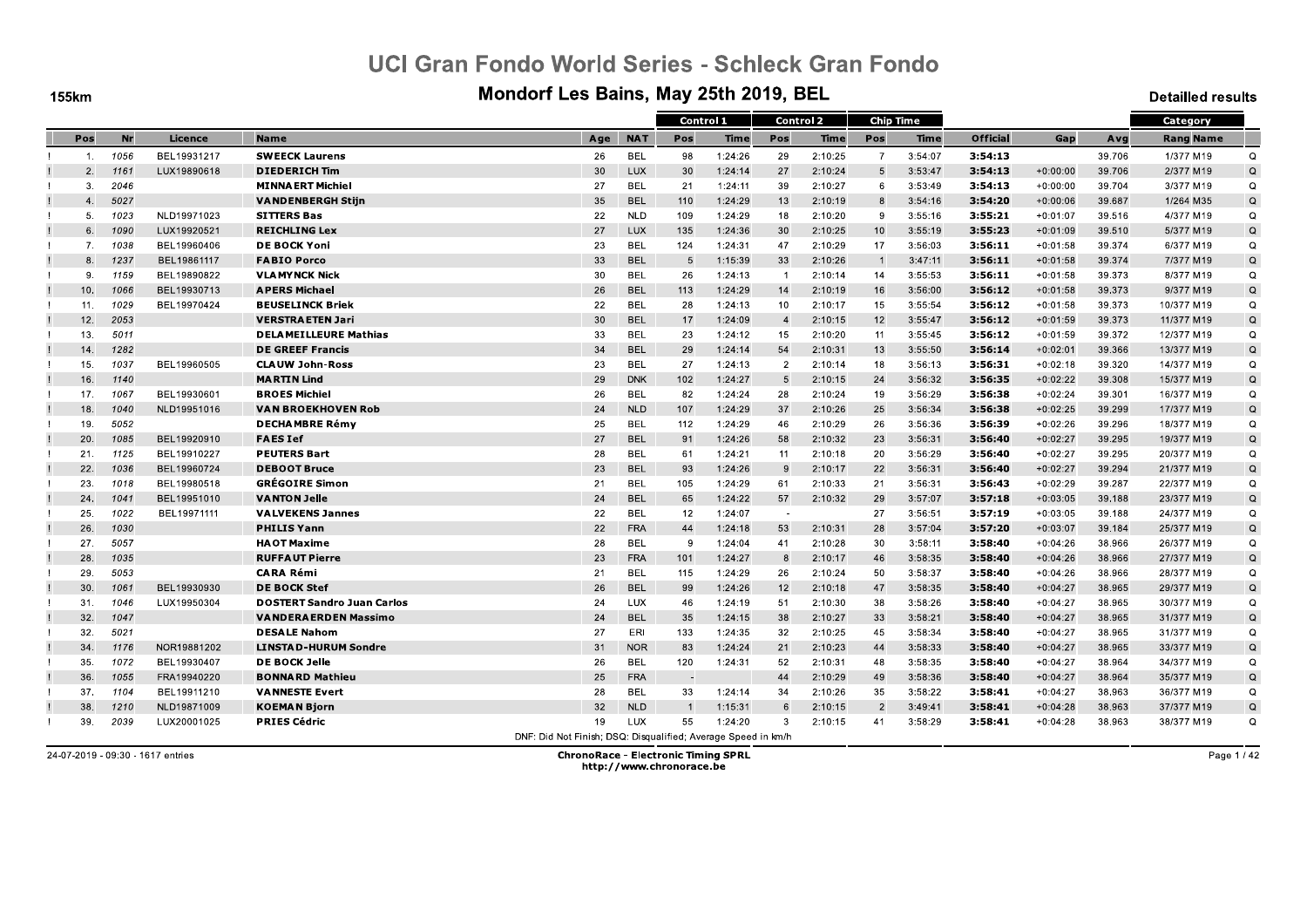**155km** 

### Mondorf Les Bains, May 25th 2019, BEL

**Detailled results** 

|                |      |             |                                   |                                                               |            | Control 1 |         |                | <b>Control 2</b> | <b>Chip Time</b> |             |                 |            |        | Category         |             |
|----------------|------|-------------|-----------------------------------|---------------------------------------------------------------|------------|-----------|---------|----------------|------------------|------------------|-------------|-----------------|------------|--------|------------------|-------------|
| Pos            | Nr   | Licence     | <b>Name</b>                       | Age                                                           | <b>NAT</b> | Pos       | Time    | Pos            | <b>Time</b>      | Pos              | <b>Time</b> | <b>Official</b> | Gap        | Avg    | <b>Rang Name</b> |             |
| $\mathbf{1}$ . | 1056 | BEL19931217 | <b>SWEECK Laurens</b>             | 26                                                            | <b>BEL</b> | 98        | 1:24:26 | 29             | 2:10:25          | $\overline{7}$   | 3:54:07     | 3.54.13         |            | 39.706 | 1/377 M19        | $\Omega$    |
| 2.             | 1161 | LUX19890618 | <b>DIEDERICH Tim</b>              | 30                                                            | <b>LUX</b> | 30        | 1:24:14 | 27             | 2:10:24          | 5                | 3:53:47     | 3:54:13         | $+0:00:00$ | 39.706 | 2/377 M19        | Q           |
| 3.             | 2046 |             | <b>MINNAERT Michiel</b>           | 27                                                            | <b>BEL</b> | 21        | 1:24:11 | 39             | 2:10:27          | 6                | 3:53:49     | 3:54:13         | $+0:00:00$ | 39.704 | 3/377 M19        | $\Omega$    |
| 4.             | 5027 |             | <b>VANDENBERGH Stijn</b>          | 35                                                            | <b>BEL</b> | 110       | 1:24:29 | 13             | 2:10:19          | 8                | 3:54:16     | 3:54:20         | $+0:00:06$ | 39.687 | 1/264 M35        | Q           |
| 5.             | 1023 | NLD19971023 | <b>SITTERS Bas</b>                | 22                                                            | <b>NLD</b> | 109       | 1:24:29 | 18             | 2:10:20          | 9                | 3:55:16     | 3:55:21         | $+0:01:07$ | 39.516 | 4/377 M19        | $\Omega$    |
| 6.             | 1090 | LUX19920521 | <b>REICHLING Lex</b>              | 27                                                            | <b>LUX</b> | 135       | 1:24:36 | 30             | 2:10:25          | 10               | 3:55:19     | 3:55:23         | $+0:01:09$ | 39.510 | 5/377 M19        | Q           |
| 7.             | 1038 | BEL19960406 | <b>DE BOCK Yoni</b>               | 23                                                            | <b>BEL</b> | 124       | 1:24:31 | 47             | 2:10:29          | 17               | 3:56:03     | 3:56:11         | $+0:01:58$ | 39.374 | 6/377 M19        | $\Omega$    |
| 8.             | 1237 | BEL19861117 | <b>FABIO Porco</b>                | 33                                                            | <b>BEL</b> | -5        | 1:15:39 | 33             | 2:10:26          | $\overline{1}$   | 3:47:11     | 3.56.11         | $+0:01:58$ | 39.374 | 7/377 M19        | Q           |
| 9.             | 1159 | BEL19890822 | <b>VLAMYNCK Nick</b>              | 30                                                            | <b>BEL</b> | 26        | 1:24:13 | $\overline{1}$ | 2:10:14          | 14               | 3:55:53     | 3:56:11         | $+0:01:58$ | 39.373 | 8/377 M19        | Q           |
| 10.            | 1066 | BEL19930713 | <b>APERS Michael</b>              | 26                                                            | <b>BEL</b> | 113       | 1:24:29 | 14             | 2:10:19          | 16               | 3:56:00     | 3:56:12         | $+0:01:58$ | 39.373 | 9/377 M19        | Q           |
| 11.            | 1029 | BEL19970424 | <b>BEUSELINCK Briek</b>           | 22                                                            | <b>BEL</b> | 28        | 1:24:13 | 10             | 2:10:17          | 15               | 3:55:54     | 3:56:12         | $+0:01:58$ | 39.373 | 10/377 M19       | $\Omega$    |
| 12.            | 2053 |             | <b>VERSTRAETEN Jari</b>           | 30                                                            | <b>BEL</b> | 17        | 1:24:09 | $\overline{4}$ | 2:10:15          | 12               | 3:55:47     | 3:56:12         | $+0:01:59$ | 39.373 | 11/377 M19       | Q           |
| 13.            | 5011 |             | <b>DELAMEILLEURE Mathias</b>      | 33                                                            | <b>BEL</b> | 23        | 1:24:12 | 15             | 2:10:20          | 11               | 3:55:45     | 3:56:12         | $+0:01:59$ | 39.372 | 12/377 M19       | Q           |
| 14.            | 1282 |             | <b>DE GREEF Francis</b>           | 34                                                            | <b>BEL</b> | 29        | 1:24:14 | 54             | 2:10:31          | 13               | 3:55:50     | 3:56:14         | $+0:02:01$ | 39.366 | 13/377 M19       | Q           |
| 15.            | 1037 | BEL19960505 | <b>CLAUW John-Ross</b>            | 23                                                            | <b>BEL</b> | 27        | 1:24:13 | $\overline{2}$ | 2:10:14          | 18               | 3:56:13     | 3:56:31         | $+0:02:18$ | 39.320 | 14/377 M19       | Q           |
| 16.            | 1140 |             | <b>MARTIN Lind</b>                | 29                                                            | <b>DNK</b> | 102       | 1:24:27 | 5              | 2:10:15          | 24               | 3:56:32     | 3:56:35         | $+0:02:22$ | 39.308 | 15/377 M19       | $\mathsf Q$ |
| 17.            | 1067 | BEL19930601 | <b>BROES Michiel</b>              | 26                                                            | <b>BEL</b> | 82        | 1:24:24 | 28             | 2:10:24          | 19               | 3:56:29     | 3:56:38         | $+0:02:24$ | 39.301 | 16/377 M19       | Q           |
| 18.            | 1040 | NLD19951016 | <b>VAN BROEKHOVEN Rob</b>         | 24                                                            | <b>NLD</b> | 107       | 1:24:29 | 37             | 2:10:26          | 25               | 3:56:34     | 3:56:38         | $+0:02:25$ | 39.299 | 17/377 M19       | Q           |
| 19.            | 5052 |             | <b>DECHAMBRE Rémy</b>             | 25                                                            | <b>BEL</b> | 112       | 1:24:29 | 46             | 2:10:29          | 26               | 3:56:36     | 3:56:39         | $+0:02:26$ | 39.296 | 18/377 M19       | Q           |
| 20.            | 1085 | BEL19920910 | <b>FAES Ief</b>                   | 27                                                            | <b>BEL</b> | 91        | 1:24:26 | 58             | 2:10:32          | 23               | 3:56:31     | 3:56:40         | $+0:02:27$ | 39.295 | 19/377 M19       | $\mathsf Q$ |
| 21.            | 1125 | BEL19910227 | <b>PEUTERS Bart</b>               | 28                                                            | <b>BEL</b> | 61        | 1:24:21 | 11             | 2:10:18          | 20               | 3:56:29     | 3:56:40         | $+0:02:27$ | 39.295 | 20/377 M19       | Q           |
| 22.            | 1036 | BEL19960724 | <b>DEBOOT Bruce</b>               | 23                                                            | <b>BEL</b> | 93        | 1:24:26 | -9             | 2:10:17          | 22               | 3:56:31     | 3:56:40         | $+0:02:27$ | 39.294 | 21/377 M19       | Q           |
| 23.            | 1018 | BEL19980518 | <b>GRÉGOIRE Simon</b>             | 21                                                            | <b>BEL</b> | 105       | 1:24:29 | 61             | 2:10:33          | 21               | 3:56:31     | 3:56:43         | $+0:02:29$ | 39.287 | 22/377 M19       | Q           |
| 24.            | 1041 | BEL19951010 | <b>VANTON Jelle</b>               | 24                                                            | <b>BEL</b> | 65        | 1:24:22 | 57             | 2:10:32          | 29               | 3:57:07     | 3.57.18         | $+0:03:05$ | 39.188 | 23/377 M19       | Q           |
| 25.            | 1022 | BEL19971111 | <b>VALVEKENS Jannes</b>           | 22                                                            | <b>BEL</b> | 12        | 1:24:07 | $\sim$         |                  | 27               | 3:56:51     | 3:57:19         | $+0:03:05$ | 39.188 | 24/377 M19       | $\Omega$    |
| 26.            | 1030 |             | <b>PHILIS Yann</b>                | 22                                                            | <b>FRA</b> | 44        | 1:24:18 | 53             | 2:10:31          | 28               | 3:57:04     | 3:57:20         | $+0:03:07$ | 39.184 | 25/377 M19       | Q           |
| 27.            | 5057 |             | <b>HAOT Maxime</b>                | 28                                                            | <b>BEL</b> | -9        | 1:24:04 | 41             | 2:10:28          | 30               | 3:58:11     | 3:58:40         | $+0:04:26$ | 38.966 | 26/377 M19       | Q           |
| 28.            | 1035 |             | <b>RUFFAUT Pierre</b>             | 23                                                            | <b>FRA</b> | 101       | 1:24:27 | -8             | 2:10:17          | 46               | 3:58:35     | 3:58:40         | $+0:04:26$ | 38.966 | 27/377 M19       | Q           |
| 29.            | 5053 |             | <b>CARA Rémi</b>                  | 21                                                            | <b>BEL</b> | 115       | 1:24:29 | 26             | 2:10:24          | 50               | 3:58:37     | 3:58:40         | $+0:04:26$ | 38.966 | 28/377 M19       | $\Omega$    |
| 30.            | 1061 | BEL19930930 | <b>DE BOCK Stef</b>               | 26                                                            | <b>BEL</b> | 99        | 1:24:26 | 12             | 2:10:18          | 47               | 3:58:35     | 3:58:40         | $+0:04:27$ | 38.965 | 29/377 M19       | Q           |
| 31.            | 1046 | LUX19950304 | <b>DOSTERT Sandro Juan Carlos</b> | 24                                                            | LUX        | 46        | 1:24:19 | 51             | 2:10:30          | 38               | 3:58:26     | 3.58.40         | $+0:04:27$ | 38.965 | 30/377 M19       | Q           |
| 32.            | 1047 |             | <b>VANDERAERDEN Massimo</b>       | 24                                                            | <b>BEL</b> | 35        | 1:24:15 | 38             | 2:10:27          | 33               | 3:58:21     | 3:58:40         | $+0:04:27$ | 38.965 | 31/377 M19       | $\Omega$    |
| 32.            | 5021 |             | <b>DESALE Nahom</b>               | 27                                                            | ERI        | 133       | 1:24:35 | 32             | 2:10:25          | 45               | 3:58:34     | 3.58.40         | $+0:04:27$ | 38.965 | 31/377 M19       | Q           |
| 34.            | 1176 | NOR19881202 | <b>LINSTAD-HURUM Sondre</b>       | 31                                                            | <b>NOR</b> | 83        | 1:24:24 | 21             | 2:10:23          | 44               | 3:58:33     | 3:58:40         | $+0:04:27$ | 38.965 | 33/377 M19       | Q           |
| 35.            | 1072 | BEL19930407 | <b>DE BOCK Jelle</b>              | 26                                                            | <b>BEL</b> | 120       | 1:24:31 | 52             | 2:10:31          | 48               | 3:58:35     | 3:58:40         | $+0:04:27$ | 38.964 | 34/377 M19       | Q           |
| 36.            | 1055 | FRA19940220 | <b>BONNARD Mathieu</b>            | 25                                                            | <b>FRA</b> |           |         | 44             | 2:10:29          | 49               | 3:58:36     | 3:58:40         | $+0:04:27$ | 38.964 | 35/377 M19       | $\Omega$    |
| 37.            | 1104 | BEL19911210 | <b>VANNESTE Evert</b>             | 28                                                            | <b>BEL</b> | 33        | 1:24:14 | 34             | 2:10:26          | 35               | 3:58:22     | 3:58:41         | $+0:04:27$ | 38.963 | 36/377 M19       | Q           |
| 38.            | 1210 | NLD19871009 | <b>KOEMAN Bjorn</b>               | 32                                                            | <b>NLD</b> |           | 1:15:31 | 6              | 2:10:15          | $\overline{2}$   | 3:49:41     | 3:58:41         | $+0:04:28$ | 38.963 | 37/377 M19       | Q           |
| 39.<br>Ι.      | 2039 | LUX20001025 | <b>PRIES Cédric</b>               | 19                                                            | <b>LUX</b> | 55        | 1:24:20 | -3             | 2:10:15          | 41               | 3:58:29     | 3:58:41         | $+0:04:28$ | 38.963 | 38/377 M19       | Q           |
|                |      |             |                                   | DNF: Did Not Finish; DSQ: Disqualified; Average Speed in km/h |            |           |         |                |                  |                  |             |                 |            |        |                  |             |

24-07-2019 - 09:30 - 1617 entries

ChronoRace - Electronic Timing SPRL<br>http://www.chronorace.be

Page 1 / 42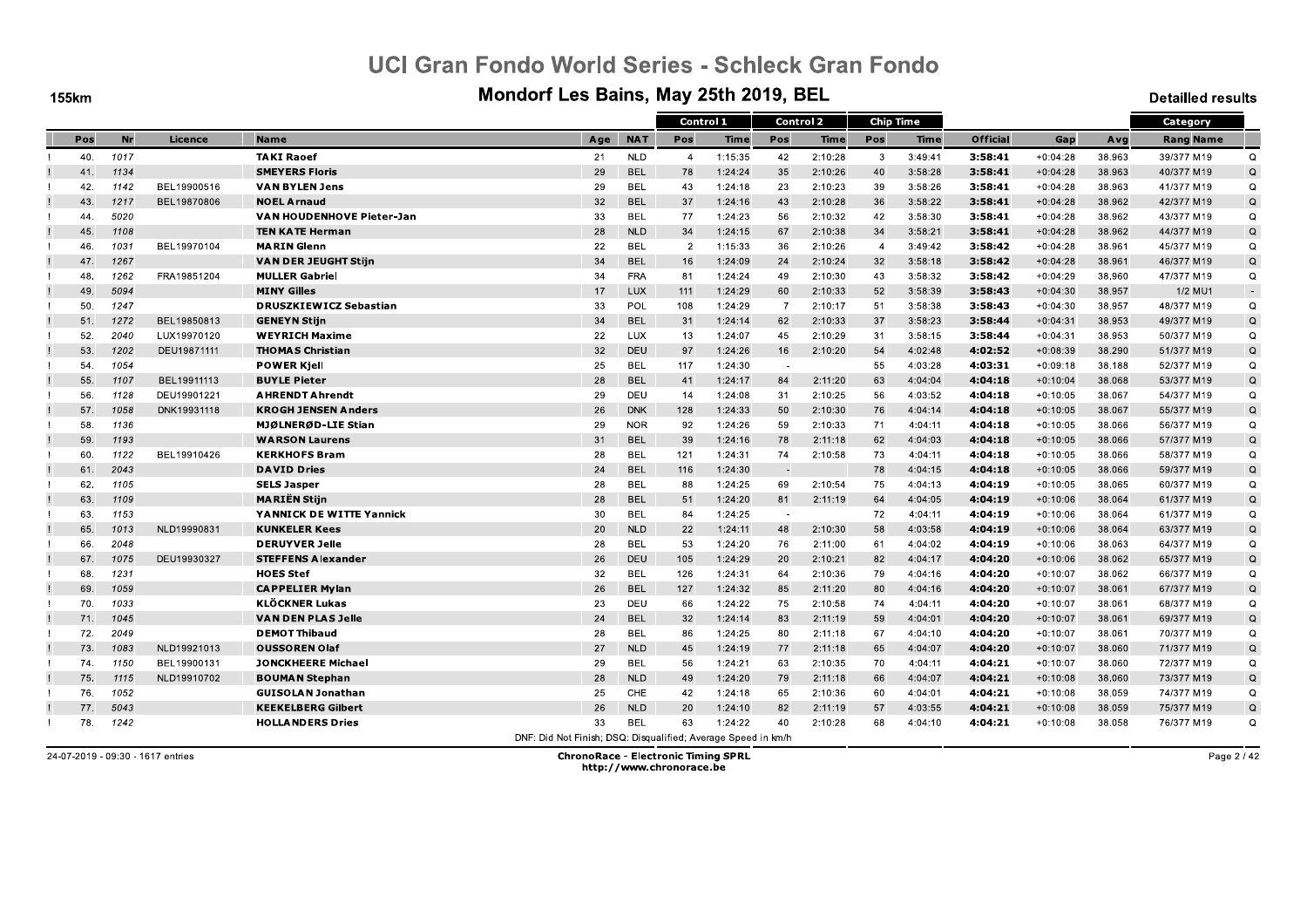**155km** 

#### Mondorf Les Bains, May 25th 2019, BEL

**Detailled results** 

|     |           |             |                               |                                                               |            | Control 1      |             |                | <b>Control 2</b> |                | <b>Chip Time</b> |                 |            |        | Category         |             |
|-----|-----------|-------------|-------------------------------|---------------------------------------------------------------|------------|----------------|-------------|----------------|------------------|----------------|------------------|-----------------|------------|--------|------------------|-------------|
| Pos | <b>Nr</b> | Licence     | <b>Name</b>                   | Age                                                           | <b>NAT</b> | Pos            | <b>Time</b> | Pos            | <b>Time</b>      | Pos            | <b>Time</b>      | <b>Official</b> | Gap        | Avg    | <b>Rang Name</b> |             |
| 40. | 1017      |             | <b>TAKI Raoef</b>             | 21                                                            | <b>NLD</b> | $\overline{4}$ | 1:15:35     | 42             | 2:10:28          | 3              | 3:49:41          | 3:58:41         | $+0:04:28$ | 38.963 | 39/377 M19       | $\Omega$    |
| 41. | 1134      |             | <b>SMEYERS Floris</b>         | 29                                                            | <b>BEL</b> | 78             | 1:24:24     | 35             | 2:10:26          | 40             | 3:58:28          | 3:58:41         | $+0:04:28$ | 38.963 | 40/377 M19       | $\Omega$    |
| 42. | 1142      | BEL19900516 | <b>VAN BYLEN Jens</b>         | 29                                                            | <b>BEL</b> | 43             | 1:24:18     | 23             | 2:10:23          | 39             | 3:58:26          | 3:58:41         | $+0:04:28$ | 38.963 | 41/377 M19       | Q           |
| 43. | 1217      | BEL19870806 | <b>NOEL Arnaud</b>            | 32                                                            | <b>BEL</b> | 37             | 1:24:16     | 43             | 2:10:28          | 36             | 3:58:22          | 3:58:41         | $+0:04:28$ | 38.962 | 42/377 M19       | Q           |
| 44  | 5020      |             | VAN HOUDENHOVE Pieter-Jan     | 33                                                            | <b>BEL</b> | 77             | 1:24:23     | 56             | 2:10:32          | 42             | 3:58:30          | 3.58.41         | $+0:04:28$ | 38.962 | 43/377 M19       | $\Omega$    |
| 45. | 1108      |             | <b>TEN KATE Herman</b>        | 28                                                            | <b>NLD</b> | 34             | 1:24:15     | 67             | 2:10:38          | 34             | 3:58:21          | 3:58:41         | $+0:04:28$ | 38.962 | 44/377 M19       | Q           |
| 46. | 1031      | BEL19970104 | <b>MARIN Glenn</b>            | 22                                                            | <b>BEL</b> | $\overline{2}$ | 1:15:33     | 36             | 2:10:26          | $\overline{4}$ | 3:49:42          | 3:58:42         | $+0:04:28$ | 38.961 | 45/377 M19       | $\Omega$    |
| 47. | 1267      |             | <b>VAN DER JEUGHT Stijn</b>   | 34                                                            | <b>BEL</b> | 16             | 1:24:09     | 24             | 2:10:24          | 32             | 3:58:18          | 3:58:42         | $+0:04:28$ | 38.961 | 46/377 M19       | $\mathsf Q$ |
| 48. | 1262      | FRA19851204 | <b>MULLER Gabriel</b>         | 34                                                            | <b>FRA</b> | 81             | 1:24:24     | 49             | 2:10:30          | 43             | 3:58:32          | 3:58:42         | $+0:04:29$ | 38.960 | 47/377 M19       | Q           |
| 49. | 5094      |             | <b>MINY Gilles</b>            | 17                                                            | <b>LUX</b> | 111            | 1:24:29     | 60             | 2:10:33          | 52             | 3:58:39          | 3:58:43         | $+0:04:30$ | 38.957 | 1/2 MU1          | $\sim$      |
| 50. | 1247      |             | <b>DRUSZKIEWICZ Sebastian</b> | 33                                                            | POL        | 108            | 1:24:29     | $\overline{7}$ | 2:10:17          | 51             | 3:58:38          | 3:58:43         | $+0:04:30$ | 38.957 | 48/377 M19       | $\Omega$    |
| 51. | 1272      | BEL19850813 | <b>GENEYN Stiin</b>           | 34                                                            | <b>BEL</b> | 31             | 1:24:14     | 62             | 2:10:33          | 37             | 3:58:23          | 3:58:44         | $+0:04:31$ | 38.953 | 49/377 M19       | $\Omega$    |
| 52. | 2040      | LUX19970120 | <b>WEYRICH Maxime</b>         | 22                                                            | LUX        | 13             | 1:24:07     | 45             | 2:10:29          | 31             | 3:58:15          | 3:58:44         | $+0:04:31$ | 38.953 | 50/377 M19       | Q           |
| 53. | 1202      | DEU19871111 | <b>THOMAS Christian</b>       | 32                                                            | DEU        | 97             | 1:24:26     | 16             | 2:10:20          | 54             | 4:02:48          | 4:02:52         | $+0:08:39$ | 38.290 | 51/377 M19       | Q           |
| 54. | 1054      |             | <b>POWER Kjell</b>            | 25                                                            | <b>BEL</b> | 117            | 1:24:30     | $\sim$         |                  | 55             | 4:03:28          | 4:03:31         | $+0:09:18$ | 38.188 | 52/377 M19       | $\Omega$    |
| 55. | 1107      | BEL19911113 | <b>BUYLE Pieter</b>           | 28                                                            | <b>BEL</b> | 41             | 1:24:17     | 84             | 2:11:20          | 63             | 4:04:04          | 4:04:18         | $+0:10:04$ | 38.068 | 53/377 M19       | $\mathsf Q$ |
| 56. | 1128      | DEU19901221 | <b>AHRENDT Ahrendt</b>        | 29                                                            | DEU        | 14             | 1:24:08     | 31             | 2:10:25          | 56             | 4:03:52          | 4:04:18         | $+0:10:05$ | 38.067 | 54/377 M19       | $\Omega$    |
| 57. | 1058      | DNK19931118 | <b>KROGH JENSEN Anders</b>    | 26                                                            | <b>DNK</b> | 128            | 1:24:33     | 50             | 2:10:30          | 76             | 4:04:14          | 4:04:18         | $+0:10:05$ | 38.067 | 55/377 M19       | Q           |
| 58. | 1136      |             | MJØLNERØD-LIE Stian           | 29                                                            | <b>NOR</b> | 92             | 1:24:26     | 59             | 2:10:33          | 71             | 4:04:11          | 4:04:18         | $+0:10:05$ | 38.066 | 56/377 M19       | Q           |
| 59. | 1193      |             | <b>WARSON Laurens</b>         | 31                                                            | <b>BEL</b> | 39             | 1:24:16     | 78             | 2:11:18          | 62             | 4:04:03          | 4:04:18         | $+0:10:05$ | 38.066 | 57/377 M19       | Q           |
| 60. | 1122      | BEL19910426 | <b>KERKHOFS Bram</b>          | 28                                                            | <b>BEL</b> | 121            | 1:24:31     | 74             | 2:10:58          | 73             | 4:04:11          | 4.04.18         | $+0:10:05$ | 38.066 | 58/377 M19       | $\Omega$    |
| 61. | 2043      |             | <b>DAVID Dries</b>            | 24                                                            | <b>BEL</b> | 116            | 1:24:30     | $\sim$         |                  | 78             | 4:04:15          | 4:04:18         | $+0:10:05$ | 38.066 | 59/377 M19       | Q           |
| 62. | 1105      |             | <b>SELS Jasper</b>            | 28                                                            | <b>BEL</b> | 88             | 1:24:25     | 69             | 2:10:54          | 75             | 4:04:13          | 4:04:19         | $+0:10:05$ | 38.065 | 60/377 M19       | Q           |
| 63. | 1109      |             | <b>MARIEN Stijn</b>           | 28                                                            | <b>BEL</b> | 51             | 1:24:20     | 81             | 2:11:19          | 64             | 4:04:05          | 4:04:19         | $+0:10:06$ | 38.064 | 61/377 M19       | $\Omega$    |
| 63. | 1153      |             | YANNICK DE WITTE Yannick      | 30                                                            | <b>BEL</b> | 84             | 1:24:25     | $\sim$         |                  | 72             | 4:04:11          | 4:04:19         | $+0:10:06$ | 38.064 | 61/377 M19       | Q           |
| 65. | 1013      | NLD19990831 | <b>KUNKELER Kees</b>          | 20                                                            | <b>NLD</b> | 22             | 1:24:11     | 48             | 2:10:30          | 58             | 4:03:58          | 4:04:19         | $+0:10:06$ | 38.064 | 63/377 M19       | $\mathsf Q$ |
| 66. | 2048      |             | <b>DERUYVER Jelle</b>         | 28                                                            | <b>BEL</b> | 53             | 1:24:20     | 76             | 2:11:00          | 61             | 4:04:02          | 4:04:19         | $+0:10:06$ | 38.063 | 64/377 M19       | $\Omega$    |
| 67. | 1075      | DEU19930327 | <b>STEFFENS Alexander</b>     | 26                                                            | DEU        | 105            | 1:24:29     | 20             | 2:10:21          | 82             | 4:04:17          | 4:04:20         | $+0:10:06$ | 38.062 | 65/377 M19       | Q           |
| 68. | 1231      |             | <b>HOES Stef</b>              | 32                                                            | <b>BEL</b> | 126            | 1:24:31     | 64             | 2:10:36          | 79             | 4:04:16          | 4:04:20         | $+0:10:07$ | 38.062 | 66/377 M19       | Q           |
| 69. | 1059      |             | <b>CAPPELIER Mylan</b>        | 26                                                            | <b>BEL</b> | 127            | 1:24:32     | 85             | 2:11:20          | 80             | 4:04:16          | 4.04.20         | $+0:10:07$ | 38.061 | 67/377 M19       | Q           |
| 70. | 1033      |             | <b>KLÖCKNER Lukas</b>         | 23                                                            | DEU        | 66             | 1:24:22     | 75             | 2:10:58          | 74             | 4:04:11          | 4:04:20         | $+0:10:07$ | 38.061 | 68/377 M19       | Q           |
| 71. | 1045      |             | <b>VAN DEN PLAS Jelle</b>     | 24                                                            | <b>BEL</b> | 32             | 1:24:14     | 83             | 2:11:19          | 59             | 4:04:01          | 4:04:20         | $+0:10:07$ | 38.061 | 69/377 M19       | Q           |
| 72. | 2049      |             | <b>DEMOT Thibaud</b>          | 28                                                            | <b>BEL</b> | 86             | 1:24:25     | 80             | 2:11:18          | 67             | 4:04:10          | 4:04:20         | $+0:10:07$ | 38.061 | 70/377 M19       | $\Omega$    |
| 73. | 1083      | NLD19921013 | <b>OUSSOREN Olaf</b>          | 27                                                            | <b>NLD</b> | 45             | 1:24:19     | 77             | 2:11:18          | 65             | 4:04:07          | 4:04:20         | $+0:10:07$ | 38.060 | 71/377 M19       | Q           |
| 74. | 1150      | BEL19900131 | <b>JONCKHEERE Michael</b>     | 29                                                            | <b>BEL</b> | 56             | 1:24:21     | 63             | 2:10:35          | 70             | 4:04:11          | 4:04:21         | $+0:10:07$ | 38.060 | 72/377 M19       | Q           |
| 75. | 1115      | NLD19910702 | <b>BOUMAN Stephan</b>         | 28                                                            | <b>NLD</b> | 49             | 1:24:20     | 79             | 2:11:18          | 66             | 4:04:07          | 4:04:21         | $+0:10:08$ | 38.060 | 73/377 M19       | Q           |
| 76. | 1052      |             | <b>GUISOLAN Jonathan</b>      | 25                                                            | <b>CHE</b> | 42             | 1:24:18     | 65             | 2:10:36          | 60             | 4:04:01          | 4.04.21         | $+0:10:08$ | 38.059 | 74/377 M19       | Q           |
| 77. | 5043      |             | <b>KEEKELBERG Gilbert</b>     | 26                                                            | <b>NLD</b> | 20             | 1:24:10     | 82             | 2:11:19          | 57             | 4:03:55          | 4:04:21         | $+0:10:08$ | 38.059 | 75/377 M19       | Q           |
| 78. | 1242      |             | <b>HOLLANDERS Dries</b>       | 33                                                            | <b>BEL</b> | 63             | 1:24:22     | 40             | 2:10:28          | 68             | 4:04:10          | 4.04.21         | $+0:10:08$ | 38.058 | 76/377 M19       | Q           |
|     |           |             |                               | DNE: Did Not Finish: DSO: Disqualified: Average Speed in km/h |            |                |             |                |                  |                |                  |                 |            |        |                  |             |

24-07-2019 - 09:30 - 1617 entries

**ChronoRace - Electronic Timing SPRL** http://www.chronorace.be

Page 2 / 42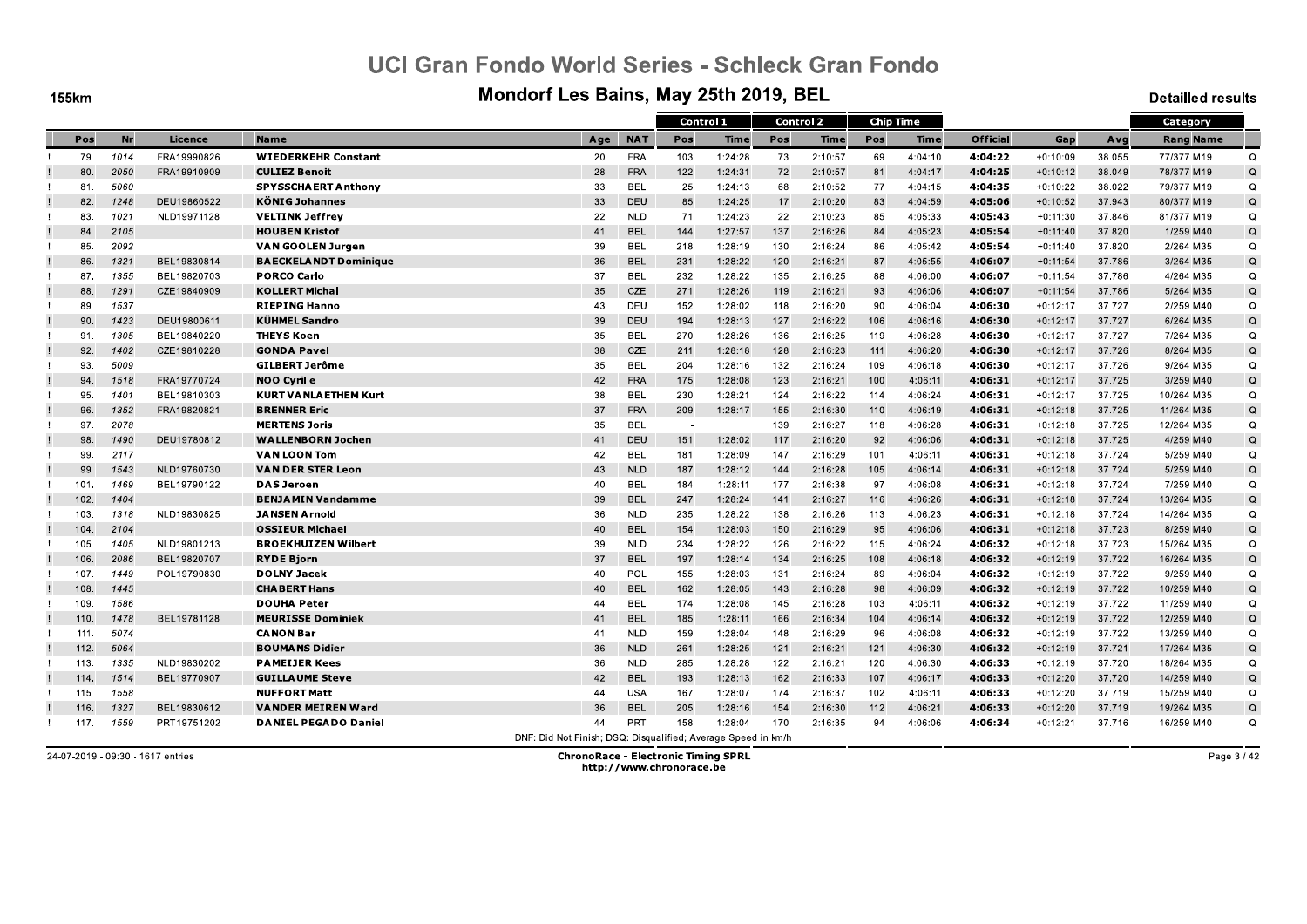**155km** 

#### Mondorf Les Bains, May 25th 2019, BEL

**Detailled results** 

|      |      |             |                              |                                                               |            | Control 1                |         |     | Control 2 |     | <b>Chip Time</b> |                 |            |        | Category         |             |
|------|------|-------------|------------------------------|---------------------------------------------------------------|------------|--------------------------|---------|-----|-----------|-----|------------------|-----------------|------------|--------|------------------|-------------|
| Pos  | Nr   | Licence     | <b>Name</b>                  | Age                                                           | <b>NAT</b> | Pos                      | Time    | Pos | Time      | Pos | <b>Time</b>      | <b>Official</b> | Gap        | Avg    | <b>Rang Name</b> |             |
| 79.  | 1014 | FRA19990826 | <b>WIEDERKEHR Constant</b>   | 20                                                            | <b>FRA</b> | 103                      | 1:24:28 | 73  | 2:10:57   | 69  | 4:04:10          | 4:04:22         | $+0:10:09$ | 38.055 | 77/377 M19       | $\Omega$    |
| 80.  | 2050 | FRA19910909 | <b>CULIEZ Benoit</b>         | 28                                                            | <b>FRA</b> | 122                      | 1:24:31 | 72  | 2:10:57   | 81  | 4:04:17          | 4:04:25         | $+0:10:12$ | 38.049 | 78/377 M19       | $\Omega$    |
| 81.  | 5060 |             | <b>SPYSSCHAERT Anthony</b>   | 33                                                            | <b>BEL</b> | 25                       | 1:24:13 | 68  | 2:10:52   | 77  | 4:04:15          | 4:04:35         | $+0:10:22$ | 38.022 | 79/377 M19       | $\Omega$    |
| 82.  | 1248 | DEU19860522 | <b>KÖNIG Johannes</b>        | 33                                                            | DEU        | 85                       | 1:24:25 | 17  | 2:10:20   | 83  | 4:04:59          | 4:05:06         | $+0:10:52$ | 37.943 | 80/377 M19       | $\mathsf Q$ |
| 83.  | 1021 | NLD19971128 | <b>VELTINK Jeffrey</b>       | 22                                                            | <b>NLD</b> | 71                       | 1:24:23 | 22  | 2:10:23   | 85  | 4:05:33          | 4:05:43         | $+0:11:30$ | 37.846 | 81/377 M19       | Q           |
| 84.  | 2105 |             | <b>HOUBEN Kristof</b>        | 41                                                            | <b>BEL</b> | 144                      | 1:27:57 | 137 | 2:16:26   | 84  | 4:05:23          | 4:05:54         | $+0:11:40$ | 37.820 | 1/259 M40        | $\Omega$    |
| 85.  | 2092 |             | VAN GOOLEN Jurgen            | 39                                                            | <b>BEL</b> | 218                      | 1:28:19 | 130 | 2:16:24   | 86  | 4:05:42          | 4:05:54         | $+0:11:40$ | 37.820 | 2/264 M35        | Q           |
| 86.  | 1321 | BEL19830814 | <b>BAECKELANDT Dominique</b> | 36                                                            | <b>BEL</b> | 231                      | 1:28:22 | 120 | 2:16:21   | 87  | 4:05:55          | 4:06:07         | $+0:11:54$ | 37.786 | 3/264 M35        | $\mathsf Q$ |
| 87.  | 1355 | BEL19820703 | <b>PORCO Carlo</b>           | 37                                                            | BEL        | 232                      | 1:28:22 | 135 | 2:16:25   | 88  | 4:06:00          | 4:06:07         | $+0:11:54$ | 37.786 | 4/264 M35        | $\mathsf Q$ |
| 88.  | 1291 | CZE19840909 | <b>KOLLERT Michal</b>        | 35                                                            | CZE        | 271                      | 1:28:26 | 119 | 2:16:21   | 93  | 4:06:06          | 4:06:07         | $+0:11:54$ | 37.786 | 5/264 M35        | $\Omega$    |
| 89.  | 1537 |             | <b>RIEPING Hanno</b>         | 43                                                            | DEU        | 152                      | 1:28:02 | 118 | 2:16:20   | 90  | 4:06:04          | 4:06:30         | $+0:12:17$ | 37.727 | 2/259 M40        | Q           |
| 90.  | 1423 | DEU19800611 | <b>KÜHMEL Sandro</b>         | 39                                                            | DEU        | 194                      | 1:28:13 | 127 | 2:16:22   | 106 | 4:06:16          | 4:06:30         | $+0:12:17$ | 37.727 | 6/264 M35        | Q           |
| 91.  | 1305 | BEL19840220 | <b>THEYS Koen</b>            | 35                                                            | <b>BEL</b> | 270                      | 1:28:26 | 136 | 2:16:25   | 119 | 4:06:28          | 4:06:30         | $+0:12:17$ | 37.727 | 7/264 M35        | Q           |
| 92.  | 1402 | CZE19810228 | <b>GONDA Pavel</b>           | 38                                                            | CZE        | 211                      | 1:28:18 | 128 | 2:16:23   | 111 | 4:06:20          | 4.06.30         | $+0:12:17$ | 37.726 | 8/264 M35        | Q           |
| 93.  | 5009 |             | <b>GILBERT Jerôme</b>        | 35                                                            | <b>BEL</b> | 204                      | 1:28:16 | 132 | 2:16:24   | 109 | 4:06:18          | 4:06:30         | $+0:12:17$ | 37.726 | 9/264 M35        | Q           |
| 94.  | 1518 | FRA19770724 | <b>NOO Cyrille</b>           | 42                                                            | <b>FRA</b> | 175                      | 1:28:08 | 123 | 2:16:21   | 100 | 4:06:11          | 4:06:31         | $+0:12:17$ | 37.725 | 3/259 M40        | Q           |
| 95.  | 1401 | BEL19810303 | <b>KURT VANLA ETHEM Kurt</b> | 38                                                            | <b>BEL</b> | 230                      | 1:28:21 | 124 | 2:16:22   | 114 | 4:06:24          | 4:06:31         | $+0:12:17$ | 37.725 | 10/264 M35       | $\Omega$    |
| 96.  | 1352 | FRA19820821 | <b>BRENNER Eric</b>          | 37                                                            | <b>FRA</b> | 209                      | 1:28:17 | 155 | 2:16:30   | 110 | 4:06:19          | 4:06:31         | $+0:12:18$ | 37.725 | 11/264 M35       | Q           |
| 97.  | 2078 |             | <b>MERTENS Joris</b>         | 35                                                            | BEL        | $\overline{\phantom{a}}$ |         | 139 | 2:16:27   | 118 | 4:06:28          | 4:06:31         | $+0:12:18$ | 37.725 | 12/264 M35       | Q           |
| 98.  | 1490 | DEU19780812 | <b>WALLENBORN Jochen</b>     | 41                                                            | <b>DEU</b> | 151                      | 1:28:02 | 117 | 2:16:20   | 92  | 4:06:06          | 4:06:31         | $+0:12:18$ | 37.725 | 4/259 M40        | Q           |
| 99.  | 2117 |             | <b>VAN LOON Tom</b>          | 42                                                            | <b>BEL</b> | 181                      | 1:28:09 | 147 | 2:16:29   | 101 | 4:06:11          | 4:06:31         | $+0:12:18$ | 37.724 | 5/259 M40        | $\Omega$    |
| 99.  | 1543 | NLD19760730 | <b>VAN DER STER Leon</b>     | 43                                                            | <b>NLD</b> | 187                      | 1:28:12 | 144 | 2:16:28   | 105 | 4:06:14          | 4:06:31         | $+0:12:18$ | 37.724 | 5/259 M40        | Q           |
| 101. | 1469 | BEL19790122 | <b>DAS Jeroen</b>            | 40                                                            | <b>BEL</b> | 184                      | 1:28:11 | 177 | 2:16:38   | 97  | 4:06:08          | 4.06.31         | $+0:12:18$ | 37.724 | 7/259 M40        | Q           |
| 102. | 1404 |             | <b>BENJAMIN Vandamme</b>     | 39                                                            | <b>BEL</b> | 247                      | 1:28:24 | 141 | 2:16:27   | 116 | 4:06:26          | 4:06:31         | $+0:12:18$ | 37.724 | 13/264 M35       | Q           |
| 103. | 1318 | NLD19830825 | <b>JANSEN Arnold</b>         | 36                                                            | <b>NLD</b> | 235                      | 1:28:22 | 138 | 2:16:26   | 113 | 4:06:23          | 4:06:31         | $+0:12:18$ | 37.724 | 14/264 M35       | $\mathsf Q$ |
| 104  | 2104 |             | <b>OSSIEUR Michael</b>       | 40                                                            | <b>BEL</b> | 154                      | 1:28:03 | 150 | 2:16:29   | 95  | 4:06:06          | 4:06:31         | $+0:12:18$ | 37.723 | 8/259 M40        | Q           |
| 105. | 1405 | NLD19801213 | <b>BROEKHUIZEN Wilbert</b>   | 39                                                            | <b>NLD</b> | 234                      | 1:28:22 | 126 | 2:16:22   | 115 | 4:06:24          | 4:06:32         | $+0:12:18$ | 37.723 | 15/264 M35       | Q           |
| 106. | 2086 | BEL19820707 | <b>RYDE Bjorn</b>            | 37                                                            | <b>BEL</b> | 197                      | 1:28:14 | 134 | 2:16:25   | 108 | 4:06:18          | 4:06:32         | $+0:12:19$ | 37.722 | 16/264 M35       | $\Omega$    |
| 107. | 1449 | POL19790830 | <b>DOLNY Jacek</b>           | 40                                                            | POL        | 155                      | 1:28:03 | 131 | 2:16:24   | 89  | 4:06:04          | 4:06:32         | $+0:12:19$ | 37.722 | 9/259 M40        | $\Omega$    |
| 108. | 1445 |             | <b>CHABERT Hans</b>          | 40                                                            | <b>BEL</b> | 162                      | 1:28:05 | 143 | 2:16:28   | 98  | 4:06:09          | 4:06:32         | $+0:12:19$ | 37.722 | 10/259 M40       | Q           |
| 109. | 1586 |             | <b>DOUHA Peter</b>           | 44                                                            | <b>BEL</b> | 174                      | 1:28:08 | 145 | 2:16:28   | 103 | 4:06:11          | 4:06:32         | $+0:12:19$ | 37.722 | 11/259 M40       | Q           |
| 110. | 1478 | BEL19781128 | <b>MEURISSE Dominiek</b>     | 41                                                            | <b>BEL</b> | 185                      | 1:28:11 | 166 | 2:16:34   | 104 | 4:06:14          | 4.06.32         | $+0:12:19$ | 37.722 | 12/259 M40       | Q           |
| 111. | 5074 |             | <b>CANON Bar</b>             | 41                                                            | <b>NLD</b> | 159                      | 1:28:04 | 148 | 2:16:29   | 96  | 4:06:08          | 4:06:32         | $+0:12:19$ | 37.722 | 13/259 M40       | $\mathsf Q$ |
| 112. | 5064 |             | <b>BOUMANS Didier</b>        | 36                                                            | <b>NLD</b> | 261                      | 1:28:25 | 121 | 2:16:21   | 121 | 4:06:30          | 4:06:32         | $+0:12:19$ | 37.721 | 17/264 M35       | Q           |
| 113. | 1335 | NLD19830202 | <b>PAMEIJER Kees</b>         | 36                                                            | <b>NLD</b> | 285                      | 1:28:28 | 122 | 2:16:21   | 120 | 4:06:30          | 4:06:33         | $+0:12:19$ | 37.720 | 18/264 M35       | Q           |
| 114. | 1514 | BEL19770907 | <b>GUILLAUME Steve</b>       | 42                                                            | <b>BEL</b> | 193                      | 1:28:13 | 162 | 2:16:33   | 107 | 4:06:17          | 4:06:33         | $+0:12:20$ | 37.720 | 14/259 M40       | $\Omega$    |
| 115. | 1558 |             | <b>NUFFORT Matt</b>          | 44                                                            | <b>USA</b> | 167                      | 1:28:07 | 174 | 2:16:37   | 102 | 4:06:11          | 4.06.33         | $+0:12:20$ | 37.719 | 15/259 M40       | Q           |
| 116. | 1327 | BEL19830612 | <b>VANDER MEIREN Ward</b>    | 36                                                            | <b>BEL</b> | 205                      | 1:28:16 | 154 | 2:16:30   | 112 | 4:06:21          | 4:06:33         | $+0:12:20$ | 37.719 | 19/264 M35       | Q           |
| 117. | 1559 | PRT19751202 | <b>DANIEL PEGADO Daniel</b>  | 44                                                            | <b>PRT</b> | 158                      | 1:28:04 | 170 | 2:16:35   | 94  | 4:06:06          | 4.06.34         | $+0:12:21$ | 37.716 | 16/259 M40       | Q           |
|      |      |             |                              | DNF: Did Not Finish: DSO: Disqualified: Average Speed in km/h |            |                          |         |     |           |     |                  |                 |            |        |                  |             |

24-07-2019 - 09:30 - 1617 entries

**ChronoRace - Electronic Timing SPRL** http://www.chronorace.be

Page 3 / 42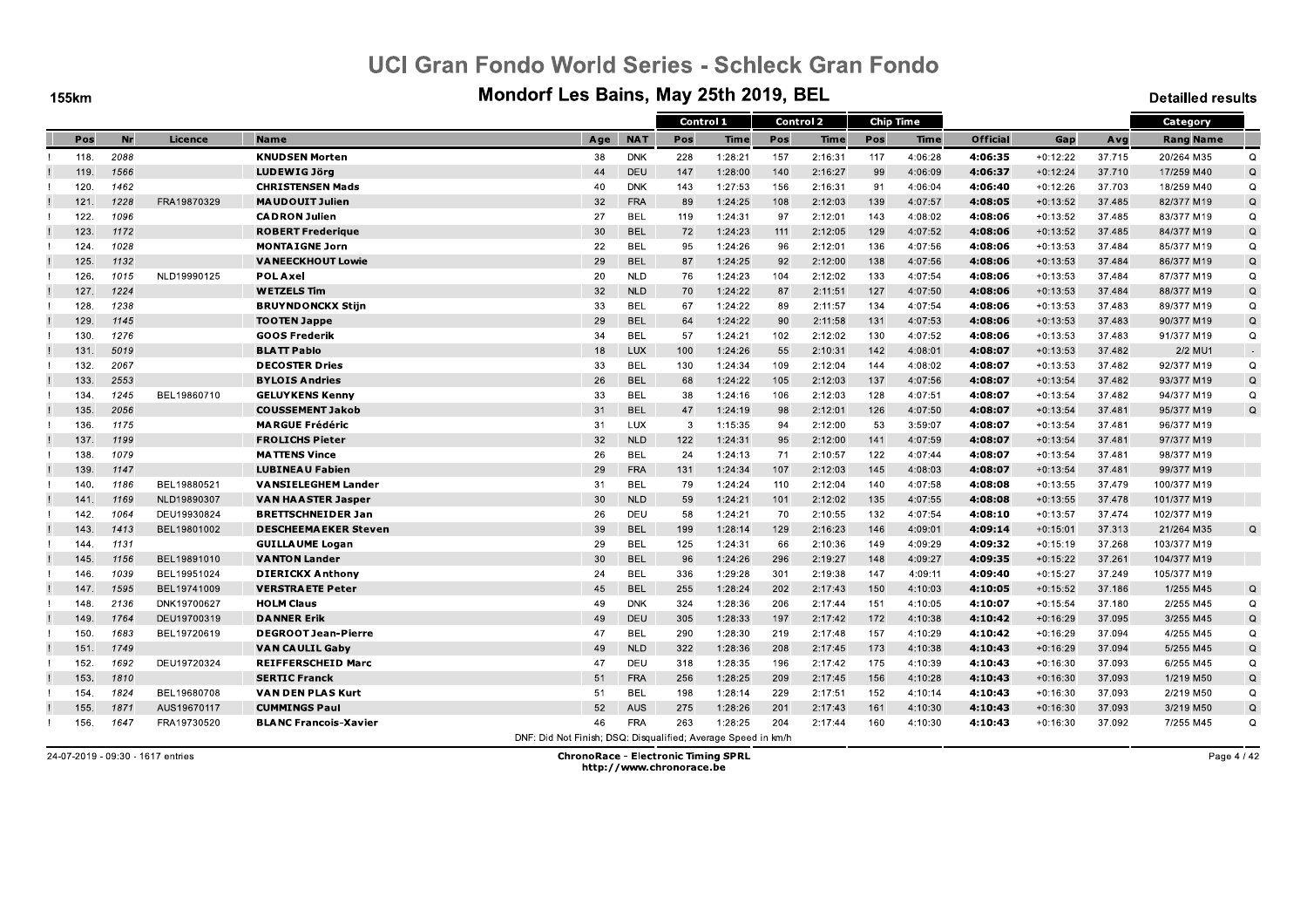**155km** 

#### Mondorf Les Bains, May 25th 2019, BEL

**Detailled results** 

|      |      |             |                              |                                                               |            |     | Control 1   |     | <b>Control 2</b> |     | <b>Chip Time</b> |                 |            |        | Category         |             |
|------|------|-------------|------------------------------|---------------------------------------------------------------|------------|-----|-------------|-----|------------------|-----|------------------|-----------------|------------|--------|------------------|-------------|
| Pos  | Nr   | Licence     | <b>Name</b>                  | Age                                                           | <b>NAT</b> | Pos | <b>Time</b> | Pos | <b>Time</b>      | Pos | <b>Time</b>      | <b>Official</b> | Gap        | Avg    | <b>Rang Name</b> |             |
| 118. | 2088 |             | <b>KNUDSEN Morten</b>        | 38                                                            | <b>DNK</b> | 228 | 1:28:21     | 157 | 2:16:31          | 117 | 4:06:28          | 4:06:35         | $+0:12:22$ | 37.715 | 20/264 M35       | $\Omega$    |
| 119. | 1566 |             | <b>LUDEWIG Jörg</b>          | 44                                                            | DEU        | 147 | 1:28:00     | 140 | 2:16:27          | 99  | 4:06:09          | 4:06:37         | $+0:12:24$ | 37.710 | 17/259 M40       | $\Omega$    |
| 120. | 1462 |             | <b>CHRISTENSEN Mads</b>      | 40                                                            | <b>DNK</b> | 143 | 1:27:53     | 156 | 2:16:31          | 91  | 4:06:04          | 4:06:40         | $+0:12:26$ | 37.703 | 18/259 M40       | $\Omega$    |
| 121. | 1228 | FRA19870329 | <b>MAUDOUIT Julien</b>       | 32                                                            | <b>FRA</b> | 89  | 1:24:25     | 108 | 2:12:03          | 139 | 4:07:57          | 4:08:05         | $+0:13:52$ | 37.485 | 82/377 M19       | $\mathsf Q$ |
| 122. | 1096 |             | <b>CADRON Julien</b>         | 27                                                            | <b>BEL</b> | 119 | 1:24:31     | 97  | 2:12:01          | 143 | 4:08:02          | 4.08.06         | $+0:13:52$ | 37.485 | 83/377 M19       | $\Omega$    |
| 123. | 1172 |             | <b>ROBERT Frederique</b>     | 30                                                            | <b>BEL</b> | 72  | 1:24:23     | 111 | 2:12:05          | 129 | 4:07:52          | 4:08:06         | $+0:13:52$ | 37.485 | 84/377 M19       | Q           |
| 124. | 1028 |             | <b>MONTAIGNE Jorn</b>        | 22                                                            | <b>BEL</b> | 95  | 1:24:26     | 96  | 2:12:01          | 136 | 4:07:56          | 4.08.06         | $+0:13:53$ | 37.484 | 85/377 M19       | Q           |
| 125. | 1132 |             | <b>VANEECKHOUT Lowie</b>     | 29                                                            | <b>BEL</b> | 87  | 1:24:25     | 92  | 2:12:00          | 138 | 4:07:56          | 4:08:06         | $+0:13:53$ | 37.484 | 86/377 M19       | Q           |
| 126. | 1015 | NLD19990125 | <b>POLAxel</b>               | 20                                                            | <b>NLD</b> | 76  | 1:24:23     | 104 | 2:12:02          | 133 | 4:07:54          | 4:08:06         | $+0:13:53$ | 37.484 | 87/377 M19       | $\mathsf Q$ |
| 127. | 1224 |             | <b>WETZELS Tim</b>           | 32                                                            | <b>NLD</b> | 70  | 1:24:22     | 87  | 2:11:51          | 127 | 4:07:50          | 4:08:06         | $+0:13:53$ | 37.484 | 88/377 M19       | Q           |
| 128  | 1238 |             | <b>BRUYNDONCKX Stijn</b>     | 33                                                            | <b>BEL</b> | 67  | 1:24:22     | 89  | 2:11:57          | 134 | 4:07:54          | 4:08:06         | $+0:13:53$ | 37.483 | 89/377 M19       | Q           |
| 129. | 1145 |             | <b>TOOTEN Jappe</b>          | 29                                                            | <b>BEL</b> | 64  | 1:24:22     | 90  | 2:11:58          | 131 | 4:07:53          | 4:08:06         | $+0:13:53$ | 37.483 | 90/377 M19       | Q           |
| 130. | 1276 |             | <b>GOOS Frederik</b>         | 34                                                            | <b>BEL</b> | 57  | 1:24:21     | 102 | 2:12:02          | 130 | 4:07:52          | 4:08:06         | $+0:13:53$ | 37.483 | 91/377 M19       | Q           |
| 131  | 5019 |             | <b>BLATT Pablo</b>           | 18                                                            | <b>LUX</b> | 100 | 1:24:26     | 55  | 2:10:31          | 142 | 4:08:01          | 4:08:07         | $+0:13:53$ | 37.482 | 2/2 MU1          | $\sim$      |
| 132. | 2067 |             | <b>DECOSTER Dries</b>        | 33                                                            | <b>BEL</b> | 130 | 1:24:34     | 109 | 2:12:04          | 144 | 4:08:02          | 4:08:07         | $+0:13:53$ | 37.482 | 92/377 M19       | $\Omega$    |
| 133. | 2553 |             | <b>BYLOIS Andries</b>        | 26                                                            | <b>BEL</b> | 68  | 1:24:22     | 105 | 2:12:03          | 137 | 4:07:56          | 4.08.07         | $+0:13:54$ | 37.482 | 93/377 M19       | $\mathsf Q$ |
| 134. | 1245 | BEL19860710 | <b>GELUYKENS Kenny</b>       | 33                                                            | <b>BEL</b> | 38  | 1:24:16     | 106 | 2:12:03          | 128 | 4:07:51          | 4:08:07         | $+0:13:54$ | 37.482 | 94/377 M19       | $\Omega$    |
| 135. | 2056 |             | <b>COUSSEMENT Jakob</b>      | 31                                                            | <b>BEL</b> | 47  | 1:24:19     | 98  | 2:12:01          | 126 | 4:07:50          | 4:08:07         | $+0:13:54$ | 37.481 | 95/377 M19       | $\Omega$    |
| 136. | 1175 |             | <b>MARGUE Frédéric</b>       | 31                                                            | LUX        | -3  | 1:15:35     | -94 | 2:12:00          | 53  | 3:59:07          | 4:08:07         | $+0:13:54$ | 37.481 | 96/377 M19       |             |
| 137. | 1199 |             | <b>FROLICHS Pieter</b>       | 32                                                            | <b>NLD</b> | 122 | 1:24:31     | 95  | 2:12:00          | 141 | 4:07:59          | 4:08:07         | $+0:13:54$ | 37.481 | 97/377 M19       |             |
| 138. | 1079 |             | <b>MATTENS Vince</b>         | 26                                                            | <b>BEL</b> | 24  | 1:24:13     | 71  | 2:10:57          | 122 | 4:07:44          | 4.08.07         | $+0:13:54$ | 37.481 | 98/377 M19       |             |
| 139. | 1147 |             | <b>LUBINEAU Fabien</b>       | 29                                                            | <b>FRA</b> | 131 | 1:24:34     | 107 | 2:12:03          | 145 | 4:08:03          | 4:08:07         | $+0:13:54$ | 37.481 | 99/377 M19       |             |
| 140. | 1186 | BEL19880521 | <b>VANSIELEGHEM Lander</b>   | 31                                                            | <b>BEL</b> | 79  | 1:24:24     | 110 | 2:12:04          | 140 | 4:07:58          | 4.08.08         | $+0:13:55$ | 37.479 | 100/377 M19      |             |
| 141. | 1169 | NLD19890307 | <b>VAN HAASTER Jasper</b>    | 30                                                            | <b>NLD</b> | 59  | 1:24:21     | 101 | 2:12:02          | 135 | 4:07:55          | 4:08:08         | $+0:13:55$ | 37.478 | 101/377 M19      |             |
| 142. | 1064 | DEU19930824 | <b>BRETTSCHNEIDER Jan</b>    | 26                                                            | DEU        | 58  | 1:24:21     | 70  | 2:10:55          | 132 | 4:07:54          | 4:08:10         | $+0:13:57$ | 37.474 | 102/377 M19      |             |
| 143. | 1413 | BEL19801002 | <b>DESCHEEMAEKER Steven</b>  | 39                                                            | <b>BEL</b> | 199 | 1:28:14     | 129 | 2:16:23          | 146 | 4:09:01          | 4:09:14         | $+0:15:01$ | 37.313 | 21/264 M35       | $\Omega$    |
| 144  | 1131 |             | <b>GUILLAUME Logan</b>       | 29                                                            | <b>BEL</b> | 125 | 1:24:31     | 66  | 2:10:36          | 149 | 4:09:29          | 4:09:32         | $+0:15:19$ | 37.268 | 103/377 M19      |             |
| 145. | 1156 | BEL19891010 | <b>VANTON Lander</b>         | 30                                                            | <b>BEL</b> | 96  | 1:24:26     | 296 | 2:19:27          | 148 | 4:09:27          | 4:09:35         | $+0:15:22$ | 37.261 | 104/377 M19      |             |
| 146. | 1039 | BEL19951024 | <b>DIERICKX Anthony</b>      | 24                                                            | <b>BEL</b> | 336 | 1:29:28     | 301 | 2:19:38          | 147 | 4:09:11          | 4:09:40         | $+0:15:27$ | 37.249 | 105/377 M19      |             |
| 147  | 1595 | BEL19741009 | <b>VERSTRAETE Peter</b>      | 45                                                            | <b>BEL</b> | 255 | 1:28:24     | 202 | 2:17:43          | 150 | 4:10:03          | 4:10:05         | $+0:15:52$ | 37.186 | 1/255 M45        | Q           |
| 148. | 2136 | DNK19700627 | <b>HOLM Claus</b>            | 49                                                            | <b>DNK</b> | 324 | 1:28:36     | 206 | 2:17:44          | 151 | 4:10:05          | 4:10:07         | $+0:15:54$ | 37.180 | 2/255 M45        | Q           |
| 149. | 1764 | DEU19700319 | <b>DANNER Erik</b>           | 49                                                            | DEU        | 305 | 1:28:33     | 197 | 2:17:42          | 172 | 4:10:38          | 4:10:42         | $+0:16:29$ | 37.095 | 3/255 M45        | Q           |
| 150. | 1683 | BEL19720619 | <b>DEGROOT Jean-Pierre</b>   | 47                                                            | <b>BEL</b> | 290 | 1:28:30     | 219 | 2:17:48          | 157 | 4:10:29          | 4:10:42         | $+0:16:29$ | 37.094 | 4/255 M45        | $\Omega$    |
| 151. | 1749 |             | VAN CAULIL Gaby              | 49                                                            | <b>NLD</b> | 322 | 1:28:36     | 208 | 2:17:45          | 173 | 4:10:38          | 4:10:43         | $+0:16:29$ | 37.094 | 5/255 M45        | $\mathsf Q$ |
| 152. | 1692 | DEU19720324 | <b>REIFFERSCHEID Marc</b>    | 47                                                            | DEU        | 318 | 1:28:35     | 196 | 2:17:42          | 175 | 4:10:39          | 4:10:43         | $+0:16:30$ | 37.093 | 6/255 M45        | Q           |
| 153. | 1810 |             | <b>SERTIC Franck</b>         | 51                                                            | <b>FRA</b> | 256 | 1:28:25     | 209 | 2:17:45          | 156 | 4:10:28          | 4:10:43         | $+0:16:30$ | 37.093 | 1/219 M50        | $\Omega$    |
| 154. | 1824 | BEL19680708 | <b>VAN DEN PLAS Kurt</b>     | 51                                                            | <b>BEL</b> | 198 | 1:28:14     | 229 | 2:17:51          | 152 | 4:10:14          | 4.10.43         | $+0:16:30$ | 37.093 | 2/219 M50        | Q           |
| 155. | 1871 | AUS19670117 | <b>CUMMINGS Paul</b>         | 52                                                            | AUS        | 275 | 1:28:26     | 201 | 2:17:43          | 161 | 4:10:30          | 4:10:43         | $+0:16:30$ | 37.093 | 3/219 M50        | Q           |
| 156. | 1647 | FRA19730520 | <b>BLANC Francois-Xavier</b> | 46                                                            | <b>FRA</b> | 263 | 1:28:25     | 204 | 2:17:44          | 160 | 4:10:30          | 4.10.43         | $+0:16:30$ | 37.092 | 7/255 M45        | Q           |
|      |      |             |                              | DNE: Did Not Finish: DSO: Disqualified: Average Speed in km/h |            |     |             |     |                  |     |                  |                 |            |        |                  |             |

24-07-2019 - 09:30 - 1617 entries

**ChronoRace - Electronic Timing SPRL** http://www.chronorace.be

Page 4 / 42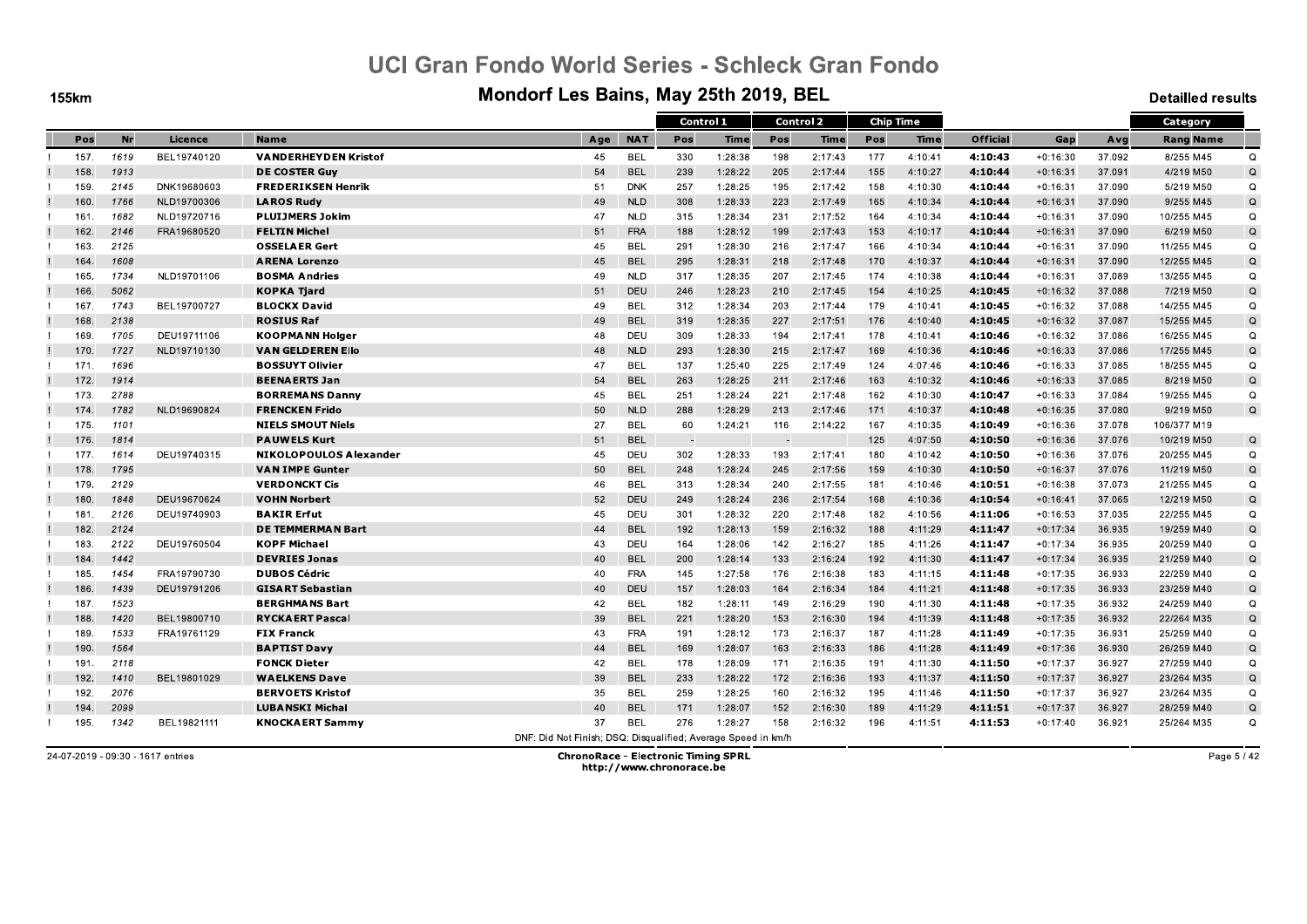**155km** 

#### Mondorf Les Bains, May 25th 2019, BEL

**Detailled results** 

|      |      |             |                               |                                                               |            | Control 1 |         |     | <b>Control 2</b> |     | <b>Chip Time</b> |                 |            |        | Category         |             |
|------|------|-------------|-------------------------------|---------------------------------------------------------------|------------|-----------|---------|-----|------------------|-----|------------------|-----------------|------------|--------|------------------|-------------|
| Pos  | Nr   | Licence     | <b>Name</b>                   | Age                                                           | <b>NAT</b> | Pos       | Time    | Pos | Time             | Pos | Time             | <b>Official</b> | Gap        | Avg    | <b>Rang Name</b> |             |
| 157. | 1619 | BEL19740120 | <b>VANDERHEYDEN Kristof</b>   | 45                                                            | <b>BEL</b> | 330       | 1:28:38 | 198 | 2:17:43          | 177 | 4:10:41          | 4:10:43         | $+0:16:30$ | 37.092 | 8/255 M45        | $\Omega$    |
| 158. | 1913 |             | <b>DE COSTER Guy</b>          | 54                                                            | <b>BEL</b> | 239       | 1:28:22 | 205 | 2:17:44          | 155 | 4:10:27          | 4:10:44         | $+0:16:31$ | 37.091 | 4/219 M50        | Q           |
| 159. | 2145 | DNK19680603 | <b>FREDERIKSEN Henrik</b>     | 51                                                            | <b>DNK</b> | 257       | 1:28:25 | 195 | 2:17:42          | 158 | 4:10:30          | 4:10:44         | $+0:16:31$ | 37.090 | 5/219 M50        | Q           |
| 160. | 1766 | NLD19700306 | <b>LAROS Rudy</b>             | 49                                                            | <b>NLD</b> | 308       | 1:28:33 | 223 | 2:17:49          | 165 | 4:10:34          | 4:10:44         | $+0:16:31$ | 37.090 | 9/255 M45        | Q           |
| 161  | 1682 | NLD19720716 | <b>PLUIJMERS Jokim</b>        | 47                                                            | <b>NLD</b> | 315       | 1:28:34 | 231 | 2:17:52          | 164 | 4:10:34          | 4:10:44         | $+0:16:31$ | 37.090 | 10/255 M45       | Q           |
| 162. | 2146 | FRA19680520 | <b>FELTIN Michel</b>          | 51                                                            | <b>FRA</b> | 188       | 1:28:12 | 199 | 2:17:43          | 153 | 4:10:17          | 4:10:44         | $+0:16:31$ | 37.090 | 6/219 M50        | Q           |
| 163  | 2125 |             | <b>OSSELAER Gert</b>          | 45                                                            | <b>BEL</b> | 291       | 1:28:30 | 216 | 2:17:47          | 166 | 4:10:34          | 4:10:44         | $+0:16:31$ | 37.090 | 11/255 M45       | Q           |
| 164  | 1608 |             | <b>ARENA Lorenzo</b>          | 45                                                            | <b>BEL</b> | 295       | 1:28:31 | 218 | 2:17:48          | 170 | 4:10:37          | 4:10:44         | $+0:16:31$ | 37.090 | 12/255 M45       | Q           |
| 165. | 1734 | NLD19701106 | <b>BOSMA Andries</b>          | 49                                                            | <b>NLD</b> | 317       | 1:28:35 | 207 | 2:17:45          | 174 | 4:10:38          | 4:10:44         | $+0:16:31$ | 37.089 | 13/255 M45       | Q           |
| 166. | 5062 |             | <b>KOPKA Tjard</b>            | 51                                                            | DEU        | 246       | 1:28:23 | 210 | 2:17:45          | 154 | 4:10:25          | 4:10:45         | $+0:16:32$ | 37.088 | 7/219 M50        | Q           |
| 167. | 1743 | BEL19700727 | <b>BLOCKX David</b>           | 49                                                            | <b>BEL</b> | 312       | 1:28:34 | 203 | 2:17:44          | 179 | 4:10:41          | 4:10:45         | $+0:16:32$ | 37.088 | 14/255 M45       | $\Omega$    |
| 168. | 2138 |             | <b>ROSIUS Raf</b>             | 49                                                            | <b>BEL</b> | 319       | 1:28:35 | 227 | 2:17:51          | 176 | 4:10:40          | 4:10:45         | $+0:16:32$ | 37.087 | 15/255 M45       | $\Omega$    |
| 169. | 1705 | DEU19711106 | <b>KOOPMANN Holger</b>        | 48                                                            | DEU        | 309       | 1:28:33 | 194 | 2:17:41          | 178 | 4:10:41          | 4:10:46         | $+0:16:32$ | 37.086 | 16/255 M45       | Q           |
| 170. | 1727 | NLD19710130 | <b>VAN GELDEREN Ello</b>      | 48                                                            | <b>NLD</b> | 293       | 1:28:30 | 215 | 2:17:47          | 169 | 4:10:36          | 4.10:46         | $+0:16:33$ | 37.086 | 17/255 M45       | Q           |
| 171. | 1696 |             | <b>BOSSUYT Olivier</b>        | 47                                                            | <b>BEL</b> | 137       | 1:25:40 | 225 | 2:17:49          | 124 | 4:07:46          | 4:10:46         | $+0:16:33$ | 37.085 | 18/255 M45       | Q           |
| 172. | 1914 |             | <b>BEENAERTS Jan</b>          | 54                                                            | <b>BEL</b> | 263       | 1:28:25 | 211 | 2:17:46          | 163 | 4:10:32          | 4:10:46         | $+0:16:33$ | 37.085 | 8/219 M50        | $\mathsf Q$ |
| 173. | 2788 |             | <b>BORREMANS Danny</b>        | 45                                                            | <b>BEL</b> | 251       | 1:28:24 | 221 | 2:17:48          | 162 | 4:10:30          | 4:10:47         | $+0:16:33$ | 37.084 | 19/255 M45       | Q           |
| 174. | 1782 | NLD19690824 | <b>FRENCKEN Frido</b>         | 50                                                            | <b>NLD</b> | 288       | 1:28:29 | 213 | 2:17:46          | 171 | 4:10:37          | 4:10:48         | $+0:16:35$ | 37.080 | 9/219 M50        | Q           |
| 175. | 1101 |             | <b>NIELS SMOUT Niels</b>      | 27                                                            | <b>BEL</b> | 60        | 1:24:21 | 116 | 2:14:22          | 167 | 4:10:35          | 4:10:49         | $+0:16:36$ | 37.078 | 106/377 M19      |             |
| 176. | 1814 |             | <b>PAUWELS Kurt</b>           | 51                                                            | <b>BEL</b> |           |         |     |                  | 125 | 4:07:50          | 4:10:50         | $+0:16:36$ | 37.076 | 10/219 M50       | $\mathsf Q$ |
| 177. | 1614 | DEU19740315 | <b>NIKOLOPOULOS Alexander</b> | 45                                                            | DEU        | 302       | 1:28:33 | 193 | 2:17:41          | 180 | 4:10:42          | 4:10:50         | $+0:16:36$ | 37.076 | 20/255 M45       | Q           |
| 178. | 1795 |             | <b>VAN IMPE Gunter</b>        | 50                                                            | <b>BEL</b> | 248       | 1:28:24 | 245 | 2:17:56          | 159 | 4:10:30          | 4:10:50         | $+0:16:37$ | 37.076 | 11/219 M50       | Q           |
| 179. | 2129 |             | <b>VERDONCKT Cis</b>          | 46                                                            | <b>BEL</b> | 313       | 1:28:34 | 240 | 2:17:55          | 181 | 4:10:46          | 4.10.51         | $+0:16:38$ | 37.073 | 21/255 M45       | Q           |
| 180. | 1848 | DEU19670624 | <b>VOHN Norbert</b>           | 52                                                            | DEU        | 249       | 1:28:24 | 236 | 2:17:54          | 168 | 4:10:36          | 4:10:54         | $+0:16:41$ | 37.065 | 12/219 M50       | $\mathsf Q$ |
| 181  | 2126 | DEU19740903 | <b>BAKIR Erfut</b>            | 45                                                            | DEU        | 301       | 1:28:32 | 220 | 2:17:48          | 182 | 4:10:56          | 4:11:06         | $+0:16:53$ | 37.035 | 22/255 M45       | Q           |
| 182. | 2124 |             | <b>DE TEMMERMAN Bart</b>      | 44                                                            | <b>BEL</b> | 192       | 1:28:13 | 159 | 2:16:32          | 188 | 4:11:29          | 4:11:47         | $+0:17:34$ | 36.935 | 19/259 M40       | $\Omega$    |
| 183. | 2122 | DEU19760504 | <b>KOPF Michael</b>           | 43                                                            | DEU        | 164       | 1:28:06 | 142 | 2:16:27          | 185 | 4:11:26          | 4:11:47         | $+0:17:34$ | 36.935 | 20/259 M40       | Q           |
| 184  | 1442 |             | <b>DEVRIES Jonas</b>          | 40                                                            | <b>BEL</b> | 200       | 1:28:14 | 133 | 2:16:24          | 192 | 4:11:30          | 4:11:47         | $+0:17:34$ | 36.935 | 21/259 M40       | Q           |
| 185. | 1454 | FRA19790730 | <b>DUBOS Cédric</b>           | 40                                                            | <b>FRA</b> | 145       | 1:27:58 | 176 | 2:16:38          | 183 | 4:11:15          | 4:11:48         | $+0:17:35$ | 36.933 | 22/259 M40       | $\Omega$    |
| 186. | 1439 | DEU19791206 | <b>GISART Sebastian</b>       | 40                                                            | DEU        | 157       | 1:28:03 | 164 | 2:16:34          | 184 | 4:11:21          | 4.11.48         | $+0:17:35$ | 36.933 | 23/259 M40       | Q           |
| 187. | 1523 |             | <b>BERGHMANS Bart</b>         | 42                                                            | <b>BEL</b> | 182       | 1:28:11 | 149 | 2:16:29          | 190 | 4:11:30          | 4:11:48         | $+0:17:35$ | 36.932 | 24/259 M40       | Q           |
| 188. | 1420 | BEL19800710 | <b>RYCKAERT Pascal</b>        | 39                                                            | <b>BEL</b> | 221       | 1:28:20 | 153 | 2:16:30          | 194 | 4:11:39          | 4:11:48         | $+0:17:35$ | 36.932 | 22/264 M35       | Q           |
| 189  | 1533 | FRA19761129 | <b>FIX Franck</b>             | 43                                                            | <b>FRA</b> | 191       | 1:28:12 | 173 | 2:16:37          | 187 | 4:11:28          | 4:11:49         | $+0:17:35$ | 36.931 | 25/259 M40       | $\Omega$    |
| 190. | 1564 |             | <b>BAPTIST Davy</b>           | 44                                                            | <b>BEL</b> | 169       | 1:28:07 | 163 | 2:16:33          | 186 | 4:11:28          | 4:11:49         | $+0:17:36$ | 36.930 | 26/259 M40       | Q           |
| 191  | 2118 |             | <b>FONCK Dieter</b>           | 42                                                            | <b>BEL</b> | 178       | 1:28:09 | 171 | 2:16:35          | 191 | 4:11:30          | 4:11:50         | $+0:17:37$ | 36.927 | 27/259 M40       | Q           |
| 192. | 1410 | BEL19801029 | <b>WAELKENS Dave</b>          | 39                                                            | <b>BEL</b> | 233       | 1:28:22 | 172 | 2:16:36          | 193 | 4:11:37          | 4:11:50         | $+0:17:37$ | 36.927 | 23/264 M35       | $\Omega$    |
| 192. | 2076 |             | <b>BERVOETS Kristof</b>       | 35                                                            | <b>BEL</b> | 259       | 1:28:25 | 160 | 2:16:32          | 195 | 4:11:46          | 4.11.50         | $+0:17:37$ | 36.927 | 23/264 M35       | Q           |
| 194  | 2099 |             | <b>LUBANSKI Michal</b>        | 40                                                            | <b>BEL</b> | 171       | 1:28:07 | 152 | 2:16:30          | 189 | 4:11:29          | 4:11:51         | $+0:17:37$ | 36.927 | 28/259 M40       | $\mathsf Q$ |
| 195. | 1342 | BEL19821111 | <b>KNOCKAERT Sammy</b>        | 37                                                            | <b>BEL</b> | 276       | 1:28:27 | 158 | 2:16:32          | 196 | 4:11:51          | 4.11.53         | $+0:17:40$ | 36.921 | 25/264 M35       | Q           |
|      |      |             |                               | DNF: Did Not Finish: DSQ: Disqualified: Average Speed in km/h |            |           |         |     |                  |     |                  |                 |            |        |                  |             |

24-07-2019 - 09:30 - 1617 entries

**ChronoRace - Electronic Timing SPRL** http://www.chronorace.be

Page 5 / 42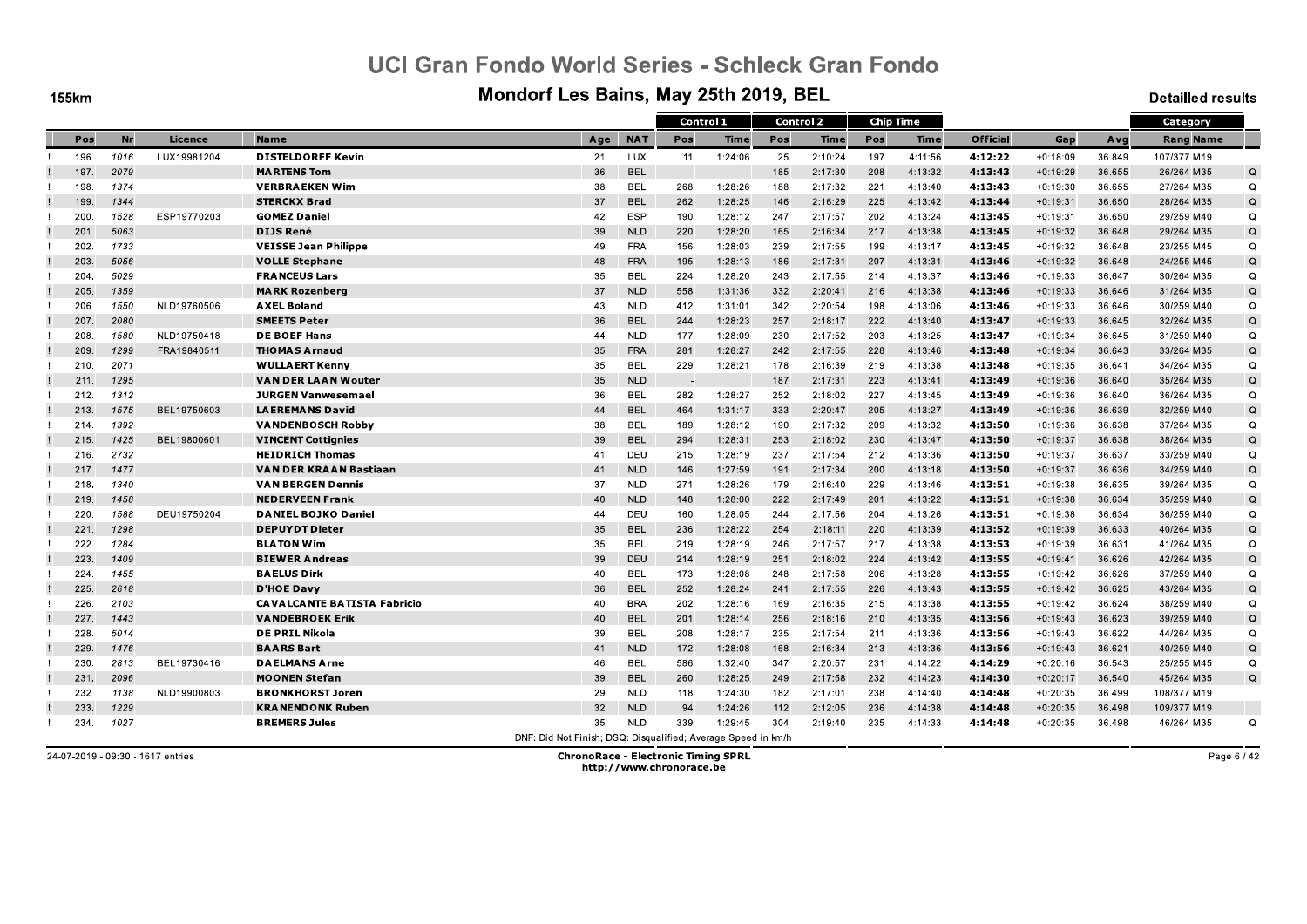**155km** 

#### Mondorf Les Bains, May 25th 2019, BEL

**Detailled results** 

|      |           |             |                                    |                                                               |            | Control 1 |             |     | <b>Control 2</b> |     | <b>Chip Time</b> |                 |            |        | Category         |             |
|------|-----------|-------------|------------------------------------|---------------------------------------------------------------|------------|-----------|-------------|-----|------------------|-----|------------------|-----------------|------------|--------|------------------|-------------|
| Pos  | <b>Nr</b> | Licence     | <b>Name</b>                        | Age                                                           | <b>NAT</b> | Pos       | <b>Time</b> | Pos | <b>Time</b>      | Pos | Time             | <b>Official</b> | Gap        | Avg    | <b>Rang Name</b> |             |
| 196. | 1016      | LUX19981204 | <b>DISTELDORFF Kevin</b>           | 21                                                            | <b>LUX</b> | 11        | 1:24:06     | 25  | 2:10:24          | 197 | 4:11:56          | 4:12:22         | $+0:18:09$ | 36.849 | 107/377 M19      |             |
| 197. | 2079      |             | <b>MARTENS Tom</b>                 | 36                                                            | <b>BEL</b> |           |             | 185 | 2:17:30          | 208 | 4:13:32          | 4:13:43         | $+0:19:29$ | 36.655 | 26/264 M35       | $\Omega$    |
| 198  | 1374      |             | <b>VERBRAEKEN Wim</b>              | 38                                                            | <b>BEL</b> | 268       | 1:28:26     | 188 | 2:17:32          | 221 | 4:13:40          | 4:13:43         | $+0:19:30$ | 36.655 | 27/264 M35       | Q           |
| 199. | 1344      |             | <b>STERCKX Brad</b>                | 37                                                            | <b>BEL</b> | 262       | 1:28:25     | 146 | 2:16:29          | 225 | 4:13:42          | 4:13:44         | $+0:19:31$ | 36.650 | 28/264 M35       | Q           |
| 200. | 1528      | ESP19770203 | <b>GOMEZ Daniel</b>                | 42                                                            | <b>ESP</b> | 190       | 1:28:12     | 247 | 2:17:57          | 202 | 4:13:24          | 4:13:45         | $+0:19:31$ | 36.650 | 29/259 M40       | Q           |
| 201  | 5063      |             | <b>DIJS René</b>                   | 39                                                            | <b>NLD</b> | 220       | 1:28:20     | 165 | 2:16:34          | 217 | 4:13:38          | 4:13:45         | $+0:19:32$ | 36.648 | 29/264 M35       | Q           |
| 202. | 1733      |             | <b>VEISSE Jean Philippe</b>        | 49                                                            | <b>FRA</b> | 156       | 1:28:03     | 239 | 2:17:55          | 199 | 4:13:17          | 4.13.45         | $+0:19:32$ | 36.648 | 23/255 M45       | Q           |
| 203. | 5056      |             | <b>VOLLE Stephane</b>              | 48                                                            | <b>FRA</b> | 195       | 1:28:13     | 186 | 2:17:31          | 207 | 4:13:31          | 4:13:46         | $+0:19:32$ | 36.648 | 24/255 M45       | Q           |
| 204. | 5029      |             | <b>FRANCEUS Lars</b>               | 35                                                            | <b>BEL</b> | 224       | 1:28:20     | 243 | 2:17:55          | 214 | 4:13:37          | 4:13:46         | $+0:19:33$ | 36.647 | 30/264 M35       | Q           |
| 205. | 1359      |             | <b>MARK Rozenberg</b>              | 37                                                            | <b>NLD</b> | 558       | 1:31:36     | 332 | 2:20:41          | 216 | 4:13:38          | 4:13:46         | $+0:19:33$ | 36.646 | 31/264 M35       | Q           |
| 206. | 1550      | NLD19760506 | <b>AXEL Boland</b>                 | 43                                                            | <b>NLD</b> | 412       | 1:31:01     | 342 | 2:20:54          | 198 | 4:13:06          | 4:13:46         | $+0:19:33$ | 36.646 | 30/259 M40       | $\Omega$    |
| 207. | 2080      |             | <b>SMEETS Peter</b>                | 36                                                            | <b>BEL</b> | 244       | 1:28:23     | 257 | 2:18:17          | 222 | 4:13:40          | 4:13:47         | $+0:19:33$ | 36.645 | 32/264 M35       | Q           |
| 208. | 1580      | NLD19750418 | <b>DE BOEF Hans</b>                | 44                                                            | <b>NLD</b> | 177       | 1:28:09     | 230 | 2:17:52          | 203 | 4:13:25          | 4:13:47         | $+0:19:34$ | 36.645 | 31/259 M40       | Q           |
| 209. | 1299      | FRA19840511 | <b>THOMAS Arnaud</b>               | 35                                                            | <b>FRA</b> | 281       | 1:28:27     | 242 | 2:17:55          | 228 | 4:13:46          | 4:13:48         | $+0:19:34$ | 36.643 | 33/264 M35       | Q           |
| 210. | 2071      |             | <b>WULLAERT Kenny</b>              | 35                                                            | <b>BEL</b> | 229       | 1:28:21     | 178 | 2:16:39          | 219 | 4:13:38          | 4:13:48         | $+0:19:35$ | 36.641 | 34/264 M35       | $\Omega$    |
| 211. | 1295      |             | <b>VAN DER LAAN Wouter</b>         | 35                                                            | <b>NLD</b> |           |             | 187 | 2:17:31          | 223 | 4:13:41          | 4:13:49         | $+0:19:36$ | 36.640 | 35/264 M35       | $\mathsf Q$ |
| 212. | 1312      |             | <b>JURGEN Vanwesemael</b>          | 36                                                            | <b>BEL</b> | 282       | 1:28:27     | 252 | 2:18:02          | 227 | 4:13:45          | 4:13:49         | $+0:19:36$ | 36.640 | 36/264 M35       | $\mathsf Q$ |
| 213. | 1575      | BEL19750603 | <b>LAEREMANS David</b>             | 44                                                            | <b>BEL</b> | 464       | 1:31:17     | 333 | 2:20:47          | 205 | 4:13:27          | 4:13:49         | $+0:19:36$ | 36.639 | 32/259 M40       | Q           |
| 214. | 1392      |             | <b>VANDENBOSCH Robby</b>           | 38                                                            | <b>BEL</b> | 189       | 1:28:12     | 190 | 2:17:32          | 209 | 4:13:32          | 4:13:50         | $+0:19:36$ | 36.638 | 37/264 M35       | $\Omega$    |
| 215. | 1425      | BEL19800601 | <b>VINCENT Cottignies</b>          | 39                                                            | <b>BEL</b> | 294       | 1:28:31     | 253 | 2:18:02          | 230 | 4:13:47          | 4:13:50         | $+0:19:37$ | 36.638 | 38/264 M35       | Q           |
| 216. | 2732      |             | <b>HEIDRICH Thomas</b>             | 41                                                            | DEU        | 215       | 1:28:19     | 237 | 2:17:54          | 212 | 4:13:36          | 4.13.50         | $+0:19:37$ | 36.637 | 33/259 M40       | Q           |
| 217. | 1477      |             | VAN DER KRAAN Bastiaan             | 41                                                            | <b>NLD</b> | 146       | 1:27:59     | 191 | 2:17:34          | 200 | 4:13:18          | 4:13:50         | $+0:19:37$ | 36.636 | 34/259 M40       | Q           |
| 218. | 1340      |             | <b>VAN BERGEN Dennis</b>           | 37                                                            | <b>NLD</b> | 271       | 1:28:26     | 179 | 2:16:40          | 229 | 4:13:46          | 4.13.51         | $+0:19:38$ | 36.635 | 39/264 M35       | Q           |
| 219. | 1458      |             | <b>NEDERVEEN Frank</b>             | 40                                                            | <b>NLD</b> | 148       | 1:28:00     | 222 | 2:17:49          | 201 | 4:13:22          | 4:13:51         | $+0:19:38$ | 36.634 | 35/259 M40       | Q           |
| 220. | 1588      | DEU19750204 | <b>DANIEL BOJKO Daniel</b>         | 44                                                            | DEU        | 160       | 1:28:05     | 244 | 2:17:56          | 204 | 4:13:26          | 4:13:51         | $+0:19:38$ | 36.634 | 36/259 M40       | Q           |
| 221  | 1298      |             | <b>DEPUYDT Dieter</b>              | 35                                                            | <b>BEL</b> | 236       | 1:28:22     | 254 | 2:18:11          | 220 | 4:13:39          | 4:13:52         | $+0:19:39$ | 36.633 | 40/264 M35       | $\Omega$    |
| 222. | 1284      |             | <b>BLATON Wim</b>                  | 35                                                            | <b>BEL</b> | 219       | 1:28:19     | 246 | 2:17:57          | 217 | 4:13:38          | 4:13:53         | $+0:19:39$ | 36.631 | 41/264 M35       | Q           |
| 223. | 1409      |             | <b>BIEWER Andreas</b>              | 39                                                            | <b>DEU</b> | 214       | 1:28:19     | 251 | 2:18:02          | 224 | 4:13:42          | 4:13:55         | $+0:19:41$ | 36.626 | 42/264 M35       | $\mathsf Q$ |
| 224. | 1455      |             | <b>BAELUS Dirk</b>                 | 40                                                            | <b>BEL</b> | 173       | 1:28:08     | 248 | 2:17:58          | 206 | 4:13:28          | 4:13:55         | $+0:19:42$ | 36.626 | 37/259 M40       | $\Omega$    |
| 225. | 2618      |             | <b>D'HOE Davy</b>                  | 36                                                            | <b>BEL</b> | 252       | 1:28:24     | 241 | 2:17:55          | 226 | 4:13:43          | 4:13:55         | $+0:19:42$ | 36.625 | 43/264 M35       | $\mathsf Q$ |
| 226. | 2103      |             | <b>CAVALCANTE BATISTA Fabricio</b> | 40                                                            | <b>BRA</b> | 202       | 1:28:16     | 169 | 2:16:35          | 215 | 4:13:38          | 4:13:55         | $+0:19:42$ | 36.624 | 38/259 M40       | Q           |
| 227. | 1443      |             | <b>VANDEBROEK Erik</b>             | 40                                                            | <b>BEL</b> | 201       | 1:28:14     | 256 | 2:18:16          | 210 | 4:13:35          | 4:13:56         | $+0:19:43$ | 36.623 | 39/259 M40       | Q           |
| 228  | 5014      |             | <b>DE PRIL Nikola</b>              | 39                                                            | <b>BEL</b> | 208       | 1:28:17     | 235 | 2:17:54          | 211 | 4:13:36          | 4:13:56         | $+0:19:43$ | 36.622 | 44/264 M35       | $\Omega$    |
| 229. | 1476      |             | <b>BAARS Bart</b>                  | 41                                                            | <b>NLD</b> | 172       | 1:28:08     | 168 | 2:16:34          | 213 | 4:13:36          | 4:13:56         | $+0:19:43$ | 36.621 | 40/259 M40       | Q           |
| 230. | 2813      | BEL19730416 | <b>DAELMANS Arne</b>               | 46                                                            | <b>BEL</b> | 586       | 1:32:40     | 347 | 2:20:57          | 231 | 4:14:22          | 4:14:29         | $+0:20:16$ | 36.543 | 25/255 M45       | Q           |
| 231. | 2096      |             | <b>MOONEN Stefan</b>               | 39                                                            | <b>BEL</b> | 260       | 1:28:25     | 249 | 2:17:58          | 232 | 4:14:23          | 4:14:30         | $+0:20:17$ | 36.540 | 45/264 M35       | $\Omega$    |
| 232. | 1138      | NLD19900803 | <b>BRONKHORST Joren</b>            | 29                                                            | <b>NLD</b> | 118       | 1:24:30     | 182 | 2:17:01          | 238 | 4:14:40          | 4.14.48         | $+0:20:35$ | 36.499 | 108/377 M19      |             |
| 233  | 1229      |             | <b>KRANENDONK Ruben</b>            | 32                                                            | <b>NLD</b> | 94        | 1:24:26     | 112 | 2:12:05          | 236 | 4:14:38          | 4:14:48         | $+0:20:35$ | 36.498 | 109/377 M19      |             |
| 234. | 1027      |             | <b>BREMERS Jules</b>               | 35                                                            | <b>NLD</b> | 339       | 1:29:45     | 304 | 2:19:40          | 235 | 4:14:33          | 4.14.48         | $+0:20:35$ | 36.498 | 46/264 M35       | Q           |
|      |           |             |                                    | DNE: Did Not Finish: DSO: Disqualified: Average Speed in km/h |            |           |             |     |                  |     |                  |                 |            |        |                  |             |

24-07-2019 - 09:30 - 1617 entries

**ChronoRace - Electronic Timing SPRL** http://www.chronorace.be

Page 6 / 42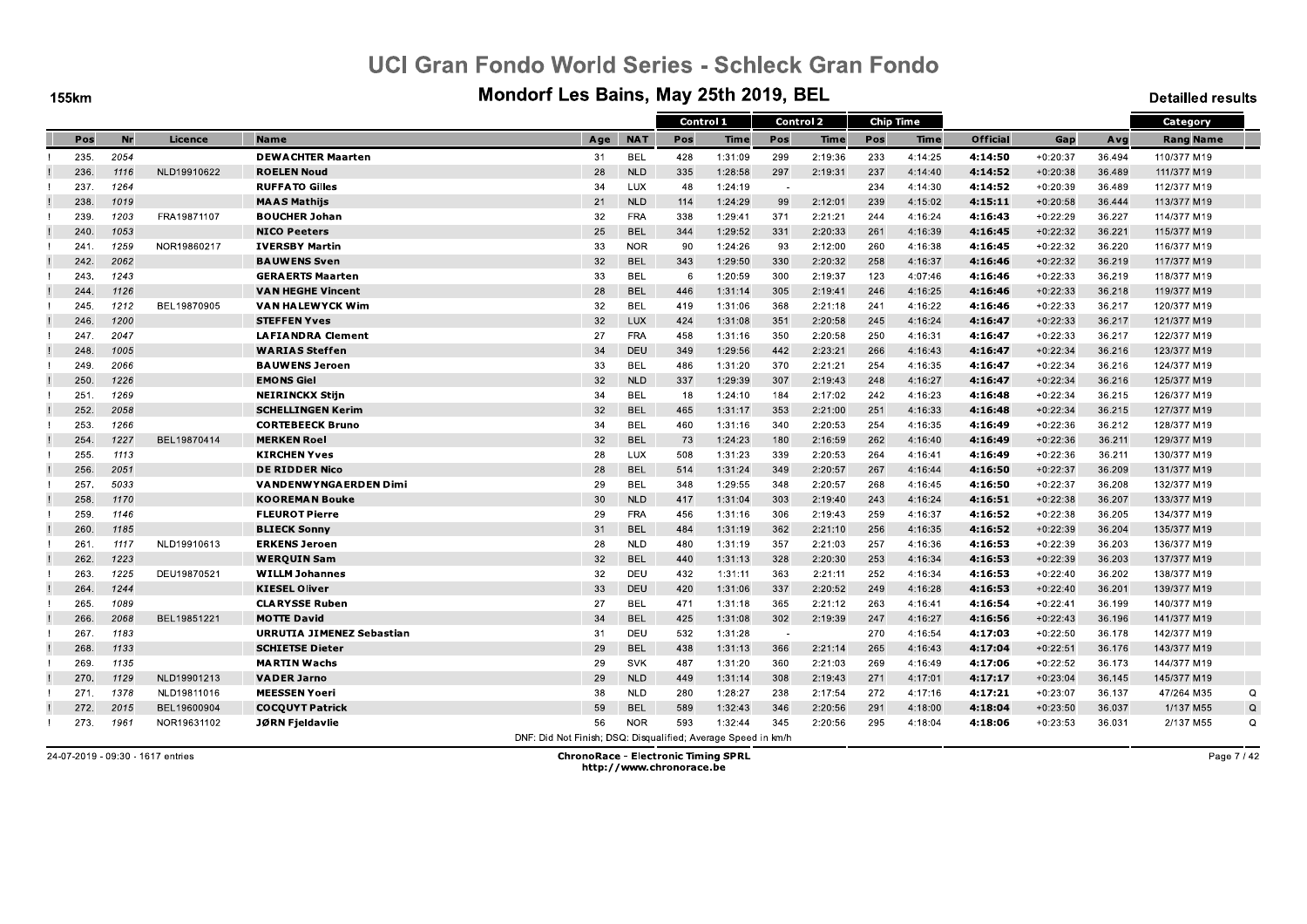**155km** 

#### Mondorf Les Bains, May 25th 2019, BEL

**Detailled results** 

|      |      |             |                              |                                                               |            | Control 1 |             |     | <b>Control 2</b> |     | <b>Chip Time</b> |                 |            |        | Category         |   |
|------|------|-------------|------------------------------|---------------------------------------------------------------|------------|-----------|-------------|-----|------------------|-----|------------------|-----------------|------------|--------|------------------|---|
| Pos  | Nr   | Licence     | <b>Name</b>                  | Age                                                           | <b>NAT</b> | Pos       | <b>Time</b> | Pos | Time             | Pos | Time             | <b>Official</b> | Gap        | Avg    | <b>Rang Name</b> |   |
| 235. | 2054 |             | <b>DEWACHTER Maarten</b>     | 31                                                            | <b>BEL</b> | 428       | 1:31:09     | 299 | 2:19:36          | 233 | 4:14:25          | 4:14:50         | $+0:20:37$ | 36.494 | 110/377 M19      |   |
| 236. | 1116 | NLD19910622 | <b>ROELEN Noud</b>           | 28                                                            | <b>NLD</b> | 335       | 1:28:58     | 297 | 2:19:31          | 237 | 4:14:40          | 4:14:52         | $+0:20:38$ | 36.489 | 111/377 M19      |   |
| 237. | 1264 |             | <b>RUFFATO Gilles</b>        | 34                                                            | <b>LUX</b> | 48        | 1:24:19     |     |                  | 234 | 4:14:30          | 4:14:52         | $+0:20:39$ | 36.489 | 112/377 M19      |   |
| 238. | 1019 |             | <b>MAAS Mathijs</b>          | 21                                                            | <b>NLD</b> | 114       | 1:24:29     | 99  | 2:12:01          | 239 | 4:15:02          | 4:15:11         | $+0:20:58$ | 36.444 | 113/377 M19      |   |
| 239  | 1203 | FRA19871107 | <b>BOUCHER Johan</b>         | 32                                                            | <b>FRA</b> | 338       | 1:29:41     | 371 | 2:21:21          | 244 | 4:16:24          | 4:16:43         | $+0:22:29$ | 36.227 | 114/377 M19      |   |
| 240. | 1053 |             | <b>NICO Peeters</b>          | 25                                                            | <b>BEL</b> | 344       | 1:29:52     | 331 | 2:20:33          | 261 | 4:16:39          | 4:16:45         | $+0:22:32$ | 36.221 | 115/377 M19      |   |
| 241  | 1259 | NOR19860217 | <b>IVERSBY Martin</b>        | 33                                                            | <b>NOR</b> | 90        | 1:24:26     | 93  | 2:12:00          | 260 | 4:16:38          | 4.16:45         | $+0:22:32$ | 36.220 | 116/377 M19      |   |
| 242. | 2062 |             | <b>BAUWENS Sven</b>          | 32                                                            | <b>BEL</b> | 343       | 1:29:50     | 330 | 2:20:32          | 258 | 4:16:37          | 4:16:46         | $+0:22:32$ | 36.219 | 117/377 M19      |   |
| 243. | 1243 |             | <b>GERAERTS Maarten</b>      | 33                                                            | <b>BEL</b> | 6         | 1:20:59     | 300 | 2:19:37          | 123 | 4:07:46          | 4:16:46         | $+0:22:33$ | 36.219 | 118/377 M19      |   |
| 244  | 1126 |             | <b>VAN HEGHE Vincent</b>     | 28                                                            | <b>BEL</b> | 446       | 1:31:14     | 305 | 2:19:41          | 246 | 4:16:25          | 4:16:46         | $+0:22:33$ | 36.218 | 119/377 M19      |   |
| 245. | 1212 | BEL19870905 | <b>VAN HALEWYCK Wim</b>      | 32                                                            | <b>BEL</b> | 419       | 1:31:06     | 368 | 2:21:18          | 241 | 4:16:22          | 4:16:46         | $+0:22:33$ | 36.217 | 120/377 M19      |   |
| 246. | 1200 |             | <b>STEFFEN Yves</b>          | 32                                                            | <b>LUX</b> | 424       | 1:31:08     | 351 | 2:20:58          | 245 | 4:16:24          | 4:16:47         | $+0:22:33$ | 36.217 | 121/377 M19      |   |
| 247. | 2047 |             | <b>LAFIANDRA Clement</b>     | 27                                                            | <b>FRA</b> | 458       | 1:31:16     | 350 | 2:20:58          | 250 | 4:16:31          | 4:16:47         | $+0:22:33$ | 36.217 | 122/377 M19      |   |
| 248  | 1005 |             | <b>WARIAS Steffen</b>        | 34                                                            | DEU        | 349       | 1:29:56     | 442 | 2:23:21          | 266 | 4:16:43          | 4.16.47         | $+0:22:34$ | 36.216 | 123/377 M19      |   |
| 249. | 2066 |             | <b>BAUWENS Jeroen</b>        | 33                                                            | <b>BEL</b> | 486       | 1:31:20     | 370 | 2:21:21          | 254 | 4:16:35          | 4:16:47         | $+0:22:34$ | 36.216 | 124/377 M19      |   |
| 250. | 1226 |             | <b>EMONS Giel</b>            | 32                                                            | <b>NLD</b> | 337       | 1:29:39     | 307 | 2:19:43          | 248 | 4:16:27          | 4.16.47         | $+0:22:34$ | 36.216 | 125/377 M19      |   |
| 251  | 1269 |             | <b>NEIRINCKX Stijn</b>       | 34                                                            | <b>BEL</b> | 18        | 1:24:10     | 184 | 2:17:02          | 242 | 4:16:23          | 4:16:48         | $+0:22:34$ | 36.215 | 126/377 M19      |   |
| 252. | 2058 |             | <b>SCHELLINGEN Kerim</b>     | 32                                                            | <b>BEL</b> | 465       | 1:31:17     | 353 | 2:21:00          | 251 | 4:16:33          | 4:16:48         | $+0:22:34$ | 36.215 | 127/377 M19      |   |
| 253. | 1266 |             | <b>CORTEBEECK Bruno</b>      | 34                                                            | <b>BEL</b> | 460       | 1:31:16     | 340 | 2:20:53          | 254 | 4:16:35          | 4:16:49         | $+0:22:36$ | 36.212 | 128/377 M19      |   |
| 254. | 1227 | BEL19870414 | <b>MERKEN Roel</b>           | 32                                                            | <b>BEL</b> | 73        | 1:24:23     | 180 | 2:16:59          | 262 | 4:16:40          | 4:16:49         | $+0:22:36$ | 36.211 | 129/377 M19      |   |
| 255. | 1113 |             | <b>KIRCHEN Yves</b>          | 28                                                            | <b>LUX</b> | 508       | 1:31:23     | 339 | 2:20:53          | 264 | 4:16:41          | 4.16.49         | $+0:22:36$ | 36.211 | 130/377 M19      |   |
| 256  | 2051 |             | <b>DE RIDDER Nico</b>        | 28                                                            | <b>BEL</b> | 514       | 1:31:24     | 349 | 2:20:57          | 267 | 4:16:44          | 4:16:50         | $+0:22:37$ | 36.209 | 131/377 M19      |   |
| 257  | 5033 |             | <b>VANDENWYNGAERDEN Dimi</b> | 29                                                            | <b>BEL</b> | 348       | 1:29:55     | 348 | 2:20:57          | 268 | 4:16:45          | 4:16:50         | $+0:22:37$ | 36.208 | 132/377 M19      |   |
| 258  | 1170 |             | <b>KOOREMAN Bouke</b>        | 30                                                            | <b>NLD</b> | 417       | 1:31:04     | 303 | 2:19:40          | 243 | 4:16:24          | 4:16:51         | $+0:22:38$ | 36.207 | 133/377 M19      |   |
| 259  | 1146 |             | <b>FLEUROT Pierre</b>        | 29                                                            | <b>FRA</b> | 456       | 1:31:16     | 306 | 2:19:43          | 259 | 4:16:37          | 4:16:52         | $+0:22:38$ | 36.205 | 134/377 M19      |   |
| 260. | 1185 |             | <b>BLIECK Sonny</b>          | 31                                                            | <b>BEL</b> | 484       | 1:31:19     | 362 | 2:21:10          | 256 | 4:16:35          | 4:16:52         | $+0:22:39$ | 36.204 | 135/377 M19      |   |
| 261  | 1117 | NLD19910613 | <b>ERKENS Jeroen</b>         | 28                                                            | <b>NLD</b> | 480       | 1:31:19     | 357 | 2:21:03          | 257 | 4:16:36          | 4:16:53         | $+0:22:39$ | 36.203 | 136/377 M19      |   |
| 262. | 1223 |             | <b>WERQUIN Sam</b>           | 32                                                            | <b>BEL</b> | 440       | 1:31:13     | 328 | 2:20:30          | 253 | 4:16:34          | 4:16:53         | $+0:22:39$ | 36.203 | 137/377 M19      |   |
| 263. | 1225 | DEU19870521 | <b>WILLM Johannes</b>        | 32                                                            | DEU        | 432       | 1:31:11     | 363 | 2:21:11          | 252 | 4:16:34          | 4:16:53         | $+0:22:40$ | 36.202 | 138/377 M19      |   |
| 264  | 1244 |             | <b>KIESEL Oliver</b>         | 33                                                            | <b>DEU</b> | 420       | 1:31:06     | 337 | 2:20:52          | 249 | 4:16:28          | 4:16:53         | $+0:22:40$ | 36.201 | 139/377 M19      |   |
| 265. | 1089 |             | <b>CLARYSSE Ruben</b>        | 27                                                            | <b>BEL</b> | 471       | 1:31:18     | 365 | 2:21:12          | 263 | 4:16:41          | 4:16:54         | $+0:22:41$ | 36.199 | 140/377 M19      |   |
| 266. | 2068 | BEL19851221 | <b>MOTTE David</b>           | 34                                                            | <b>BEL</b> | 425       | 1:31:08     | 302 | 2:19:39          | 247 | 4:16:27          | 4:16:56         | $+0:22:43$ | 36.196 | 141/377 M19      |   |
| 267  | 1183 |             | URRUTIA JIMENEZ Sebastian    | 31                                                            | DEU        | 532       | 1:31:28     |     |                  | 270 | 4:16:54          | 4:17:03         | $+0:22:50$ | 36.178 | 142/377 M19      |   |
| 268  | 1133 |             | <b>SCHIETSE Dieter</b>       | 29                                                            | <b>BEL</b> | 438       | 1:31:13     | 366 | 2:21:14          | 265 | 4:16:43          | 4:17:04         | $+0:22:51$ | 36.176 | 143/377 M19      |   |
| 269  | 1135 |             | <b>MARTIN Wachs</b>          | 29                                                            | <b>SVK</b> | 487       | 1:31:20     | 360 | 2:21:03          | 269 | 4:16:49          | 4:17:06         | $+0:22:52$ | 36.173 | 144/377 M19      |   |
| 270. | 1129 | NLD19901213 | <b>VADER Jarno</b>           | 29                                                            | <b>NLD</b> | 449       | 1:31:14     | 308 | 2:19:43          | 271 | 4:17:01          | 4:17:17         | $+0:23:04$ | 36.145 | 145/377 M19      |   |
| 271. | 1378 | NLD19811016 | <b>MEESSEN Yoeri</b>         | 38                                                            | <b>NLD</b> | 280       | 1:28:27     | 238 | 2:17:54          | 272 | 4:17:16          | 4.17.21         | $+0:23:07$ | 36.137 | 47/264 M35       | Q |
| 272. | 2015 | BEL19600904 | <b>COCQUYT Patrick</b>       | 59                                                            | <b>BEL</b> | 589       | 1:32:43     | 346 | 2:20:56          | 291 | 4:18:00          | 4:18:04         | $+0:23:50$ | 36.037 | 1/137 M55        | Q |
| 273. | 1961 | NOR19631102 | JØRN Fjeldavlie              | 56                                                            | <b>NOR</b> | 593       | 1:32:44     | 345 | 2:20:56          | 295 | 4:18:04          | 4.18.06         | $+0:23:53$ | 36.031 | 2/137 M55        | Q |
|      |      |             |                              | DNF: Did Not Finish: DSO: Disqualified: Average Speed in km/h |            |           |             |     |                  |     |                  |                 |            |        |                  |   |

24-07-2019 - 09:30 - 1617 entries

**ChronoRace - Electronic Timing SPRL** http://www.chronorace.be

Page 7 / 42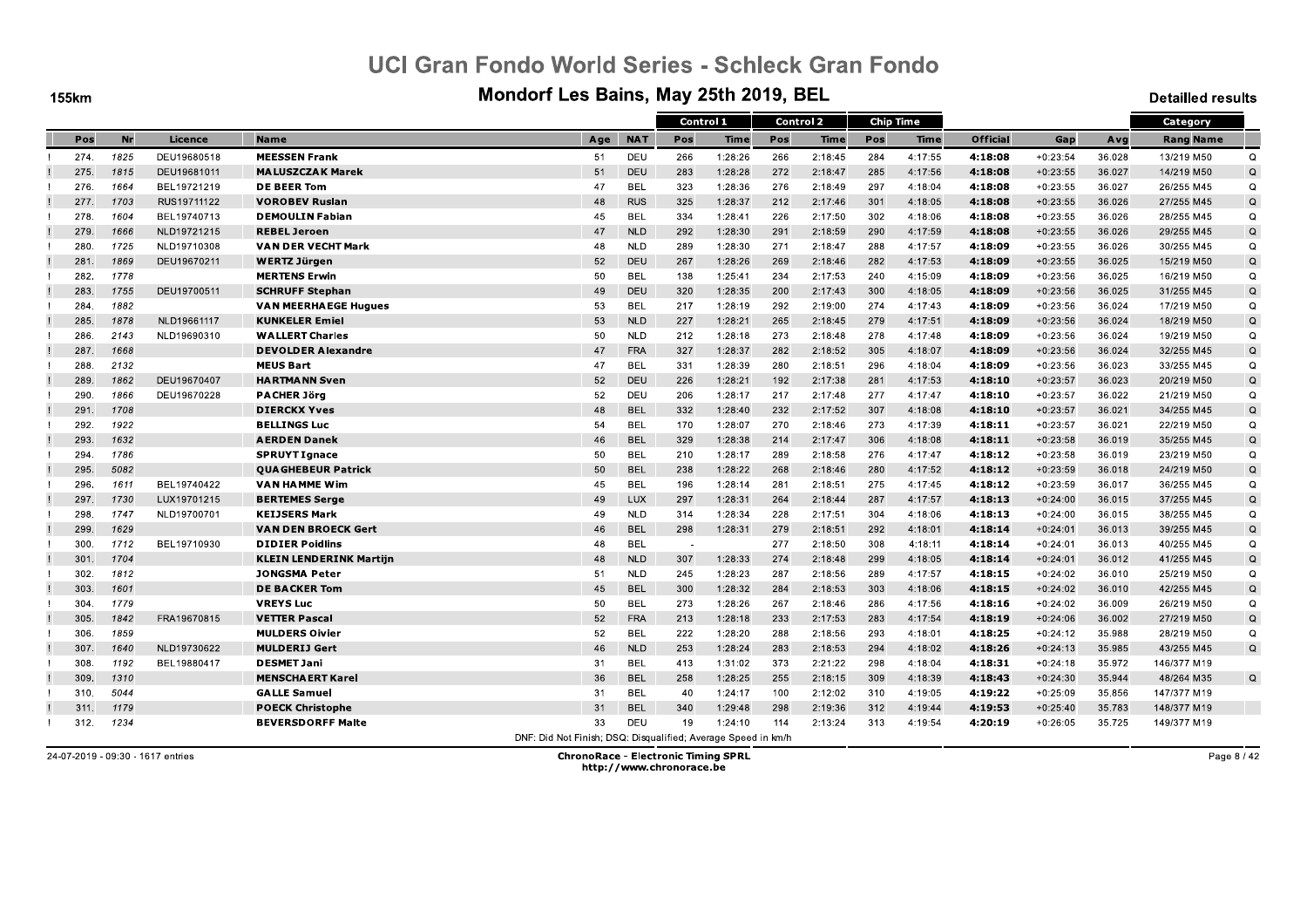**155km** 

#### Mondorf Les Bains, May 25th 2019, BEL

**Detailled results** 

|      |      |             |                                |                                                               |            | Control 1 |         |     | <b>Control 2</b> |     | <b>Chip Time</b> |                 |            |        | Category         |             |
|------|------|-------------|--------------------------------|---------------------------------------------------------------|------------|-----------|---------|-----|------------------|-----|------------------|-----------------|------------|--------|------------------|-------------|
| Pos  | Nr   | Licence     | <b>Name</b>                    | Age                                                           | <b>NAT</b> | Pos       | Time    | Pos | <b>Time</b>      | Pos | <b>Time</b>      | <b>Official</b> | Gap        | Avg    | <b>Rang Name</b> |             |
| 274. | 1825 | DEU19680518 | <b>MEESSEN Frank</b>           | 51                                                            | <b>DEU</b> | 266       | 1:28:26 | 266 | 2:18:45          | 284 | 4:17:55          | 4:18:08         | $+0:23:54$ | 36.028 | 13/219 M50       | $\Omega$    |
| 275. | 1815 | DEU19681011 | <b>MALUSZCZAK Marek</b>        | 51                                                            | DEU        | 283       | 1:28:28 | 272 | 2:18:47          | 285 | 4:17:56          | 4:18:08         | $+0:23:55$ | 36.027 | 14/219 M50       | Q           |
| 276. | 1664 | BEL19721219 | <b>DE BEER Tom</b>             | 47                                                            | <b>BEL</b> | 323       | 1:28:36 | 276 | 2:18:49          | 297 | 4:18:04          | 4:18:08         | $+0:23:55$ | 36.027 | 26/255 M45       | Q           |
| 277. | 1703 | RUS19711122 | <b>VOROBEV Ruslan</b>          | 48                                                            | <b>RUS</b> | 325       | 1:28:37 | 212 | 2:17:46          | 301 | 4:18:05          | 4:18:08         | $+0:23:55$ | 36.026 | 27/255 M45       | Q           |
| 278. | 1604 | BEL19740713 | <b>DEMOULIN Fabian</b>         | 45                                                            | <b>BEL</b> | 334       | 1:28:41 | 226 | 2:17:50          | 302 | 4:18:06          | 4:18:08         | $+0:23:55$ | 36.026 | 28/255 M45       | Q           |
| 279. | 1666 | NLD19721215 | <b>REBEL Jeroen</b>            | 47                                                            | <b>NLD</b> | 292       | 1:28:30 | 291 | 2:18:59          | 290 | 4:17:59          | 4:18:08         | $+0:23:55$ | 36.026 | 29/255 M45       | Q           |
| 280. | 1725 | NLD19710308 | <b>VAN DER VECHT Mark</b>      | 48                                                            | <b>NLD</b> | 289       | 1:28:30 | 271 | 2:18:47          | 288 | 4:17:57          | 4:18:09         | $+0:23:55$ | 36.026 | 30/255 M45       | $\Omega$    |
| 281  | 1869 | DEU19670211 | <b>WERTZ Jürgen</b>            | 52                                                            | DEU        | 267       | 1:28:26 | 269 | 2:18:46          | 282 | 4:17:53          | 4:18:09         | $+0:23:55$ | 36.025 | 15/219 M50       | Q           |
| 282. | 1778 |             | <b>MERTENS Erwin</b>           | 50                                                            | <b>BEL</b> | 138       | 1:25:41 | 234 | 2:17:53          | 240 | 4:15:09          | 4:18:09         | $+0:23:56$ | 36.025 | 16/219 M50       | Q           |
| 283. | 1755 | DEU19700511 | <b>SCHRUFF Stephan</b>         | 49                                                            | <b>DEU</b> | 320       | 1:28:35 | 200 | 2:17:43          | 300 | 4:18:05          | 4:18:09         | $+0:23:56$ | 36.025 | 31/255 M45       | $\Omega$    |
| 284. | 1882 |             | <b>VAN MEERHAEGE Hugues</b>    | 53                                                            | <b>BEL</b> | 217       | 1:28:19 | 292 | 2:19:00          | 274 | 4:17:43          | 4:18:09         | $+0:23:56$ | 36.024 | 17/219 M50       | Q           |
| 285. | 1878 | NLD19661117 | <b>KUNKELER Emiel</b>          | 53                                                            | <b>NLD</b> | 227       | 1:28:21 | 265 | 2:18:45          | 279 | 4:17:51          | 4:18:09         | $+0:23:56$ | 36.024 | 18/219 M50       | $\Omega$    |
| 286. | 2143 | NLD19690310 | <b>WALLERT Charles</b>         | 50                                                            | <b>NLD</b> | 212       | 1:28:18 | 273 | 2:18:48          | 278 | 4:17:48          | 4:18:09         | $+0:23:56$ | 36.024 | 19/219 M50       | $\Omega$    |
| 287. | 1668 |             | <b>DEVOLDER Alexandre</b>      | 47                                                            | <b>FRA</b> | 327       | 1:28:37 | 282 | 2:18:52          | 305 | 4:18:07          | 4.18.09         | $+0:23:56$ | 36.024 | 32/255 M45       | Q           |
| 288  | 2132 |             | <b>MEUS Bart</b>               | 47                                                            | <b>BEL</b> | 331       | 1:28:39 | 280 | 2:18:51          | 296 | 4:18:04          | 4:18:09         | $+0:23:56$ | 36.023 | 33/255 M45       | Q           |
| 289. | 1862 | DEU19670407 | <b>HARTMANN Sven</b>           | 52                                                            | <b>DEU</b> | 226       | 1:28:21 | 192 | 2:17:38          | 281 | 4:17:53          | 4.18.10         | $+0:23:57$ | 36.023 | 20/219 M50       | Q           |
| 290. | 1866 | DEU19670228 | <b>PACHER Jörg</b>             | 52                                                            | DEU        | 206       | 1:28:17 | 217 | 2:17:48          | 277 | 4:17:47          | 4:18:10         | $+0:23:57$ | 36.022 | 21/219 M50       | $\Omega$    |
| 291  | 1708 |             | <b>DIERCKX Yves</b>            | 48                                                            | <b>BEL</b> | 332       | 1:28:40 | 232 | 2:17:52          | 307 | 4:18:08          | 4:18:10         | $+0:23:57$ | 36.021 | 34/255 M45       | Q           |
| 292. | 1922 |             | <b>BELLINGS Luc</b>            | 54                                                            | <b>BEL</b> | 170       | 1:28:07 | 270 | 2:18:46          | 273 | 4:17:39          | 4:18:11         | $+0:23:57$ | 36.021 | 22/219 M50       | Q           |
| 293. | 1632 |             | <b>AERDEN Danek</b>            | 46                                                            | <b>BEL</b> | 329       | 1:28:38 | 214 | 2:17:47          | 306 | 4:18:08          | 4:18:11         | $+0:23:58$ | 36.019 | 35/255 M45       | Q           |
| 294. | 1786 |             | <b>SPRUYT Ignace</b>           | 50                                                            | <b>BEL</b> | 210       | 1:28:17 | 289 | 2:18:58          | 276 | 4:17:47          | 4:18:12         | $+0:23:58$ | 36.019 | 23/219 M50       | Q           |
| 295. | 5082 |             | <b>OUA GHEBEUR Patrick</b>     | 50                                                            | <b>BEL</b> | 238       | 1:28:22 | 268 | 2:18:46          | 280 | 4:17:52          | 4:18:12         | $+0:23:59$ | 36.018 | 24/219 M50       | Q           |
| 296. | 1611 | BEL19740422 | VAN HAMME Wim                  | 45                                                            | <b>BEL</b> | 196       | 1:28:14 | 281 | 2:18:51          | 275 | 4:17:45          | 4:18:12         | $+0:23:59$ | 36.017 | 36/255 M45       | Q           |
| 297. | 1730 | LUX19701215 | <b>BERTEMES Serge</b>          | 49                                                            | LUX        | 297       | 1:28:31 | 264 | 2:18:44          | 287 | 4:17:57          | 4:18:13         | $+0:24:00$ | 36.015 | 37/255 M45       | $\Omega$    |
| 298  | 1747 | NLD19700701 | <b>KEIJSERS Mark</b>           | 49                                                            | <b>NLD</b> | 314       | 1:28:34 | 228 | 2:17:51          | 304 | 4:18:06          | 4:18:13         | $+0:24:00$ | 36.015 | 38/255 M45       | Q           |
| 299. | 1629 |             | <b>VAN DEN BROECK Gert</b>     | 46                                                            | <b>BEL</b> | 298       | 1:28:31 | 279 | 2:18:51          | 292 | 4:18:01          | 4:18:14         | $+0:24:01$ | 36.013 | 39/255 M45       | Q           |
| 300. | 1712 | BEL19710930 | <b>DIDIER Poidlins</b>         | 48                                                            | <b>BEL</b> | ٠.        |         | 277 | 2:18:50          | 308 | 4:18:11          | 4:18:14         | $+0:24:01$ | 36.013 | 40/255 M45       | Q           |
| 301. | 1704 |             | <b>KLEIN LENDERINK Martijn</b> | 48                                                            | <b>NLD</b> | 307       | 1:28:33 | 274 | 2:18:48          | 299 | 4:18:05          | 4:18:14         | $+0:24:01$ | 36.012 | 41/255 M45       | Q           |
| 302. | 1812 |             | <b>JONGSMA Peter</b>           | 51                                                            | <b>NLD</b> | 245       | 1:28:23 | 287 | 2:18:56          | 289 | 4:17:57          | 4:18:15         | $+0:24:02$ | 36.010 | 25/219 M50       | $\Omega$    |
| 303. | 1601 |             | <b>DE BACKER Tom</b>           | 45                                                            | <b>BEL</b> | 300       | 1:28:32 | 284 | 2:18:53          | 303 | 4:18:06          | 4.18.15         | $+0:24:02$ | 36.010 | 42/255 M45       | $\mathsf Q$ |
| 304. | 1779 |             | <b>VREYS Luc</b>               | 50                                                            | <b>BEL</b> | 273       | 1:28:26 | 267 | 2:18:46          | 286 | 4:17:56          | 4:18:16         | $+0:24:02$ | 36.009 | 26/219 M50       | Q           |
| 305. | 1842 | FRA19670815 | <b>VETTER Pascal</b>           | 52                                                            | <b>FRA</b> | 213       | 1:28:18 | 233 | 2:17:53          | 283 | 4:17:54          | 4:18:19         | $+0:24:06$ | 36.002 | 27/219 M50       | Q           |
| 306. | 1859 |             | <b>MULDERS Oivier</b>          | 52                                                            | <b>BEL</b> | 222       | 1:28:20 | 288 | 2:18:56          | 293 | 4:18:01          | 4:18:25         | $+0:24:12$ | 35.988 | 28/219 M50       | $\Omega$    |
| 307. | 1640 | NLD19730622 | <b>MULDERIJ Gert</b>           | 46                                                            | <b>NLD</b> | 253       | 1:28:24 | 283 | 2:18:53          | 294 | 4:18:02          | 4:18:26         | $+0:24:13$ | 35.985 | 43/255 M45       | Q           |
| 308  | 1192 | BEL19880417 | <b>DESMET Jani</b>             | 31                                                            | <b>BEL</b> | 413       | 1:31:02 | 373 | 2:21:22          | 298 | 4:18:04          | 4:18:31         | $+0:24:18$ | 35.972 | 146/377 M19      |             |
| 309. | 1310 |             | <b>MENSCHA ERT Karel</b>       | 36                                                            | <b>BEL</b> | 258       | 1:28:25 | 255 | 2:18:15          | 309 | 4:18:39          | 4:18:43         | $+0:24:30$ | 35.944 | 48/264 M35       | $\Omega$    |
| 310. | 5044 |             | <b>GALLE Samuel</b>            | 31                                                            | <b>BEL</b> | 40        | 1:24:17 | 100 | 2:12:02          | 310 | 4:19:05          | 4:19:22         | $+0:25:09$ | 35.856 | 147/377 M19      |             |
| 311  | 1179 |             | <b>POECK Christophe</b>        | 31                                                            | <b>BEL</b> | 340       | 1:29:48 | 298 | 2:19:36          | 312 | 4:19:44          | 4:19:53         | $+0:25:40$ | 35.783 | 148/377 M19      |             |
| 312. | 1234 |             | <b>BEVERSDORFF Malte</b>       | 33                                                            | <b>DEU</b> | 19        | 1:24:10 | 114 | 2:13:24          | 313 | 4:19:54          | 4:20:19         | $+0:26:05$ | 35.725 | 149/377 M19      |             |
|      |      |             |                                | DNF: Did Not Finish; DSQ: Disqualified; Average Speed in km/h |            |           |         |     |                  |     |                  |                 |            |        |                  |             |

24-07-2019 - 09:30 - 1617 entries

**ChronoRace - Electronic Timing SPRL** http://www.chronorace.be

Page 8 / 42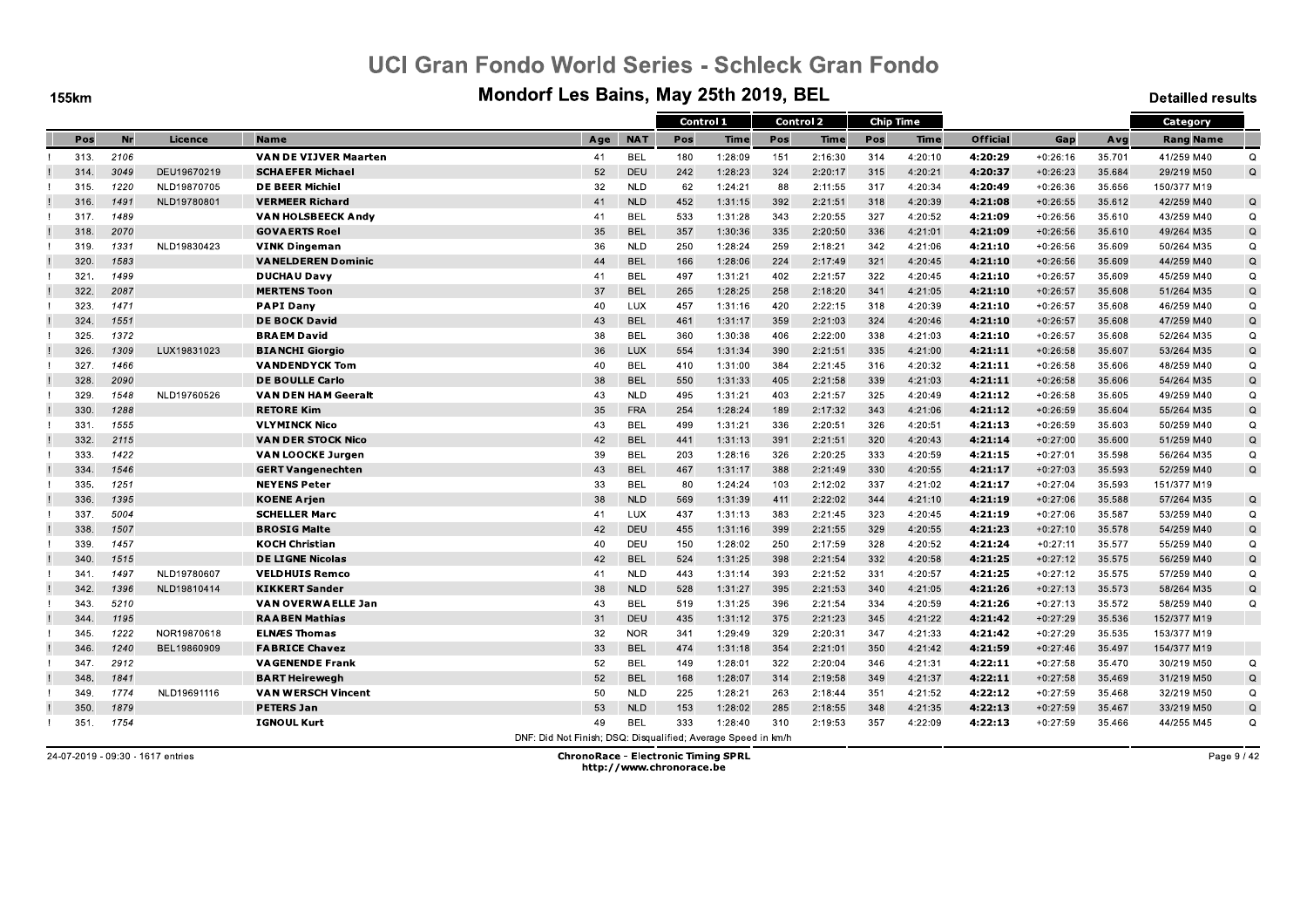**155km** 

#### Mondorf Les Bains, May 25th 2019, BEL

**Detailled results** 

|      |           |             |                              |                                                               |            | Control 1 |         |     | <b>Control 2</b> | <b>Chip Time</b> |             |                 |            |        | Category         |             |
|------|-----------|-------------|------------------------------|---------------------------------------------------------------|------------|-----------|---------|-----|------------------|------------------|-------------|-----------------|------------|--------|------------------|-------------|
| Pos  | <b>Nr</b> | Licence     | <b>Name</b>                  | Age                                                           | <b>NAT</b> | Pos       | Time    | Pos | Time             | Pos              | <b>Time</b> | <b>Official</b> | Gap        | Avg    | <b>Rang Name</b> |             |
| 313. | 2106      |             | <b>VAN DE VIJVER Maarten</b> | 41                                                            | <b>BEL</b> | 180       | 1:28:09 | 151 | 2:16:30          | 314              | 4:20:10     | 4:20:29         | $+0:26:16$ | 35.701 | 41/259 M40       | $\Omega$    |
| 314. | 3049      | DEU19670219 | <b>SCHAEFER Michael</b>      | 52                                                            | DEU        | 242       | 1:28:23 | 324 | 2:20:17          | 315              | 4:20:21     | 4:20:37         | $+0:26:23$ | 35.684 | 29/219 M50       | Q           |
| 315. | 1220      | NLD19870705 | <b>DE BEER Michiel</b>       | 32                                                            | <b>NLD</b> | 62        | 1:24:21 | 88  | 2:11:55          | 317              | 4:20:34     | 4:20:49         | $+0:26:36$ | 35.656 | 150/377 M19      |             |
| 316. | 1491      | NLD19780801 | <b>VERMEER Richard</b>       | 41                                                            | <b>NLD</b> | 452       | 1:31:15 | 392 | 2:21:51          | 318              | 4:20:39     | 4:21:08         | $+0:26:55$ | 35.612 | 42/259 M40       | Q           |
| 317. | 1489      |             | <b>VAN HOLSBEECK Andy</b>    | 41                                                            | <b>BEL</b> | 533       | 1:31:28 | 343 | 2:20:55          | 327              | 4:20:52     | 4:21:09         | $+0:26:56$ | 35.610 | 43/259 M40       | Q           |
| 318. | 2070      |             | <b>GOVAERTS Roel</b>         | 35                                                            | <b>BEL</b> | 357       | 1:30:36 | 335 | 2:20:50          | 336              | 4:21:01     | 4:21:09         | $+0:26:56$ | 35.610 | 49/264 M35       | Q           |
| 319. | 1331      | NLD19830423 | <b>VINK Dingeman</b>         | 36                                                            | <b>NLD</b> | 250       | 1:28:24 | 259 | 2:18:21          | 342              | 4:21:06     | 4:21:10         | $+0:26:56$ | 35.609 | 50/264 M35       | Q           |
| 320. | 1583      |             | <b>VANELDEREN Dominic</b>    | 44                                                            | <b>BEL</b> | 166       | 1:28:06 | 224 | 2:17:49          | 321              | 4:20:45     | 4:21:10         | $+0:26:56$ | 35.609 | 44/259 M40       | $\mathsf Q$ |
| 321  | 1499      |             | <b>DUCHAU Davy</b>           | 41                                                            | <b>BEL</b> | 497       | 1:31:21 | 402 | 2:21:57          | 322              | 4:20:45     | 4:21:10         | $+0:26:57$ | 35.609 | 45/259 M40       | Q           |
| 322. | 2087      |             | <b>MERTENS Toon</b>          | 37                                                            | <b>BEL</b> | 265       | 1:28:25 | 258 | 2:18:20          | 341              | 4:21:05     | 4:21:10         | $+0:26:57$ | 35.608 | 51/264 M35       | Q           |
| 323. | 1471      |             | <b>PAPI Dany</b>             | 40                                                            | <b>LUX</b> | 457       | 1:31:16 | 420 | 2:22:15          | 318              | 4:20:39     | 4:21:10         | $+0:26:57$ | 35.608 | 46/259 M40       | $\Omega$    |
| 324  | 1551      |             | <b>DE BOCK David</b>         | 43                                                            | <b>BEL</b> | 461       | 1:31:17 | 359 | 2:21:03          | 324              | 4:20:46     | 4:21:10         | $+0:26:57$ | 35.608 | 47/259 M40       | $\mathsf Q$ |
| 325  | 1372      |             | <b>BRAEM David</b>           | 38                                                            | <b>BEL</b> | 360       | 1:30:38 | 406 | 2:22:00          | 338              | 4:21:03     | 4:21:10         | $+0:26:57$ | 35.608 | 52/264 M35       | Q           |
| 326. | 1309      | LUX19831023 | <b>BIANCHI Giorgio</b>       | 36                                                            | <b>LUX</b> | 554       | 1:31:34 | 390 | 2:21:51          | 335              | 4:21:00     | 4.21.11         | $+0:26:58$ | 35.607 | 53/264 M35       | Q           |
| 327  | 1466      |             | <b>VANDENDYCK Tom</b>        | 40                                                            | <b>BEL</b> | 410       | 1:31:00 | 384 | 2:21:45          | 316              | 4:20:32     | 4:21:11         | $+0:26:58$ | 35.606 | 48/259 M40       | Q           |
| 328. | 2090      |             | <b>DE BOULLE Carlo</b>       | 38                                                            | <b>BEL</b> | 550       | 1:31:33 | 405 | 2:21:58          | 339              | 4:21:03     | 4:21:11         | $+0:26:58$ | 35.606 | 54/264 M35       | Q           |
| 329  | 1548      | NLD19760526 | <b>VAN DEN HAM Geeralt</b>   | 43                                                            | <b>NLD</b> | 495       | 1:31:21 | 403 | 2:21:57          | 325              | 4:20:49     | 4:21:12         | $+0:26:58$ | 35.605 | 49/259 M40       | $\Omega$    |
| 330. | 1288      |             | <b>RETORE Kim</b>            | 35                                                            | <b>FRA</b> | 254       | 1:28:24 | 189 | 2:17:32          | 343              | 4:21:06     | 4:21:12         | $+0:26:59$ | 35.604 | 55/264 M35       | Q           |
| 331. | 1555      |             | <b>VLYMINCK Nico</b>         | 43                                                            | <b>BEL</b> | 499       | 1:31:21 | 336 | 2:20:51          | 326              | 4:20:51     | 4:21:13         | $+0:26:59$ | 35.603 | 50/259 M40       | Q           |
| 332. | 2115      |             | <b>VAN DER STOCK Nico</b>    | 42                                                            | <b>BEL</b> | 441       | 1:31:13 | 391 | 2:21:51          | 320              | 4:20:43     | 4:21:14         | $+0:27:00$ | 35,600 | 51/259 M40       | Q           |
| 333. | 1422      |             | <b>VAN LOOCKE Jurgen</b>     | 39                                                            | <b>BEL</b> | 203       | 1:28:16 | 326 | 2:20:25          | 333              | 4:20:59     | 4.21:15         | $+0:27:01$ | 35.598 | 56/264 M35       | Q           |
| 334  | 1546      |             | <b>GERT Vangenechten</b>     | 43                                                            | <b>BEL</b> | 467       | 1:31:17 | 388 | 2:21:49          | 330              | 4:20:55     | 4:21:17         | $+0:27:03$ | 35.593 | 52/259 M40       | Q           |
| 335. | 1251      |             | <b>NEYENS Peter</b>          | 33                                                            | <b>BEL</b> | 80        | 1:24:24 | 103 | 2:12:02          | 337              | 4:21:02     | 4.21.17         | $+0:27:04$ | 35.593 | 151/377 M19      |             |
| 336. | 1395      |             | <b>KOENE Arien</b>           | 38                                                            | <b>NLD</b> | 569       | 1:31:39 | 411 | 2:22:02          | 344              | 4:21:10     | 4:21:19         | $+0:27:06$ | 35.588 | 57/264 M35       | $\mathsf Q$ |
| 337. | 5004      |             | <b>SCHELLER Marc</b>         | 41                                                            | <b>LUX</b> | 437       | 1:31:13 | 383 | 2:21:45          | 323              | 4:20:45     | 4:21:19         | $+0:27:06$ | 35.587 | 53/259 M40       | Q           |
| 338. | 1507      |             | <b>BROSIG Malte</b>          | 42                                                            | <b>DEU</b> | 455       | 1:31:16 | 399 | 2:21:55          | 329              | 4:20:55     | 4:21:23         | $+0:27:10$ | 35.578 | 54/259 M40       | Q           |
| 339. | 1457      |             | <b>KOCH Christian</b>        | 40                                                            | <b>DEU</b> | 150       | 1:28:02 | 250 | 2:17:59          | 328              | 4:20:52     | 4:21:24         | $+0:27:11$ | 35.577 | 55/259 M40       | $\Omega$    |
| 340. | 1515      |             | <b>DE LIGNE Nicolas</b>      | 42                                                            | <b>BEL</b> | 524       | 1:31:25 | 398 | 2:21:54          | 332              | 4:20:58     | 4.21:25         | $+0:27:12$ | 35.575 | 56/259 M40       | Q           |
| 341. | 1497      | NLD19780607 | <b>VELDHUIS Remco</b>        | 41                                                            | <b>NLD</b> | 443       | 1:31:14 | 393 | 2:21:52          | 331              | 4:20:57     | 4:21:25         | $+0:27:12$ | 35.575 | 57/259 M40       | $\Omega$    |
| 342. | 1396      | NLD19810414 | <b>KIKKERT Sander</b>        | 38                                                            | <b>NLD</b> | 528       | 1:31:27 | 395 | 2:21:53          | 340              | 4:21:05     | 4.21.26         | $+0:27:13$ | 35.573 | 58/264 M35       | $\Omega$    |
| 343. | 5210      |             | <b>VAN OVERWAELLE Jan</b>    | 43                                                            | <b>BEL</b> | 519       | 1:31:25 | 396 | 2:21:54          | 334              | 4:20:59     | 4:21:26         | $+0:27:13$ | 35.572 | 58/259 M40       | Q           |
| 344  | 1195      |             | <b>RAABEN Mathias</b>        | 31                                                            | DEU        | 435       | 1:31:12 | 375 | 2:21:23          | 345              | 4:21:22     | 4.21.42         | $+0:27:29$ | 35.536 | 152/377 M19      |             |
| 345. | 1222      | NOR19870618 | <b>ELNÆS Thomas</b>          | 32                                                            | <b>NOR</b> | 341       | 1:29:49 | 329 | 2:20:31          | 347              | 4:21:33     | 4:21:42         | $+0:27:29$ | 35.535 | 153/377 M19      |             |
| 346. | 1240      | BEL19860909 | <b>FABRICE Chavez</b>        | 33                                                            | <b>BEL</b> | 474       | 1:31:18 | 354 | 2:21:01          | 350              | 4:21:42     | 4:21:59         | $+0:27:46$ | 35.497 | 154/377 M19      |             |
| 347. | 2912      |             | <b>VAGENENDE Frank</b>       | 52                                                            | <b>BEL</b> | 149       | 1:28:01 | 322 | 2:20:04          | 346              | 4:21:31     | 4:22:11         | $+0:27:58$ | 35.470 | 30/219 M50       | Q           |
| 348. | 1841      |             | <b>BART Heirewegh</b>        | 52                                                            | <b>BEL</b> | 168       | 1:28:07 | 314 | 2:19:58          | 349              | 4:21:37     | 4:22:11         | $+0:27:58$ | 35.469 | 31/219 M50       | Q           |
| 349. | 1774      | NLD19691116 | <b>VAN WERSCH Vincent</b>    | 50                                                            | <b>NLD</b> | 225       | 1:28:21 | 263 | 2:18:44          | 351              | 4:21:52     | 4.22:12         | $+0:27:59$ | 35.468 | 32/219 M50       | Q           |
| 350. | 1879      |             | <b>PETERS Jan</b>            | 53                                                            | <b>NLD</b> | 153       | 1:28:02 | 285 | 2:18:55          | 348              | 4:21:35     | 4:22:13         | $+0:27:59$ | 35.467 | 33/219 M50       | Q           |
| 351. | 1754      |             | <b>IGNOUL Kurt</b>           | 49                                                            | <b>BEL</b> | 333       | 1:28:40 | 310 | 2:19:53          | 357              | 4:22:09     | 4:22:13         | $+0:27:59$ | 35.466 | 44/255 M45       | Q           |
|      |           |             |                              | DNF: Did Not Finish; DSQ: Disqualified; Average Speed in km/h |            |           |         |     |                  |                  |             |                 |            |        |                  |             |

24-07-2019 - 09:30 - 1617 entries

**ChronoRace - Electronic Timing SPRL** http://www.chronorace.be

Page 9 / 42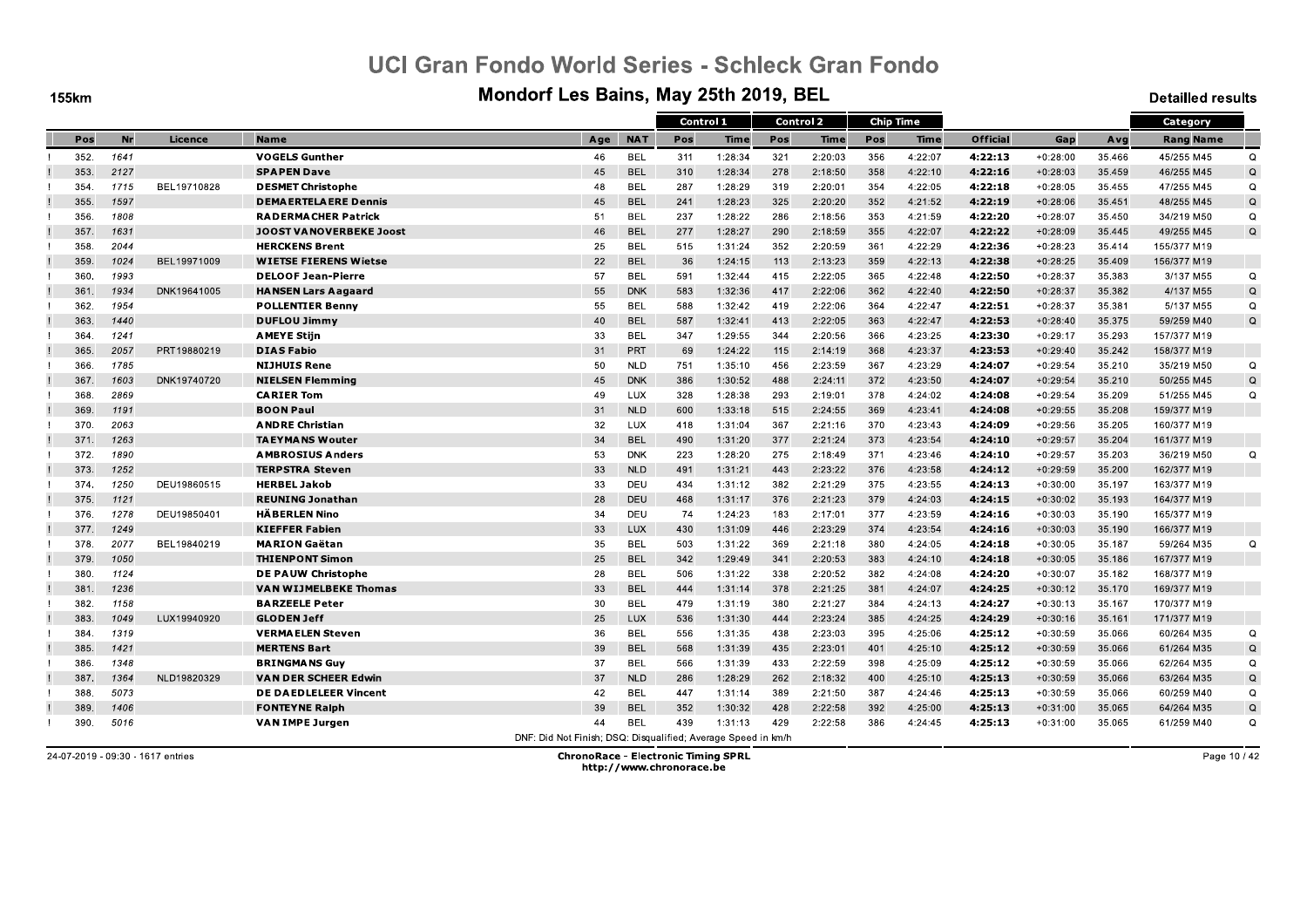**155km** 

#### Mondorf Les Bains, May 25th 2019, BEL

**Detailled results** 

|      |      |             |                                |                                                               |            | Control 1 |         |     | <b>Control 2</b> |     | <b>Chip Time</b> |                 |            |        | Category         |             |
|------|------|-------------|--------------------------------|---------------------------------------------------------------|------------|-----------|---------|-----|------------------|-----|------------------|-----------------|------------|--------|------------------|-------------|
| Pos  | Nr   | Licence     | <b>Name</b>                    | Age                                                           | <b>NAT</b> | Pos       | Time    | Pos | Time             | Pos | Time             | <b>Official</b> | Gap        | Avg    | <b>Rang Name</b> |             |
| 352. | 1641 |             | <b>VOGELS Gunther</b>          | 46                                                            | <b>BEL</b> | 311       | 1:28:34 | 321 | 2:20:03          | 356 | 4:22:07          | 4:22:13         | $+0:28:00$ | 35.466 | 45/255 M45       | $\Omega$    |
| 353. | 2127 |             | <b>SPAPEN Dave</b>             | 45                                                            | <b>BEL</b> | 310       | 1:28:34 | 278 | 2:18:50          | 358 | 4:22:10          | 4:22:16         | $+0:28:03$ | 35.459 | 46/255 M45       | $\Omega$    |
| 354. | 1715 | BEL19710828 | <b>DESMET Christophe</b>       | 48                                                            | <b>BEL</b> | 287       | 1:28:29 | 319 | 2:20:01          | 354 | 4:22:05          | 4:22:18         | $+0:28:05$ | 35.455 | 47/255 M45       | $\Omega$    |
| 355. | 1597 |             | <b>DEMAERTELAERE Dennis</b>    | 45                                                            | <b>BEL</b> | 241       | 1:28:23 | 325 | 2:20:20          | 352 | 4:21:52          | 4:22:19         | $+0:28:06$ | 35.451 | 48/255 M45       | Q           |
| 356. | 1808 |             | <b>RADERMACHER Patrick</b>     | 51                                                            | <b>BEL</b> | 237       | 1:28:22 | 286 | 2:18:56          | 353 | 4:21:59          | 4:22:20         | $+0:28:07$ | 35.450 | 34/219 M50       | Q           |
| 357. | 1631 |             | <b>JOOST VANOVERBEKE Joost</b> | 46                                                            | <b>BEL</b> | 277       | 1:28:27 | 290 | 2:18:59          | 355 | 4:22:07          | 4:22:22         | $+0:28:09$ | 35.445 | 49/255 M45       | $\Omega$    |
| 358. | 2044 |             | <b>HERCKENS Brent</b>          | 25                                                            | <b>BEL</b> | 515       | 1:31:24 | 352 | 2:20:59          | 361 | 4:22:29          | 4.22.36         | $+0:28:23$ | 35.414 | 155/377 M19      |             |
| 359. | 1024 | BEL19971009 | <b>WIETSE FIERENS Wietse</b>   | 22                                                            | <b>BEL</b> | 36        | 1:24:15 | 113 | 2:13:23          | 359 | 4:22:13          | 4:22:38         | $+0:28:25$ | 35.409 | 156/377 M19      |             |
| 360. | 1993 |             | <b>DELOOF Jean-Pierre</b>      | 57                                                            | <b>BEL</b> | 591       | 1:32:44 | 415 | 2:22:05          | 365 | 4:22:48          | 4.22:50         | $+0:28:37$ | 35.383 | 3/137 M55        | Q           |
| 361  | 1934 | DNK19641005 | <b>HANSEN Lars Aagaard</b>     | 55                                                            | <b>DNK</b> | 583       | 1:32:36 | 417 | 2:22:06          | 362 | 4:22:40          | 4:22:50         | $+0:28:37$ | 35.382 | 4/137 M55        | $\Omega$    |
| 362. | 1954 |             | <b>POLLENTIER Benny</b>        | 55                                                            | <b>BEL</b> | 588       | 1:32:42 | 419 | 2:22:06          | 364 | 4:22:47          | 4:22:51         | $+0:28:37$ | 35.381 | 5/137 M55        | $\Omega$    |
| 363. | 1440 |             | <b>DUFLOU Jimmy</b>            | 40                                                            | <b>BEL</b> | 587       | 1:32:41 | 413 | 2:22:05          | 363 | 4:22:47          | 4:22:53         | $+0:28:40$ | 35.375 | 59/259 M40       | $\mathsf Q$ |
| 364. | 1241 |             | <b>AMEYE Stijn</b>             | 33                                                            | <b>BEL</b> | 347       | 1:29:55 | 344 | 2:20:56          | 366 | 4:23:25          | 4:23:30         | $+0:29:17$ | 35.293 | 157/377 M19      |             |
| 365. | 2057 | PRT19880219 | <b>DIAS Fabio</b>              | 31                                                            | PRT        | 69        | 1:24:22 | 115 | 2:14:19          | 368 | 4:23:37          | 4.23.53         | $+0:29:40$ | 35.242 | 158/377 M19      |             |
| 366  | 1785 |             | <b>NIJHUIS Rene</b>            | 50                                                            | <b>NLD</b> | 751       | 1:35:10 | 456 | 2:23:59          | 367 | 4:23:29          | 4:24:07         | $+0:29:54$ | 35.210 | 35/219 M50       | Q           |
| 367. | 1603 | DNK19740720 | <b>NIELSEN Flemming</b>        | 45                                                            | <b>DNK</b> | 386       | 1:30:52 | 488 | 2:24:11          | 372 | 4:23:50          | 4:24:07         | $+0:29:54$ | 35.210 | 50/255 M45       | Q           |
| 368. | 2869 |             | <b>CARIER Tom</b>              | 49                                                            | LUX        | 328       | 1:28:38 | 293 | 2:19:01          | 378 | 4:24:02          | 4:24:08         | $+0:29:54$ | 35.209 | 51/255 M45       | $\Omega$    |
| 369. | 1191 |             | <b>BOON Paul</b>               | 31                                                            | <b>NLD</b> | 600       | 1:33:18 | 515 | 2:24:55          | 369 | 4:23:41          | 4:24:08         | $+0:29:55$ | 35.208 | 159/377 M19      |             |
| 370. | 2063 |             | <b>ANDRE Christian</b>         | 32                                                            | LUX        | 418       | 1:31:04 | 367 | 2:21:16          | 370 | 4:23:43          | 4:24:09         | $+0:29:56$ | 35.205 | 160/377 M19      |             |
| 371. | 1263 |             | <b>TAEYMANS Wouter</b>         | 34                                                            | <b>BEL</b> | 490       | 1:31:20 | 377 | 2:21:24          | 373 | 4:23:54          | 4:24:10         | $+0:29:57$ | 35.204 | 161/377 M19      |             |
| 372. | 1890 |             | <b>AMBROSIUS Anders</b>        | 53                                                            | <b>DNK</b> | 223       | 1:28:20 | 275 | 2:18:49          | 371 | 4:23:46          | 4.24.10         | $+0:29:57$ | 35.203 | 36/219 M50       | $\Omega$    |
| 373. | 1252 |             | <b>TERPSTRA Steven</b>         | 33                                                            | <b>NLD</b> | 491       | 1:31:21 | 443 | 2:23:22          | 376 | 4:23:58          | 4:24:12         | $+0:29:59$ | 35.200 | 162/377 M19      |             |
| 374. | 1250 | DEU19860515 | <b>HERBEL Jakob</b>            | 33                                                            | DEU        | 434       | 1:31:12 | 382 | 2:21:29          | 375 | 4:23:55          | 4.24.13         | $+0:30:00$ | 35.197 | 163/377 M19      |             |
| 375. | 1121 |             | <b>REUNING Jonathan</b>        | 28                                                            | DEU        | 468       | 1:31:17 | 376 | 2:21:23          | 379 | 4:24:03          | 4:24:15         | $+0:30:02$ | 35.193 | 164/377 M19      |             |
| 376. | 1278 | DEU19850401 | <b>HÄBERLEN Nino</b>           | 34                                                            | DEU        | 74        | 1:24:23 | 183 | 2:17:01          | 377 | 4:23:59          | 4:24:16         | $+0:30:03$ | 35.190 | 165/377 M19      |             |
| 377. | 1249 |             | <b>KIEFFER Fabien</b>          | 33                                                            | <b>LUX</b> | 430       | 1:31:09 | 446 | 2:23:29          | 374 | 4:23:54          | 4:24:16         | $+0:30:03$ | 35.190 | 166/377 M19      |             |
| 378. | 2077 | BEL19840219 | <b>MARION Gaetan</b>           | 35                                                            | <b>BEL</b> | 503       | 1:31:22 | 369 | 2:21:18          | 380 | 4:24:05          | 4:24:18         | $+0:30:05$ | 35.187 | 59/264 M35       | Q           |
| 379. | 1050 |             | <b>THIENPONT Simon</b>         | 25                                                            | <b>BEL</b> | 342       | 1:29:49 | 341 | 2:20:53          | 383 | 4:24:10          | 4.24.18         | $+0:30:05$ | 35.186 | 167/377 M19      |             |
| 380. | 1124 |             | <b>DE PAUW Christophe</b>      | 28                                                            | <b>BEL</b> | 506       | 1:31:22 | 338 | 2:20:52          | 382 | 4:24:08          | 4:24:20         | $+0:30:07$ | 35.182 | 168/377 M19      |             |
| 381  | 1236 |             | VAN WIJMELBEKE Thomas          | 33                                                            | <b>BEL</b> | 444       | 1:31:14 | 378 | 2:21:25          | 381 | 4:24:07          | 4.24.25         | $+0:30:12$ | 35.170 | 169/377 M19      |             |
| 382. | 1158 |             | <b>BARZEELE Peter</b>          | 30                                                            | <b>BEL</b> | 479       | 1:31:19 | 380 | 2:21:27          | 384 | 4:24:13          | 4:24:27         | $+0:30:13$ | 35.167 | 170/377 M19      |             |
| 383. | 1049 | LUX19940920 | <b>GLODEN Jeff</b>             | 25                                                            | <b>LUX</b> | 536       | 1:31:30 | 444 | 2:23:24          | 385 | 4:24:25          | 4:24:29         | $+0:30:16$ | 35.161 | 171/377 M19      |             |
| 384. | 1319 |             | <b>VERMAELEN Steven</b>        | 36                                                            | <b>BEL</b> | 556       | 1:31:35 | 438 | 2:23:03          | 395 | 4:25:06          | 4:25:12         | $+0:30:59$ | 35.066 | 60/264 M35       | Q           |
| 385. | 1421 |             | <b>MERTENS Bart</b>            | 39                                                            | <b>BEL</b> | 568       | 1:31:39 | 435 | 2:23:01          | 401 | 4:25:10          | 4:25:12         | $+0:30:59$ | 35.066 | 61/264 M35       | Q           |
| 386. | 1348 |             | <b>BRINGMANS Guy</b>           | 37                                                            | <b>BEL</b> | 566       | 1:31:39 | 433 | 2:22:59          | 398 | 4:25:09          | 4:25:12         | $+0:30:59$ | 35.066 | 62/264 M35       | Q           |
| 387. | 1364 | NLD19820329 | <b>VAN DER SCHEER Edwin</b>    | 37                                                            | <b>NLD</b> | 286       | 1:28:29 | 262 | 2:18:32          | 400 | 4:25:10          | 4:25:13         | $+0:30:59$ | 35.066 | 63/264 M35       | $\Omega$    |
| 388. | 5073 |             | <b>DE DAEDLELEER Vincent</b>   | 42                                                            | <b>BEL</b> | 447       | 1:31:14 | 389 | 2:21:50          | 387 | 4:24:46          | 4.25.13         | $+0:30:59$ | 35.066 | 60/259 M40       | Q           |
| 389. | 1406 |             | <b>FONTEYNE Ralph</b>          | 39                                                            | <b>BEL</b> | 352       | 1:30:32 | 428 | 2:22:58          | 392 | 4:25:00          | 4:25:13         | $+0:31:00$ | 35.065 | 64/264 M35       | Q           |
| 390. | 5016 |             | <b>VAN IMPE Jurgen</b>         | 44                                                            | <b>BEL</b> | 439       | 1:31:13 | 429 | 2:22:58          | 386 | 4:24:45          | 4.25.13         | $+0:31:00$ | 35.065 | 61/259 M40       | Q           |
|      |      |             |                                | DNE: Did Not Finish: DSO: Disqualified: Average Speed in km/h |            |           |         |     |                  |     |                  |                 |            |        |                  |             |

24-07-2019 - 09:30 - 1617 entries

**ChronoRace - Electronic Timing SPRL** http://www.chronorace.be

Page 10 / 42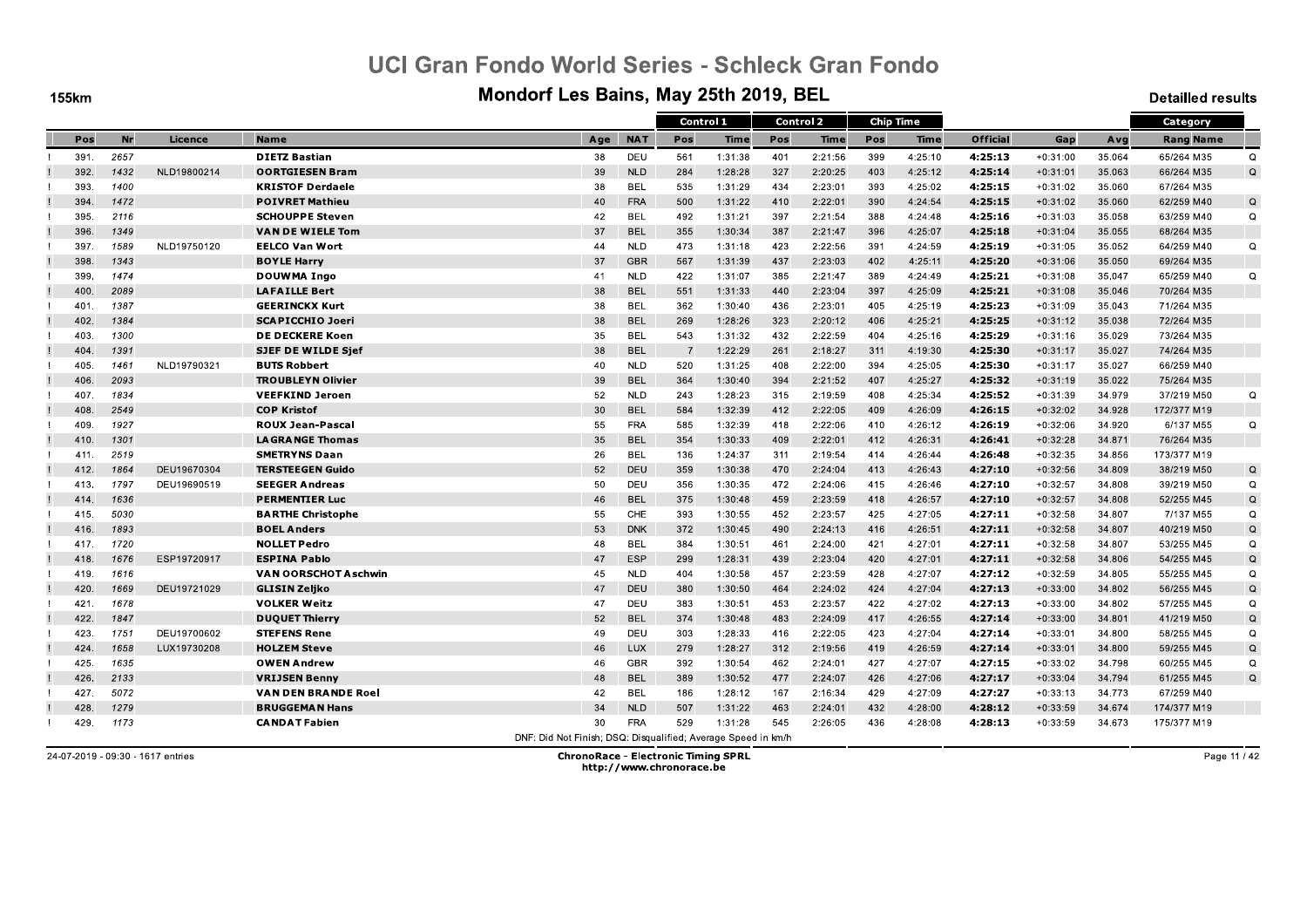**155km** 

#### Mondorf Les Bains, May 25th 2019, BEL

**Detailled results** 

|      |      |             |                            |                                                               |            | Control 1 |         |     | <b>Control 2</b> | <b>Chip Time</b> |         |                 |            |        | Category         |          |
|------|------|-------------|----------------------------|---------------------------------------------------------------|------------|-----------|---------|-----|------------------|------------------|---------|-----------------|------------|--------|------------------|----------|
| Pos  | Nr   | Licence     | <b>Name</b>                | Age                                                           | <b>NAT</b> | Pos       | Time    | Pos | Time             | Pos              | Time    | <b>Official</b> | Gap        | Avg    | <b>Rang Name</b> |          |
| 391. | 2657 |             | <b>DIETZ Bastian</b>       | 38                                                            | <b>DEU</b> | 561       | 1:31:38 | 401 | 2:21:56          | 399              | 4:25:10 | 4:25:13         | $+0:31:00$ | 35.064 | 65/264 M35       | $\Omega$ |
| 392. | 1432 | NLD19800214 | <b>OORTGIESEN Bram</b>     | 39                                                            | <b>NLD</b> | 284       | 1:28:28 | 327 | 2:20:25          | 403              | 4:25:12 | 4:25:14         | $+0:31:01$ | 35.063 | 66/264 M35       | Q        |
| 393. | 1400 |             | <b>KRISTOF Derdaele</b>    | 38                                                            | <b>BEL</b> | 535       | 1:31:29 | 434 | 2:23:01          | 393              | 4:25:02 | 4:25:15         | $+0:31:02$ | 35.060 | 67/264 M35       |          |
| 394  | 1472 |             | <b>POIVRET Mathieu</b>     | 40                                                            | <b>FRA</b> | 500       | 1:31:22 | 410 | 2:22:01          | 390              | 4:24:54 | 4:25:15         | $+0:31:02$ | 35,060 | 62/259 M40       | Q        |
| 395. | 2116 |             | <b>SCHOUPPE Steven</b>     | 42                                                            | <b>BEL</b> | 492       | 1:31:21 | 397 | 2:21:54          | 388              | 4:24:48 | 4:25:16         | $+0:31:03$ | 35.058 | 63/259 M40       | Q        |
| 396. | 1349 |             | <b>VAN DE WIELE Tom</b>    | 37                                                            | <b>BEL</b> | 355       | 1:30:34 | 387 | 2:21:47          | 396              | 4:25:07 | 4:25:18         | $+0:31:04$ | 35.055 | 68/264 M35       |          |
| 397. | 1589 | NLD19750120 | <b>EELCO Van Wort</b>      | 44                                                            | <b>NLD</b> | 473       | 1:31:18 | 423 | 2:22:56          | 391              | 4:24:59 | 4:25:19         | $+0:31:05$ | 35.052 | 64/259 M40       | $\Omega$ |
| 398. | 1343 |             | <b>BOYLE Harry</b>         | 37                                                            | <b>GBR</b> | 567       | 1:31:39 | 437 | 2:23:03          | 402              | 4:25:11 | 4:25:20         | $+0:31:06$ | 35.050 | 69/264 M35       |          |
| 399. | 1474 |             | <b>DOUWMA Ingo</b>         | 41                                                            | <b>NLD</b> | 422       | 1:31:07 | 385 | 2:21:47          | 389              | 4:24:49 | 4:25:21         | $+0:31:08$ | 35.047 | 65/259 M40       | Q        |
| 400. | 2089 |             | <b>LAFAILLE Bert</b>       | 38                                                            | <b>BEL</b> | 551       | 1:31:33 | 440 | 2:23:04          | 397              | 4:25:09 | 4:25:21         | $+0:31:08$ | 35.046 | 70/264 M35       |          |
| 401. | 1387 |             | <b>GEERINCKX Kurt</b>      | 38                                                            | <b>BEL</b> | 362       | 1:30:40 | 436 | 2:23:01          | 405              | 4:25:19 | 4:25:23         | $+0:31:09$ | 35.043 | 71/264 M35       |          |
| 402. | 1384 |             | <b>SCAPICCHIO Joeri</b>    | 38                                                            | <b>BEL</b> | 269       | 1:28:26 | 323 | 2:20:12          | 406              | 4:25:21 | 4:25:25         | $+0:31:12$ | 35.038 | 72/264 M35       |          |
| 403. | 1300 |             | <b>DE DECKERE Koen</b>     | 35                                                            | <b>BEL</b> | 543       | 1:31:32 | 432 | 2:22:59          | 404              | 4:25:16 | 4:25:29         | $+0:31:16$ | 35.029 | 73/264 M35       |          |
| 404. | 1391 |             | <b>SJEF DE WILDE Sjef</b>  | 38                                                            | <b>BEL</b> |           | 1:22:29 | 261 | 2:18:27          | 311              | 4:19:30 | 4.25.30         | $+0:31:17$ | 35.027 | 74/264 M35       |          |
| 405. | 1461 | NLD19790321 | <b>BUTS Robbert</b>        | 40                                                            | <b>NLD</b> | 520       | 1:31:25 | 408 | 2:22:00          | 394              | 4:25:05 | 4:25:30         | $+0:31:17$ | 35.027 | 66/259 M40       |          |
| 406. | 2093 |             | <b>TROUBLEYN Olivier</b>   | 39                                                            | <b>BEL</b> | 364       | 1:30:40 | 394 | 2:21:52          | 407              | 4:25:27 | 4.25:32         | $+0:31:19$ | 35.022 | 75/264 M35       |          |
| 407. | 1834 |             | <b>VEEFKIND Jeroen</b>     | 52                                                            | <b>NLD</b> | 243       | 1:28:23 | 315 | 2:19:59          | 408              | 4:25:34 | 4:25:52         | $+0:31:39$ | 34.979 | 37/219 M50       | Q        |
| 408. | 2549 |             | <b>COP Kristof</b>         | 30                                                            | <b>BEL</b> | 584       | 1:32:39 | 412 | 2:22:05          | 409              | 4:26:09 | 4:26:15         | $+0:32:02$ | 34.928 | 172/377 M19      |          |
| 409. | 1927 |             | <b>ROUX Jean-Pascal</b>    | 55                                                            | <b>FRA</b> | 585       | 1:32:39 | 418 | 2:22:06          | 410              | 4:26:12 | 4:26:19         | $+0:32:06$ | 34.920 | 6/137 M55        | Q        |
| 410. | 1301 |             | <b>LAGRANGE Thomas</b>     | 35                                                            | <b>BEL</b> | 354       | 1:30:33 | 409 | 2:22:01          | 412              | 4:26:31 | 4:26:41         | $+0:32:28$ | 34.871 | 76/264 M35       |          |
| 411. | 2519 |             | <b>SMETRYNS Daan</b>       | 26                                                            | <b>BEL</b> | 136       | 1:24:37 | 311 | 2:19:54          | 414              | 4:26:44 | 4:26:48         | $+0:32:35$ | 34.856 | 173/377 M19      |          |
| 412. | 1864 | DEU19670304 | <b>TERSTEEGEN Guido</b>    | 52                                                            | DEU        | 359       | 1:30:38 | 470 | 2:24:04          | 413              | 4:26:43 | 4:27:10         | $+0:32:56$ | 34.809 | 38/219 M50       | Q        |
| 413. | 1797 | DEU19690519 | <b>SEEGER Andreas</b>      | 50                                                            | DEU        | 356       | 1:30:35 | 472 | 2:24:06          | 415              | 4:26:46 | 4:27:10         | $+0:32:57$ | 34.808 | 39/219 M50       | $\Omega$ |
| 414. | 1636 |             | <b>PERMENTIER Luc</b>      | 46                                                            | <b>BEL</b> | 375       | 1:30:48 | 459 | 2:23:59          | 418              | 4:26:57 | 4:27:10         | $+0:32:57$ | 34.808 | 52/255 M45       | Q        |
| 415. | 5030 |             | <b>BARTHE Christophe</b>   | 55                                                            | <b>CHE</b> | 393       | 1:30:55 | 452 | 2:23:57          | 425              | 4:27:05 | 4:27:11         | $+0:32:58$ | 34.807 | 7/137 M55        | Q        |
| 416. | 1893 |             | <b>BOEL Anders</b>         | 53                                                            | <b>DNK</b> | 372       | 1:30:45 | 490 | 2:24:13          | 416              | 4:26:51 | 4:27:11         | $+0:32:58$ | 34.807 | 40/219 M50       | $\Omega$ |
| 417. | 1720 |             | <b>NOLLET Pedro</b>        | 48                                                            | BEL        | 384       | 1:30:51 | 461 | 2:24:00          | 421              | 4:27:01 | 4:27:11         | $+0:32:58$ | 34.807 | 53/255 M45       | $\Omega$ |
| 418. | 1676 | ESP19720917 | <b>ESPINA Pablo</b>        | 47                                                            | <b>ESP</b> | 299       | 1:28:31 | 439 | 2:23:04          | 420              | 4:27:01 | 4.27:11         | $+0:32:58$ | 34.806 | 54/255 M45       | Q        |
| 419. | 1616 |             | VAN OORSCHOT Aschwin       | 45                                                            | <b>NLD</b> | 404       | 1:30:58 | 457 | 2:23:59          | 428              | 4:27:07 | 4:27:12         | $+0:32:59$ | 34.805 | 55/255 M45       | $\Omega$ |
| 420. | 1669 | DEU19721029 | <b>GLISIN Zeljko</b>       | 47                                                            | <b>DEU</b> | 380       | 1:30:50 | 464 | 2:24:02          | 424              | 4:27:04 | 4.27.13         | $+0:33:00$ | 34.802 | 56/255 M45       | Q        |
| 421. | 1678 |             | <b>VOLKER Weitz</b>        | 47                                                            | DEU        | 383       | 1:30:51 | 453 | 2:23:57          | 422              | 4:27:02 | 4:27:13         | $+0:33:00$ | 34.802 | 57/255 M45       | Q        |
| 422. | 1847 |             | <b>DUQUET Thierry</b>      | 52                                                            | <b>BEL</b> | 374       | 1:30:48 | 483 | 2:24:09          | 417              | 4:26:55 | 4:27:14         | $+0:33:00$ | 34.801 | 41/219 M50       | Q        |
| 423. | 1751 | DEU19700602 | <b>STEFENS Rene</b>        | 49                                                            | DEU        | 303       | 1:28:33 | 416 | 2:22:05          | 423              | 4:27:04 | 4:27:14         | $+0:33:01$ | 34.800 | 58/255 M45       | $\Omega$ |
| 424  | 1658 | LUX19730208 | <b>HOLZEM Steve</b>        | 46                                                            | <b>LUX</b> | 279       | 1:28:27 | 312 | 2:19:56          | 419              | 4:26:59 | 4:27:14         | $+0:33:01$ | 34.800 | 59/255 M45       | Q        |
| 425. | 1635 |             | <b>OWEN Andrew</b>         | 46                                                            | <b>GBR</b> | 392       | 1:30:54 | 462 | 2:24:01          | 427              | 4:27:07 | 4:27:15         | $+0:33:02$ | 34.798 | 60/255 M45       | Q        |
| 426. | 2133 |             | <b>VRIJSEN Benny</b>       | 48                                                            | <b>BEL</b> | 389       | 1:30:52 | 477 | 2:24:07          | 426              | 4:27:06 | 4:27:17         | $+0:33:04$ | 34.794 | 61/255 M45       | $\Omega$ |
| 427. | 5072 |             | <b>VAN DEN BRANDE Roel</b> | 42                                                            | <b>BEL</b> | 186       | 1:28:12 | 167 | 2:16:34          | 429              | 4:27:09 | 4:27:27         | $+0:33:13$ | 34.773 | 67/259 M40       |          |
| 428. | 1279 |             | <b>BRUGGEMAN Hans</b>      | 34                                                            | <b>NLD</b> | 507       | 1:31:22 | 463 | 2:24:01          | 432              | 4:28:00 | 4:28:12         | $+0:33:59$ | 34.674 | 174/377 M19      |          |
| 429. | 1173 |             | <b>CANDAT Fabien</b>       | 30                                                            | <b>FRA</b> | 529       | 1:31:28 | 545 | 2:26:05          | 436              | 4:28:08 | 4.28:13         | $+0:33:59$ | 34.673 | 175/377 M19      |          |
|      |      |             |                            | DNF: Did Not Finish; DSQ: Disqualified; Average Speed in km/h |            |           |         |     |                  |                  |         |                 |            |        |                  |          |

24-07-2019 - 09:30 - 1617 entries

**ChronoRace - Electronic Timing SPRL** http://www.chronorace.be

Page 11 / 42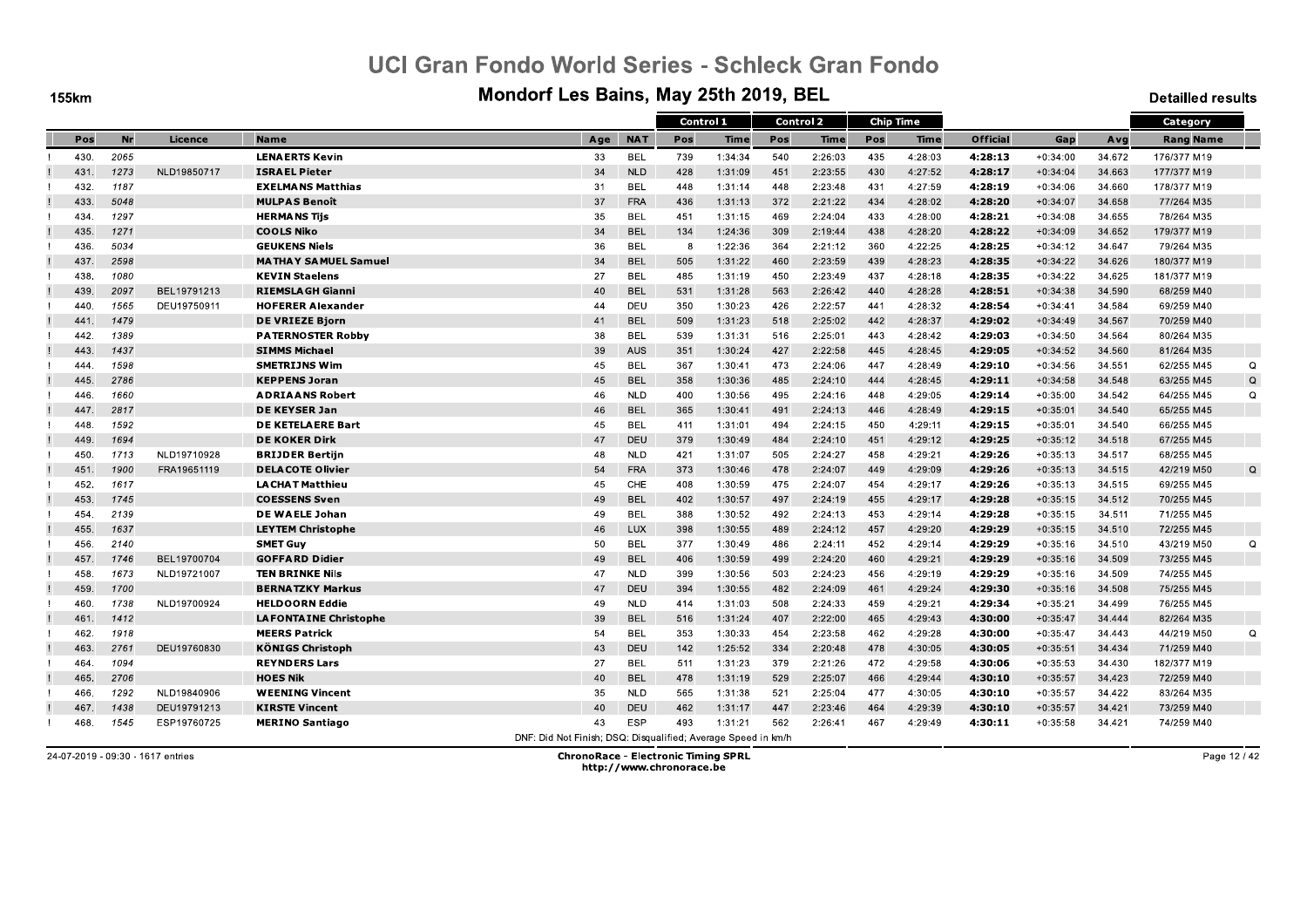**155km** 

#### Mondorf Les Bains, May 25th 2019, BEL

**Detailled results** 

|      |      |             |                              |                                                               |            | Control 1 |         |     | <b>Control 2</b> |     | <b>Chip Time</b> |          |            |        | Category         |          |
|------|------|-------------|------------------------------|---------------------------------------------------------------|------------|-----------|---------|-----|------------------|-----|------------------|----------|------------|--------|------------------|----------|
| Pos  | Nr   | Licence     | <b>Name</b>                  | Age                                                           | <b>NAT</b> | Pos       | Time    | Pos | <b>Time</b>      | Pos | Time             | Official | Gap        | Avg    | <b>Rang Name</b> |          |
| 430. | 2065 |             | <b>LENAERTS Kevin</b>        | 33                                                            | <b>BEL</b> | 739       | 1:34:34 | 540 | 2:26:03          | 435 | 4:28:03          | 4:28:13  | $+0:34:00$ | 34.672 | 176/377 M19      |          |
| 431  | 1273 | NLD19850717 | <b>ISRAEL Pieter</b>         | 34                                                            | <b>NLD</b> | 428       | 1:31:09 | 451 | 2:23:55          | 430 | 4:27:52          | 4:28:17  | $+0:34:04$ | 34.663 | 177/377 M19      |          |
| 432. | 1187 |             | <b>EXELMANS Matthias</b>     | 31                                                            | <b>BEL</b> | 448       | 1:31:14 | 448 | 2:23:48          | 431 | 4:27:59          | 4:28:19  | $+0:34:06$ | 34.660 | 178/377 M19      |          |
| 433  | 5048 |             | <b>MULPAS Benoît</b>         | 37                                                            | <b>FRA</b> | 436       | 1:31:13 | 372 | 2:21:22          | 434 | 4:28:02          | 4:28:20  | $+0:34:07$ | 34.658 | 77/264 M35       |          |
| 434  | 1297 |             | <b>HERMANS Tijs</b>          | 35                                                            | BEL        | 451       | 1:31:15 | 469 | 2:24:04          | 433 | 4:28:00          | 4:28:21  | $+0:34:08$ | 34.655 | 78/264 M35       |          |
| 435. | 1271 |             | <b>COOLS Niko</b>            | 34                                                            | <b>BEL</b> | 134       | 1:24:36 | 309 | 2:19:44          | 438 | 4:28:20          | 4:28:22  | $+0:34:09$ | 34.652 | 179/377 M19      |          |
| 436  | 5034 |             | <b>GEUKENS Niels</b>         | 36                                                            | <b>BEL</b> | -8        | 1:22:36 | 364 | 2:21:12          | 360 | 4:22:25          | 4.28.25  | $+0:34:12$ | 34.647 | 79/264 M35       |          |
| 437  | 2598 |             | <b>MATHAY SAMUEL Samuel</b>  | 34                                                            | <b>BEL</b> | 505       | 1:31:22 | 460 | 2:23:59          | 439 | 4:28:23          | 4:28:35  | $+0:34:22$ | 34.626 | 180/377 M19      |          |
| 438  | 1080 |             | <b>KEVIN Staelens</b>        | 27                                                            | <b>BEL</b> | 485       | 1:31:19 | 450 | 2:23:49          | 437 | 4:28:18          | 4.28:35  | $+0:34:22$ | 34.625 | 181/377 M19      |          |
| 439  | 2097 | BEL19791213 | <b>RIEMSLAGH Gianni</b>      | 40                                                            | <b>BEL</b> | 531       | 1:31:28 | 563 | 2:26:42          | 440 | 4:28:28          | 4:28:51  | $+0:34:38$ | 34.590 | 68/259 M40       |          |
| 440. | 1565 | DEU19750911 | <b>HOFERER Alexander</b>     | 44                                                            | DEU        | 350       | 1:30:23 | 426 | 2:22:57          | 441 | 4:28:32          | 4:28:54  | $+0:34:41$ | 34.584 | 69/259 M40       |          |
| 441  | 1479 |             | <b>DE VRIEZE Bjorn</b>       | 41                                                            | <b>BEL</b> | 509       | 1:31:23 | 518 | 2:25:02          | 442 | 4:28:37          | 4:29:02  | $+0:34:49$ | 34.567 | 70/259 M40       |          |
| 442  | 1389 |             | <b>PATERNOSTER Robby</b>     | 38                                                            | <b>BEL</b> | 539       | 1:31:31 | 516 | 2:25:01          | 443 | 4:28:42          | 4:29:03  | $+0:34:50$ | 34.564 | 80/264 M35       |          |
| 443. | 1437 |             | <b>SIMMS Michael</b>         | 39                                                            | AUS        | 351       | 1:30:24 | 427 | 2:22:58          | 445 | 4:28:45          | 4.29.05  | $+0:34:52$ | 34.560 | 81/264 M35       |          |
| 444  | 1598 |             | <b>SMETRIJNS Wim</b>         | 45                                                            | <b>BEL</b> | 367       | 1:30:41 | 473 | 2:24:06          | 447 | 4:28:49          | 4:29:10  | $+0:34:56$ | 34.551 | 62/255 M45       | Q        |
| 445. | 2786 |             | <b>KEPPENS Joran</b>         | 45                                                            | <b>BEL</b> | 358       | 1:30:36 | 485 | 2:24:10          | 444 | 4:28:45          | 4.29:11  | $+0:34:58$ | 34.548 | 63/255 M45       | Q        |
| 446  | 1660 |             | <b>ADRIAANS Robert</b>       | 46                                                            | <b>NLD</b> | 400       | 1:30:56 | 495 | 2:24:16          | 448 | 4:29:05          | 4:29:14  | $+0:35:00$ | 34.542 | 64/255 M45       | $\Omega$ |
| 447  | 2817 |             | <b>DE KEYSER Jan</b>         | 46                                                            | <b>BEL</b> | 365       | 1:30:41 | 491 | 2:24:13          | 446 | 4:28:49          | 4:29:15  | $+0:35:01$ | 34.540 | 65/255 M45       |          |
| 448. | 1592 |             | <b>DE KETELAERE Bart</b>     | 45                                                            | <b>BEL</b> | 411       | 1:31:01 | 494 | 2:24:15          | 450 | 4:29:11          | 4:29:15  | $+0:35:01$ | 34.540 | 66/255 M45       |          |
| 449. | 1694 |             | <b>DE KOKER Dirk</b>         | 47                                                            | DEU        | 379       | 1:30:49 | 484 | 2:24:10          | 451 | 4:29:12          | 4:29:25  | $+0:35:12$ | 34.518 | 67/255 M45       |          |
| 450. | 1713 | NLD19710928 | <b>BRIJDER Bertijn</b>       | 48                                                            | <b>NLD</b> | 421       | 1:31:07 | 505 | 2:24:27          | 458 | 4:29:21          | 4:29:26  | $+0:35:13$ | 34.517 | 68/255 M45       |          |
| 451  | 1900 | FRA19651119 | <b>DELACOTE Olivier</b>      | 54                                                            | <b>FRA</b> | 373       | 1:30:46 | 478 | 2:24:07          | 449 | 4:29:09          | 4:29:26  | $+0:35:13$ | 34.515 | 42/219 M50       | Q        |
| 452. | 1617 |             | <b>LA CHAT Matthieu</b>      | 45                                                            | <b>CHE</b> | 408       | 1:30:59 | 475 | 2:24:07          | 454 | 4:29:17          | 4.29.26  | $+0:35:13$ | 34.515 | 69/255 M45       |          |
| 453. | 1745 |             | <b>COESSENS Sven</b>         | 49                                                            | <b>BEL</b> | 402       | 1:30:57 | 497 | 2:24:19          | 455 | 4:29:17          | 4:29:28  | $+0:35:15$ | 34.512 | 70/255 M45       |          |
| 454  | 2139 |             | DE WAELE Johan               | 49                                                            | <b>BEL</b> | 388       | 1:30:52 | 492 | 2:24:13          | 453 | 4:29:14          | 4:29:28  | $+0:35:15$ | 34.511 | 71/255 M45       |          |
| 455  | 1637 |             | <b>LEYTEM Christophe</b>     | 46                                                            | <b>LUX</b> | 398       | 1:30:55 | 489 | 2:24:12          | 457 | 4:29:20          | 4:29:29  | $+0:35:15$ | 34.510 | 72/255 M45       |          |
| 456. | 2140 |             | <b>SMET Guy</b>              | 50                                                            | <b>BEL</b> | 377       | 1:30:49 | 486 | 2:24:11          | 452 | 4:29:14          | 4:29:29  | $+0:35:16$ | 34.510 | 43/219 M50       | $\Omega$ |
| 457. | 1746 | BEL19700704 | <b>GOFFARD Didier</b>        | 49                                                            | <b>BEL</b> | 406       | 1:30:59 | 499 | 2:24:20          | 460 | 4:29:21          | 4:29:29  | $+0:35:16$ | 34.509 | 73/255 M45       |          |
| 458  | 1673 | NLD19721007 | <b>TEN BRINKE Nils</b>       | 47                                                            | <b>NLD</b> | 399       | 1:30:56 | 503 | 2:24:23          | 456 | 4:29:19          | 4:29:29  | $+0:35:16$ | 34.509 | 74/255 M45       |          |
| 459  | 1700 |             | <b>BERNATZKY Markus</b>      | 47                                                            | <b>DEU</b> | 394       | 1:30:55 | 482 | 2:24:09          | 461 | 4:29:24          | 4.29.30  | $+0:35:16$ | 34.508 | 75/255 M45       |          |
| 460  | 1738 | NLD19700924 | <b>HELDOORN Eddie</b>        | 49                                                            | <b>NLD</b> | 414       | 1:31:03 | 508 | 2:24:33          | 459 | 4:29:21          | 4:29:34  | $+0:35:21$ | 34.499 | 76/255 M45       |          |
| 461  | 1412 |             | <b>LAFONTAINE Christophe</b> | 39                                                            | <b>BEL</b> | 516       | 1:31:24 | 407 | 2:22:00          | 465 | 4:29:43          | 4:30:00  | $+0:35:47$ | 34.444 | 82/264 M35       |          |
| 462. | 1918 |             | <b>MEERS Patrick</b>         | 54                                                            | <b>BEL</b> | 353       | 1:30:33 | 454 | 2:23:58          | 462 | 4:29:28          | 4:30:00  | $+0:35:47$ | 34.443 | 44/219 M50       | $\Omega$ |
| 463. | 2761 | DEU19760830 | <b>KÖNIGS Christoph</b>      | 43                                                            | DEU        | 142       | 1:25:52 | 334 | 2:20:48          | 478 | 4:30:05          | 4:30:05  | $+0:35:51$ | 34.434 | 71/259 M40       |          |
| 464  | 1094 |             | <b>REYNDERS Lars</b>         | 27                                                            | <b>BEL</b> | 511       | 1:31:23 | 379 | 2:21:26          | 472 | 4:29:58          | 4:30:06  | $+0:35:53$ | 34.430 | 182/377 M19      |          |
| 465. | 2706 |             | <b>HOES Nik</b>              | 40                                                            | <b>BEL</b> | 478       | 1:31:19 | 529 | 2:25:07          | 466 | 4:29:44          | 4:30:10  | $+0:35:57$ | 34.423 | 72/259 M40       |          |
| 466. | 1292 | NLD19840906 | <b>WEENING Vincent</b>       | 35                                                            | <b>NLD</b> | 565       | 1:31:38 | 521 | 2:25:04          | 477 | 4:30:05          | 4:30:10  | $+0:35:57$ | 34.422 | 83/264 M35       |          |
| 467  | 1438 | DEU19791213 | <b>KIRSTE Vincent</b>        | 40                                                            | DEU        | 462       | 1:31:17 | 447 | 2:23:46          | 464 | 4:29:39          | 4:30:10  | $+0:35:57$ | 34.421 | 73/259 M40       |          |
| 468. | 1545 | ESP19760725 | <b>MERINO Santiago</b>       | 43                                                            | <b>ESP</b> | 493       | 1:31:21 | 562 | 2:26:41          | 467 | 4:29:49          | 4.30:11  | $+0:35:58$ | 34.421 | 74/259 M40       |          |
|      |      |             |                              | DNF: Did Not Finish; DSQ: Disqualified; Average Speed in km/h |            |           |         |     |                  |     |                  |          |            |        |                  |          |

24-07-2019 - 09:30 - 1617 entries

**ChronoRace - Electronic Timing SPRL** http://www.chronorace.be

Page 12 / 42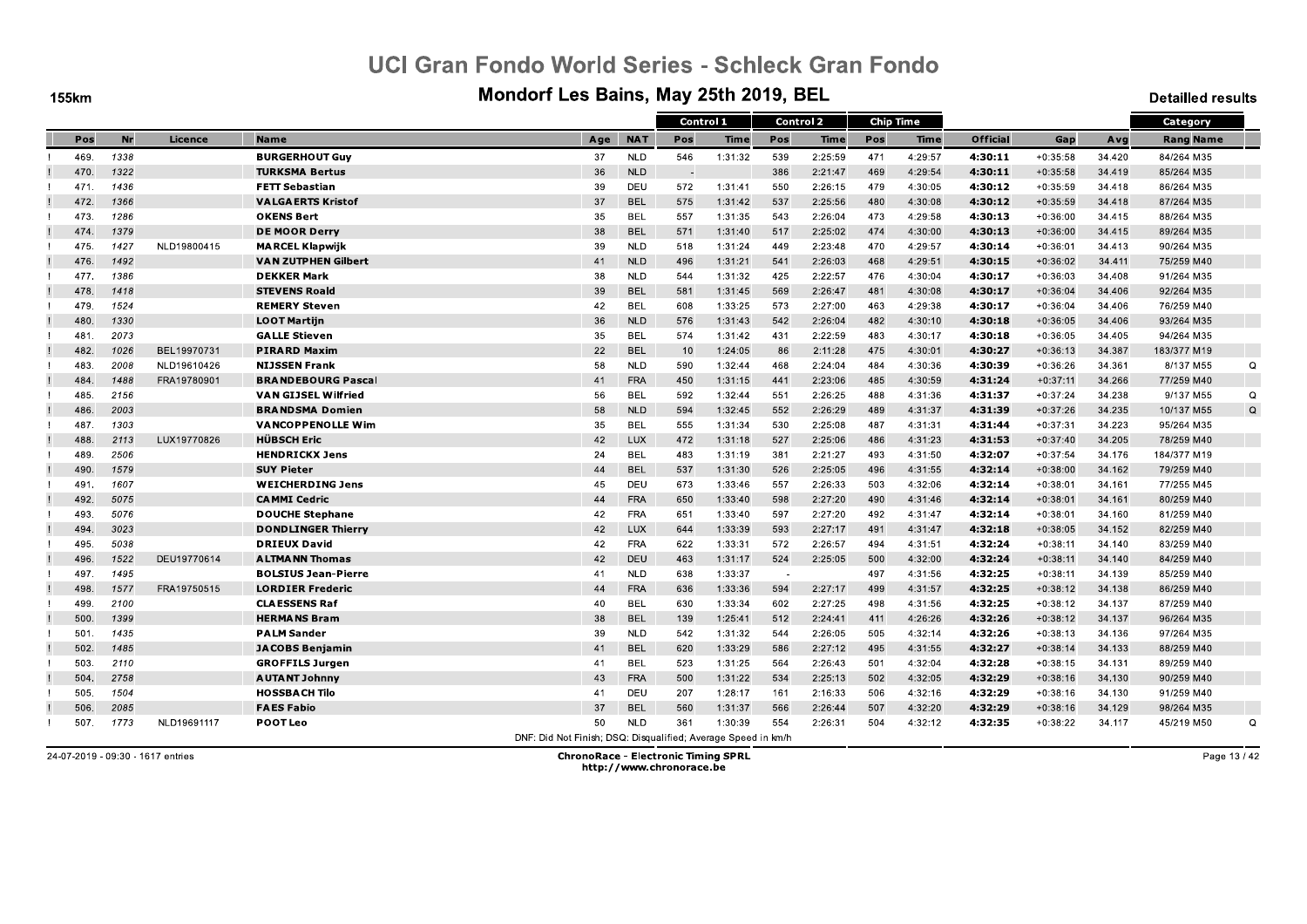**155km** 

#### Mondorf Les Bains, May 25th 2019, BEL

**Detailled results** 

|      |      |             |                            |                                                               |            | Control 1 |         |        | <b>Control 2</b> |     | <b>Chip Time</b> |                 |            |        | Category         |   |
|------|------|-------------|----------------------------|---------------------------------------------------------------|------------|-----------|---------|--------|------------------|-----|------------------|-----------------|------------|--------|------------------|---|
| Pos  | Nr   | Licence     | <b>Name</b>                | Age                                                           | <b>NAT</b> | Pos       | Time    | Pos    | Time             | Pos | <b>Time</b>      | <b>Official</b> | Gap        | Avg    | <b>Rang Name</b> |   |
| 469. | 1338 |             | <b>BURGERHOUT Guv</b>      | 37                                                            | <b>NLD</b> | 546       | 1:31:32 | 539    | 2:25:59          | 471 | 4:29:57          | 4:30:11         | $+0:35:58$ | 34.420 | 84/264 M35       |   |
| 470. | 1322 |             | <b>TURKSMA Bertus</b>      | 36                                                            | <b>NLD</b> |           |         | 386    | 2:21:47          | 469 | 4:29:54          | 4:30:11         | $+0:35:58$ | 34.419 | 85/264 M35       |   |
| 471. | 1436 |             | <b>FETT Sebastian</b>      | 39                                                            | DEU        | 572       | 1:31:41 | 550    | 2:26:15          | 479 | 4:30:05          | 4:30:12         | $+0:35:59$ | 34.418 | 86/264 M35       |   |
| 472. | 1366 |             | <b>VALGAERTS Kristof</b>   | 37                                                            | <b>BEL</b> | 575       | 1:31:42 | 537    | 2:25:56          | 480 | 4:30:08          | 4:30:12         | $+0:35:59$ | 34.418 | 87/264 M35       |   |
| 473. | 1286 |             | <b>OKENS Bert</b>          | 35                                                            | <b>BEL</b> | 557       | 1:31:35 | 543    | 2:26:04          | 473 | 4:29:58          | 4.30.13         | $+0:36:00$ | 34.415 | 88/264 M35       |   |
| 474. | 1379 |             | <b>DE MOOR Derry</b>       | 38                                                            | <b>BEL</b> | 571       | 1:31:40 | 517    | 2:25:02          | 474 | 4:30:00          | 4:30:13         | $+0:36:00$ | 34.415 | 89/264 M35       |   |
| 475. | 1427 | NLD19800415 | <b>MARCEL Klapwijk</b>     | 39                                                            | <b>NLD</b> | 518       | 1:31:24 | 449    | 2:23:48          | 470 | 4:29:57          | 4.30.14         | $+0:36:01$ | 34.413 | 90/264 M35       |   |
| 476. | 1492 |             | <b>VAN ZUTPHEN Gilbert</b> | 41                                                            | <b>NLD</b> | 496       | 1:31:21 | 541    | 2:26:03          | 468 | 4:29:51          | 4:30:15         | $+0:36:02$ | 34.411 | 75/259 M40       |   |
| 477. | 1386 |             | <b>DEKKER Mark</b>         | 38                                                            | <b>NLD</b> | 544       | 1:31:32 | 425    | 2:22:57          | 476 | 4:30:04          | 4:30:17         | $+0:36:03$ | 34.408 | 91/264 M35       |   |
| 478. | 1418 |             | <b>STEVENS Roald</b>       | 39                                                            | <b>BEL</b> | 581       | 1:31:45 | 569    | 2:26:47          | 481 | 4:30:08          | 4:30:17         | $+0:36:04$ | 34.406 | 92/264 M35       |   |
| 479. | 1524 |             | <b>REMERY Steven</b>       | 42                                                            | <b>BEL</b> | 608       | 1:33:25 | 573    | 2:27:00          | 463 | 4:29:38          | 4:30:17         | $+0:36:04$ | 34.406 | 76/259 M40       |   |
| 480. | 1330 |             | <b>LOOT Martijn</b>        | 36                                                            | <b>NLD</b> | 576       | 1:31:43 | 542    | 2:26:04          | 482 | 4:30:10          | 4:30:18         | $+0:36:05$ | 34.406 | 93/264 M35       |   |
| 481  | 2073 |             | <b>GALLE Stieven</b>       | 35                                                            | <b>BEL</b> | 574       | 1:31:42 | 431    | 2:22:59          | 483 | 4:30:17          | 4:30:18         | $+0:36:05$ | 34.405 | 94/264 M35       |   |
| 482. | 1026 | BEL19970731 | <b>PIRARD Maxim</b>        | 22                                                            | <b>BEL</b> | 10        | 1:24:05 | 86     | 2:11:28          | 475 | 4:30:01          | 4.30.27         | $+0:36:13$ | 34.387 | 183/377 M19      |   |
| 483  | 2008 | NLD19610426 | <b>NIJSSEN Frank</b>       | 58                                                            | <b>NLD</b> | 590       | 1:32:44 | 468    | 2:24:04          | 484 | 4:30:36          | 4:30:39         | $+0:36:26$ | 34.361 | 8/137 M55        | Q |
| 484  | 1488 | FRA19780901 | <b>BRANDEBOURG Pascal</b>  | 41                                                            | <b>FRA</b> | 450       | 1:31:15 | 441    | 2:23:06          | 485 | 4:30:59          | 4.31.24         | $+0:37:11$ | 34.266 | 77/259 M40       |   |
| 485. | 2156 |             | <b>VAN GIJSEL Wilfried</b> | 56                                                            | BEL        | 592       | 1:32:44 | 551    | 2:26:25          | 488 | 4:31:36          | 4:31:37         | $+0:37:24$ | 34.238 | 9/137 M55        | Q |
| 486. | 2003 |             | <b>BRANDSMA Domien</b>     | 58                                                            | <b>NLD</b> | 594       | 1:32:45 | 552    | 2:26:29          | 489 | 4:31:37          | 4:31:39         | $+0:37:26$ | 34.235 | 10/137 M55       | Q |
| 487. | 1303 |             | <b>VANCOPPENOLLE Wim</b>   | 35                                                            | BEL        | 555       | 1:31:34 | 530    | 2:25:08          | 487 | 4:31:31          | 4:31:44         | $+0:37:31$ | 34.223 | 95/264 M35       |   |
| 488. | 2113 | LUX19770826 | <b>HÜBSCH Eric</b>         | 42                                                            | <b>LUX</b> | 472       | 1:31:18 | 527    | 2:25:06          | 486 | 4:31:23          | 4:31:53         | $+0:37:40$ | 34.205 | 78/259 M40       |   |
| 489. | 2506 |             | <b>HENDRICKX Jens</b>      | 24                                                            | <b>BEL</b> | 483       | 1:31:19 | 381    | 2:21:27          | 493 | 4:31:50          | 4:32:07         | $+0:37:54$ | 34.176 | 184/377 M19      |   |
| 490. | 1579 |             | <b>SUY Pieter</b>          | 44                                                            | <b>BEL</b> | 537       | 1:31:30 | 526    | 2:25:05          | 496 | 4:31:55          | 4:32:14         | $+0:38:00$ | 34.162 | 79/259 M40       |   |
| 491  | 1607 |             | <b>WEICHERDING Jens</b>    | 45                                                            | DEU        | 673       | 1:33:46 | 557    | 2:26:33          | 503 | 4:32:06          | 4.32.14         | $+0:38:01$ | 34.161 | 77/255 M45       |   |
| 492. | 5075 |             | <b>CAMMI Cedric</b>        | 44                                                            | <b>FRA</b> | 650       | 1:33:40 | 598    | 2:27:20          | 490 | 4:31:46          | 4:32:14         | $+0:38:01$ | 34.161 | 80/259 M40       |   |
| 493. | 5076 |             | <b>DOUCHE Stephane</b>     | 42                                                            | <b>FRA</b> | 651       | 1:33:40 | 597    | 2:27:20          | 492 | 4:31:47          | 4:32:14         | $+0:38:01$ | 34.160 | 81/259 M40       |   |
| 494  | 3023 |             | <b>DONDLINGER Thierry</b>  | 42                                                            | LUX        | 644       | 1:33:39 | 593    | 2:27:17          | 491 | 4:31:47          | 4:32:18         | $+0:38:05$ | 34.152 | 82/259 M40       |   |
| 495. | 5038 |             | <b>DRIEUX David</b>        | 42                                                            | <b>FRA</b> | 622       | 1:33:31 | 572    | 2:26:57          | 494 | 4:31:51          | 4:32:24         | $+0:38:11$ | 34.140 | 83/259 M40       |   |
| 496. | 1522 | DEU19770614 | <b>ALTMANN Thomas</b>      | 42                                                            | <b>DEU</b> | 463       | 1:31:17 | 524    | 2:25:05          | 500 | 4:32:00          | 4.32.24         | $+0:38:11$ | 34.140 | 84/259 M40       |   |
| 497. | 1495 |             | <b>BOLSIUS Jean-Pierre</b> | 41                                                            | <b>NLD</b> | 638       | 1:33:37 | $\sim$ |                  | 497 | 4:31:56          | 4:32:25         | $+0:38:11$ | 34.139 | 85/259 M40       |   |
| 498. | 1577 | FRA19750515 | <b>LORDIER Frederic</b>    | 44                                                            | <b>FRA</b> | 636       | 1:33:36 | 594    | 2:27:17          | 499 | 4:31:57          | 4:32:25         | $+0:38:12$ | 34.138 | 86/259 M40       |   |
| 499  | 2100 |             | <b>CLAESSENS Raf</b>       | 40                                                            | <b>BEL</b> | 630       | 1:33:34 | 602    | 2:27:25          | 498 | 4:31:56          | 4:32:25         | $+0:38:12$ | 34.137 | 87/259 M40       |   |
| 500. | 1399 |             | <b>HERMANS Bram</b>        | 38                                                            | <b>BEL</b> | 139       | 1:25:41 | 512    | 2:24:41          | 411 | 4:26:26          | 4:32:26         | $+0:38:12$ | 34.137 | 96/264 M35       |   |
| 501. | 1435 |             | <b>PALM Sander</b>         | 39                                                            | <b>NLD</b> | 542       | 1:31:32 | 544    | 2:26:05          | 505 | 4:32:14          | 4:32:26         | $+0:38:13$ | 34.136 | 97/264 M35       |   |
| 502. | 1485 |             | <b>JACOBS Benjamin</b>     | 41                                                            | <b>BEL</b> | 620       | 1:33:29 | 586    | 2:27:12          | 495 | 4:31:55          | 4:32:27         | $+0:38:14$ | 34.133 | 88/259 M40       |   |
| 503. | 2110 |             | <b>GROFFILS Jurgen</b>     | 41                                                            | <b>BEL</b> | 523       | 1:31:25 | 564    | 2:26:43          | 501 | 4:32:04          | 4:32:28         | $+0:38:15$ | 34.131 | 89/259 M40       |   |
| 504. | 2758 |             | <b>AUTANT Johnny</b>       | 43                                                            | <b>FRA</b> | 500       | 1:31:22 | 534    | 2:25:13          | 502 | 4:32:05          | 4:32:29         | $+0:38:16$ | 34.130 | 90/259 M40       |   |
| 505. | 1504 |             | <b>HOSSBACH Tilo</b>       | 41                                                            | DEU        | 207       | 1:28:17 | 161    | 2:16:33          | 506 | 4:32:16          | 4.32.29         | $+0:38:16$ | 34.130 | 91/259 M40       |   |
| 506. | 2085 |             | <b>FAES Fabio</b>          | 37                                                            | <b>BEL</b> | 560       | 1:31:37 | 566    | 2:26:44          | 507 | 4:32:20          | 4:32:29         | $+0:38:16$ | 34.129 | 98/264 M35       |   |
| 507. | 1773 | NLD19691117 | <b>POOT Leo</b>            | 50                                                            | <b>NLD</b> | 361       | 1:30:39 | 554    | 2:26:31          | 504 | 4:32:12          | 4.32.35         | $+0:38:22$ | 34.117 | 45/219 M50       | Q |
|      |      |             |                            | DNE: Did Not Finish: DSO: Disqualified: Average Speed in km/h |            |           |         |        |                  |     |                  |                 |            |        |                  |   |

24-07-2019 - 09:30 - 1617 entries

**ChronoRace - Electronic Timing SPRL** http://www.chronorace.be

Page 13 / 42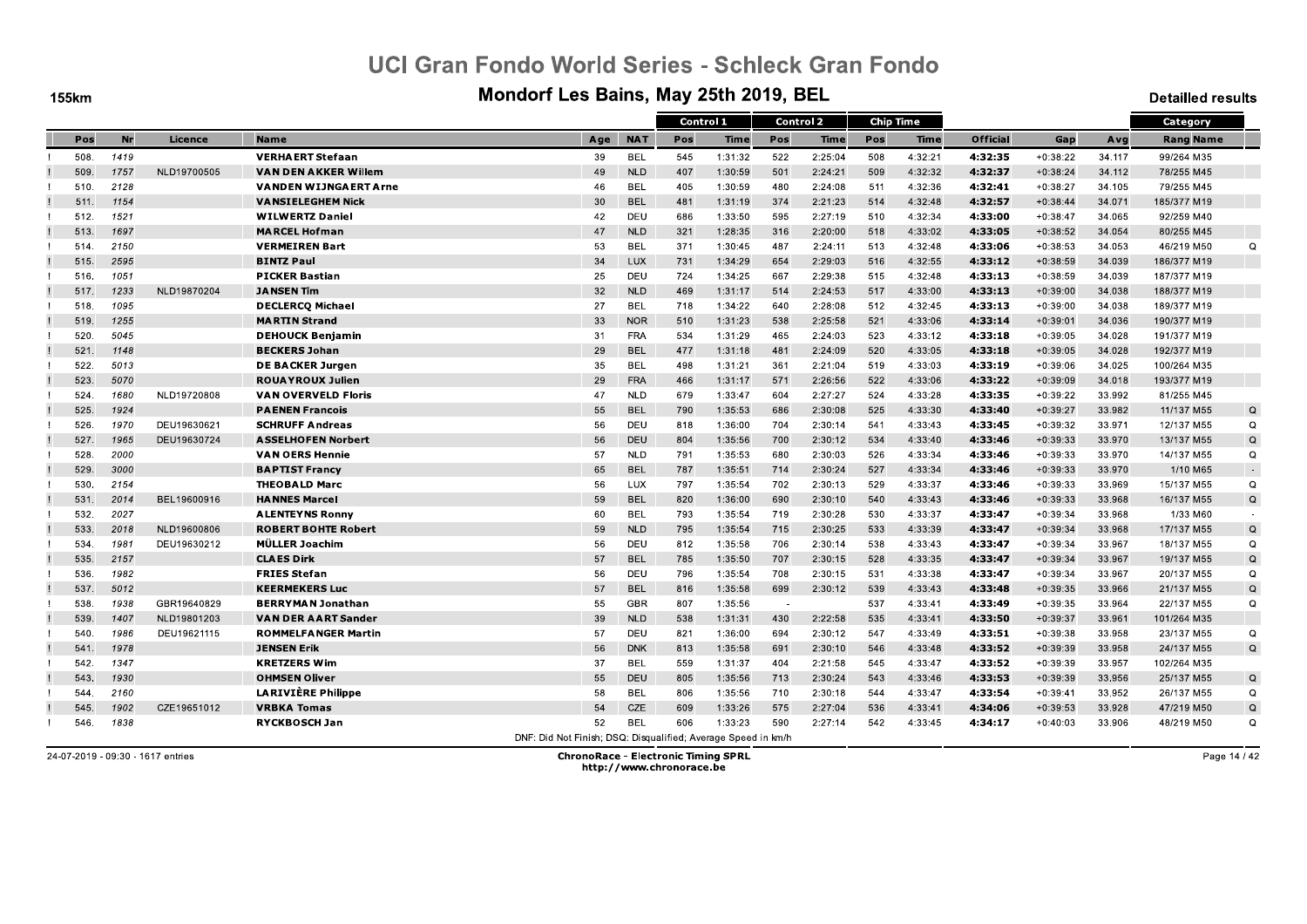**155km** 

#### Mondorf Les Bains, May 25th 2019, BEL

**Detailled results** 

|      |           |             |                              |                                                               |            | Control 1 |         |            | <b>Control 2</b> |            | <b>Chip Time</b> |                 |            |        | Category         |          |
|------|-----------|-------------|------------------------------|---------------------------------------------------------------|------------|-----------|---------|------------|------------------|------------|------------------|-----------------|------------|--------|------------------|----------|
| Pos  | <b>Nr</b> | Licence     | <b>Name</b>                  | Age                                                           | <b>NAT</b> | Pos       | Time    | Pos        | Time             | Pos        | <b>Time</b>      | <b>Official</b> | Gap        | Avg    | <b>Rang Name</b> |          |
| 508. | 1419      |             | <b>VERHAERT Stefaan</b>      | 39                                                            | <b>BEL</b> | 545       | 1:31:32 | 522        | 2:25:04          | 508        | 4:32:21          | 4:32:35         | $+0:38:22$ | 34.117 | 99/264 M35       |          |
| 509. | 1757      | NLD19700505 | <b>VAN DEN AKKER Willem</b>  | 49                                                            | <b>NLD</b> | 407       | 1:30:59 | 501        | 2:24:21          | 509        | 4:32:32          | 4:32:37         | $+0:38:24$ | 34.112 | 78/255 M45       |          |
| 510. | 2128      |             | <b>VANDEN WIJNGAERT Arne</b> | 46                                                            | <b>BEL</b> | 405       | 1:30:59 | 480        | 2:24:08          | 511        | 4:32:36          | 4:32:41         | $+0:38:27$ | 34.105 | 79/255 M45       |          |
| 511. | 1154      |             | <b>VANSIELEGHEM Nick</b>     | 30                                                            | <b>BEL</b> | 481       | 1:31:19 | 374        | 2:21:23          | 514        | 4:32:48          | 4:32:57         | $+0:38:44$ | 34.071 | 185/377 M19      |          |
| 512. | 1521      |             | <b>WILWERTZ Daniel</b>       | 42                                                            | DEU        | 686       | 1:33:50 | 595        | 2:27:19          | 510        | 4:32:34          | 4:33:00         | $+0:38:47$ | 34.065 | 92/259 M40       |          |
| 513. | 1697      |             | <b>MARCEL Hofman</b>         | 47                                                            | <b>NLD</b> | 321       | 1:28:35 | 316        | 2:20:00          | 518        | 4:33:02          | 4:33:05         | $+0:38:52$ | 34.054 | 80/255 M45       |          |
| 514. | 2150      |             | <b>VERMEIREN Bart</b>        | 53                                                            | <b>BEL</b> | 371       | 1:30:45 | 487        | 2:24:11          | 513        | 4:32:48          | 4.33.06         | $+0:38:53$ | 34.053 | 46/219 M50       | $\Omega$ |
| 515. | 2595      |             | <b>BINTZ Paul</b>            | 34                                                            | <b>LUX</b> | 731       | 1:34:29 | 654        | 2:29:03          | 516        | 4:32:55          | 4:33:12         | $+0:38:59$ | 34.039 | 186/377 M19      |          |
| 516. | 1051      |             | <b>PICKER Bastian</b>        | 25                                                            | DEU        | 724       | 1:34:25 | 667        | 2:29:38          | 515        | 4:32:48          | 4:33:13         | $+0:38:59$ | 34.039 | 187/377 M19      |          |
| 517. | 1233      | NLD19870204 | <b>JANSEN Tim</b>            | 32                                                            | <b>NLD</b> | 469       | 1:31:17 | 514        | 2:24:53          | 517        | 4:33:00          | 4:33:13         | $+0:39:00$ | 34.038 | 188/377 M19      |          |
| 518. | 1095      |             | <b>DECLERCQ Michael</b>      | 27                                                            | <b>BEL</b> | 718       | 1:34:22 | 640        | 2:28:08          | 512        | 4:32:45          | 4:33:13         | $+0:39:00$ | 34.038 | 189/377 M19      |          |
| 519. | 1255      |             | <b>MARTIN Strand</b>         | 33                                                            | <b>NOR</b> | 510       | 1:31:23 | 538        | 2:25:58          | 521        | 4:33:06          | 4:33:14         | $+0:39:01$ | 34.036 | 190/377 M19      |          |
| 520. | 5045      |             | <b>DEHOUCK Benjamin</b>      | 31                                                            | <b>FRA</b> | 534       | 1:31:29 | 465        | 2:24:03          | 523        | 4:33:12          | 4:33:18         | $+0:39:05$ | 34.028 | 191/377 M19      |          |
| 521. | 1148      |             | <b>BECKERS Johan</b>         | 29                                                            | <b>BEL</b> | 477       | 1:31:18 | 481        | 2:24:09          | 520        | 4:33:05          | 4.33.18         | $+0:39:05$ | 34.028 | 192/377 M19      |          |
| 522. | 5013      |             | <b>DE BACKER Jurgen</b>      | 35                                                            | <b>BEL</b> | 498       | 1:31:21 | 361        | 2:21:04          | 519        | 4:33:03          | 4:33:19         | $+0:39:06$ | 34.025 | 100/264 M35      |          |
| 523. | 5070      |             | <b>ROUAYROUX Julien</b>      | 29                                                            | <b>FRA</b> | 466       | 1:31:17 | 571        | 2:26:56          | 522        | 4:33:06          | 4.33.22         | $+0:39:09$ | 34.018 | 193/377 M19      |          |
| 524. | 1680      | NLD19720808 | <b>VAN OVERVELD Floris</b>   | 47                                                            | <b>NLD</b> | 679       | 1:33:47 | 604        | 2:27:27          | 524        | 4:33:28          | 4:33:35         | $+0:39:22$ | 33.992 | 81/255 M45       |          |
| 525. | 1924      |             | <b>PAENEN Francois</b>       | 55                                                            | <b>BEL</b> | 790       | 1:35:53 | 686        | 2:30:08          | 525        | 4:33:30          | 4:33:40         | $+0:39:27$ | 33.982 | 11/137 M55       | Q        |
| 526  | 1970      | DEU19630621 | <b>SCHRUFF Andreas</b>       | 56                                                            | DEU        | 818       | 1:36:00 | 704        | 2:30:14          | 541        | 4:33:43          | 4:33:45         | $+0:39:32$ | 33.971 | 12/137 M55       | $\Omega$ |
| 527. | 1965      | DEU19630724 | <b>ASSELHOFEN Norbert</b>    | 56                                                            | DEU        | 804       | 1:35:56 | 700        | 2:30:12          | 534        | 4:33:40          | 4:33:46         | $+0:39:33$ | 33.970 | 13/137 M55       | $\Omega$ |
| 528. | 2000      |             | <b>VAN OERS Hennie</b>       | 57                                                            | <b>NLD</b> | 791       | 1:35:53 | 680        | 2:30:03          | 526        | 4:33:34          | 4:33:46         | $+0:39:33$ | 33.970 | 14/137 M55       | Q        |
| 529. | 3000      |             | <b>BAPTIST Francy</b>        | 65                                                            | <b>BEL</b> | 787       | 1:35:51 | 714        | 2:30:24          | 527        | 4:33:34          | 4:33:46         | $+0:39:33$ | 33.970 | 1/10 M65         | $\sim$   |
| 530. | 2154      |             | <b>THEOBALD Marc</b>         | 56                                                            | LUX        | 797       | 1:35:54 | 702        | 2:30:13          | 529        | 4:33:37          | 4.33.46         | $+0:39:33$ | 33.969 | 15/137 M55       | $\Omega$ |
| 531. | 2014      | BEL19600916 | <b>HANNES Marcel</b>         | 59                                                            | <b>BEL</b> | 820       | 1:36:00 | 690        | 2:30:10          | 540        | 4:33:43          | 4:33:46         | $+0:39:33$ | 33.968 | 16/137 M55       | Q        |
| 532. | 2027      |             | <b>ALENTEYNS Ronny</b>       | 60                                                            | <b>BEL</b> | 793       | 1:35:54 | 719        | 2:30:28          | 530        | 4:33:37          | 4:33:47         | $+0:39:34$ | 33.968 | 1/33 M60         | $\sim$   |
| 533. | 2018      | NLD19600806 | <b>ROBERT BOHTE Robert</b>   | 59                                                            | <b>NLD</b> | 795       | 1:35:54 | 715        | 2:30:25          | 533        | 4:33:39          | 4:33:47         | $+0:39:34$ | 33.968 | 17/137 M55       | Q        |
| 534. | 1981      | DEU19630212 | MÜLLER Joachim               | 56                                                            | DEU        | 812       | 1:35:58 | 706        | 2:30:14          | 538        | 4:33:43          | 4:33:47         | $+0:39:34$ | 33.967 | 18/137 M55       | Q        |
| 535. | 2157      |             | <b>CLAES Dirk</b>            | 57                                                            | <b>BEL</b> | 785       | 1:35:50 | 707        | 2:30:15          | 528        | 4:33:35          | 4:33:47         | $+0:39:34$ | 33.967 | 19/137 M55       | Q        |
| 536. | 1982      |             | <b>FRIES Stefan</b>          | 56                                                            | DEU        | 796       | 1:35:54 | 708        | 2:30:15          | 531        | 4:33:38          | 4:33:47         | $+0:39:34$ | 33.967 | 20/137 M55       | $\Omega$ |
| 537. | 5012      |             | <b>KEERMEKERS Luc</b>        | 57                                                            | <b>BEL</b> | 816       | 1:35:58 | 699        | 2:30:12          | 539        | 4:33:43          | 4.33.48         | $+0:39:35$ | 33.966 | 21/137 M55       | $\Omega$ |
| 538. | 1938      | GBR19640829 | <b>BERRYMAN Jonathan</b>     | 55                                                            | <b>GBR</b> | 807       | 1:35:56 | $\sim$ $-$ |                  | 537        | 4:33:41          | 4:33:49         | $+0:39:35$ | 33.964 | 22/137 M55       | Q        |
| 539. | 1407      | NLD19801203 | <b>VAN DER AART Sander</b>   | 39                                                            | <b>NLD</b> | 538       | 1:31:31 | 430        | 2:22:58          | 535        | 4:33:41          | 4:33:50         | $+0:39:37$ | 33.961 | 101/264 M35      |          |
| 540. | 1986      | DEU19621115 | <b>ROMMELFANGER Martin</b>   | 57                                                            | DEU        | 821       | 1:36:00 | 694        | 2:30:12          | 547        | 4:33:49          | 4:33:51         | $+0:39:38$ | 33.958 | 23/137 M55       | $\Omega$ |
|      |           |             |                              |                                                               |            |           |         |            |                  |            |                  |                 |            |        |                  |          |
| 541  | 1978      |             | <b>JENSEN Erik</b>           | 56                                                            | <b>DNK</b> | 813       | 1:35:58 | 691        | 2:30:10          | 546<br>545 | 4:33:48          | 4:33:52         | $+0:39:39$ | 33.958 | 24/137 M55       | Q        |
| 542. | 1347      |             | <b>KRETZERS Wim</b>          | 37                                                            | <b>BEL</b> | 559       | 1:31:37 | 404        | 2:21:58          |            | 4:33:47          | 4:33:52         | $+0:39:39$ | 33.957 | 102/264 M35      |          |
| 543. | 1930      |             | <b>OHMSEN Oliver</b>         | 55                                                            | DEU        | 805       | 1:35:56 | 713        | 2:30:24          | 543        | 4:33:46          | 4:33:53         | $+0:39:39$ | 33.956 | 25/137 M55       | Q        |
| 544. | 2160      |             | <b>LARIVIÈRE Philippe</b>    | 58                                                            | <b>BEL</b> | 806       | 1:35:56 | 710        | 2:30:18          | 544        | 4:33:47          | 4.33:54         | $+0:39:41$ | 33.952 | 26/137 M55       | Q        |
| 545. | 1902      | CZE19651012 | <b>VRBKA Tomas</b>           | 54                                                            | CZE        | 609       | 1:33:26 | 575        | 2:27:04          | 536        | 4:33:41          | 4:34:06         | $+0:39:53$ | 33.928 | 47/219 M50       | Q        |
| 546. | 1838      |             | <b>RYCKBOSCH Jan</b>         | 52                                                            | <b>BEL</b> | 606       | 1:33:23 | 590        | 2:27:14          | 542        | 4:33:45          | 4.34.17         | $+0:40:03$ | 33.906 | 48/219 M50       | Q        |
|      |           |             |                              | DNF: Did Not Finish; DSQ: Disqualified; Average Speed in km/h |            |           |         |            |                  |            |                  |                 |            |        |                  |          |

24-07-2019 - 09:30 - 1617 entries

**ChronoRace - Electronic Timing SPRL** http://www.chronorace.be

Page 14 / 42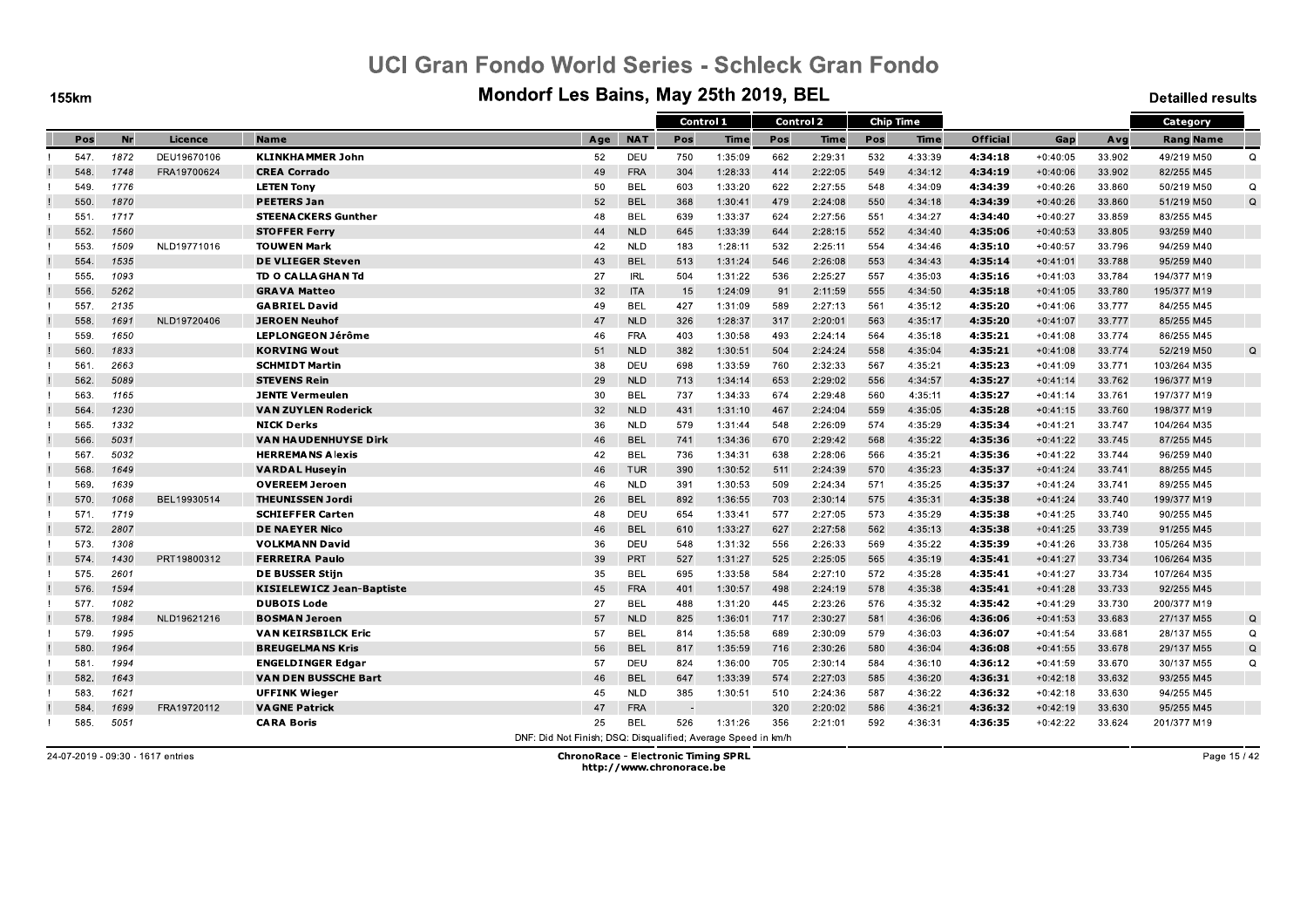**155km** 

#### Mondorf Les Bains, May 25th 2019, BEL

**Detailled results** 

|      |           |             |                                  |                                                               |            | Control 1 |             |     | Control 2   |     | <b>Chip Time</b> |                 |            |        | Category         |             |
|------|-----------|-------------|----------------------------------|---------------------------------------------------------------|------------|-----------|-------------|-----|-------------|-----|------------------|-----------------|------------|--------|------------------|-------------|
| Pos  | <b>Nr</b> | Licence     | <b>Name</b>                      | Age                                                           | <b>NAT</b> | Pos       | <b>Time</b> | Pos | <b>Time</b> | Pos | <b>Time</b>      | <b>Official</b> | Gap        | Avg    | <b>Rang Name</b> |             |
| 547. | 1872      | DEU19670106 | <b>KLINKHAMMER John</b>          | 52                                                            | DEU        | 750       | 1:35:09     | 662 | 2:29:31     | 532 | 4:33:39          | 4:34:18         | $+0:40:05$ | 33.902 | 49/219 M50       | $\Omega$    |
| 548. | 1748      | FRA19700624 | <b>CREA Corrado</b>              | 49                                                            | <b>FRA</b> | 304       | 1:28:33     | 414 | 2:22:05     | 549 | 4:34:12          | 4:34:19         | $+0:40:06$ | 33.902 | 82/255 M45       |             |
| 549. | 1776      |             | <b>LETEN Tony</b>                | 50                                                            | <b>BEL</b> | 603       | 1:33:20     | 622 | 2:27:55     | 548 | 4:34:09          | 4:34:39         | $+0:40:26$ | 33.860 | 50/219 M50       | Q           |
| 550. | 1870      |             | <b>PEETERS Jan</b>               | 52                                                            | <b>BEL</b> | 368       | 1:30:41     | 479 | 2:24:08     | 550 | 4:34:18          | 4:34:39         | $+0:40:26$ | 33.860 | 51/219 M50       | $\Omega$    |
| 551  | 1717      |             | <b>STEENACKERS Gunther</b>       | 48                                                            | BEL        | 639       | 1:33:37     | 624 | 2:27:56     | 551 | 4:34:27          | 4:34:40         | $+0:40:27$ | 33.859 | 83/255 M45       |             |
| 552. | 1560      |             | <b>STOFFER Ferry</b>             | 44                                                            | <b>NLD</b> | 645       | 1:33:39     | 644 | 2:28:15     | 552 | 4:34:40          | 4:35:06         | $+0:40:53$ | 33.805 | 93/259 M40       |             |
| 553. | 1509      | NLD19771016 | <b>TOUWEN Mark</b>               | 42                                                            | <b>NLD</b> | 183       | 1:28:11     | 532 | 2:25:11     | 554 | 4:34:46          | 4.35.10         | $+0:40:57$ | 33.796 | 94/259 M40       |             |
| 554  | 1535      |             | <b>DE VLIEGER Steven</b>         | 43                                                            | <b>BEL</b> | 513       | 1:31:24     | 546 | 2:26:08     | 553 | 4:34:43          | 4:35:14         | $+0:41:01$ | 33.788 | 95/259 M40       |             |
| 555  | 1093      |             | TD O CALLAGHAN Td                | 27                                                            | <b>IRL</b> | 504       | 1:31:22     | 536 | 2:25:27     | 557 | 4:35:03          | 4:35:16         | $+0:41:03$ | 33.784 | 194/377 M19      |             |
| 556  | 5262      |             | <b>GRAVA Matteo</b>              | 32                                                            | <b>ITA</b> | 15        | 1:24:09     | 91  | 2:11:59     | 555 | 4:34:50          | 4:35:18         | $+0:41:05$ | 33.780 | 195/377 M19      |             |
| 557. | 2135      |             | <b>GABRIEL David</b>             | 49                                                            | <b>BEL</b> | 427       | 1:31:09     | 589 | 2:27:13     | 561 | 4:35:12          | 4:35:20         | $+0:41:06$ | 33.777 | 84/255 M45       |             |
| 558. | 1691      | NLD19720406 | <b>JEROEN Neuhof</b>             | 47                                                            | <b>NLD</b> | 326       | 1:28:37     | 317 | 2:20:01     | 563 | 4:35:17          | 4:35:20         | $+0:41:07$ | 33.777 | 85/255 M45       |             |
| 559  | 1650      |             | <b>LEPLONGEON Jérôme</b>         | 46                                                            | <b>FRA</b> | 403       | 1:30:58     | 493 | 2:24:14     | 564 | 4:35:18          | 4:35:21         | $+0:41:08$ | 33.774 | 86/255 M45       |             |
| 560. | 1833      |             | <b>KORVING Wout</b>              | 51                                                            | <b>NLD</b> | 382       | 1:30:51     | 504 | 2:24:24     | 558 | 4:35:04          | 4:35:21         | $+0:41:08$ | 33.774 | 52/219 M50       | $\mathsf Q$ |
| 561  | 2663      |             | <b>SCHMIDT Martin</b>            | 38                                                            | DEU        | 698       | 1:33:59     | 760 | 2:32:33     | 567 | 4:35:21          | 4:35:23         | $+0:41:09$ | 33.771 | 103/264 M35      |             |
| 562. | 5089      |             | <b>STEVENS Rein</b>              | 29                                                            | <b>NLD</b> | 713       | 1:34:14     | 653 | 2:29:02     | 556 | 4:34:57          | 4.35:27         | $+0:41:14$ | 33.762 | 196/377 M19      |             |
| 563. | 1165      |             | <b>JENTE Vermeulen</b>           | 30                                                            | <b>BEL</b> | 737       | 1:34:33     | 674 | 2:29:48     | 560 | 4:35:11          | 4:35:27         | $+0:41:14$ | 33.761 | 197/377 M19      |             |
| 564  | 1230      |             | <b>VAN ZUYLEN Roderick</b>       | 32                                                            | <b>NLD</b> | 431       | 1:31:10     | 467 | 2:24:04     | 559 | 4:35:05          | 4:35:28         | $+0:41:15$ | 33.760 | 198/377 M19      |             |
| 565. | 1332      |             | <b>NICK Derks</b>                | 36                                                            | <b>NLD</b> | 579       | 1:31:44     | 548 | 2:26:09     | 574 | 4:35:29          | 4:35:34         | $+0:41:21$ | 33.747 | 104/264 M35      |             |
| 566. | 5031      |             | <b>VAN HAUDENHUYSE Dirk</b>      | 46                                                            | <b>BEL</b> | 741       | 1:34:36     | 670 | 2:29:42     | 568 | 4:35:22          | 4:35:36         | $+0:41:22$ | 33.745 | 87/255 M45       |             |
| 567. | 5032      |             | <b>HERREMANS Alexis</b>          | 42                                                            | <b>BEL</b> | 736       | 1:34:31     | 638 | 2:28:06     | 566 | 4:35:21          | 4:35:36         | $+0:41:22$ | 33.744 | 96/259 M40       |             |
| 568  | 1649      |             | <b>VARDAL Huseyin</b>            | 46                                                            | <b>TUR</b> | 390       | 1:30:52     | 511 | 2:24:39     | 570 | 4:35:23          | 4:35:37         | $+0:41:24$ | 33.741 | 88/255 M45       |             |
| 569. | 1639      |             | <b>OVEREEM Jeroen</b>            | 46                                                            | <b>NLD</b> | 391       | 1:30:53     | 509 | 2:24:34     | 571 | 4:35:25          | 4:35:37         | $+0:41:24$ | 33.741 | 89/255 M45       |             |
| 570. | 1068      | BEL19930514 | <b>THEUNISSEN Jordi</b>          | 26                                                            | <b>BEL</b> | 892       | 1:36:55     | 703 | 2:30:14     | 575 | 4:35:31          | 4:35:38         | $+0:41:24$ | 33.740 | 199/377 M19      |             |
| 571. | 1719      |             | <b>SCHIEFFER Carten</b>          | 48                                                            | DEU        | 654       | 1:33:41     | 577 | 2:27:05     | 573 | 4:35:29          | 4:35:38         | $+0:41:25$ | 33.740 | 90/255 M45       |             |
| 572. | 2807      |             | <b>DE NAEYER Nico</b>            | 46                                                            | <b>BEL</b> | 610       | 1:33:27     | 627 | 2:27:58     | 562 | 4:35:13          | 4:35:38         | $+0:41:25$ | 33.739 | 91/255 M45       |             |
| 573. | 1308      |             | <b>VOLKMANN David</b>            | 36                                                            | DEU        | 548       | 1:31:32     | 556 | 2:26:33     | 569 | 4:35:22          | 4:35:39         | $+0:41:26$ | 33.738 | 105/264 M35      |             |
| 574. | 1430      | PRT19800312 | <b>FERREIRA Paulo</b>            | 39                                                            | PRT        | 527       | 1:31:27     | 525 | 2:25:05     | 565 | 4:35:19          | 4:35:41         | $+0:41:27$ | 33.734 | 106/264 M35      |             |
| 575. | 2601      |             | <b>DE BUSSER Stijn</b>           | 35                                                            | <b>BEL</b> | 695       | 1:33:58     | 584 | 2:27:10     | 572 | 4:35:28          | 4:35:41         | $+0:41:27$ | 33.734 | 107/264 M35      |             |
| 576. | 1594      |             | <b>KISIELEWICZ Jean-Baptiste</b> | 45                                                            | <b>FRA</b> | 401       | 1:30:57     | 498 | 2:24:19     | 578 | 4:35:38          | 4.35.41         | $+0:41:28$ | 33.733 | 92/255 M45       |             |
| 577. | 1082      |             | <b>DUBOIS Lode</b>               | 27                                                            | <b>BEL</b> | 488       | 1:31:20     | 445 | 2:23:26     | 576 | 4:35:32          | 4:35:42         | $+0:41:29$ | 33.730 | 200/377 M19      |             |
| 578. | 1984      | NLD19621216 | <b>BOSMAN Jeroen</b>             | 57                                                            | <b>NLD</b> | 825       | 1:36:01     | 717 | 2:30:27     | 581 | 4:36:06          | 4.36.06         | $+0:41:53$ | 33.683 | 27/137 M55       | $\Omega$    |
| 579. | 1995      |             | <b>VAN KEIRSBILCK Eric</b>       | 57                                                            | <b>BEL</b> | 814       | 1:35:58     | 689 | 2:30:09     | 579 | 4:36:03          | 4:36:07         | $+0:41:54$ | 33.681 | 28/137 M55       | $\Omega$    |
| 580. | 1964      |             | <b>BREUGELMANS Kris</b>          | 56                                                            | <b>BEL</b> | 817       | 1:35:59     | 716 | 2:30:26     | 580 | 4:36:04          | 4:36:08         | $+0:41:55$ | 33.678 | 29/137 M55       | $\Omega$    |
| 581  | 1994      |             | <b>ENGELDINGER Edgar</b>         | 57                                                            | DEU        | 824       | 1:36:00     | 705 | 2:30:14     | 584 | 4:36:10          | 4:36:12         | $+0:41:59$ | 33.670 | 30/137 M55       | Q           |
| 582. | 1643      |             | <b>VAN DEN BUSSCHE Bart</b>      | 46                                                            | <b>BEL</b> | 647       | 1:33:39     | 574 | 2:27:03     | 585 | 4:36:20          | 4:36:31         | $+0:42:18$ | 33.632 | 93/255 M45       |             |
| 583. | 1621      |             | <b>UFFINK Wieger</b>             | 45                                                            | <b>NLD</b> | 385       | 1:30:51     | 510 | 2:24:36     | 587 | 4:36:22          | 4:36:32         | $+0:42:18$ | 33.630 | 94/255 M45       |             |
| 584  | 1699      | FRA19720112 | <b>VAGNE Patrick</b>             | 47                                                            | FRA        |           |             | 320 | 2:20:02     | 586 | 4:36:21          | 4:36:32         | $+0:42:19$ | 33.630 | 95/255 M45       |             |
| 585. | 5051      |             | <b>CARA Boris</b>                | 25                                                            | <b>BEL</b> | 526       | 1:31:26     | 356 | 2:21:01     | 592 | 4:36:31          | 4.36.35         | $+0:42:22$ | 33.624 | 201/377 M19      |             |
|      |           |             |                                  | DNF: Did Not Finish; DSQ: Disqualified; Average Speed in km/h |            |           |             |     |             |     |                  |                 |            |        |                  |             |

24-07-2019 - 09:30 - 1617 entries

**ChronoRace - Electronic Timing SPRL** http://www.chronorace.be

Page 15 / 42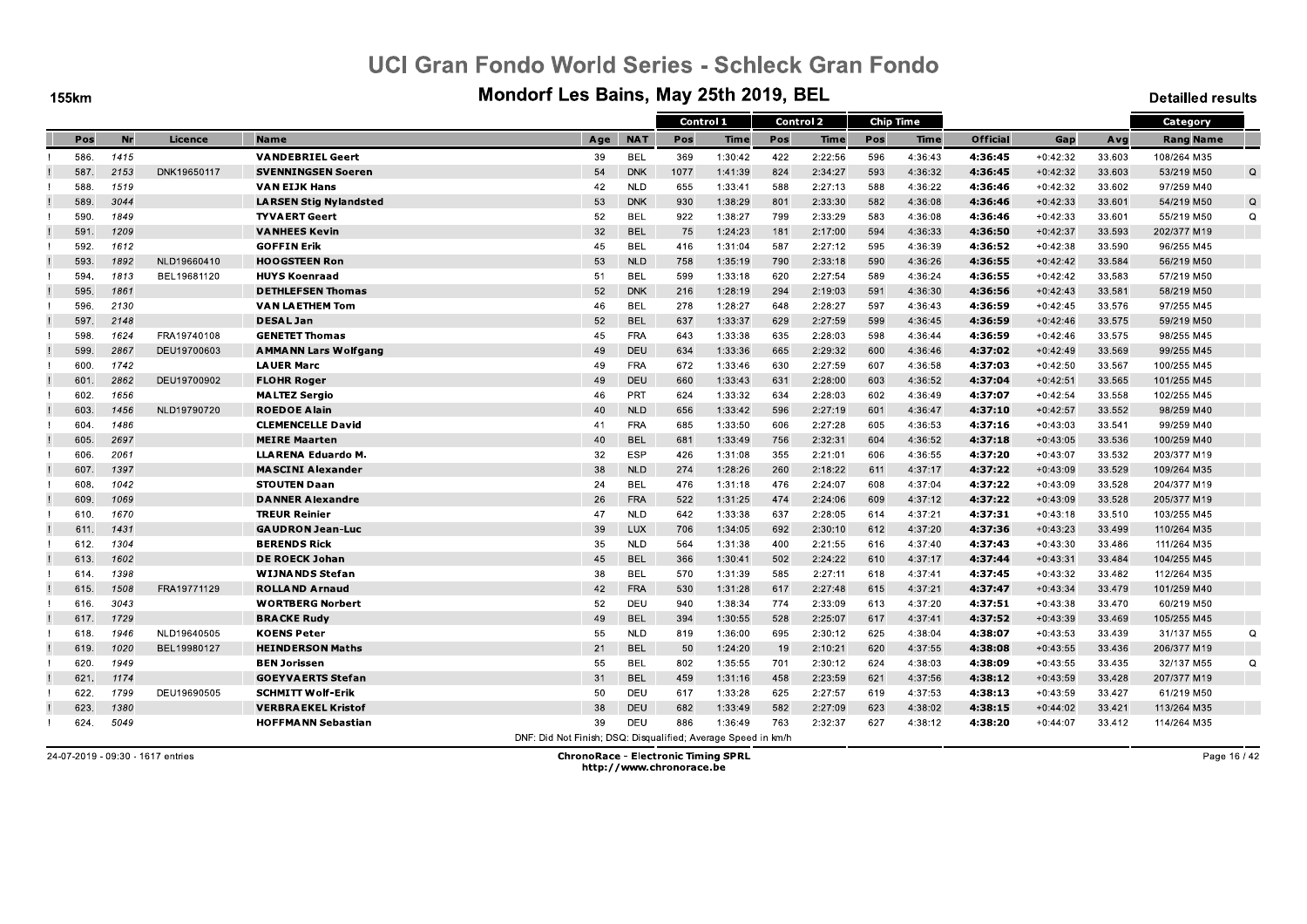**155km** 

#### Mondorf Les Bains, May 25th 2019, BEL

**Detailled results** 

|      |           |             |                               |                                                               |            |      | Control 1 |     | <b>Control 2</b> |     | <b>Chip Time</b> |                 |            |        | Category         |          |
|------|-----------|-------------|-------------------------------|---------------------------------------------------------------|------------|------|-----------|-----|------------------|-----|------------------|-----------------|------------|--------|------------------|----------|
|      |           |             |                               |                                                               |            |      |           |     |                  |     |                  |                 |            |        |                  |          |
| Pos  | <b>Nr</b> | Licence     | <b>Name</b>                   | Age                                                           | <b>NAT</b> | Pos  | Time      | Pos | Time             | Pos | Time             | <b>Official</b> | Gap        | Avg    | <b>Rang Name</b> |          |
| 586. | 1415      |             | <b>VANDEBRIEL Geert</b>       | 39                                                            | <b>BEL</b> | 369  | 1:30:42   | 422 | 2:22:56          | 596 | 4:36:43          | 4:36:45         | $+0:42:32$ | 33.603 | 108/264 M35      |          |
| 587. | 2153      | DNK19650117 | <b>SVENNINGSEN Soeren</b>     | 54                                                            | <b>DNK</b> | 1077 | 1:41:39   | 824 | 2:34:27          | 593 | 4:36:32          | 4:36:45         | $+0:42:32$ | 33.603 | 53/219 M50       | Q        |
| 588. | 1519      |             | <b>VAN EIJK Hans</b>          | 42                                                            | <b>NLD</b> | 655  | 1:33:41   | 588 | 2:27:13          | 588 | 4:36:22          | 4:36:46         | $+0:42:32$ | 33.602 | 97/259 M40       |          |
| 589. | 3044      |             | <b>LARSEN Stig Nylandsted</b> | 53                                                            | <b>DNK</b> | 930  | 1:38:29   | 801 | 2:33:30          | 582 | 4:36:08          | 4:36:46         | $+0:42:33$ | 33.601 | 54/219 M50       | Q        |
| 590. | 1849      |             | <b>TYVAERT Geert</b>          | 52                                                            | <b>BEL</b> | 922  | 1:38:27   | 799 | 2:33:29          | 583 | 4:36:08          | 4:36:46         | $+0:42:33$ | 33.601 | 55/219 M50       | Q        |
| 591. | 1209      |             | <b>VANHEES Kevin</b>          | 32                                                            | <b>BEL</b> | 75   | 1:24:23   | 181 | 2:17:00          | 594 | 4:36:33          | 4:36:50         | $+0:42:37$ | 33.593 | 202/377 M19      |          |
| 592. | 1612      |             | <b>GOFFIN Erik</b>            | 45                                                            | <b>BEL</b> | 416  | 1:31:04   | 587 | 2:27:12          | 595 | 4:36:39          | 4.36.52         | $+0:42:38$ | 33.590 | 96/255 M45       |          |
| 593. | 1892      | NLD19660410 | <b>HOOGSTEEN Ron</b>          | 53                                                            | <b>NLD</b> | 758  | 1:35:19   | 790 | 2:33:18          | 590 | 4:36:26          | 4:36:55         | $+0:42:42$ | 33.584 | 56/219 M50       |          |
| 594  | 1813      | BEL19681120 | <b>HUYS Koenraad</b>          | 51                                                            | <b>BEL</b> | 599  | 1:33:18   | 620 | 2:27:54          | 589 | 4:36:24          | 4:36:55         | $+0:42:42$ | 33.583 | 57/219 M50       |          |
| 595. | 1861      |             | <b>DETHLEFSEN Thomas</b>      | 52                                                            | <b>DNK</b> | 216  | 1:28:19   | 294 | 2:19:03          | 591 | 4:36:30          | 4:36:56         | $+0:42:43$ | 33.581 | 58/219 M50       |          |
| 596. | 2130      |             | VAN LA ETHEM Tom              | 46                                                            | BEL        | 278  | 1:28:27   | 648 | 2:28:27          | 597 | 4:36:43          | 4:36:59         | $+0:42:45$ | 33.576 | 97/255 M45       |          |
| 597  | 2148      |             | <b>DESAL Jan</b>              | 52                                                            | <b>BEL</b> | 637  | 1:33:37   | 629 | 2:27:59          | 599 | 4:36:45          | 4:36:59         | $+0:42:46$ | 33.575 | 59/219 M50       |          |
| 598. | 1624      | FRA19740108 | <b>GENETET Thomas</b>         | 45                                                            | <b>FRA</b> | 643  | 1:33:38   | 635 | 2:28:03          | 598 | 4:36:44          | 4:36:59         | $+0:42:46$ | 33.575 | 98/255 M45       |          |
| 599. | 2867      | DEU19700603 | <b>AMMANN Lars Wolfgang</b>   | 49                                                            | <b>DEU</b> | 634  | 1:33:36   | 665 | 2:29:32          | 600 | 4:36:46          | 4:37:02         | $+0:42:49$ | 33.569 | 99/255 M45       |          |
| 600. | 1742      |             | <b>LAUER Marc</b>             | 49                                                            | <b>FRA</b> | 672  | 1:33:46   | 630 | 2:27:59          | 607 | 4:36:58          | 4:37:03         | $+0:42:50$ | 33.567 | 100/255 M45      |          |
| 601. | 2862      | DEU19700902 | <b>FLOHR Roger</b>            | 49                                                            | <b>DEU</b> | 660  | 1:33:43   | 631 | 2:28:00          | 603 | 4:36:52          | 4.37:04         | $+0:42:51$ | 33.565 | 101/255 M45      |          |
| 602. | 1656      |             | <b>MALTEZ Sergio</b>          | 46                                                            | PRT        | 624  | 1:33:32   | 634 | 2:28:03          | 602 | 4:36:49          | 4:37:07         | $+0:42:54$ | 33.558 | 102/255 M45      |          |
| 603. | 1456      | NLD19790720 | <b>ROEDOE Alain</b>           | 40                                                            | <b>NLD</b> | 656  | 1:33:42   | 596 | 2:27:19          | 601 | 4:36:47          | 4:37:10         | $+0:42:57$ | 33.552 | 98/259 M40       |          |
| 604. | 1486      |             | <b>CLEMENCELLE David</b>      | 41                                                            | <b>FRA</b> | 685  | 1:33:50   | 606 | 2:27:28          | 605 | 4:36:53          | 4:37:16         | $+0:43:03$ | 33.541 | 99/259 M40       |          |
| 605. | 2697      |             | <b>MEIRE Maarten</b>          | 40                                                            | <b>BEL</b> | 681  | 1:33:49   | 756 | 2:32:31          | 604 | 4:36:52          | 4:37:18         | $+0:43:05$ | 33.536 | 100/259 M40      |          |
| 606. | 2061      |             | <b>LLARENA Eduardo M.</b>     | 32                                                            | <b>ESP</b> | 426  | 1:31:08   | 355 | 2:21:01          | 606 | 4:36:55          | 4:37:20         | $+0:43:07$ | 33.532 | 203/377 M19      |          |
| 607. | 1397      |             | <b>MASCINI Alexander</b>      | 38                                                            | <b>NLD</b> | 274  | 1:28:26   | 260 | 2:18:22          | 611 | 4:37:17          | 4:37:22         | $+0:43:09$ | 33.529 | 109/264 M35      |          |
| 608. | 1042      |             | <b>STOUTEN Daan</b>           | 24                                                            | <b>BEL</b> | 476  | 1:31:18   | 476 | 2:24:07          | 608 | 4:37:04          | 4.37:22         | $+0:43:09$ | 33.528 | 204/377 M19      |          |
| 609. | 1069      |             | <b>DANNER Alexandre</b>       | 26                                                            | <b>FRA</b> | 522  | 1:31:25   | 474 | 2:24:06          | 609 | 4:37:12          | 4:37:22         | $+0:43:09$ | 33.528 | 205/377 M19      |          |
| 610. | 1670      |             | <b>TREUR Reinier</b>          | 47                                                            | <b>NLD</b> | 642  | 1:33:38   | 637 | 2:28:05          | 614 | 4:37:21          | 4:37:31         | $+0:43:18$ | 33.510 | 103/255 M45      |          |
| 611. | 1431      |             | <b>GAUDRON Jean-Luc</b>       | 39                                                            | <b>LUX</b> | 706  | 1:34:05   | 692 | 2:30:10          | 612 | 4:37:20          | 4:37:36         | $+0:43:23$ | 33.499 | 110/264 M35      |          |
| 612. | 1304      |             | <b>BERENDS Rick</b>           | 35                                                            | <b>NLD</b> | 564  | 1:31:38   | 400 | 2:21:55          | 616 | 4:37:40          | 4:37:43         | $+0:43:30$ | 33.486 | 111/264 M35      |          |
| 613. | 1602      |             | <b>DE ROECK Johan</b>         | 45                                                            | <b>BEL</b> | 366  | 1:30:41   | 502 | 2:24:22          | 610 | 4:37:17          | 4:37:44         | $+0:43:31$ | 33.484 | 104/255 M45      |          |
| 614. | 1398      |             | <b>WIJNANDS Stefan</b>        | 38                                                            | <b>BEL</b> | 570  | 1:31:39   | 585 | 2:27:11          | 618 | 4:37:41          | 4:37:45         | $+0:43:32$ | 33.482 | 112/264 M35      |          |
| 615. | 1508      | FRA19771129 | <b>ROLLAND Arnaud</b>         | 42                                                            | <b>FRA</b> | 530  | 1:31:28   | 617 | 2:27:48          | 615 | 4:37:21          | 4.37.47         | $+0:43:34$ | 33.479 | 101/259 M40      |          |
| 616. | 3043      |             | <b>WORTBERG Norbert</b>       | 52                                                            | DEU        | 940  | 1:38:34   | 774 | 2:33:09          | 613 | 4:37:20          | 4:37:51         | $+0:43:38$ | 33.470 | 60/219 M50       |          |
| 617. | 1729      |             | <b>BRACKE Rudy</b>            | 49                                                            | <b>BEL</b> | 394  | 1:30:55   | 528 | 2:25:07          | 617 | 4:37:41          | 4:37:52         | $+0:43:39$ | 33.469 | 105/255 M45      |          |
| 618. | 1946      | NLD19640505 | <b>KOENS Peter</b>            | 55                                                            | <b>NLD</b> | 819  | 1:36:00   | 695 | 2:30:12          | 625 | 4:38:04          | 4:38:07         | $+0:43:53$ | 33.439 | 31/137 M55       | $\Omega$ |
| 619. | 1020      | BEL19980127 | <b>HEINDERSON Maths</b>       | 21                                                            | <b>BEL</b> | 50   | 1:24:20   | 19  | 2:10:21          | 620 | 4:37:55          | 4:38:08         | $+0:43:55$ | 33.436 | 206/377 M19      |          |
| 620. | 1949      |             | <b>BEN Jorissen</b>           | 55                                                            | <b>BEL</b> | 802  | 1:35:55   | 701 | 2:30:12          | 624 | 4:38:03          | 4:38:09         | $+0:43:55$ | 33.435 | 32/137 M55       | Q        |
| 621. | 1174      |             | <b>GOEYVAERTS Stefan</b>      | 31                                                            | <b>BEL</b> | 459  | 1:31:16   | 458 | 2:23:59          | 621 | 4:37:56          | 4:38:12         | $+0:43:59$ | 33.428 | 207/377 M19      |          |
| 622. | 1799      | DEU19690505 | <b>SCHMITT Wolf-Erik</b>      | 50                                                            | DEU        | 617  | 1:33:28   | 625 | 2:27:57          | 619 | 4:37:53          | 4:38:13         | $+0:43:59$ | 33.427 | 61/219 M50       |          |
| 623. | 1380      |             | <b>VERBRAEKEL Kristof</b>     | 38                                                            | <b>DEU</b> | 682  | 1:33:49   | 582 | 2:27:09          | 623 | 4:38:02          | 4:38:15         | $+0:44:02$ | 33.421 | 113/264 M35      |          |
| 624. | 5049      |             | <b>HOFFMANN Sebastian</b>     | 39                                                            | <b>DEU</b> | 886  | 1:36:49   | 763 | 2:32:37          | 627 | 4:38:12          | 4.38.20         | $+0:44:07$ | 33.412 | 114/264 M35      |          |
|      |           |             |                               | DNF: Did Not Finish; DSQ: Disqualified; Average Speed in km/h |            |      |           |     |                  |     |                  |                 |            |        |                  |          |
|      |           |             |                               |                                                               |            |      |           |     |                  |     |                  |                 |            |        |                  |          |

24-07-2019 - 09:30 - 1617 entries

**ChronoRace - Electronic Timing SPRL** http://www.chronorace.be

Page 16 / 42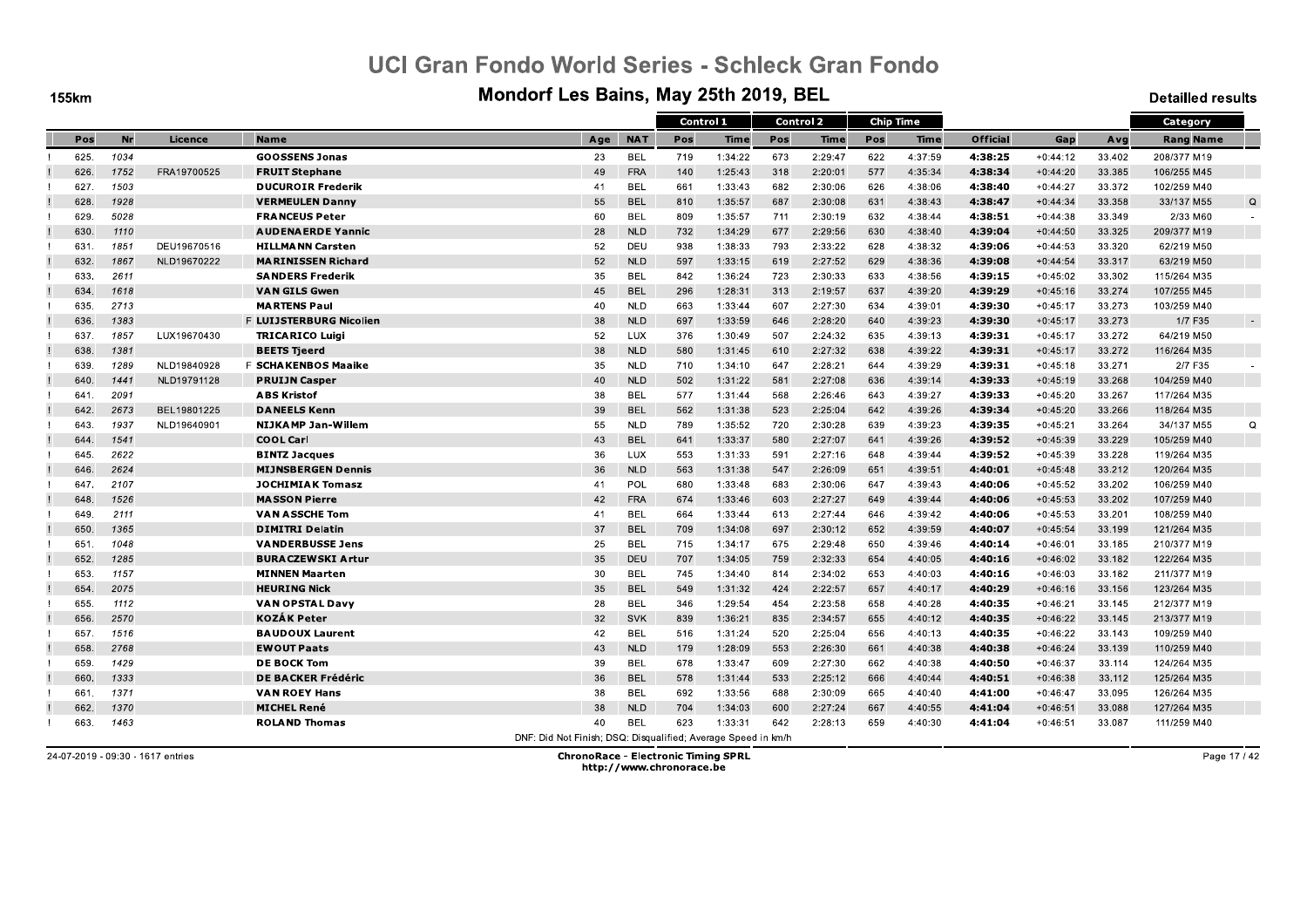**155km** 

#### Mondorf Les Bains, May 25th 2019, BEL

**Detailled results** 

|      |           |             |                            |                                                               |            | Control 1 |             |     | <b>Control 2</b> |     | <b>Chip Time</b> |                 |            |        | Category         |          |
|------|-----------|-------------|----------------------------|---------------------------------------------------------------|------------|-----------|-------------|-----|------------------|-----|------------------|-----------------|------------|--------|------------------|----------|
| Pos  | <b>Nr</b> | Licence     | <b>Name</b>                | Age                                                           | <b>NAT</b> | Pos       | <b>Time</b> | Pos | <b>Time</b>      | Pos | <b>Time</b>      | <b>Official</b> | Gap        | Avg    | <b>Rang Name</b> |          |
| 625. | 1034      |             | <b>GOOSSENS Jonas</b>      | 23                                                            | <b>BEL</b> | 719       | 1:34:22     | 673 | 2:29:47          | 622 | 4:37:59          | 4:38:25         | $+0:44:12$ | 33.402 | 208/377 M19      |          |
| 626. | 1752      | FRA19700525 | <b>FRUIT Stephane</b>      | 49                                                            | <b>FRA</b> | 140       | 1:25:43     | 318 | 2:20:01          | 577 | 4:35:34          | 4:38:34         | $+0:44:20$ | 33.385 | 106/255 M45      |          |
| 627. | 1503      |             | <b>DUCUROIR Frederik</b>   | 41                                                            | <b>BEL</b> | 661       | 1:33:43     | 682 | 2:30:06          | 626 | 4:38:06          | 4:38:40         | $+0:44:27$ | 33.372 | 102/259 M40      |          |
| 628. | 1928      |             | <b>VERMEULEN Danny</b>     | 55                                                            | <b>BEL</b> | 810       | 1:35:57     | 687 | 2:30:08          | 631 | 4:38:43          | 4:38:47         | $+0:44:34$ | 33.358 | 33/137 M55       | Q        |
| 629. | 5028      |             | <b>FRANCEUS Peter</b>      | 60                                                            | <b>BEL</b> | 809       | 1:35:57     | 711 | 2:30:19          | 632 | 4:38:44          | 4:38:51         | $+0:44:38$ | 33.349 | 2/33 M60         | $\sim$   |
| 630. | 1110      |             | <b>AUDENAERDE Yannic</b>   | 28                                                            | <b>NLD</b> | 732       | 1:34:29     | 677 | 2:29:56          | 630 | 4:38:40          | 4:39:04         | $+0:44:50$ | 33.325 | 209/377 M19      |          |
| 631. | 1851      | DEU19670516 | <b>HILLMANN Carsten</b>    | 52                                                            | DEU        | 938       | 1:38:33     | 793 | 2:33:22          | 628 | 4:38:32          | 4.39.06         | $+0:44:53$ | 33.320 | 62/219 M50       |          |
| 632. | 1867      | NLD19670222 | <b>MARINISSEN Richard</b>  | 52                                                            | <b>NLD</b> | 597       | 1:33:15     | 619 | 2:27:52          | 629 | 4:38:36          | 4:39:08         | $+0:44:54$ | 33.317 | 63/219 M50       |          |
| 633. | 2611      |             | <b>SANDERS Frederik</b>    | 35                                                            | <b>BEL</b> | 842       | 1:36:24     | 723 | 2:30:33          | 633 | 4:38:56          | 4:39:15         | $+0:45:02$ | 33.302 | 115/264 M35      |          |
| 634. | 1618      |             | <b>VAN GILS Gwen</b>       | 45                                                            | <b>BEL</b> | 296       | 1:28:31     | 313 | 2:19:57          | 637 | 4:39:20          | 4:39:29         | $+0:45:16$ | 33.274 | 107/255 M45      |          |
| 635. | 2713      |             | <b>MARTENS Paul</b>        | 40                                                            | <b>NLD</b> | 663       | 1:33:44     | 607 | 2:27:30          | 634 | 4:39:01          | 4:39:30         | $+0:45:17$ | 33.273 | 103/259 M40      |          |
| 636. | 1383      |             | F LUIJSTERBURG Nicolien    | 38                                                            | <b>NLD</b> | 697       | 1:33:59     | 646 | 2:28:20          | 640 | 4:39:23          | 4:39:30         | $+0:45:17$ | 33.273 | 1/7 F35          |          |
| 637. | 1857      | LUX19670430 | <b>TRICARICO Luigi</b>     | 52                                                            | LUX        | 376       | 1:30:49     | 507 | 2:24:32          | 635 | 4:39:13          | 4:39:31         | $+0:45:17$ | 33.272 | 64/219 M50       |          |
| 638. | 1381      |             | <b>BEETS Tjeerd</b>        | 38                                                            | <b>NLD</b> | 580       | 1:31:45     | 610 | 2:27:32          | 638 | 4:39:22          | 4.39:31         | $+0:45:17$ | 33.272 | 116/264 M35      |          |
| 639. | 1289      | NLD19840928 | <b>F SCHAKENBOS Maaike</b> | 35                                                            | <b>NLD</b> | 710       | 1:34:10     | 647 | 2:28:21          | 644 | 4:39:29          | 4:39:31         | $+0:45:18$ | 33.271 | 2/7 F35          |          |
| 640. | 1441      | NLD19791128 | <b>PRUIJN Casper</b>       | 40                                                            | <b>NLD</b> | 502       | 1:31:22     | 581 | 2:27:08          | 636 | 4:39:14          | 4.39.33         | $+0:45:19$ | 33.268 | 104/259 M40      |          |
| 641. | 2091      |             | <b>ABS Kristof</b>         | 38                                                            | <b>BEL</b> | 577       | 1:31:44     | 568 | 2:26:46          | 643 | 4:39:27          | 4:39:33         | $+0:45:20$ | 33.267 | 117/264 M35      |          |
| 642. | 2673      | BEL19801225 | <b>DANEELS Kenn</b>        | 39                                                            | <b>BEL</b> | 562       | 1:31:38     | 523 | 2:25:04          | 642 | 4:39:26          | 4:39:34         | $+0:45:20$ | 33.266 | 118/264 M35      |          |
| 643. | 1937      | NLD19640901 | <b>NIJKAMP Jan-Willem</b>  | 55                                                            | <b>NLD</b> | 789       | 1:35:52     | 720 | 2:30:28          | 639 | 4:39:23          | 4:39:35         | $+0:45:21$ | 33.264 | 34/137 M55       | $\Omega$ |
| 644. | 1541      |             | <b>COOL Carl</b>           | 43                                                            | <b>BEL</b> | 641       | 1:33:37     | 580 | 2:27:07          | 641 | 4:39:26          | 4:39:52         | $+0:45:39$ | 33.229 | 105/259 M40      |          |
| 645. | 2622      |             | <b>BINTZ Jacques</b>       | 36                                                            | <b>LUX</b> | 553       | 1:31:33     | 591 | 2:27:16          | 648 | 4:39:44          | 4:39:52         | $+0:45:39$ | 33.228 | 119/264 M35      |          |
| 646. | 2624      |             | <b>MIJNSBERGEN Dennis</b>  | 36                                                            | <b>NLD</b> | 563       | 1:31:38     | 547 | 2:26:09          | 651 | 4:39:51          | 4:40:01         | $+0:45:48$ | 33.212 | 120/264 M35      |          |
| 647. | 2107      |             | <b>JOCHIMIAK Tomasz</b>    | 41                                                            | POL        | 680       | 1:33:48     | 683 | 2:30:06          | 647 | 4:39:43          | 4.40.06         | $+0:45:52$ | 33.202 | 106/259 M40      |          |
| 648. | 1526      |             | <b>MASSON Pierre</b>       | 42                                                            | <b>FRA</b> | 674       | 1:33:46     | 603 | 2:27:27          | 649 | 4:39:44          | 4:40:06         | $+0:45:53$ | 33.202 | 107/259 M40      |          |
| 649. | 2111      |             | <b>VAN ASSCHE Tom</b>      | 41                                                            | <b>BEL</b> | 664       | 1:33:44     | 613 | 2:27:44          | 646 | 4:39:42          | 4:40:06         | $+0:45:53$ | 33.201 | 108/259 M40      |          |
| 650. | 1365      |             | <b>DIMITRI Delatin</b>     | 37                                                            | <b>BEL</b> | 709       | 1:34:08     | 697 | 2:30:12          | 652 | 4:39:59          | 4:40:07         | $+0:45:54$ | 33.199 | 121/264 M35      |          |
| 651. | 1048      |             | <b>VANDERBUSSE Jens</b>    | 25                                                            | <b>BEL</b> | 715       | 1:34:17     | 675 | 2:29:48          | 650 | 4:39:46          | 4:40:14         | $+0:46:01$ | 33.185 | 210/377 M19      |          |
| 652. | 1285      |             | <b>BURACZEWSKI Artur</b>   | 35                                                            | <b>DEU</b> | 707       | 1:34:05     | 759 | 2:32:33          | 654 | 4:40:05          | 4:40:16         | $+0:46:02$ | 33.182 | 122/264 M35      |          |
| 653. | 1157      |             | <b>MINNEN Maarten</b>      | 30                                                            | <b>BEL</b> | 745       | 1:34:40     | 814 | 2:34:02          | 653 | 4:40:03          | 4:40:16         | $+0:46:03$ | 33.182 | 211/377 M19      |          |
| 654  | 2075      |             | <b>HEURING Nick</b>        | 35                                                            | <b>BEL</b> | 549       | 1:31:32     | 424 | 2:22:57          | 657 | 4:40:17          | 4.40.29         | $+0:46:16$ | 33.156 | 123/264 M35      |          |
| 655. | 1112      |             | <b>VAN OPSTAL Davy</b>     | 28                                                            | BEL        | 346       | 1:29:54     | 454 | 2:23:58          | 658 | 4:40:28          | 4:40:35         | $+0:46:21$ | 33.145 | 212/377 M19      |          |
| 656. | 2570      |             | <b>KOZAK Peter</b>         | 32                                                            | <b>SVK</b> | 839       | 1:36:21     | 835 | 2:34:57          | 655 | 4:40:12          | 4:40:35         | $+0:46:22$ | 33.145 | 213/377 M19      |          |
| 657. | 1516      |             | <b>BAUDOUX Laurent</b>     | 42                                                            | <b>BEL</b> | 516       | 1:31:24     | 520 | 2:25:04          | 656 | 4:40:13          | 4:40:35         | $+0:46:22$ | 33.143 | 109/259 M40      |          |
| 658. | 2768      |             | <b>EWOUT Paats</b>         | 43                                                            | <b>NLD</b> | 179       | 1:28:09     | 553 | 2:26:30          | 661 | 4:40:38          | 4:40:38         | $+0:46:24$ | 33.139 | 110/259 M40      |          |
| 659. | 1429      |             | <b>DE BOCK Tom</b>         | 39                                                            | <b>BEL</b> | 678       | 1:33:47     | 609 | 2:27:30          | 662 | 4:40:38          | 4:40:50         | $+0:46:37$ | 33.114 | 124/264 M35      |          |
| 660. | 1333      |             | <b>DE BACKER Frédéric</b>  | 36                                                            | <b>BEL</b> | 578       | 1:31:44     | 533 | 2:25:12          | 666 | 4:40:44          | 4:40:51         | $+0:46:38$ | 33.112 | 125/264 M35      |          |
| 661. | 1371      |             | <b>VAN ROEY Hans</b>       | 38                                                            | <b>BEL</b> | 692       | 1:33:56     | 688 | 2:30:09          | 665 | 4:40:40          | 4:41:00         | $+0:46:47$ | 33.095 | 126/264 M35      |          |
| 662. | 1370      |             | <b>MICHEL René</b>         | 38                                                            | <b>NLD</b> | 704       | 1:34:03     | 600 | 2:27:24          | 667 | 4:40:55          | 4:41:04         | $+0:46:51$ | 33.088 | 127/264 M35      |          |
| 663. | 1463      |             | <b>ROLAND Thomas</b>       | 40                                                            | <b>BEL</b> | 623       | 1:33:31     | 642 | 2:28:13          | 659 | 4:40:30          | 4.41.04         | $+0:46:51$ | 33.087 | 111/259 M40      |          |
|      |           |             |                            | DNF: Did Not Finish: DSQ: Disqualified: Average Speed in km/h |            |           |             |     |                  |     |                  |                 |            |        |                  |          |

24-07-2019 - 09:30 - 1617 entries

**ChronoRace - Electronic Timing SPRL** http://www.chronorace.be

Page 17 / 42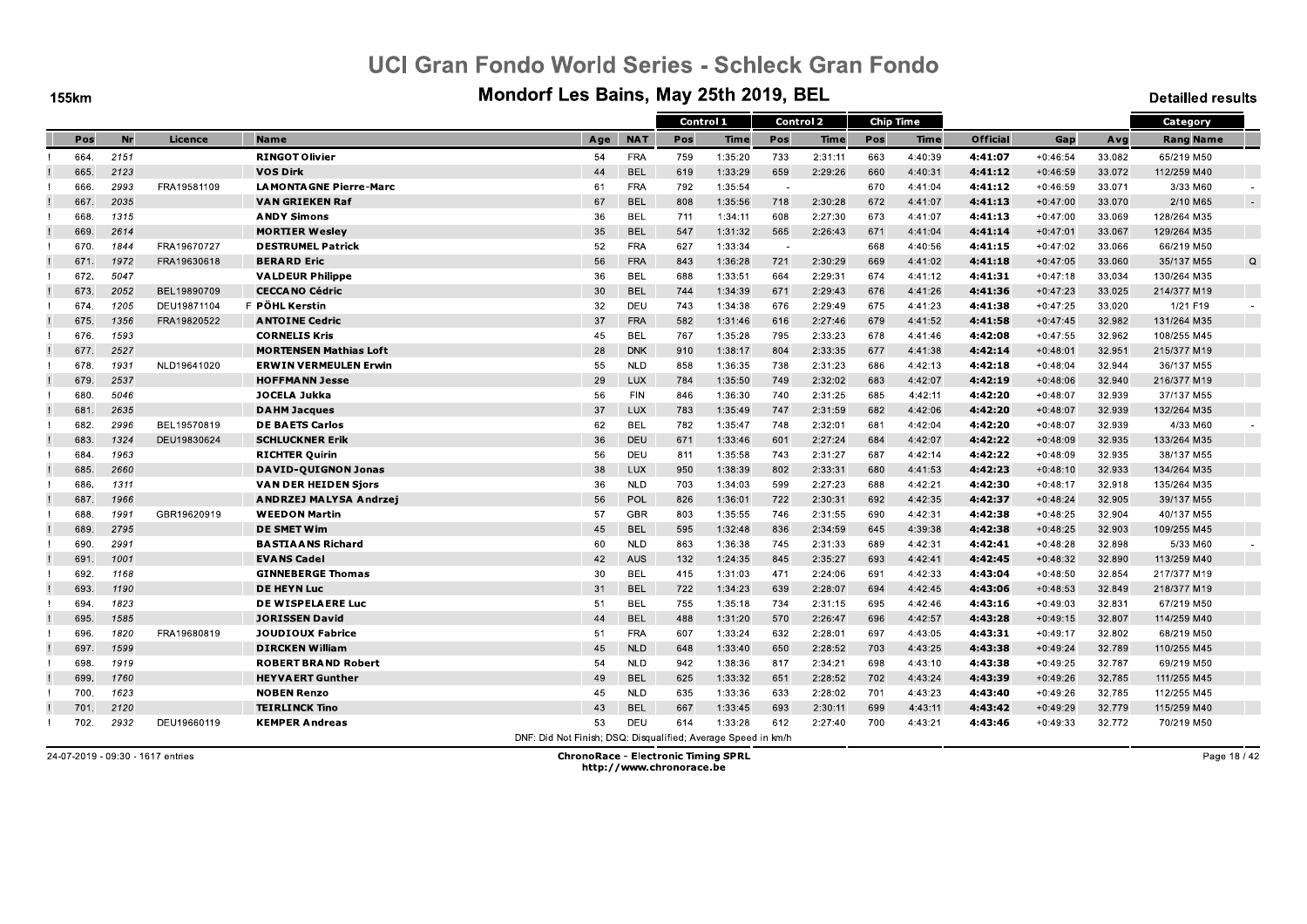**155km** 

#### Mondorf Les Bains, May 25th 2019, BEL

**Detailled results** 

|      |      |             |                                 |                                                               |            | Control 1 |             | <b>Control 2</b>         |         |     | <b>Chip Time</b> |                 |            |        | Category         |   |
|------|------|-------------|---------------------------------|---------------------------------------------------------------|------------|-----------|-------------|--------------------------|---------|-----|------------------|-----------------|------------|--------|------------------|---|
| Pos  | Nr   | Licence     | <b>Name</b>                     | Age                                                           | <b>NAT</b> | Pos       | <b>Time</b> | Pos                      | Time    | Pos | <b>Time</b>      | <b>Official</b> | Gap        | Avg    | <b>Rang Name</b> |   |
| 664. | 2151 |             | <b>RINGOT Olivier</b>           | 54                                                            | <b>FRA</b> | 759       | 1:35:20     | 733                      | 2:31:11 | 663 | 4:40:39          | 4:41:07         | $+0:46:54$ | 33.082 | 65/219 M50       |   |
| 665. | 2123 |             | <b>VOS Dirk</b>                 | 44                                                            | <b>BEL</b> | 619       | 1:33:29     | 659                      | 2:29:26 | 660 | 4:40:31          | 4:41:12         | $+0:46:59$ | 33.072 | 112/259 M40      |   |
| 666. | 2993 | FRA19581109 | <b>LA MONTA GNE Pierre-Marc</b> | 61                                                            | <b>FRA</b> | 792       | 1:35:54     | $\sim$                   |         | 670 | 4:41:04          | 4:41:12         | $+0:46:59$ | 33.071 | 3/33 M60         |   |
| 667. | 2035 |             | <b>VAN GRIEKEN Raf</b>          | 67                                                            | <b>BEL</b> | 808       | 1:35:56     | 718                      | 2:30:28 | 672 | 4:41:07          | 4:41:13         | $+0:47:00$ | 33.070 | 2/10 M65         |   |
| 668. | 1315 |             | <b>ANDY Simons</b>              | 36                                                            | <b>BEL</b> | 711       | 1:34:11     | 608                      | 2:27:30 | 673 | 4:41:07          | 4.41.13         | $+0:47:00$ | 33.069 | 128/264 M35      |   |
| 669. | 2614 |             | <b>MORTIER Wesley</b>           | 35                                                            | <b>BEL</b> | 547       | 1:31:32     | 565                      | 2:26:43 | 671 | 4:41:04          | 4:41:14         | $+0:47:01$ | 33.067 | 129/264 M35      |   |
| 670. | 1844 | FRA19670727 | <b>DESTRUMEL Patrick</b>        | 52                                                            | <b>FRA</b> | 627       | 1:33:34     | $\overline{\phantom{a}}$ |         | 668 | 4:40:56          | 4.41.15         | $+0:47:02$ | 33.066 | 66/219 M50       |   |
| 671. | 1972 | FRA19630618 | <b>BERARD Eric</b>              | 56                                                            | <b>FRA</b> | 843       | 1:36:28     | 721                      | 2:30:29 | 669 | 4:41:02          | 4:41:18         | $+0:47:05$ | 33.060 | 35/137 M55       | Q |
| 672. | 5047 |             | <b>VALDEUR Philippe</b>         | 36                                                            | BEL        | 688       | 1:33:51     | 664                      | 2:29:31 | 674 | 4:41:12          | 4:41:31         | $+0:47:18$ | 33.034 | 130/264 M35      |   |
| 673. | 2052 | BEL19890709 | <b>CECCANO Cédric</b>           | 30                                                            | <b>BEL</b> | 744       | 1:34:39     | 671                      | 2:29:43 | 676 | 4:41:26          | 4:41:36         | $+0:47:23$ | 33.025 | 214/377 M19      |   |
| 674. | 1205 | DEU19871104 | F PÖHL Kerstin                  | 32                                                            | DEU        | 743       | 1:34:38     | 676                      | 2:29:49 | 675 | 4:41:23          | 4:41:38         | $+0:47:25$ | 33.020 | 1/21 F19         |   |
| 675. | 1356 | FRA19820522 | <b>ANTOINE Cedric</b>           | 37                                                            | <b>FRA</b> | 582       | 1:31:46     | 616                      | 2:27:46 | 679 | 4:41:52          | 4:41:58         | $+0:47:45$ | 32.982 | 131/264 M35      |   |
| 676. | 1593 |             | <b>CORNELIS Kris</b>            | 45                                                            | <b>BEL</b> | 767       | 1:35:28     | 795                      | 2:33:23 | 678 | 4:41:46          | 4:42:08         | $+0:47:55$ | 32.962 | 108/255 M45      |   |
| 677. | 2527 |             | <b>MORTENSEN Mathias Loft</b>   | 28                                                            | <b>DNK</b> | 910       | 1:38:17     | 804                      | 2:33:35 | 677 | 4:41:38          | 4.42.14         | $+0:48:01$ | 32.951 | 215/377 M19      |   |
| 678. | 1931 | NLD19641020 | <b>ERWIN VERMEULEN Erwin</b>    | 55                                                            | <b>NLD</b> | 858       | 1:36:35     | 738                      | 2:31:23 | 686 | 4:42:13          | 4:42:18         | $+0:48:04$ | 32.944 | 36/137 M55       |   |
| 679. | 2537 |             | <b>HOFFMANN Jesse</b>           | 29                                                            | <b>LUX</b> | 784       | 1:35:50     | 749                      | 2:32:02 | 683 | 4:42:07          | 4:42:19         | $+0:48:06$ | 32.940 | 216/377 M19      |   |
| 680. | 5046 |             | JOCELA Jukka                    | 56                                                            | <b>FIN</b> | 846       | 1:36:30     | 740                      | 2:31:25 | 685 | 4:42:11          | 4:42:20         | $+0:48:07$ | 32.939 | 37/137 M55       |   |
| 681. | 2635 |             | <b>DAHM Jacques</b>             | 37                                                            | <b>LUX</b> | 783       | 1:35:49     | 747                      | 2:31:59 | 682 | 4:42:06          | 4:42:20         | $+0:48:07$ | 32.939 | 132/264 M35      |   |
| 682. | 2996 | BEL19570819 | <b>DE BAETS Carlos</b>          | 62                                                            | <b>BEL</b> | 782       | 1:35:47     | 748                      | 2:32:01 | 681 | 4:42:04          | 4:42:20         | $+0:48:07$ | 32.939 | 4/33 M60         |   |
| 683. | 1324 | DEU19830624 | <b>SCHLUCKNER Erik</b>          | 36                                                            | DEU        | 671       | 1:33:46     | 601                      | 2:27:24 | 684 | 4:42:07          | 4:42:22         | $+0:48:09$ | 32.935 | 133/264 M35      |   |
| 684. | 1963 |             | <b>RICHTER Quirin</b>           | 56                                                            | DEU        | 811       | 1:35:58     | 743                      | 2:31:27 | 687 | 4:42:14          | 4:42:22         | $+0:48:09$ | 32.935 | 38/137 M55       |   |
| 685. | 2660 |             | DAVID-QUIGNON Jonas             | 38                                                            | <b>LUX</b> | 950       | 1:38:39     | 802                      | 2:33:31 | 680 | 4:41:53          | 4:42:23         | $+0:48:10$ | 32.933 | 134/264 M35      |   |
| 686. | 1311 |             | <b>VAN DER HEIDEN Sjors</b>     | 36                                                            | <b>NLD</b> | 703       | 1:34:03     | 599                      | 2:27:23 | 688 | 4:42:21          | 4.42.30         | $+0:48:17$ | 32.918 | 135/264 M35      |   |
| 687. | 1966 |             | ANDRZEJ MALYSA Andrzej          | 56                                                            | <b>POL</b> | 826       | 1:36:01     | 722                      | 2:30:31 | 692 | 4:42:35          | 4:42:37         | $+0:48:24$ | 32.905 | 39/137 M55       |   |
| 688. | 1991 | GBR19620919 | <b>WEEDON Martin</b>            | 57                                                            | <b>GBR</b> | 803       | 1:35:55     | 746                      | 2:31:55 | 690 | 4:42:31          | 4:42:38         | $+0:48:25$ | 32.904 | 40/137 M55       |   |
| 689. | 2795 |             | <b>DE SMET Wim</b>              | 45                                                            | <b>BEL</b> | 595       | 1:32:48     | 836                      | 2:34:59 | 645 | 4:39:38          | 4:42:38         | $+0:48:25$ | 32.903 | 109/255 M45      |   |
| 690. | 2991 |             | <b>BASTIAANS Richard</b>        | 60                                                            | <b>NLD</b> | 863       | 1:36:38     | 745                      | 2:31:33 | 689 | 4:42:31          | 4:42:41         | $+0:48:28$ | 32.898 | 5/33 M60         |   |
| 691. | 1001 |             | <b>EVANS Cadel</b>              | 42                                                            | <b>AUS</b> | 132       | 1:24:35     | 845                      | 2:35:27 | 693 | 4:42:41          | 4:42:45         | $+0:48:32$ | 32.890 | 113/259 M40      |   |
| 692. | 1168 |             | <b>GINNEBERGE Thomas</b>        | 30                                                            | <b>BEL</b> | 415       | 1:31:03     | 471                      | 2:24:06 | 691 | 4:42:33          | 4:43:04         | $+0:48:50$ | 32.854 | 217/377 M19      |   |
| 693. | 1190 |             | <b>DE HEYN Luc</b>              | 31                                                            | <b>BEL</b> | 722       | 1:34:23     | 639                      | 2:28:07 | 694 | 4:42:45          | 4:43:06         | $+0:48:53$ | 32.849 | 218/377 M19      |   |
| 694  | 1823 |             | DE WISPELAERE Luc               | 51                                                            | <b>BEL</b> | 755       | 1:35:18     | 734                      | 2:31:15 | 695 | 4:42:46          | 4:43:16         | $+0:49:03$ | 32.831 | 67/219 M50       |   |
| 695. | 1585 |             | <b>JORISSEN David</b>           | 44                                                            | <b>BEL</b> | 488       | 1:31:20     | 570                      | 2:26:47 | 696 | 4:42:57          | 4.43.28         | $+0:49:15$ | 32.807 | 114/259 M40      |   |
| 696. | 1820 | FRA19680819 | <b>JOUDIOUX Fabrice</b>         | 51                                                            | <b>FRA</b> | 607       | 1:33:24     | 632                      | 2:28:01 | 697 | 4:43:05          | 4:43:31         | $+0:49:17$ | 32.802 | 68/219 M50       |   |
| 697. | 1599 |             | <b>DIRCKEN William</b>          | 45                                                            | <b>NLD</b> | 648       | 1:33:40     | 650                      | 2:28:52 | 703 | 4:43:25          | 4:43:38         | $+0:49:24$ | 32.789 | 110/255 M45      |   |
| 698. | 1919 |             | <b>ROBERT BRAND Robert</b>      | 54                                                            | <b>NLD</b> | 942       | 1:38:36     | 817                      | 2:34:21 | 698 | 4:43:10          | 4:43:38         | $+0:49:25$ | 32.787 | 69/219 M50       |   |
| 699. | 1760 |             | <b>HEYVAERT Gunther</b>         | 49                                                            | <b>BEL</b> | 625       | 1:33:32     | 651                      | 2:28:52 | 702 | 4:43:24          | 4:43:39         | $+0:49:26$ | 32.785 | 111/255 M45      |   |
| 700. | 1623 |             | <b>NOBEN Renzo</b>              | 45                                                            | <b>NLD</b> | 635       | 1:33:36     | 633                      | 2:28:02 | 701 | 4:43:23          | 4:43:40         | $+0:49:26$ | 32.785 | 112/255 M45      |   |
| 701. | 2120 |             | <b>TEIRLINCK Tino</b>           | 43                                                            | <b>BEL</b> | 667       | 1:33:45     | 693                      | 2:30:11 | 699 | 4:43:11          | 4:43:42         | $+0:49:29$ | 32.779 | 115/259 M40      |   |
| 702. | 2932 | DEU19660119 | <b>KEMPER Andreas</b>           | 53                                                            | <b>DEU</b> | 614       | 1:33:28     | 612                      | 2:27:40 | 700 | 4:43:21          | 4:43:46         | $+0:49:33$ | 32.772 | 70/219 M50       |   |
|      |      |             |                                 | DNF: Did Not Finish: DSO: Disqualified: Average Speed in km/h |            |           |             |                          |         |     |                  |                 |            |        |                  |   |

24-07-2019 - 09:30 - 1617 entries

**ChronoRace - Electronic Timing SPRL** http://www.chronorace.be

Page 18 / 42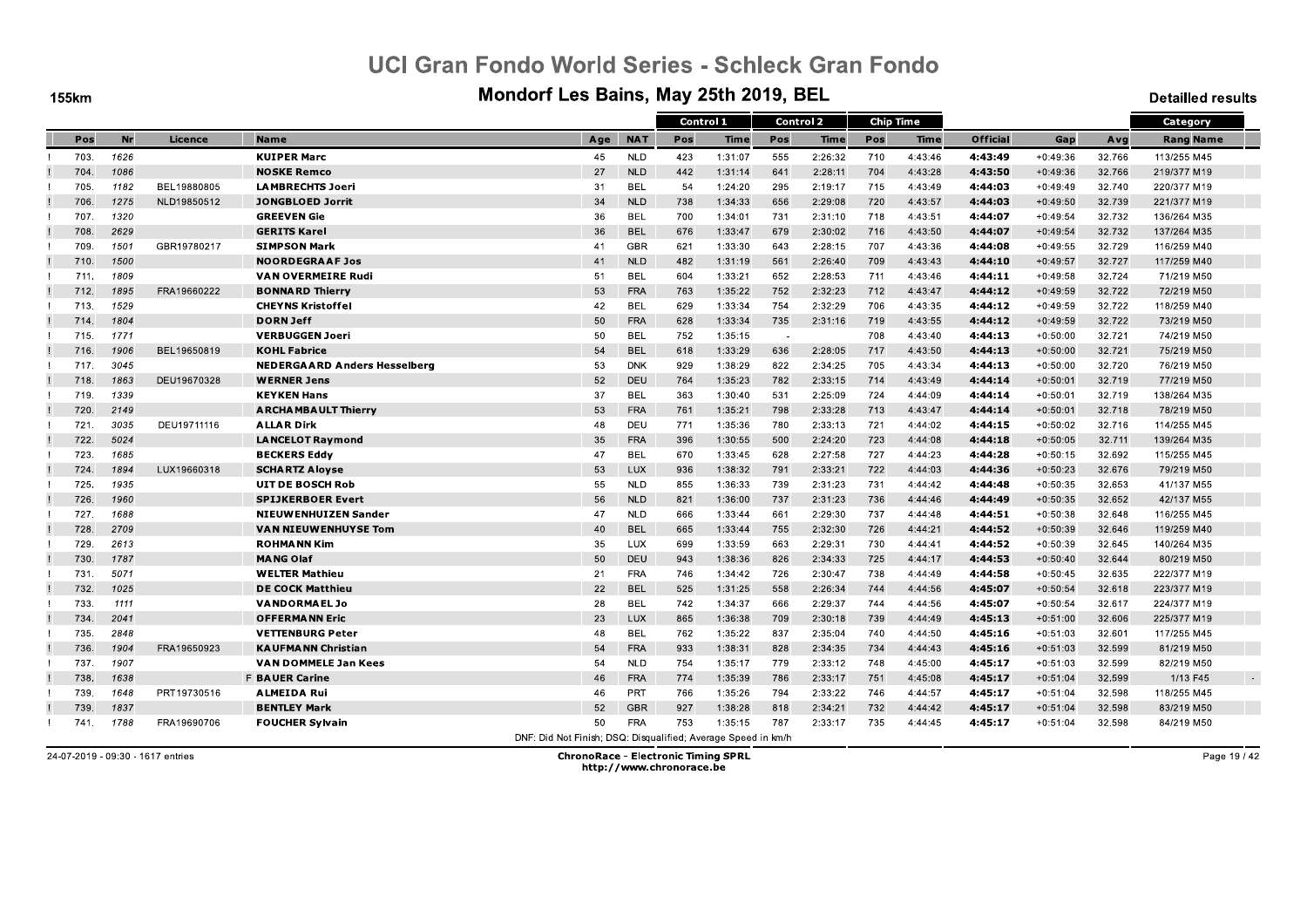**155km** 

#### Mondorf Les Bains, May 25th 2019, BEL

**Detailled results** 

|      |      |             |                                     |                                                               |            |     | Control 1   |            | <b>Control 2</b> |     | <b>Chip Time</b> |          |            |        | Category         |  |
|------|------|-------------|-------------------------------------|---------------------------------------------------------------|------------|-----|-------------|------------|------------------|-----|------------------|----------|------------|--------|------------------|--|
| Pos  | Nr   | Licence     | <b>Name</b>                         | Age                                                           | <b>NAT</b> | Pos | <b>Time</b> | Pos        | Time             | Pos | <b>Time</b>      | Official | Gap        | Avg    | <b>Rang Name</b> |  |
| 703. | 1626 |             | <b>KUIPER Marc</b>                  | 45                                                            | <b>NLD</b> | 423 | 1:31:07     | 555        | 2:26:32          | 710 | 4:43:46          | 4:43:49  | $+0:49:36$ | 32.766 | 113/255 M45      |  |
| 704  | 1086 |             | <b>NOSKE Remco</b>                  | 27                                                            | <b>NLD</b> | 442 | 1:31:14     | 641        | 2:28:11          | 704 | 4:43:28          | 4:43:50  | $+0:49:36$ | 32.766 | 219/377 M19      |  |
| 705  | 1182 | BEL19880805 | <b>LAMBRECHTS Joeri</b>             | 31                                                            | <b>BEL</b> | 54  | 1:24:20     | 295        | 2:19:17          | 715 | 4:43:49          | 4:44:03  | $+0:49:49$ | 32.740 | 220/377 M19      |  |
| 706  | 1275 | NLD19850512 | <b>JONGBLOED Jorrit</b>             | 34                                                            | <b>NLD</b> | 738 | 1:34:33     | 656        | 2:29:08          | 720 | 4:43:57          | 4:44:03  | $+0:49:50$ | 32.739 | 221/377 M19      |  |
| 707  | 1320 |             | <b>GREEVEN Gie</b>                  | 36                                                            | <b>BEL</b> | 700 | 1:34:01     | 731        | 2:31:10          | 718 | 4:43:51          | 4:44:07  | $+0:49:54$ | 32.732 | 136/264 M35      |  |
| 708  | 2629 |             | <b>GERITS Karel</b>                 | 36                                                            | <b>BEL</b> | 676 | 1:33:47     | 679        | 2:30:02          | 716 | 4:43:50          | 4:44:07  | $+0:49:54$ | 32.732 | 137/264 M35      |  |
| 709  | 1501 | GBR19780217 | <b>SIMPSON Mark</b>                 | 41                                                            | <b>GBR</b> | 621 | 1:33:30     | 643        | 2:28:15          | 707 | 4:43:36          | 4.44.08  | $+0:49:55$ | 32.729 | 116/259 M40      |  |
| 710  | 1500 |             | <b>NOORDEGRAAF Jos</b>              | 41                                                            | <b>NLD</b> | 482 | 1:31:19     | 561        | 2:26:40          | 709 | 4:43:43          | 4:44:10  | $+0:49:57$ | 32.727 | 117/259 M40      |  |
| 711. | 1809 |             | <b>VAN OVERMEIRE Rudi</b>           | 51                                                            | <b>BEL</b> | 604 | 1:33:21     | 652        | 2:28:53          | 711 | 4:43:46          | 4:44:11  | $+0:49:58$ | 32.724 | 71/219 M50       |  |
| 712. | 1895 | FRA19660222 | <b>BONNARD Thierry</b>              | 53                                                            | <b>FRA</b> | 763 | 1:35:22     | 752        | 2:32:23          | 712 | 4:43:47          | 4:44:12  | $+0:49:59$ | 32.722 | 72/219 M50       |  |
| 713. | 1529 |             | <b>CHEYNS Kristoffel</b>            | 42                                                            | <b>BEL</b> | 629 | 1:33:34     | 754        | 2:32:29          | 706 | 4:43:35          | 4:44:12  | $+0:49:59$ | 32.722 | 118/259 M40      |  |
| 714  | 1804 |             | <b>DORN Jeff</b>                    | 50                                                            | <b>FRA</b> | 628 | 1:33:34     | 735        | 2:31:16          | 719 | 4:43:55          | 4:44:12  | $+0:49:59$ | 32.722 | 73/219 M50       |  |
| 715  | 1771 |             | <b>VERBUGGEN Joeri</b>              | 50                                                            | <b>BEL</b> | 752 | 1:35:15     | $\sim$ $-$ |                  | 708 | 4:43:40          | 4:44:13  | $+0:50:00$ | 32.721 | 74/219 M50       |  |
| 716. | 1906 | BEL19650819 | <b>KOHL Fabrice</b>                 | 54                                                            | <b>BEL</b> | 618 | 1:33:29     | 636        | 2:28:05          | 717 | 4:43:50          | 4.44.13  | $+0:50:00$ | 32.721 | 75/219 M50       |  |
| 717. | 3045 |             | <b>NEDERGAARD Anders Hesselberg</b> | 53                                                            | <b>DNK</b> | 929 | 1:38:29     | 822        | 2:34:25          | 705 | 4:43:34          | 4:44:13  | $+0:50:00$ | 32.720 | 76/219 M50       |  |
| 718  | 1863 | DEU19670328 | <b>WERNER Jens</b>                  | 52                                                            | DEU        | 764 | 1:35:23     | 782        | 2:33:15          | 714 | 4:43:49          | 4.44.14  | $+0:50:01$ | 32.719 | 77/219 M50       |  |
| 719  | 1339 |             | <b>KEYKEN Hans</b>                  | 37                                                            | <b>BEL</b> | 363 | 1:30:40     | 531        | 2:25:09          | 724 | 4:44:09          | 4:44:14  | $+0:50:01$ | 32.719 | 138/264 M35      |  |
| 720  | 2149 |             | <b>ARCHAMBAULT Thierry</b>          | 53                                                            | <b>FRA</b> | 761 | 1:35:21     | 798        | 2:33:28          | 713 | 4:43:47          | 4:44:14  | $+0:50:01$ | 32.718 | 78/219 M50       |  |
| 721. | 3035 | DEU19711116 | <b>ALLAR Dirk</b>                   | 48                                                            | DEU        | 771 | 1:35:36     | 780        | 2:33:13          | 721 | 4:44:02          | 4:44:15  | $+0:50:02$ | 32.716 | 114/255 M45      |  |
| 722. | 5024 |             | <b>LANCELOT Raymond</b>             | 35                                                            | <b>FRA</b> | 396 | 1:30:55     | 500        | 2:24:20          | 723 | 4:44:08          | 4:44:18  | $+0:50:05$ | 32.711 | 139/264 M35      |  |
| 723. | 1685 |             | <b>BECKERS Eddy</b>                 | 47                                                            | BEL        | 670 | 1:33:45     | 628        | 2:27:58          | 727 | 4:44:23          | 4:44:28  | $+0:50:15$ | 32.692 | 115/255 M45      |  |
| 724  | 1894 | LUX19660318 | <b>SCHARTZ Aloyse</b>               | 53                                                            | LUX        | 936 | 1:38:32     | 791        | 2:33:21          | 722 | 4:44:03          | 4:44:36  | $+0:50:23$ | 32.676 | 79/219 M50       |  |
| 725  | 1935 |             | <b>UIT DE BOSCH Rob</b>             | 55                                                            | <b>NLD</b> | 855 | 1:36:33     | 739        | 2:31:23          | 731 | 4:44:42          | 4.44:48  | $+0:50:35$ | 32.653 | 41/137 M55       |  |
| 726. | 1960 |             | <b>SPIJKERBOER Evert</b>            | 56                                                            | <b>NLD</b> | 821 | 1:36:00     | 737        | 2:31:23          | 736 | 4:44:46          | 4:44:49  | $+0:50:35$ | 32.652 | 42/137 M55       |  |
| 727. | 1688 |             | <b>NIEUWENHUIZEN Sander</b>         | 47                                                            | <b>NLD</b> | 666 | 1:33:44     | 661        | 2:29:30          | 737 | 4:44:48          | 4:44:51  | $+0:50:38$ | 32.648 | 116/255 M45      |  |
| 728  | 2709 |             | <b>VAN NIEUWENHUYSE Tom</b>         | 40                                                            | <b>BEL</b> | 665 | 1:33:44     | 755        | 2:32:30          | 726 | 4:44:21          | 4:44:52  | $+0:50:39$ | 32.646 | 119/259 M40      |  |
| 729. | 2613 |             | <b>ROHMANN Kim</b>                  | 35                                                            | LUX        | 699 | 1:33:59     | 663        | 2:29:31          | 730 | 4:44:41          | 4:44:52  | $+0:50:39$ | 32.645 | 140/264 M35      |  |
| 730. | 1787 |             | <b>MANG Olaf</b>                    | 50                                                            | DEU        | 943 | 1:38:36     | 826        | 2:34:33          | 725 | 4:44:17          | 4:44:53  | $+0:50:40$ | 32.644 | 80/219 M50       |  |
| 731. | 5071 |             | <b>WELTER Mathieu</b>               | 21                                                            | FRA        | 746 | 1:34:42     | 726        | 2:30:47          | 738 | 4:44:49          | 4:44:58  | $+0:50:45$ | 32.635 | 222/377 M19      |  |
| 732  | 1025 |             | <b>DE COCK Matthieu</b>             | 22                                                            | <b>BEL</b> | 525 | 1:31:25     | 558        | 2:26:34          | 744 | 4:44:56          | 4.45.07  | $+0:50:54$ | 32.618 | 223/377 M19      |  |
| 733. | 1111 |             | <b>VANDORMAEL Jo</b>                | 28                                                            | <b>BEL</b> | 742 | 1:34:37     | 666        | 2:29:37          | 744 | 4:44:56          | 4:45:07  | $+0:50:54$ | 32.617 | 224/377 M19      |  |
| 734  | 2041 |             | <b>OFFERMANN Eric</b>               | 23                                                            | <b>LUX</b> | 865 | 1:36:38     | 709        | 2:30:18          | 739 | 4:44:49          | 4.45.13  | $+0:51:00$ | 32.606 | 225/377 M19      |  |
| 735. | 2848 |             | <b>VETTENBURG Peter</b>             | 48                                                            | <b>BEL</b> | 762 | 1:35:22     | 837        | 2:35:04          | 740 | 4:44:50          | 4:45:16  | $+0:51:03$ | 32.601 | 117/255 M45      |  |
| 736  | 1904 | FRA19650923 | <b>KAUFMANN Christian</b>           | 54                                                            | <b>FRA</b> | 933 | 1:38:31     | 828        | 2:34:35          | 734 | 4:44:43          | 4:45:16  | $+0:51:03$ | 32.599 | 81/219 M50       |  |
| 737. | 1907 |             | <b>VAN DOMMELE Jan Kees</b>         | 54                                                            | <b>NLD</b> | 754 | 1:35:17     | 779        | 2:33:12          | 748 | 4:45:00          | 4:45:17  | $+0:51:03$ | 32.599 | 82/219 M50       |  |
| 738  | 1638 |             | <b>F BAUER Carine</b>               | 46                                                            | <b>FRA</b> | 774 | 1:35:39     | 786        | 2:33:17          | 751 | 4:45:08          | 4:45:17  | $+0:51:04$ | 32.599 | 1/13 F45         |  |
| 739  | 1648 | PRT19730516 | <b>ALMEIDA Rui</b>                  | 46                                                            | PRT        | 766 | 1:35:26     | 794        | 2:33:22          | 746 | 4:44:57          | 4.45.17  | $+0:51:04$ | 32.598 | 118/255 M45      |  |
| 739  | 1837 |             | <b>BENTLEY Mark</b>                 | 52                                                            | <b>GBR</b> | 927 | 1:38:28     | 818        | 2:34:21          | 732 | 4:44:42          | 4:45:17  | $+0:51:04$ | 32.598 | 83/219 M50       |  |
| 741. | 1788 | FRA19690706 | <b>FOUCHER Sylvain</b>              | 50                                                            | <b>FRA</b> | 753 | 1:35:15     | 787        | 2:33:17          | 735 | 4:44:45          | 4:45:17  | $+0:51:04$ | 32.598 | 84/219 M50       |  |
|      |      |             |                                     | DNF: Did Not Finish: DSQ: Disqualified: Average Speed in km/h |            |     |             |            |                  |     |                  |          |            |        |                  |  |

24-07-2019 - 09:30 - 1617 entries

**ChronoRace - Electronic Timing SPRL** http://www.chronorace.be

Page 19 / 42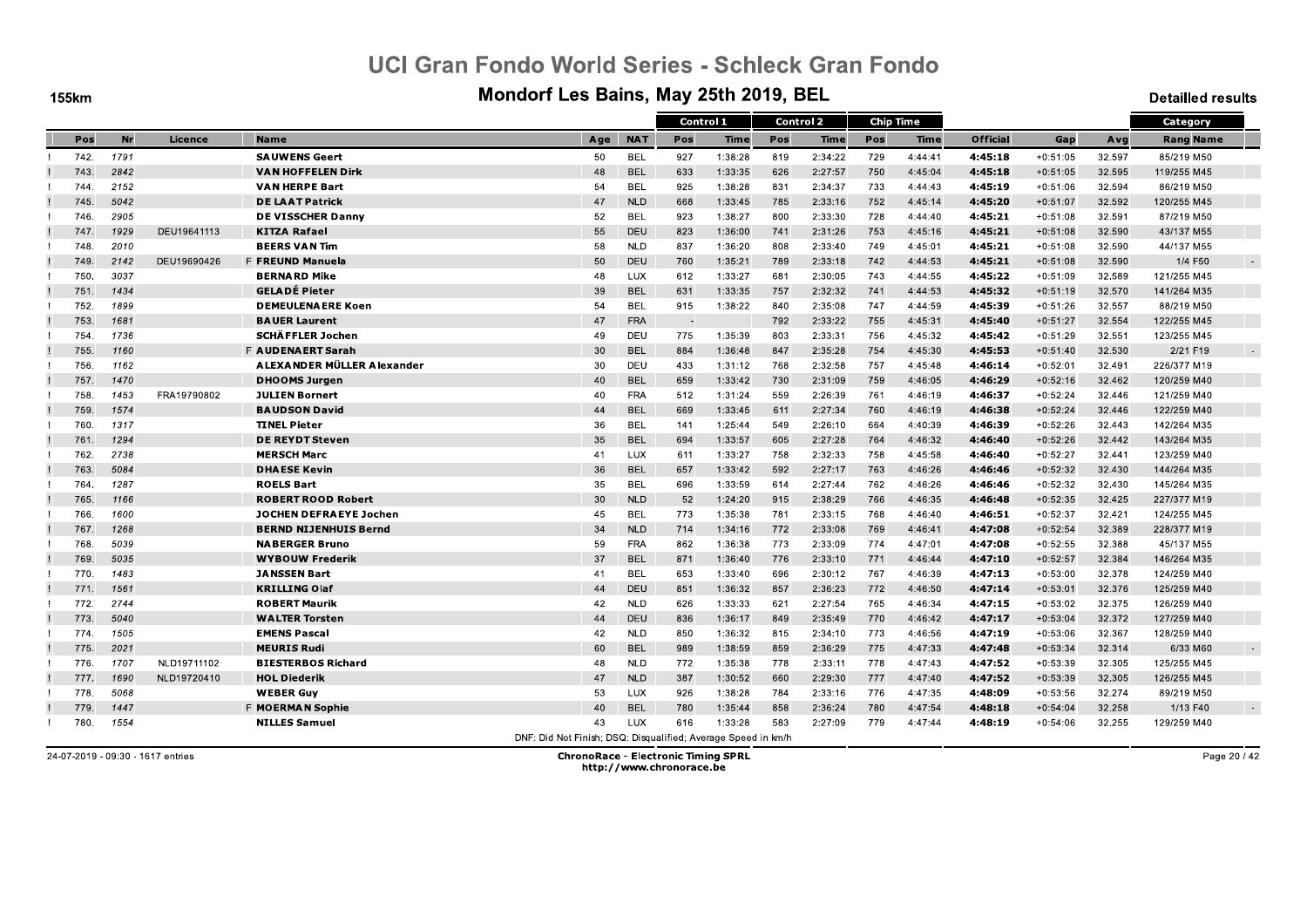**155km** 

#### Mondorf Les Bains, May 25th 2019, BEL

**Detailled results** 

|      |      |             |                              |                                                               |            | Control 1 |         | <b>Control 2</b> |         |     | <b>Chip Time</b> |                 |            |        | Category         |        |
|------|------|-------------|------------------------------|---------------------------------------------------------------|------------|-----------|---------|------------------|---------|-----|------------------|-----------------|------------|--------|------------------|--------|
| Pos  | Nr   | Licence     | Name                         | Age                                                           | <b>NAT</b> | Pos       | Time    | Pos              | Time    | Pos | Time             | <b>Official</b> | Gap        | Avg    | <b>Rang Name</b> |        |
| 742. | 1791 |             | <b>SAUWENS Geert</b>         | 50                                                            | <b>BEL</b> | 927       | 1:38:28 | 819              | 2:34:22 | 729 | 4:44:41          | 4:45:18         | $+0:51:05$ | 32.597 | 85/219 M50       |        |
| 743. | 2842 |             | <b>VAN HOFFELEN Dirk</b>     | 48                                                            | <b>BEL</b> | 633       | 1:33:35 | 626              | 2:27:57 | 750 | 4:45:04          | 4:45:18         | $+0:51:05$ | 32.595 | 119/255 M45      |        |
| 744. | 2152 |             | <b>VAN HERPE Bart</b>        | 54                                                            | <b>BEL</b> | 925       | 1:38:28 | 831              | 2:34:37 | 733 | 4:44:43          | 4:45:19         | $+0:51:06$ | 32.594 | 86/219 M50       |        |
| 745. | 5042 |             | <b>DE LAAT Patrick</b>       | 47                                                            | <b>NLD</b> | 668       | 1:33:45 | 785              | 2:33:16 | 752 | 4:45:14          | 4:45:20         | $+0:51:07$ | 32.592 | 120/255 M45      |        |
| 746. | 2905 |             | <b>DE VISSCHER Danny</b>     | 52                                                            | <b>BEL</b> | 923       | 1:38:27 | 800              | 2:33:30 | 728 | 4:44:40          | 4.45:21         | $+0:51:08$ | 32.591 | 87/219 M50       |        |
| 747. | 1929 | DEU19641113 | KITZA Rafael                 | 55                                                            | DEU        | 823       | 1:36:00 | 741              | 2:31:26 | 753 | 4:45:16          | 4:45:21         | $+0:51:08$ | 32.590 | 43/137 M55       |        |
| 748. | 2010 |             | <b>BEERS VAN Tim</b>         | 58                                                            | <b>NLD</b> | 837       | 1:36:20 | 808              | 2:33:40 | 749 | 4:45:01          | 4.45:21         | $+0:51:08$ | 32.590 | 44/137 M55       |        |
| 749. | 2142 | DEU19690426 | F FREUND Manuela             | 50                                                            | DEU        | 760       | 1:35:21 | 789              | 2:33:18 | 742 | 4:44:53          | 4:45:21         | $+0:51:08$ | 32.590 | 1/4 F50          | $\sim$ |
| 750. | 3037 |             | <b>BERNARD Mike</b>          | 48                                                            | LUX        | 612       | 1:33:27 | 681              | 2:30:05 | 743 | 4:44:55          | 4:45:22         | $+0:51:09$ | 32.589 | 121/255 M45      |        |
| 751  | 1434 |             | <b>GELADE Pieter</b>         | 39                                                            | <b>BEL</b> | 631       | 1:33:35 | 757              | 2:32:32 | 741 | 4:44:53          | 4:45:32         | $+0:51:19$ | 32.570 | 141/264 M35      |        |
| 752. | 1899 |             | <b>DEMEULENAERE Koen</b>     | 54                                                            | <b>BEL</b> | 915       | 1:38:22 | 840              | 2:35:08 | 747 | 4:44:59          | 4:45:39         | $+0:51:26$ | 32.557 | 88/219 M50       |        |
| 753. | 1681 |             | <b>BAUER Laurent</b>         | 47                                                            | <b>FRA</b> |           |         | 792              | 2:33:22 | 755 | 4:45:31          | 4:45:40         | $+0:51:27$ | 32.554 | 122/255 M45      |        |
| 754. | 1736 |             | <b>SCHÄFFLER Jochen</b>      | 49                                                            | DEU        | 775       | 1:35:39 | 803              | 2:33:31 | 756 | 4:45:32          | 4:45:42         | $+0:51:29$ | 32.551 | 123/255 M45      |        |
| 755. | 1160 |             | F AUDENAERT Sarah            | 30                                                            | <b>BEL</b> | 884       | 1:36:48 | 847              | 2:35:28 | 754 | 4:45:30          | 4.45.53         | $+0:51:40$ | 32.530 | 2/21 F19         | $\sim$ |
| 756. | 1162 |             | ALEXANDER MÜLLER Alexander   | 30                                                            | DEU        | 433       | 1:31:12 | 768              | 2:32:58 | 757 | 4:45:48          | 4:46:14         | $+0:52:01$ | 32.491 | 226/377 M19      |        |
| 757. | 1470 |             | <b>DHOOMS Jurgen</b>         | 40                                                            | <b>BEL</b> | 659       | 1:33:42 | 730              | 2:31:09 | 759 | 4:46:05          | 4:46:29         | $+0:52:16$ | 32.462 | 120/259 M40      |        |
| 758. | 1453 | FRA19790802 | <b>JULIEN Bornert</b>        | 40                                                            | <b>FRA</b> | 512       | 1:31:24 | 559              | 2:26:39 | 761 | 4:46:19          | 4:46:37         | $+0:52:24$ | 32.446 | 121/259 M40      |        |
| 759. | 1574 |             | <b>BAUDSON David</b>         | 44                                                            | <b>BEL</b> | 669       | 1:33:45 | 611              | 2:27:34 | 760 | 4:46:19          | 4:46:38         | $+0:52:24$ | 32.446 | 122/259 M40      |        |
| 760. | 1317 |             | <b>TINEL Pieter</b>          | 36                                                            | <b>BEL</b> | 141       | 1:25:44 | 549              | 2:26:10 | 664 | 4:40:39          | 4:46:39         | $+0:52:26$ | 32.443 | 142/264 M35      |        |
| 761  | 1294 |             | <b>DE REYDT Steven</b>       | 35                                                            | <b>BEL</b> | 694       | 1:33:57 | 605              | 2:27:28 | 764 | 4:46:32          | 4:46:40         | $+0:52:26$ | 32.442 | 143/264 M35      |        |
| 762. | 2738 |             | <b>MERSCH Marc</b>           | 41                                                            | <b>LUX</b> | 611       | 1:33:27 | 758              | 2:32:33 | 758 | 4:45:58          | 4:46:40         | $+0:52:27$ | 32.441 | 123/259 M40      |        |
| 763. | 5084 |             | <b>DHAESE Kevin</b>          | 36                                                            | <b>BEL</b> | 657       | 1:33:42 | 592              | 2:27:17 | 763 | 4:46:26          | 4:46:46         | $+0:52:32$ | 32.430 | 144/264 M35      |        |
| 764. | 1287 |             | <b>ROELS Bart</b>            | 35                                                            | <b>BEL</b> | 696       | 1:33:59 | 614              | 2:27:44 | 762 | 4:46:26          | 4.46.46         | $+0:52:32$ | 32.430 | 145/264 M35      |        |
| 765. | 1166 |             | <b>ROBERT ROOD Robert</b>    | 30                                                            | <b>NLD</b> | 52        | 1:24:20 | 915              | 2:38:29 | 766 | 4:46:35          | 4:46:48         | $+0:52:35$ | 32.425 | 227/377 M19      |        |
| 766. | 1600 |             | JOCHEN DEFRAEYE Jochen       | 45                                                            | <b>BEL</b> | 773       | 1:35:38 | 781              | 2:33:15 | 768 | 4:46:40          | 4:46:51         | $+0:52:37$ | 32.421 | 124/255 M45      |        |
| 767  | 1268 |             | <b>BERND NIJENHUIS Bernd</b> | 34                                                            | <b>NLD</b> | 714       | 1:34:16 | 772              | 2:33:08 | 769 | 4:46:41          | 4:47:08         | $+0:52:54$ | 32.389 | 228/377 M19      |        |
| 768. | 5039 |             | <b>NABERGER Bruno</b>        | 59                                                            | <b>FRA</b> | 862       | 1:36:38 | 773              | 2:33:09 | 774 | 4:47:01          | 4:47:08         | $+0:52:55$ | 32.388 | 45/137 M55       |        |
| 769. | 5035 |             | <b>WYBOUW Frederik</b>       | 37                                                            | <b>BEL</b> | 871       | 1:36:40 | 776              | 2:33:10 | 771 | 4:46:44          | 4.47:10         | $+0:52:57$ | 32.384 | 146/264 M35      |        |
| 770. | 1483 |             | <b>JANSSEN Bart</b>          | 41                                                            | <b>BEL</b> | 653       | 1:33:40 | 696              | 2:30:12 | 767 | 4:46:39          | 4:47:13         | $+0:53:00$ | 32.378 | 124/259 M40      |        |
| 771  | 1561 |             | <b>KRILLING Olaf</b>         | 44                                                            | DEU        | 851       | 1:36:32 | 857              | 2:36:23 | 772 | 4:46:50          | 4:47:14         | $+0:53:01$ | 32.376 | 125/259 M40      |        |
| 772. | 2744 |             | <b>ROBERT Maurik</b>         | 42                                                            | <b>NLD</b> | 626       | 1:33:33 | 621              | 2:27:54 | 765 | 4:46:34          | 4:47:15         | $+0:53:02$ | 32.375 | 126/259 M40      |        |
| 773. | 5040 |             | <b>WALTER Torsten</b>        | 44                                                            | DEU        | 836       | 1:36:17 | 849              | 2:35:49 | 770 | 4:46:42          | 4.47:17         | $+0:53:04$ | 32.372 | 127/259 M40      |        |
| 774. | 1505 |             | <b>EMENS Pascal</b>          | 42                                                            | <b>NLD</b> | 850       | 1:36:32 | 815              | 2:34:10 | 773 | 4:46:56          | 4:47:19         | $+0:53:06$ | 32.367 | 128/259 M40      |        |
| 775. | 2021 |             | <b>MEURIS Rudi</b>           | 60                                                            | <b>BEL</b> | 989       | 1:38:59 | 859              | 2:36:29 | 775 | 4:47:33          | 4:47:48         | $+0:53:34$ | 32.314 | 6/33 M60         | $\sim$ |
| 776. | 1707 | NLD19711102 | <b>BIESTERBOS Richard</b>    | 48                                                            | <b>NLD</b> | 772       | 1:35:38 | 778              | 2:33:11 | 778 | 4:47:43          | 4:47:52         | $+0:53:39$ | 32.305 | 125/255 M45      |        |
| 777. | 1690 | NLD19720410 | <b>HOL Diederik</b>          | 47                                                            | <b>NLD</b> | 387       | 1:30:52 | 660              | 2:29:30 | 777 | 4:47:40          | 4:47:52         | $+0:53:39$ | 32.305 | 126/255 M45      |        |
| 778. | 5068 |             | <b>WEBER Guy</b>             | 53                                                            | <b>LUX</b> | 926       | 1:38:28 | 784              | 2:33:16 | 776 | 4:47:35          | 4.48:09         | $+0:53:56$ | 32.274 | 89/219 M50       |        |
| 779. | 1447 |             | F MOERMAN Sophie             | 40                                                            | <b>BEL</b> | 780       | 1:35:44 | 858              | 2:36:24 | 780 | 4:47:54          | 4:48:18         | $+0:54:04$ | 32.258 | 1/13 F40         | $\sim$ |
| 780. | 1554 |             | <b>NILLES Samuel</b>         | 43                                                            | <b>LUX</b> | 616       | 1:33:28 | 583              | 2:27:09 | 779 | 4:47:44          | 4.48.19         | $+0:54:06$ | 32.255 | 129/259 M40      |        |
|      |      |             |                              | DNE: Did Not Finish: DSO: Disqualified: Average Speed in km/h |            |           |         |                  |         |     |                  |                 |            |        |                  |        |

24-07-2019 - 09:30 - 1617 entries

**ChronoRace - Electronic Timing SPRL** http://www.chronorace.be

Page 20 / 42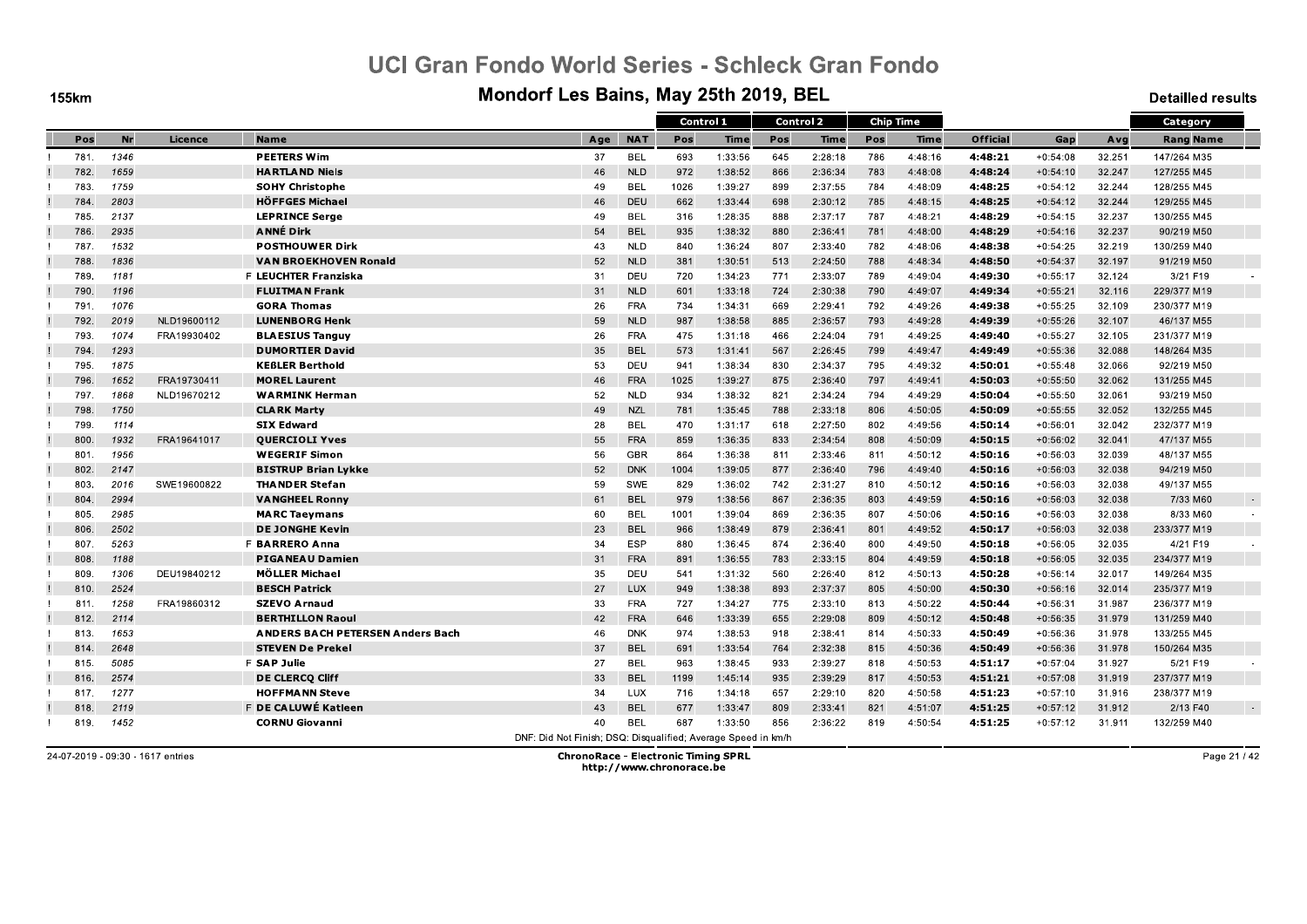**155km** 

#### Mondorf Les Bains, May 25th 2019, BEL

**Detailled results** 

|      |      |             |                                         |                                                               |            | Control 1 |         |     | <b>Control 2</b> | <b>Chip Time</b> |         |                 |            |        | Category         |        |
|------|------|-------------|-----------------------------------------|---------------------------------------------------------------|------------|-----------|---------|-----|------------------|------------------|---------|-----------------|------------|--------|------------------|--------|
| Pos  | Nr   | Licence     | <b>Name</b>                             | Age                                                           | <b>NAT</b> | Pos       | Time    | Pos | Time             | Pos              | Time    | <b>Official</b> | Gap        | Avg    | <b>Rang Name</b> |        |
| 781. | 1346 |             | <b>PEETERS Wim</b>                      | 37                                                            | <b>BEL</b> | 693       | 1:33:56 | 645 | 2:28:18          | 786              | 4:48:16 | 4:48:21         | $+0:54:08$ | 32.251 | 147/264 M35      |        |
| 782. | 1659 |             | <b>HARTLAND Niels</b>                   | 46                                                            | <b>NLD</b> | 972       | 1:38:52 | 866 | 2:36:34          | 783              | 4:48:08 | 4:48:24         | $+0:54:10$ | 32.247 | 127/255 M45      |        |
| 783. | 1759 |             | <b>SOHY Christophe</b>                  | 49                                                            | <b>BEL</b> | 1026      | 1:39:27 | 899 | 2:37:55          | 784              | 4:48:09 | 4:48:25         | $+0:54:12$ | 32.244 | 128/255 M45      |        |
| 784  | 2803 |             | <b>HÖFFGES Michael</b>                  | 46                                                            | DEU        | 662       | 1:33:44 | 698 | 2:30:12          | 785              | 4:48:15 | 4:48:25         | $+0:54:12$ | 32.244 | 129/255 M45      |        |
| 785. | 2137 |             | <b>LEPRINCE Serge</b>                   | 49                                                            | <b>BEL</b> | 316       | 1:28:35 | 888 | 2:37:17          | 787              | 4:48:21 | 4:48:29         | $+0:54:15$ | 32.237 | 130/255 M45      |        |
| 786. | 2935 |             | <b>ANNE Dirk</b>                        | 54                                                            | <b>BEL</b> | 935       | 1:38:32 | 880 | 2:36:41          | 781              | 4:48:00 | 4:48:29         | $+0:54:16$ | 32.237 | 90/219 M50       |        |
| 787. | 1532 |             | <b>POSTHOUWER Dirk</b>                  | 43                                                            | <b>NLD</b> | 840       | 1:36:24 | 807 | 2:33:40          | 782              | 4:48:06 | 4:48:38         | $+0:54:25$ | 32.219 | 130/259 M40      |        |
| 788. | 1836 |             | <b>VAN BROEKHOVEN Ronald</b>            | 52                                                            | <b>NLD</b> | 381       | 1:30:51 | 513 | 2:24:50          | 788              | 4:48:34 | 4:48:50         | $+0:54:37$ | 32.197 | 91/219 M50       |        |
| 789. | 1181 |             | <b>F LEUCHTER Franziska</b>             | 31                                                            | DEU        | 720       | 1:34:23 | 771 | 2:33:07          | 789              | 4:49:04 | 4:49:30         | $+0:55:17$ | 32.124 | 3/21 F19         |        |
| 790. | 1196 |             | <b>FLUITMAN Frank</b>                   | 31                                                            | <b>NLD</b> | 601       | 1:33:18 | 724 | 2:30:38          | 790              | 4:49:07 | 4:49:34         | $+0:55:21$ | 32.116 | 229/377 M19      |        |
| 791. | 1076 |             | <b>GORA Thomas</b>                      | 26                                                            | <b>FRA</b> | 734       | 1:34:31 | 669 | 2:29:41          | 792              | 4:49:26 | 4:49:38         | $+0:55:25$ | 32.109 | 230/377 M19      |        |
| 792. | 2019 | NLD19600112 | <b>LUNENBORG Henk</b>                   | 59                                                            | <b>NLD</b> | 987       | 1:38:58 | 885 | 2:36:57          | 793              | 4:49:28 | 4:49:39         | $+0:55:26$ | 32.107 | 46/137 M55       |        |
| 793  | 1074 | FRA19930402 | <b>BLAESIUS Tanguy</b>                  | 26                                                            | <b>FRA</b> | 475       | 1:31:18 | 466 | 2:24:04          | 791              | 4:49:25 | 4:49:40         | $+0:55:27$ | 32.105 | 231/377 M19      |        |
| 794. | 1293 |             | <b>DUMORTIER David</b>                  | 35                                                            | <b>BEL</b> | 573       | 1:31:41 | 567 | 2:26:45          | 799              | 4:49:47 | 4.49.49         | $+0:55:36$ | 32.088 | 148/264 M35      |        |
| 795. | 1875 |             | <b>KEBLER Berthold</b>                  | 53                                                            | DEU        | 941       | 1:38:34 | 830 | 2:34:37          | 795              | 4:49:32 | 4:50:01         | $+0:55:48$ | 32.066 | 92/219 M50       |        |
| 796. | 1652 | FRA19730411 | <b>MOREL Laurent</b>                    | 46                                                            | <b>FRA</b> | 1025      | 1:39:27 | 875 | 2:36:40          | 797              | 4:49:41 | 4.50.03         | $+0:55:50$ | 32.062 | 131/255 M45      |        |
| 797. | 1868 | NLD19670212 | <b>WARMINK Herman</b>                   | 52                                                            | <b>NLD</b> | 934       | 1:38:32 | 821 | 2:34:24          | 794              | 4:49:29 | 4:50:04         | $+0:55:50$ | 32.061 | 93/219 M50       |        |
| 798. | 1750 |             | <b>CLARK Marty</b>                      | 49                                                            | <b>NZL</b> | 781       | 1:35:45 | 788 | 2:33:18          | 806              | 4:50:05 | 4:50:09         | $+0:55:55$ | 32.052 | 132/255 M45      |        |
| 799. | 1114 |             | <b>SIX Edward</b>                       | 28                                                            | <b>BEL</b> | 470       | 1:31:17 | 618 | 2:27:50          | 802              | 4:49:56 | 4:50:14         | $+0:56:01$ | 32.042 | 232/377 M19      |        |
| 800. | 1932 | FRA19641017 | <b>QUERCIOLI Yves</b>                   | 55                                                            | <b>FRA</b> | 859       | 1:36:35 | 833 | 2:34:54          | 808              | 4:50:09 | 4:50:15         | $+0:56:02$ | 32.041 | 47/137 M55       |        |
| 801  | 1956 |             | <b>WEGERIF Simon</b>                    | 56                                                            | <b>GBR</b> | 864       | 1:36:38 | 811 | 2:33:46          | 811              | 4:50:12 | 4.50:16         | $+0:56:03$ | 32.039 | 48/137 M55       |        |
| 802. | 2147 |             | <b>BISTRUP Brian Lykke</b>              | 52                                                            | <b>DNK</b> | 1004      | 1:39:05 | 877 | 2:36:40          | 796              | 4:49:40 | 4:50:16         | $+0:56:03$ | 32.038 | 94/219 M50       |        |
| 803. | 2016 | SWE19600822 | <b>THANDER Stefan</b>                   | 59                                                            | SWE        | 829       | 1:36:02 | 742 | 2:31:27          | 810              | 4:50:12 | 4.50.16         | $+0:56:03$ | 32.038 | 49/137 M55       |        |
| 804  | 2994 |             | <b>VANGHEEL Ronny</b>                   | 61                                                            | <b>BEL</b> | 979       | 1:38:56 | 867 | 2:36:35          | 803              | 4:49:59 | 4:50:16         | $+0:56:03$ | 32.038 | 7/33 M60         | $\sim$ |
| 805. | 2985 |             | <b>MARC Taeymans</b>                    | 60                                                            | <b>BEL</b> | 1001      | 1:39:04 | 869 | 2:36:35          | 807              | 4:50:06 | 4:50:16         | $+0:56:03$ | 32.038 | 8/33 M60         |        |
| 806. | 2502 |             | <b>DE JONGHE Kevin</b>                  | 23                                                            | <b>BEL</b> | 966       | 1:38:49 | 879 | 2:36:41          | 801              | 4:49:52 | 4:50:17         | $+0:56:03$ | 32.038 | 233/377 M19      |        |
| 807. | 5263 |             | F BARRERO Anna                          | 34                                                            | <b>ESP</b> | 880       | 1:36:45 | 874 | 2:36:40          | 800              | 4:49:50 | 4:50:18         | $+0:56:05$ | 32.035 | 4/21 F19         |        |
| 808. | 1188 |             | <b>PIGANEAU Damien</b>                  | 31                                                            | <b>FRA</b> | 891       | 1:36:55 | 783 | 2:33:15          | 804              | 4:49:59 | 4:50:18         | $+0:56:05$ | 32.035 | 234/377 M19      |        |
| 809. | 1306 | DEU19840212 | <b>MÖLLER Michael</b>                   | 35                                                            | DEU        | 541       | 1:31:32 | 560 | 2:26:40          | 812              | 4:50:13 | 4:50:28         | $+0:56:14$ | 32.017 | 149/264 M35      |        |
| 810. | 2524 |             | <b>BESCH Patrick</b>                    | 27                                                            | LUX        | 949       | 1:38:38 | 893 | 2:37:37          | 805              | 4:50:00 | 4:50:30         | $+0:56:16$ | 32.014 | 235/377 M19      |        |
| 811. | 1258 | FRA19860312 | <b>SZEVO Arnaud</b>                     | 33                                                            | <b>FRA</b> | 727       | 1:34:27 | 775 | 2:33:10          | 813              | 4:50:22 | 4:50:44         | $+0:56:31$ | 31.987 | 236/377 M19      |        |
| 812. | 2114 |             | <b>BERTHILLON Raoul</b>                 | 42                                                            | <b>FRA</b> | 646       | 1:33:39 | 655 | 2:29:08          | 809              | 4:50:12 | 4:50:48         | $+0:56:35$ | 31.979 | 131/259 M40      |        |
| 813. | 1653 |             | <b>ANDERS BACH PETERSEN Anders Bach</b> | 46                                                            | <b>DNK</b> | 974       | 1:38:53 | 918 | 2:38:41          | 814              | 4:50:33 | 4:50:49         | $+0:56:36$ | 31.978 | 133/255 M45      |        |
| 814. | 2648 |             | <b>STEVEN De Prekel</b>                 | 37                                                            | <b>BEL</b> | 691       | 1:33:54 | 764 | 2:32:38          | 815              | 4:50:36 | 4:50:49         | $+0:56:36$ | 31.978 | 150/264 M35      |        |
| 815. | 5085 |             | F SAP Julie                             | 27                                                            | <b>BEL</b> | 963       | 1:38:45 | 933 | 2:39:27          | 818              | 4:50:53 | 4:51:17         | $+0:57:04$ | 31.927 | 5/21 F19         |        |
| 816. | 2574 |             | DE CLERCQ Cliff                         | 33                                                            | <b>BEL</b> | 1199      | 1:45:14 | 935 | 2:39:29          | 817              | 4:50:53 | 4:51:21         | $+0:57:08$ | 31.919 | 237/377 M19      |        |
| 817. | 1277 |             | <b>HOFFMANN Steve</b>                   | 34                                                            | <b>LUX</b> | 716       | 1:34:18 | 657 | 2:29:10          | 820              | 4:50:58 | 4:51:23         | $+0:57:10$ | 31.916 | 238/377 M19      |        |
| 818. | 2119 |             | F DE CALUWÉ Katleen                     | 43                                                            | <b>BEL</b> | 677       | 1:33:47 | 809 | 2:33:41          | 821              | 4:51:07 | 4:51:25         | $+0:57:12$ | 31.912 | 2/13 F40         | $\sim$ |
| 819. | 1452 |             | <b>CORNU Giovanni</b>                   | 40                                                            | <b>BEL</b> | 687       | 1:33:50 | 856 | 2:36:22          | 819              | 4:50:54 | 4.51.25         | $+0:57:12$ | 31.911 | 132/259 M40      |        |
|      |      |             |                                         | DNF: Did Not Finish; DSQ: Disqualified; Average Speed in km/h |            |           |         |     |                  |                  |         |                 |            |        |                  |        |

24-07-2019 - 09:30 - 1617 entries

**ChronoRace - Electronic Timing SPRL** http://www.chronorace.be

Page 21 / 42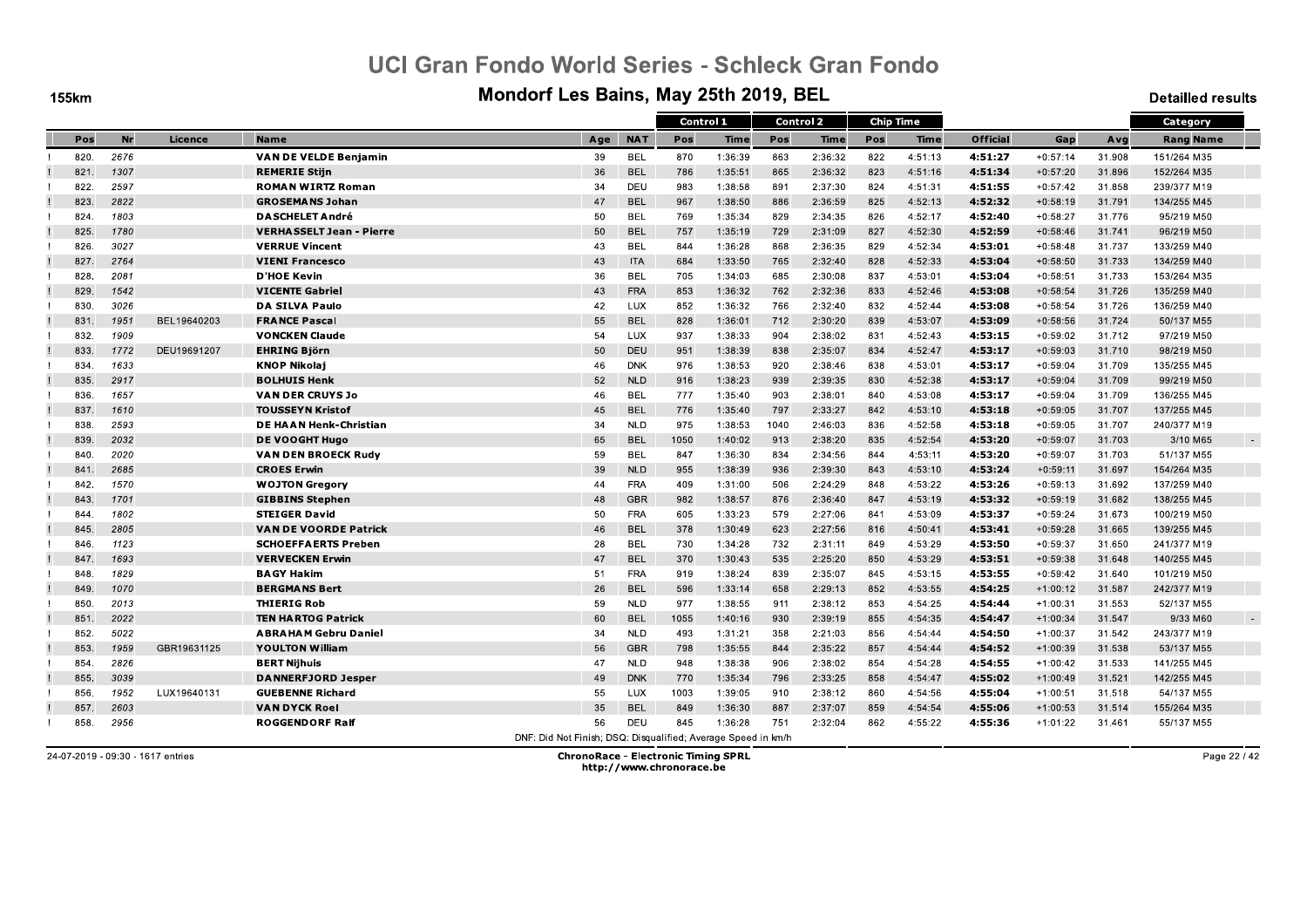**155km** 

#### Mondorf Les Bains, May 25th 2019, BEL

**Detailled results** 

|      |           |             |                                 |                                                               |            |      | Control 1   |      | <b>Control 2</b> |     | <b>Chip Time</b> |                 |            |        | Category           |
|------|-----------|-------------|---------------------------------|---------------------------------------------------------------|------------|------|-------------|------|------------------|-----|------------------|-----------------|------------|--------|--------------------|
| Pos  | <b>Nr</b> | Licence     | <b>Name</b>                     | Age                                                           | <b>NAT</b> | Pos  | <b>Time</b> | Pos  | <b>Time</b>      | Pos | <b>Time</b>      | <b>Official</b> | Gap        | Avg    | <b>Rang Name</b>   |
| 820. | 2676      |             | <b>VAN DE VELDE Benjamin</b>    | 39                                                            | <b>BEL</b> | 870  | 1:36:39     | 863  | 2:36:32          | 822 | 4:51:13          | 4:51:27         | $+0:57:14$ | 31.908 | 151/264 M35        |
| 821. | 1307      |             | <b>REMERIE Stiin</b>            | 36                                                            | <b>BEL</b> | 786  | 1:35:51     | 865  | 2:36:32          | 823 | 4:51:16          | 4:51:34         | $+0:57:20$ | 31.896 | 152/264 M35        |
| 822. | 2597      |             | <b>ROMAN WIRTZ Roman</b>        | 34                                                            | DEU        | 983  | 1:38:58     | 891  | 2:37:30          | 824 | 4:51:31          | 4:51:55         | $+0:57:42$ | 31.858 | 239/377 M19        |
| 823. | 2822      |             | <b>GROSEMANS Johan</b>          | 47                                                            | <b>BEL</b> | 967  | 1:38:50     | 886  | 2:36:59          | 825 | 4:52:13          | 4:52:32         | $+0:58:19$ | 31.791 | 134/255 M45        |
| 824. | 1803      |             | <b>DASCHELET André</b>          | 50                                                            | BEL        | 769  | 1:35:34     | 829  | 2:34:35          | 826 | 4:52:17          | 4:52:40         | $+0:58:27$ | 31.776 | 95/219 M50         |
| 825. | 1780      |             | <b>VERHASSELT Jean - Pierre</b> | 50                                                            | <b>BEL</b> | 757  | 1:35:19     | 729  | 2:31:09          | 827 | 4:52:30          | 4:52:59         | $+0:58:46$ | 31.741 | 96/219 M50         |
| 826. | 3027      |             | <b>VERRUE Vincent</b>           | 43                                                            | <b>BEL</b> | 844  | 1:36:28     | 868  | 2:36:35          | 829 | 4:52:34          | 4:53:01         | $+0:58:48$ | 31.737 | 133/259 M40        |
| 827. | 2764      |             | <b>VIENI Francesco</b>          | 43                                                            | <b>ITA</b> | 684  | 1:33:50     | 765  | 2:32:40          | 828 | 4:52:33          | 4:53:04         | $+0:58:50$ | 31.733 | 134/259 M40        |
| 828  | 2081      |             | <b>D'HOE Kevin</b>              | 36                                                            | <b>BEL</b> | 705  | 1:34:03     | 685  | 2:30:08          | 837 | 4:53:01          | 4:53:04         | $+0:58:51$ | 31.733 | 153/264 M35        |
| 829. | 1542      |             | <b>VICENTE Gabriel</b>          | 43                                                            | <b>FRA</b> | 853  | 1:36:32     | 762  | 2:32:36          | 833 | 4:52:46          | 4:53:08         | $+0:58:54$ | 31.726 | 135/259 M40        |
| 830. | 3026      |             | <b>DA SILVA Paulo</b>           | 42                                                            | LUX        | 852  | 1:36:32     | 766  | 2:32:40          | 832 | 4:52:44          | 4:53:08         | $+0:58:54$ | 31.726 | 136/259 M40        |
| 831. | 1951      | BEL19640203 | <b>FRANCE Pascal</b>            | 55                                                            | <b>BEL</b> | 828  | 1:36:01     | 712  | 2:30:20          | 839 | 4:53:07          | 4:53:09         | $+0:58:56$ | 31.724 | 50/137 M55         |
| 832. | 1909      |             | <b>VONCKEN Claude</b>           | 54                                                            | <b>LUX</b> | 937  | 1:38:33     | 904  | 2:38:02          | 831 | 4:52:43          | 4:53:15         | $+0:59:02$ | 31.712 | 97/219 M50         |
| 833. | 1772      | DEU19691207 | <b>EHRING Björn</b>             | 50                                                            | DEU        | 951  | 1:38:39     | 838  | 2:35:07          | 834 | 4:52:47          | 4.53.17         | $+0:59:03$ | 31.710 | 98/219 M50         |
| 834. | 1633      |             | <b>KNOP Nikolaj</b>             | 46                                                            | <b>DNK</b> | 976  | 1:38:53     | 920  | 2:38:46          | 838 | 4:53:01          | 4:53:17         | $+0:59:04$ | 31.709 | 135/255 M45        |
| 835. | 2917      |             | <b>BOLHUIS Henk</b>             | 52                                                            | <b>NLD</b> | 916  | 1:38:23     | 939  | 2:39:35          | 830 | 4:52:38          | 4:53:17         | $+0:59:04$ | 31.709 | 99/219 M50         |
| 836. | 1657      |             | <b>VAN DER CRUYS Jo</b>         | 46                                                            | <b>BEL</b> | 777  | 1:35:40     | 903  | 2:38:01          | 840 | 4:53:08          | 4:53:17         | $+0:59:04$ | 31.709 | 136/255 M45        |
| 837. | 1610      |             | <b>TOUSSEYN Kristof</b>         | 45                                                            | <b>BEL</b> | 776  | 1:35:40     | 797  | 2:33:27          | 842 | 4:53:10          | 4:53:18         | $+0:59:05$ | 31.707 | 137/255 M45        |
| 838. | 2593      |             | DE HAAN Henk-Christian          | -34                                                           | <b>NLD</b> | 975  | 1:38:53     | 1040 | 2:46:03          | 836 | 4:52:58          | 4:53:18         | $+0:59:05$ | 31.707 | 240/377 M19        |
| 839. | 2032      |             | <b>DE VOOGHT Hugo</b>           | 65                                                            | <b>BEL</b> | 1050 | 1:40:02     | 913  | 2:38:20          | 835 | 4:52:54          | 4:53:20         | $+0:59:07$ | 31.703 | 3/10 M65<br>$\sim$ |
| 840. | 2020      |             | VAN DEN BROECK Rudy             | 59                                                            | <b>BEL</b> | 847  | 1:36:30     | 834  | 2:34:56          | 844 | 4:53:11          | 4:53:20         | $+0:59:07$ | 31.703 | 51/137 M55         |
| 841  | 2685      |             | <b>CROES Erwin</b>              | 39                                                            | <b>NLD</b> | 955  | 1:38:39     | 936  | 2:39:30          | 843 | 4:53:10          | 4:53:24         | $+0:59:11$ | 31.697 | 154/264 M35        |
| 842. | 1570      |             | <b>WOJTON Gregory</b>           | 44                                                            | <b>FRA</b> | 409  | 1:31:00     | 506  | 2:24:29          | 848 | 4:53:22          | 4.53.26         | $+0:59:13$ | 31.692 | 137/259 M40        |
| 843. | 1701      |             | <b>GIBBINS Stephen</b>          | 48                                                            | <b>GBR</b> | 982  | 1:38:57     | 876  | 2:36:40          | 847 | 4:53:19          | 4:53:32         | $+0:59:19$ | 31.682 | 138/255 M45        |
| 844. | 1802      |             | <b>STEIGER David</b>            | 50                                                            | <b>FRA</b> | 605  | 1:33:23     | 579  | 2:27:06          | 841 | 4:53:09          | 4:53:37         | $+0:59:24$ | 31.673 | 100/219 M50        |
| 845. | 2805      |             | <b>VAN DE VOORDE Patrick</b>    | 46                                                            | <b>BEL</b> | 378  | 1:30:49     | 623  | 2:27:56          | 816 | 4:50:41          | 4:53:41         | $+0:59:28$ | 31.665 | 139/255 M45        |
| 846. | 1123      |             | <b>SCHOEFFAERTS Preben</b>      | 28                                                            | <b>BEL</b> | 730  | 1:34:28     | 732  | 2:31:11          | 849 | 4:53:29          | 4:53:50         | $+0:59:37$ | 31.650 | 241/377 M19        |
| 847. | 1693      |             | <b>VERVECKEN Erwin</b>          | 47                                                            | <b>BEL</b> | 370  | 1:30:43     | 535  | 2:25:20          | 850 | 4:53:29          | 4:53:51         | $+0:59:38$ | 31.648 | 140/255 M45        |
| 848. | 1829      |             | <b>BAGY Hakim</b>               | 51                                                            | <b>FRA</b> | 919  | 1:38:24     | 839  | 2:35:07          | 845 | 4:53:15          | 4:53:55         | $+0:59:42$ | 31.640 | 101/219 M50        |
| 849. | 1070      |             | <b>BERGMANS Bert</b>            | 26                                                            | <b>BEL</b> | 596  | 1:33:14     | 658  | 2:29:13          | 852 | 4:53:55          | 4:54:25         | $+1:00:12$ | 31.587 | 242/377 M19        |
| 850. | 2013      |             | <b>THIERIG Rob</b>              | 59                                                            | <b>NLD</b> | 977  | 1:38:55     | 911  | 2:38:12          | 853 | 4:54:25          | 4:54:44         | $+1:00:31$ | 31.553 | 52/137 M55         |
| 851. | 2022      |             | <b>TEN HARTOG Patrick</b>       | 60                                                            | <b>BEL</b> | 1055 | 1:40:16     | 930  | 2:39:19          | 855 | 4:54:35          | 4:54:47         | $+1:00:34$ | 31.547 | 9/33 M60<br>$\sim$ |
| 852. | 5022      |             | <b>ABRAHAM Gebru Daniel</b>     | 34                                                            | <b>NLD</b> | 493  | 1:31:21     | 358  | 2:21:03          | 856 | 4:54:44          | 4:54:50         | $+1:00:37$ | 31.542 | 243/377 M19        |
| 853. | 1959      | GBR19631125 | <b>YOULTON William</b>          | 56                                                            | <b>GBR</b> | 798  | 1:35:55     | 844  | 2:35:22          | 857 | 4:54:44          | 4:54:52         | $+1:00:39$ | 31.538 | 53/137 M55         |
| 854  | 2826      |             | <b>BERT Nijhuis</b>             | 47                                                            | <b>NLD</b> | 948  | 1:38:38     | 906  | 2:38:02          | 854 | 4:54:28          | 4:54:55         | $+1:00:42$ | 31.533 | 141/255 M45        |
| 855. | 3039      |             | <b>DANNERFJORD Jesper</b>       | 49                                                            | <b>DNK</b> | 770  | 1:35:34     | 796  | 2:33:25          | 858 | 4:54:47          | 4:55:02         | $+1:00:49$ | 31.521 | 142/255 M45        |
| 856. | 1952      | LUX19640131 | <b>GUEBENNE Richard</b>         | 55                                                            | LUX        | 1003 | 1:39:05     | 910  | 2:38:12          | 860 | 4:54:56          | 4.55.04         | $+1:00:51$ | 31.518 | 54/137 M55         |
| 857  | 2603      |             | <b>VAN DYCK Roel</b>            | 35                                                            | <b>BEL</b> | 849  | 1:36:30     | 887  | 2:37:07          | 859 | 4:54:54          | 4:55:06         | $+1:00:53$ | 31.514 | 155/264 M35        |
| 858. | 2956      |             | <b>ROGGENDORF Ralf</b>          | 56                                                            | <b>DEU</b> | 845  | 1:36:28     | 751  | 2:32:04          | 862 | 4:55:22          | 4.55.36         | $+1:01:22$ | 31.461 | 55/137 M55         |
|      |           |             |                                 | DNE: Did Not Finish: DSO: Disqualified: Average Speed in km/h |            |      |             |      |                  |     |                  |                 |            |        |                    |

24-07-2019 - 09:30 - 1617 entries

**ChronoRace - Electronic Timing SPRL** http://www.chronorace.be

Page 22 / 42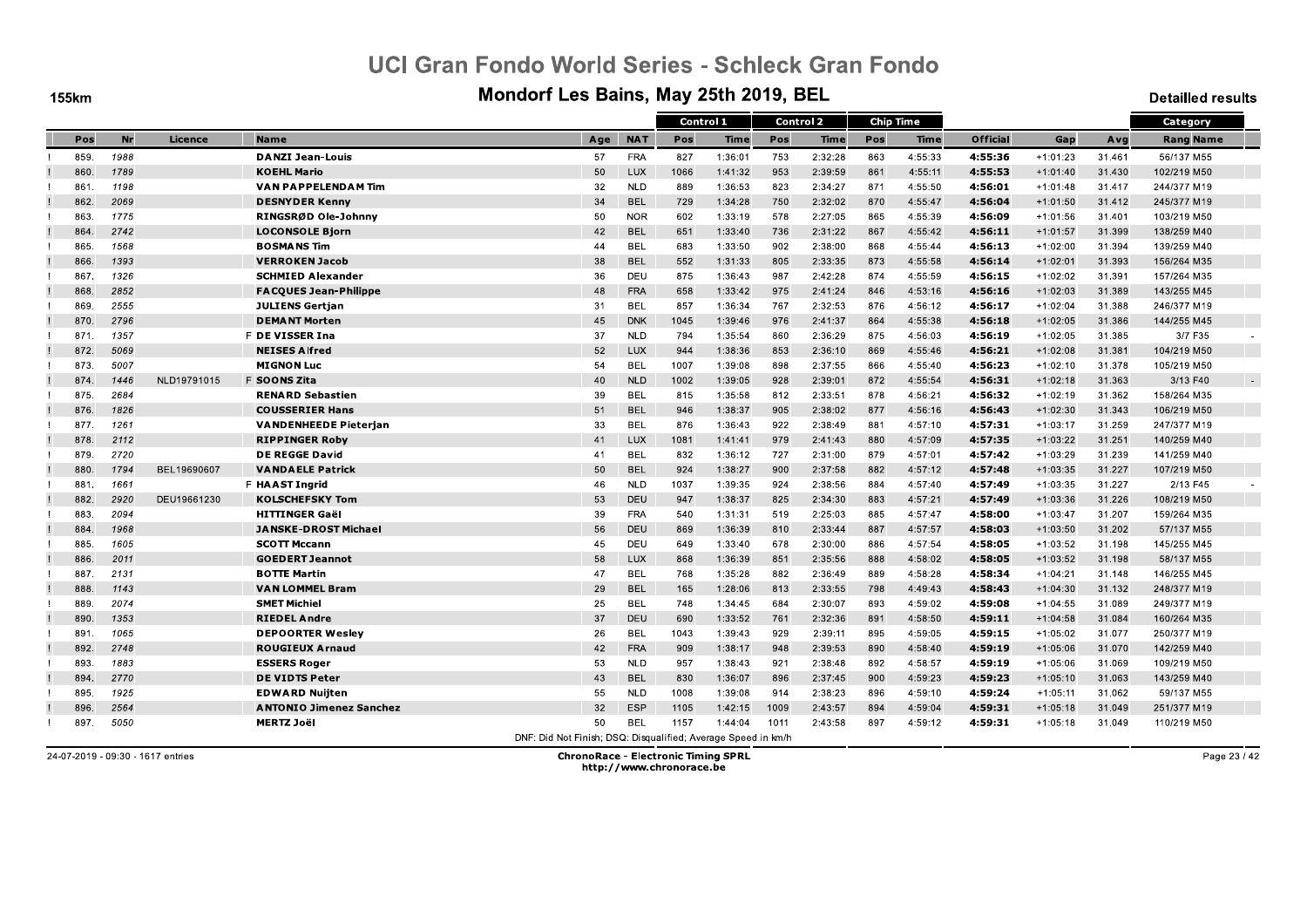**155km** 

#### Mondorf Les Bains, May 25th 2019, BEL

**Detailled results** 

|      |      |             |                                |                                                               |            | Control 1 |         | Control 2 |         |     | <b>Chip Time</b> |                 |            |        | Category         |  |
|------|------|-------------|--------------------------------|---------------------------------------------------------------|------------|-----------|---------|-----------|---------|-----|------------------|-----------------|------------|--------|------------------|--|
| Pos  | Nr   | Licence     | <b>Name</b>                    | Age                                                           | <b>NAT</b> | Pos       | Time    | Pos       | Time    | Pos | Time             | <b>Official</b> | Gap        | Avg    | <b>Rang Name</b> |  |
| 859. | 1988 |             | <b>DANZI Jean-Louis</b>        | 57                                                            | <b>FRA</b> | 827       | 1:36:01 | 753       | 2:32:28 | 863 | 4:55:33          | 4:55:36         | $+1:01:23$ | 31.461 | 56/137 M55       |  |
| 860  | 1789 |             | <b>KOEHL Mario</b>             | 50                                                            | <b>LUX</b> | 1066      | 1:41:32 | 953       | 2:39:59 | 861 | 4:55:11          | 4:55:53         | $+1:01:40$ | 31.430 | 102/219 M50      |  |
| 861  | 1198 |             | VAN PAPPELENDAM Tim            | 32                                                            | <b>NLD</b> | 889       | 1:36:53 | 823       | 2:34:27 | 871 | 4:55:50          | 4:56:01         | $+1:01:48$ | 31.417 | 244/377 M19      |  |
| 862  | 2069 |             | <b>DESNYDER Kenny</b>          | 34                                                            | <b>BEL</b> | 729       | 1:34:28 | 750       | 2:32:02 | 870 | 4:55:47          | 4:56:04         | $+1:01:50$ | 31.412 | 245/377 M19      |  |
| 863  | 1775 |             | RINGSRØD Ole-Johnny            | 50                                                            | <b>NOR</b> | 602       | 1:33:19 | 578       | 2:27:05 | 865 | 4:55:39          | 4:56:09         | $+1:01:56$ | 31.401 | 103/219 M50      |  |
| 864  | 2742 |             | <b>LOCONSOLE Bjorn</b>         | 42                                                            | <b>BEL</b> | 651       | 1:33:40 | 736       | 2:31:22 | 867 | 4:55:42          | 4:56:11         | $+1:01:57$ | 31.399 | 138/259 M40      |  |
| 865  | 1568 |             | <b>BOSMANS Tim</b>             | 44                                                            | <b>BEL</b> | 683       | 1:33:50 | 902       | 2:38:00 | 868 | 4:55:44          | 4:56:13         | $+1:02:00$ | 31.394 | 139/259 M40      |  |
| 866  | 1393 |             | <b>VERROKEN Jacob</b>          | 38                                                            | <b>BEL</b> | 552       | 1:31:33 | 805       | 2:33:35 | 873 | 4:55:58          | 4:56:14         | $+1:02:01$ | 31.393 | 156/264 M35      |  |
| 867  | 1326 |             | <b>SCHMIED Alexander</b>       | 36                                                            | DEU        | 875       | 1:36:43 | 987       | 2:42:28 | 874 | 4:55:59          | 4:56:15         | $+1:02:02$ | 31.391 | 157/264 M35      |  |
| 868  | 2852 |             | <b>FACQUES Jean-Philippe</b>   | 48                                                            | <b>FRA</b> | 658       | 1:33:42 | 975       | 2:41:24 | 846 | 4:53:16          | 4:56:16         | $+1:02:03$ | 31.389 | 143/255 M45      |  |
| 869  | 2555 |             | <b>JULIENS Gertjan</b>         | 31                                                            | <b>BEL</b> | 857       | 1:36:34 | 767       | 2:32:53 | 876 | 4:56:12          | 4:56:17         | $+1:02:04$ | 31.388 | 246/377 M19      |  |
| 870. | 2796 |             | <b>DEMANT Morten</b>           | 45                                                            | <b>DNK</b> | 1045      | 1:39:46 | 976       | 2:41:37 | 864 | 4:55:38          | 4:56:18         | $+1:02:05$ | 31.386 | 144/255 M45      |  |
| 871  | 1357 |             | F DE VISSER Ina                | 37                                                            | <b>NLD</b> | 794       | 1:35:54 | 860       | 2:36:29 | 875 | 4:56:03          | 4:56:19         | $+1:02:05$ | 31.385 | 3/7 F35          |  |
| 872. | 5069 |             | <b>NEISES Alfred</b>           | 52                                                            | <b>LUX</b> | 944       | 1:38:36 | 853       | 2:36:10 | 869 | 4:55:46          | 4.56.21         | $+1:02:08$ | 31.381 | 104/219 M50      |  |
| 873. | 5007 |             | <b>MIGNON Luc</b>              | 54                                                            | <b>BEL</b> | 1007      | 1:39:08 | 898       | 2:37:55 | 866 | 4:55:40          | 4:56:23         | $+1:02:10$ | 31.378 | 105/219 M50      |  |
| 874. | 1446 | NLD19791015 | F SOONS Zita                   | 40                                                            | <b>NLD</b> | 1002      | 1:39:05 | 928       | 2:39:01 | 872 | 4:55:54          | 4:56:31         | $+1:02:18$ | 31.363 | 3/13 F40         |  |
| 875. | 2684 |             | <b>RENARD Sebastien</b>        | 39                                                            | <b>BEL</b> | 815       | 1:35:58 | 812       | 2:33:51 | 878 | 4:56:21          | 4:56:32         | $+1:02:19$ | 31.362 | 158/264 M35      |  |
| 876. | 1826 |             | <b>COUSSERIER Hans</b>         | 51                                                            | <b>BEL</b> | 946       | 1:38:37 | 905       | 2:38:02 | 877 | 4:56:16          | 4:56:43         | $+1:02:30$ | 31.343 | 106/219 M50      |  |
| 877. | 1261 |             | <b>VANDENHEEDE Pieterjan</b>   | 33                                                            | <b>BEL</b> | 876       | 1:36:43 | 922       | 2:38:49 | 881 | 4:57:10          | 4:57:31         | $+1:03:17$ | 31.259 | 247/377 M19      |  |
| 878. | 2112 |             | <b>RIPPINGER Roby</b>          | 41                                                            | LUX        | 1081      | 1:41:41 | 979       | 2:41:43 | 880 | 4:57:09          | 4:57:35         | $+1:03:22$ | 31.251 | 140/259 M40      |  |
| 879. | 2720 |             | <b>DE REGGE David</b>          | 41                                                            | <b>BEL</b> | 832       | 1:36:12 | 727       | 2:31:00 | 879 | 4:57:01          | 4:57:42         | $+1:03:29$ | 31.239 | 141/259 M40      |  |
| 880  | 1794 | BEL19690607 | <b>VANDAELE Patrick</b>        | 50                                                            | <b>BEL</b> | 924       | 1:38:27 | 900       | 2:37:58 | 882 | 4:57:12          | 4:57:48         | $+1:03:35$ | 31.227 | 107/219 M50      |  |
| 881  | 1661 |             | F HAAST Ingrid                 | 46                                                            | <b>NLD</b> | 1037      | 1:39:35 | 924       | 2:38:56 | 884 | 4:57:40          | 4.57.49         | $+1:03:35$ | 31.227 | 2/13 F45         |  |
| 882. | 2920 | DEU19661230 | <b>KOLSCHEFSKY Tom</b>         | 53                                                            | DEU        | 947       | 1:38:37 | 825       | 2:34:30 | 883 | 4:57:21          | 4:57:49         | $+1:03:36$ | 31.226 | 108/219 M50      |  |
| 883. | 2094 |             | <b>HITTINGER Gaël</b>          | 39                                                            | <b>FRA</b> | 540       | 1:31:31 | 519       | 2:25:03 | 885 | 4:57:47          | 4:58:00         | $+1:03:47$ | 31.207 | 159/264 M35      |  |
| 884  | 1968 |             | <b>JANSKE-DROST Michael</b>    | 56                                                            | <b>DEU</b> | 869       | 1:36:39 | 810       | 2:33:44 | 887 | 4:57:57          | 4:58:03         | $+1:03:50$ | 31.202 | 57/137 M55       |  |
| 885. | 1605 |             | <b>SCOTT Mccann</b>            | 45                                                            | DEU        | 649       | 1:33:40 | 678       | 2:30:00 | 886 | 4:57:54          | 4:58:05         | $+1:03:52$ | 31.198 | 145/255 M45      |  |
| 886  | 2011 |             | <b>GOEDERT Jeannot</b>         | 58                                                            | <b>LUX</b> | 868       | 1:36:39 | 851       | 2:35:56 | 888 | 4:58:02          | 4:58:05         | $+1:03:52$ | 31.198 | 58/137 M55       |  |
| 887. | 2131 |             | <b>BOTTE Martin</b>            | 47                                                            | <b>BEL</b> | 768       | 1:35:28 | 882       | 2:36:49 | 889 | 4:58:28          | 4:58:34         | $+1:04:21$ | 31.148 | 146/255 M45      |  |
| 888  | 1143 |             | <b>VAN LOMMEL Bram</b>         | 29                                                            | <b>BEL</b> | 165       | 1:28:06 | 813       | 2:33:55 | 798 | 4:49:43          | 4.58.43         | $+1:04:30$ | 31.132 | 248/377 M19      |  |
| 889  | 2074 |             | <b>SMET Michiel</b>            | 25                                                            | <b>BEL</b> | 748       | 1:34:45 | 684       | 2:30:07 | 893 | 4:59:02          | 4:59:08         | $+1:04:55$ | 31.089 | 249/377 M19      |  |
| 890  | 1353 |             | <b>RIEDEL Andre</b>            | 37                                                            | DEU        | 690       | 1:33:52 | 761       | 2:32:36 | 891 | 4:58:50          | 4:59:11         | $+1:04:58$ | 31.084 | 160/264 M35      |  |
| 891  | 1065 |             | <b>DEPOORTER Weslev</b>        | 26                                                            | <b>BEL</b> | 1043      | 1:39:43 | 929       | 2:39:11 | 895 | 4:59:05          | 4:59:15         | $+1:05:02$ | 31.077 | 250/377 M19      |  |
| 892  | 2748 |             | <b>ROUGIEUX Arnaud</b>         | 42                                                            | <b>FRA</b> | 909       | 1:38:17 | 948       | 2:39:53 | 890 | 4:58:40          | 4:59:19         | $+1:05:06$ | 31.070 | 142/259 M40      |  |
| 893  | 1883 |             | <b>ESSERS Roger</b>            | 53                                                            | <b>NLD</b> | 957       | 1:38:43 | 921       | 2:38:48 | 892 | 4:58:57          | 4:59:19         | $+1:05:06$ | 31.069 | 109/219 M50      |  |
| 894  | 2770 |             | <b>DE VIDTS Peter</b>          | 43                                                            | <b>BEL</b> | 830       | 1:36:07 | 896       | 2:37:45 | 900 | 4:59:23          | 4:59:23         | $+1:05:10$ | 31.063 | 143/259 M40      |  |
| 895  | 1925 |             | <b>EDWARD Nuijten</b>          | 55                                                            | <b>NLD</b> | 1008      | 1:39:08 | 914       | 2:38:23 | 896 | 4:59:10          | 4:59:24         | $+1:05:11$ | 31.062 | 59/137 M55       |  |
| 896  | 2564 |             | <b>ANTONIO Jimenez Sanchez</b> | 32                                                            | <b>ESP</b> | 1105      | 1:42:15 | 1009      | 2:43:57 | 894 | 4:59:04          | 4:59:31         | $+1:05:18$ | 31.049 | 251/377 M19      |  |
| 897. | 5050 |             | <b>MERTZ Joël</b>              | 50                                                            | <b>BEL</b> | 1157      | 1:44:04 | 1011      | 2:43:58 | 897 | 4:59:12          | 4.59.31         | $+1:05:18$ | 31.049 | 110/219 M50      |  |
|      |      |             |                                | DNF: Did Not Finish; DSQ: Disqualified; Average Speed in km/h |            |           |         |           |         |     |                  |                 |            |        |                  |  |

24-07-2019 - 09:30 - 1617 entries

**ChronoRace - Electronic Timing SPRL** http://www.chronorace.be

Page 23 / 42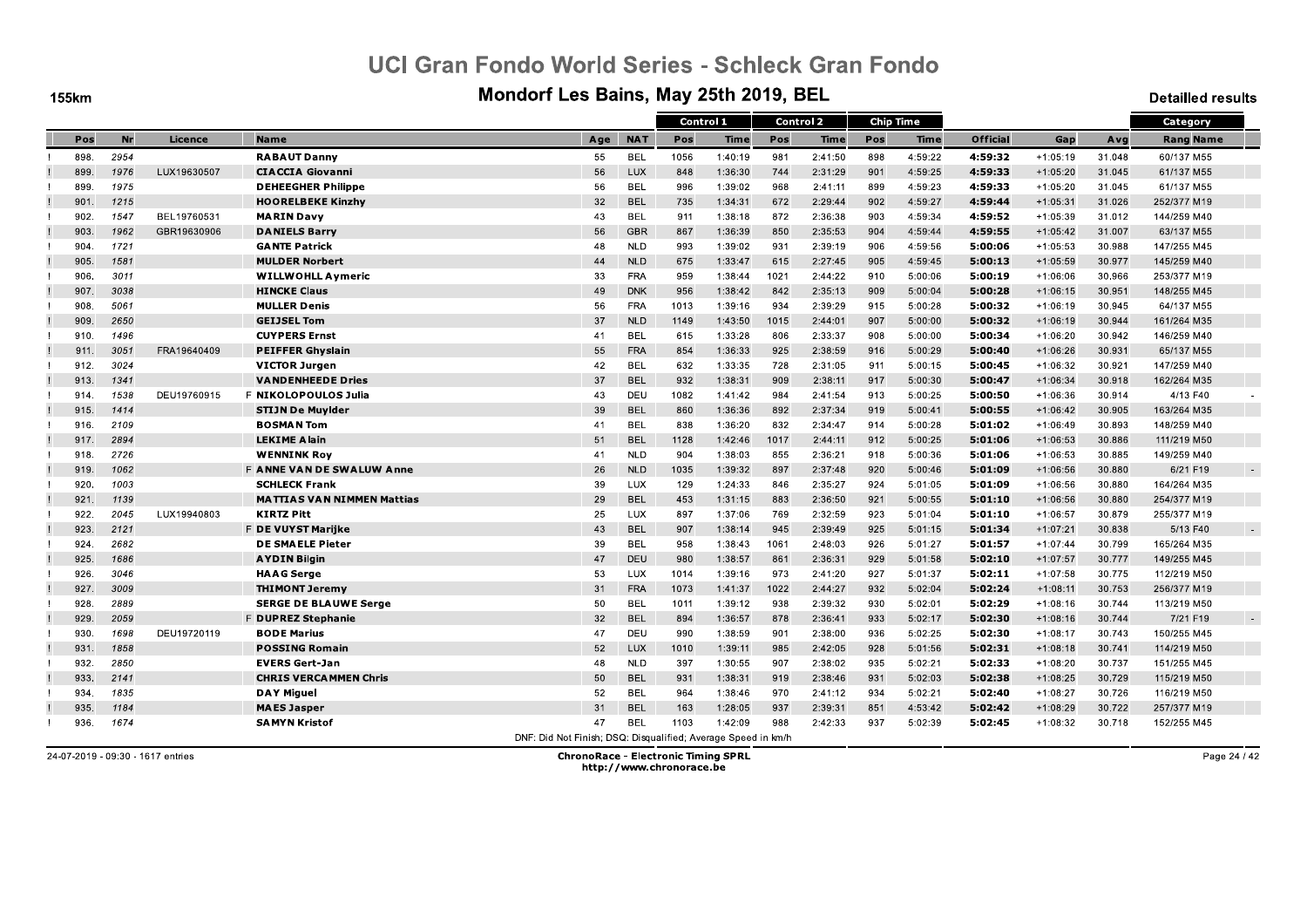**155km** 

#### Mondorf Les Bains, May 25th 2019, BEL

**Detailled results** 

|      |      |             |                                   |                                                               |            | Control 1 |             |      | Control 2   |     | <b>Chip Time</b> |                 |            |        | Category         |        |
|------|------|-------------|-----------------------------------|---------------------------------------------------------------|------------|-----------|-------------|------|-------------|-----|------------------|-----------------|------------|--------|------------------|--------|
| Pos  | Nr   | Licence     | <b>Name</b>                       | Age                                                           | <b>NAT</b> | Pos       | <b>Time</b> | Pos  | <b>Time</b> | Pos | <b>Time</b>      | <b>Official</b> | Gap        | Avg    | <b>Rang Name</b> |        |
| 898. | 2954 |             | <b>RABAUT Danny</b>               | 55                                                            | <b>BEL</b> | 1056      | 1:40:19     | 981  | 2:41:50     | 898 | 4:59:22          | 4:59:32         | $+1:05:19$ | 31.048 | 60/137 M55       |        |
| 899. | 1976 | LUX19630507 | <b>CIACCIA Giovanni</b>           | 56                                                            | LUX        | 848       | 1:36:30     | 744  | 2:31:29     | 901 | 4:59:25          | 4:59:33         | $+1:05:20$ | 31.045 | 61/137 M55       |        |
| 899. | 1975 |             | <b>DEHEEGHER Philippe</b>         | 56                                                            | <b>BEL</b> | 996       | 1:39:02     | 968  | 2:41:11     | 899 | 4:59:23          | 4:59:33         | $+1:05:20$ | 31.045 | 61/137 M55       |        |
| 901  | 1215 |             | <b>HOORELBEKE Kinzhy</b>          | 32                                                            | <b>BEL</b> | 735       | 1:34:31     | 672  | 2:29:44     | 902 | 4:59:27          | 4:59:44         | $+1:05:31$ | 31.026 | 252/377 M19      |        |
| 902. | 1547 | BEL19760531 | <b>MARINDavy</b>                  | 43                                                            | <b>BEL</b> | 911       | 1:38:18     | 872  | 2:36:38     | 903 | 4:59:34          | 4.59.52         | $+1:05:39$ | 31.012 | 144/259 M40      |        |
| 903. | 1962 | GBR19630906 | <b>DANIELS Barry</b>              | 56                                                            | <b>GBR</b> | 867       | 1:36:39     | 850  | 2:35:53     | 904 | 4:59:44          | 4:59:55         | $+1:05:42$ | 31.007 | 63/137 M55       |        |
| 904  | 1721 |             | <b>GANTE Patrick</b>              | 48                                                            | <b>NLD</b> | 993       | 1:39:02     | 931  | 2:39:19     | 906 | 4:59:56          | 5:00:06         | $+1:05:53$ | 30.988 | 147/255 M45      |        |
| 905. | 1581 |             | <b>MULDER Norbert</b>             | 44                                                            | <b>NLD</b> | 675       | 1:33:47     | 615  | 2:27:45     | 905 | 4:59:45          | 5:00:13         | $+1:05:59$ | 30.977 | 145/259 M40      |        |
| 906. | 3011 |             | <b>WILLWOHLL Aymeric</b>          | 33                                                            | <b>FRA</b> | 959       | 1:38:44     | 1021 | 2:44:22     | 910 | 5:00:06          | 5:00:19         | $+1:06:06$ | 30.966 | 253/377 M19      |        |
| 907. | 3038 |             | <b>HINCKE Claus</b>               | 49                                                            | <b>DNK</b> | 956       | 1:38:42     | 842  | 2:35:13     | 909 | 5:00:04          | 5:00:28         | $+1:06:15$ | 30.951 | 148/255 M45      |        |
| 908. | 5061 |             | <b>MULLER Denis</b>               | 56                                                            | <b>FRA</b> | 1013      | 1:39:16     | 934  | 2:39:29     | 915 | 5:00:28          | 5:00:32         | $+1:06:19$ | 30.945 | 64/137 M55       |        |
| 909. | 2650 |             | <b>GEIJSEL Tom</b>                | 37                                                            | <b>NLD</b> | 1149      | 1:43:50     | 1015 | 2:44:01     | 907 | 5:00:00          | 5:00:32         | $+1:06:19$ | 30.944 | 161/264 M35      |        |
| 910. | 1496 |             | <b>CUYPERS Ernst</b>              | 41                                                            | <b>BEL</b> | 615       | 1:33:28     | 806  | 2:33:37     | 908 | 5:00:00          | 5:00:34         | $+1:06:20$ | 30.942 | 146/259 M40      |        |
| 911. | 3051 | FRA19640409 | <b>PEIFFER Ghyslain</b>           | 55                                                            | <b>FRA</b> | 854       | 1:36:33     | 925  | 2:38:59     | 916 | 5:00:29          | 5:00:40         | $+1:06:26$ | 30.931 | 65/137 M55       |        |
| 912. | 3024 |             | <b>VICTOR Jurgen</b>              | 42                                                            | <b>BEL</b> | 632       | 1:33:35     | 728  | 2:31:05     | 911 | 5:00:15          | 5:00:45         | +1:06:32   | 30.921 | 147/259 M40      |        |
| 913. | 1341 |             | <b>VANDENHEEDE Dries</b>          | 37                                                            | <b>BEL</b> | 932       | 1:38:31     | 909  | 2:38:11     | 917 | 5:00:30          | 5:00:47         | $+1:06:34$ | 30.918 | 162/264 M35      |        |
| 914. | 1538 | DEU19760915 | <b>F NIKOLOPOULOS Julia</b>       | 43                                                            | DEU        | 1082      | 1:41:42     | 984  | 2:41:54     | 913 | 5:00:25          | 5:00:50         | +1:06:36   | 30.914 | 4/13 F40         |        |
| 915. | 1414 |             | <b>STIJN De Muylder</b>           | 39                                                            | <b>BEL</b> | 860       | 1:36:36     | 892  | 2:37:34     | 919 | 5:00:41          | 5:00:55         | $+1:06:42$ | 30.905 | 163/264 M35      |        |
| 916. | 2109 |             | <b>BOSMAN Tom</b>                 | 41                                                            | <b>BEL</b> | 838       | 1:36:20     | 832  | 2:34:47     | 914 | 5:00:28          | 5:01:02         | +1:06:49   | 30.893 | 148/259 M40      |        |
| 917. | 2894 |             | <b>LEKIME Alain</b>               | 51                                                            | <b>BEL</b> | 1128      | 1:42:46     | 1017 | 2:44:11     | 912 | 5:00:25          | 5:01:06         | $+1:06:53$ | 30.886 | 111/219 M50      |        |
| 918. | 2726 |             | <b>WENNINK Roy</b>                | 41                                                            | <b>NLD</b> | 904       | 1:38:03     | 855  | 2:36:21     | 918 | 5:00:36          | 5:01:06         | $+1:06:53$ | 30.885 | 149/259 M40      |        |
| 919. | 1062 |             | <b>F ANNE VAN DE SWALUW Anne</b>  | 26                                                            | <b>NLD</b> | 1035      | 1:39:32     | 897  | 2:37:48     | 920 | 5:00:46          | 5:01:09         | $+1:06:56$ | 30.880 | 6/21 F19         | $\sim$ |
| 920. | 1003 |             | <b>SCHLECK Frank</b>              | 39                                                            | LUX        | 129       | 1:24:33     | 846  | 2:35:27     | 924 | 5:01:05          | 5:01:09         | $+1:06:56$ | 30.880 | 164/264 M35      |        |
| 921  | 1139 |             | <b>MATTIAS VAN NIMMEN Mattias</b> | 29                                                            | <b>BEL</b> | 453       | 1:31:15     | 883  | 2:36:50     | 921 | 5:00:55          | 5:01:10         | $+1:06:56$ | 30.880 | 254/377 M19      |        |
| 922. | 2045 | LUX19940803 | <b>KIRTZ Pitt</b>                 | 25                                                            | LUX        | 897       | 1:37:06     | 769  | 2:32:59     | 923 | 5:01:04          | 5:01:10         | $+1:06:57$ | 30.879 | 255/377 M19      |        |
| 923. | 2121 |             | <b>F DE VUYST Marijke</b>         | 43                                                            | <b>BEL</b> | 907       | 1:38:14     | 945  | 2:39:49     | 925 | 5:01:15          | 5:01:34         | $+1:07:21$ | 30.838 | 5/13 F40         |        |
| 924  | 2682 |             | <b>DE SMAELE Pieter</b>           | 39                                                            | <b>BEL</b> | 958       | 1:38:43     | 1061 | 2:48:03     | 926 | 5:01:27          | 5:01:57         | $+1:07:44$ | 30.799 | 165/264 M35      |        |
| 925. | 1686 |             | <b>AYDIN Bilgin</b>               | 47                                                            | DEU        | 980       | 1:38:57     | 861  | 2:36:31     | 929 | 5:01:58          | 5:02:10         | $+1:07:57$ | 30.777 | 149/255 M45      |        |
| 926. | 3046 |             | <b>HAAG</b> Serge                 | 53                                                            | LUX        | 1014      | 1:39:16     | 973  | 2:41:20     | 927 | 5:01:37          | 5:02:11         | $+1:07:58$ | 30.775 | 112/219 M50      |        |
| 927  | 3009 |             | <b>THIMONT Jeremy</b>             | 31                                                            | <b>FRA</b> | 1073      | 1:41:37     | 1022 | 2:44:27     | 932 | 5:02:04          | 5:02:24         | $+1:08:11$ | 30.753 | 256/377 M19      |        |
| 928  | 2889 |             | <b>SERGE DE BLAUWE Serge</b>      | 50                                                            | <b>BEL</b> | 1011      | 1:39:12     | 938  | 2:39:32     | 930 | 5:02:01          | 5:02:29         | $+1:08:16$ | 30.744 | 113/219 M50      |        |
| 929. | 2059 |             | F DUPREZ Stephanie                | 32                                                            | <b>BEL</b> | 894       | 1:36:57     | 878  | 2:36:41     | 933 | 5:02:17          | 5:02:30         | $+1:08:16$ | 30.744 | 7/21 F19         | $\sim$ |
| 930. | 1698 | DEU19720119 | <b>BODE Marius</b>                | 47                                                            | DEU        | 990       | 1:38:59     | 901  | 2:38:00     | 936 | 5:02:25          | 5:02:30         | $+1:08:17$ | 30.743 | 150/255 M45      |        |
| 931  | 1858 |             | <b>POSSING Romain</b>             | 52                                                            | <b>LUX</b> | 1010      | 1:39:11     | 985  | 2:42:05     | 928 | 5:01:56          | 5:02:31         | $+1:08:18$ | 30.741 | 114/219 M50      |        |
| 932. | 2850 |             | <b>EVERS Gert-Jan</b>             | 48                                                            | <b>NLD</b> | 397       | 1:30:55     | 907  | 2:38:02     | 935 | 5:02:21          | 5:02:33         | $+1:08:20$ | 30.737 | 151/255 M45      |        |
| 933. | 2141 |             | <b>CHRIS VERCAMMEN Chris</b>      | 50                                                            | <b>BEL</b> | 931       | 1:38:31     | 919  | 2:38:46     | 931 | 5:02:03          | 5:02:38         | $+1:08:25$ | 30.729 | 115/219 M50      |        |
| 934  | 1835 |             | <b>DAY Miguel</b>                 | 52                                                            | <b>BEL</b> | 964       | 1:38:46     | 970  | 2:41:12     | 934 | 5:02:21          | 5.02.40         | $+1:08:27$ | 30.726 | 116/219 M50      |        |
| 935. | 1184 |             | <b>MAES Jasper</b>                | 31                                                            | <b>BEL</b> | 163       | 1:28:05     | 937  | 2:39:31     | 851 | 4:53:42          | 5:02:42         | $+1:08:29$ | 30.722 | 257/377 M19      |        |
| 936. | 1674 |             | <b>SAMYN Kristof</b>              | 47                                                            | <b>BEL</b> | 1103      | 1:42:09     | 988  | 2:42:33     | 937 | 5:02:39          | 5:02:45         | +1:08:32   | 30.718 | 152/255 M45      |        |
|      |      |             |                                   | DNE: Did Not Finish: DSO: Disqualified: Average Speed in km/h |            |           |             |      |             |     |                  |                 |            |        |                  |        |

24-07-2019 - 09:30 - 1617 entries

**ChronoRace - Electronic Timing SPRL** http://www.chronorace.be

Page 24 / 42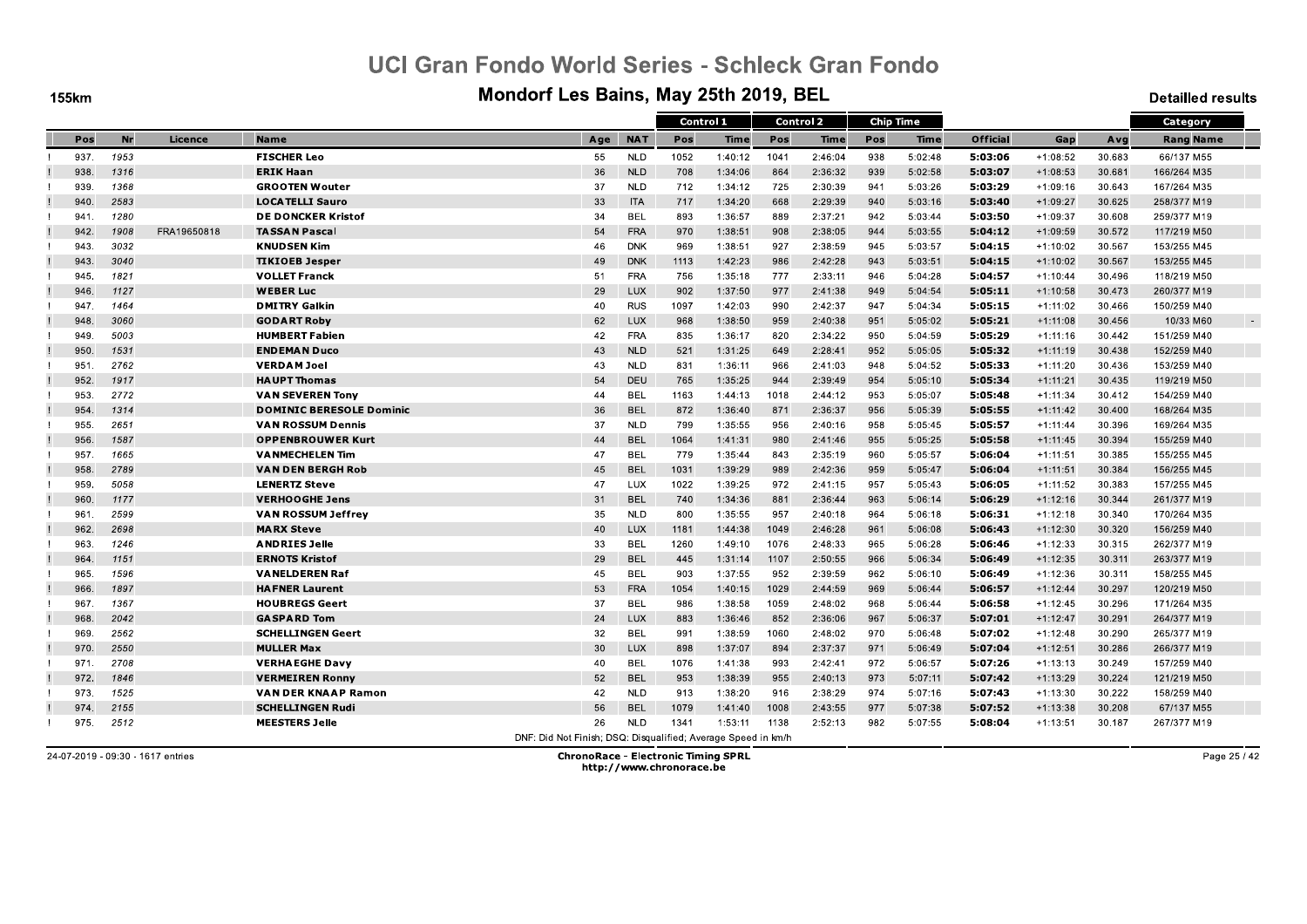**155km** 

#### Mondorf Les Bains, May 25th 2019, BEL

**Detailled results** 

|      |      |             |                                 |                                                               |            | Control 1 |             |      | <b>Control 2</b> |     | <b>Chip Time</b> |                 |            |        | Category            |
|------|------|-------------|---------------------------------|---------------------------------------------------------------|------------|-----------|-------------|------|------------------|-----|------------------|-----------------|------------|--------|---------------------|
| Pos  | Nr   | Licence     | <b>Name</b>                     | Age                                                           | <b>NAT</b> | Pos       | <b>Time</b> | Pos  | <b>Time</b>      | Pos | <b>Time</b>      | <b>Official</b> | Gap        | Avg    | <b>Rang Name</b>    |
| 937. | 1953 |             | <b>FISCHER Leo</b>              | 55                                                            | <b>NLD</b> | 1052      | 1:40:12     | 1041 | 2:46:04          | 938 | 5:02:48          | 5:03:06         | $+1:08:52$ | 30.683 | 66/137 M55          |
| 938. | 1316 |             | <b>ERIK Haan</b>                | 36                                                            | <b>NLD</b> | 708       | 1:34:06     | 864  | 2:36:32          | 939 | 5:02:58          | 5:03:07         | $+1:08:53$ | 30.681 | 166/264 M35         |
| 939. | 1368 |             | <b>GROOTEN Wouter</b>           | 37                                                            | <b>NLD</b> | 712       | 1:34:12     | 725  | 2:30:39          | 941 | 5:03:26          | 5:03:29         | $+1:09:16$ | 30.643 | 167/264 M35         |
| 940. | 2583 |             | <b>LOCATELLI Sauro</b>          | 33                                                            | <b>ITA</b> | 717       | 1:34:20     | 668  | 2:29:39          | 940 | 5:03:16          | 5:03:40         | $+1:09:27$ | 30.625 | 258/377 M19         |
| 941  | 1280 |             | <b>DE DONCKER Kristof</b>       | 34                                                            | BEL        | 893       | 1:36:57     | 889  | 2:37:21          | 942 | 5:03:44          | 5:03:50         | $+1:09:37$ | 30.608 | 259/377 M19         |
| 942. | 1908 | FRA19650818 | <b>TASSAN Pascal</b>            | 54                                                            | FRA        | 970       | 1:38:51     | 908  | 2:38:05          | 944 | 5:03:55          | 5:04:12         | $+1:09:59$ | 30.572 | 117/219 M50         |
| 943. | 3032 |             | <b>KNUDSEN Kim</b>              | 46                                                            | <b>DNK</b> | 969       | 1:38:51     | 927  | 2:38:59          | 945 | 5:03:57          | 5.04.15         | $+1:10:02$ | 30.567 | 153/255 M45         |
| 943  | 3040 |             | <b>TIKIOEB Jesper</b>           | 49                                                            | <b>DNK</b> | 1113      | 1:42:23     | 986  | 2:42:28          | 943 | 5:03:51          | 5:04:15         | $+1:10:02$ | 30.567 | 153/255 M45         |
| 945. | 1821 |             | <b>VOLLET Franck</b>            | 51                                                            | <b>FRA</b> | 756       | 1:35:18     | 777  | 2:33:11          | 946 | 5:04:28          | 5:04:57         | $+1:10:44$ | 30.496 | 118/219 M50         |
| 946. | 1127 |             | <b>WEBER Luc</b>                | 29                                                            | LUX        | 902       | 1:37:50     | 977  | 2:41:38          | 949 | 5:04:54          | 5:05:11         | $+1:10:58$ | 30.473 | 260/377 M19         |
| 947. | 1464 |             | <b>DMITRY Galkin</b>            | 40                                                            | <b>RUS</b> | 1097      | 1:42:03     | 990  | 2:42:37          | 947 | 5:04:34          | 5:05:15         | $+1:11:02$ | 30.466 | 150/259 M40         |
| 948. | 3060 |             | <b>GODART Roby</b>              | 62                                                            | <b>LUX</b> | 968       | 1:38:50     | 959  | 2:40:38          | 951 | 5:05:02          | 5:05:21         | $+1:11:08$ | 30.456 | 10/33 M60<br>$\sim$ |
| 949. | 5003 |             | <b>HUMBERT Fabien</b>           | 42                                                            | <b>FRA</b> | 835       | 1:36:17     | 820  | 2:34:22          | 950 | 5:04:59          | 5:05:29         | $+1:11:16$ | 30.442 | 151/259 M40         |
| 950. | 1531 |             | <b>ENDEMAN Duco</b>             | 43                                                            | <b>NLD</b> | 521       | 1:31:25     | 649  | 2:28:41          | 952 | 5:05:05          | 5.05.32         | $+1:11:19$ | 30.438 | 152/259 M40         |
| 951  | 2762 |             | <b>VERDAM Joel</b>              | 43                                                            | <b>NLD</b> | 831       | 1:36:11     | 966  | 2:41:03          | 948 | 5:04:52          | 5:05:33         | $+1:11:20$ | 30.436 | 153/259 M40         |
| 952. | 1917 |             | <b>HAUPT Thomas</b>             | 54                                                            | DEU        | 765       | 1:35:25     | 944  | 2:39:49          | 954 | 5:05:10          | 5:05:34         | $+1:11:21$ | 30.435 | 119/219 M50         |
| 953. | 2772 |             | <b>VAN SEVEREN Tony</b>         | 44                                                            | <b>BEL</b> | 1163      | 1:44:13     | 1018 | 2:44:12          | 953 | 5:05:07          | 5:05:48         | $+1:11:34$ | 30.412 | 154/259 M40         |
| 954  | 1314 |             | <b>DOMINIC BERESOLE Dominic</b> | 36                                                            | <b>BEL</b> | 872       | 1:36:40     | 871  | 2:36:37          | 956 | 5:05:39          | 5:05:55         | $+1:11:42$ | 30.400 | 168/264 M35         |
| 955. | 2651 |             | <b>VAN ROSSUM Dennis</b>        | 37                                                            | <b>NLD</b> | 799       | 1:35:55     | 956  | 2:40:16          | 958 | 5:05:45          | 5:05:57         | $+1:11:44$ | 30.396 | 169/264 M35         |
| 956. | 1587 |             | <b>OPPENBROUWER Kurt</b>        | 44                                                            | <b>BEL</b> | 1064      | 1:41:31     | 980  | 2:41:46          | 955 | 5:05:25          | 5:05:58         | $+1:11:45$ | 30.394 | 155/259 M40         |
| 957  | 1665 |             | <b>VANMECHELEN Tim</b>          | 47                                                            | <b>BEL</b> | 779       | 1:35:44     | 843  | 2:35:19          | 960 | 5:05:57          | 5:06:04         | $+1:11:51$ | 30.385 | 155/255 M45         |
| 958  | 2789 |             | <b>VAN DEN BERGH Rob</b>        | 45                                                            | <b>BEL</b> | 1031      | 1:39:29     | 989  | 2:42:36          | 959 | 5:05:47          | 5:06:04         | $+1:11:51$ | 30.384 | 156/255 M45         |
| 959. | 5058 |             | <b>LENERTZ Steve</b>            | 47                                                            | LUX        | 1022      | 1:39:25     | 972  | 2:41:15          | 957 | 5:05:43          | 5.06.05         | $+1:11:52$ | 30.383 | 157/255 M45         |
| 960. | 1177 |             | <b>VERHOOGHE Jens</b>           | 31                                                            | <b>BEL</b> | 740       | 1:34:36     | 881  | 2:36:44          | 963 | 5:06:14          | 5:06:29         | $+1:12:16$ | 30.344 | 261/377 M19         |
| 961  | 2599 |             | <b>VAN ROSSUM Jeffrey</b>       | 35                                                            | <b>NLD</b> | 800       | 1:35:55     | 957  | 2:40:18          | 964 | 5:06:18          | 5:06:31         | $+1:12:18$ | 30.340 | 170/264 M35         |
| 962. | 2698 |             | <b>MARX Steve</b>               | 40                                                            | <b>LUX</b> | 1181      | 1:44:38     | 1049 | 2:46:28          | 961 | 5:06:08          | 5:06:43         | $+1:12:30$ | 30.320 | 156/259 M40         |
| 963. | 1246 |             | <b>ANDRIES Jelle</b>            | 33                                                            | <b>BEL</b> | 1260      | 1:49:10     | 1076 | 2:48:33          | 965 | 5:06:28          | 5:06:46         | $+1:12:33$ | 30.315 | 262/377 M19         |
| 964  | 1151 |             | <b>ERNOTS Kristof</b>           | 29                                                            | <b>BEL</b> | 445       | 1:31:14     | 1107 | 2:50:55          | 966 | 5:06:34          | 5:06:49         | $+1:12:35$ | 30.311 | 263/377 M19         |
| 965. | 1596 |             | <b>VANELDEREN Raf</b>           | 45                                                            | <b>BEL</b> | 903       | 1:37:55     | 952  | 2:39:59          | 962 | 5:06:10          | 5:06:49         | $+1:12:36$ | 30.311 | 158/255 M45         |
| 966. | 1897 |             | <b>HAFNER Laurent</b>           | 53                                                            | <b>FRA</b> | 1054      | 1:40:15     | 1029 | 2:44:59          | 969 | 5:06:44          | 5.06.57         | $+1:12:44$ | 30.297 | 120/219 M50         |
| 967  | 1367 |             | <b>HOUBREGS Geert</b>           | 37                                                            | <b>BEL</b> | 986       | 1:38:58     | 1059 | 2:48:02          | 968 | 5:06:44          | 5:06:58         | $+1:12:45$ | 30.296 | 171/264 M35         |
| 968. | 2042 |             | <b>GASPARD Tom</b>              | 24                                                            | LUX        | 883       | 1:36:46     | 852  | 2:36:06          | 967 | 5:06:37          | 5:07:01         | $+1:12:47$ | 30.291 | 264/377 M19         |
| 969. | 2562 |             | <b>SCHELLINGEN Geert</b>        | 32                                                            | <b>BEL</b> | 991       | 1:38:59     | 1060 | 2:48:02          | 970 | 5:06:48          | 5:07:02         | $+1:12:48$ | 30.290 | 265/377 M19         |
| 970. | 2550 |             | <b>MULLER Max</b>               | 30                                                            | LUX        | 898       | 1:37:07     | 894  | 2:37:37          | 971 | 5:06:49          | 5:07:04         | $+1:12:51$ | 30.286 | 266/377 M19         |
| 971. | 2708 |             | <b>VERHAEGHE Davy</b>           | 40                                                            | <b>BEL</b> | 1076      | 1:41:38     | 993  | 2:42:41          | 972 | 5:06:57          | 5:07:26         | $+1:13:13$ | 30.249 | 157/259 M40         |
| 972. | 1846 |             | <b>VERMEIREN Ronny</b>          | 52                                                            | <b>BEL</b> | 953       | 1:38:39     | 955  | 2:40:13          | 973 | 5:07:11          | 5:07:42         | $+1:13:29$ | 30.224 | 121/219 M50         |
| 973. | 1525 |             | <b>VAN DER KNAAP Ramon</b>      | 42                                                            | <b>NLD</b> | 913       | 1:38:20     | 916  | 2:38:29          | 974 | 5:07:16          | 5:07:43         | $+1:13:30$ | 30.222 | 158/259 M40         |
| 974  | 2155 |             | <b>SCHELLINGEN Rudi</b>         | 56                                                            | <b>BEL</b> | 1079      | 1:41:40     | 1008 | 2:43:55          | 977 | 5:07:38          | 5:07:52         | $+1:13:38$ | 30.208 | 67/137 M55          |
| 975. | 2512 |             | <b>MEESTERS Jelle</b>           | 26                                                            | <b>NLD</b> | 1341      | 1:53:11     | 1138 | 2:52:13          | 982 | 5:07:55          | 5.08.04         | $+1:13:51$ | 30.187 | 267/377 M19         |
|      |      |             |                                 | DNF: Did Not Finish; DSQ: Disqualified; Average Speed in km/h |            |           |             |      |                  |     |                  |                 |            |        |                     |

24-07-2019 - 09:30 - 1617 entries

**ChronoRace - Electronic Timing SPRL** http://www.chronorace.be

Page 25 / 42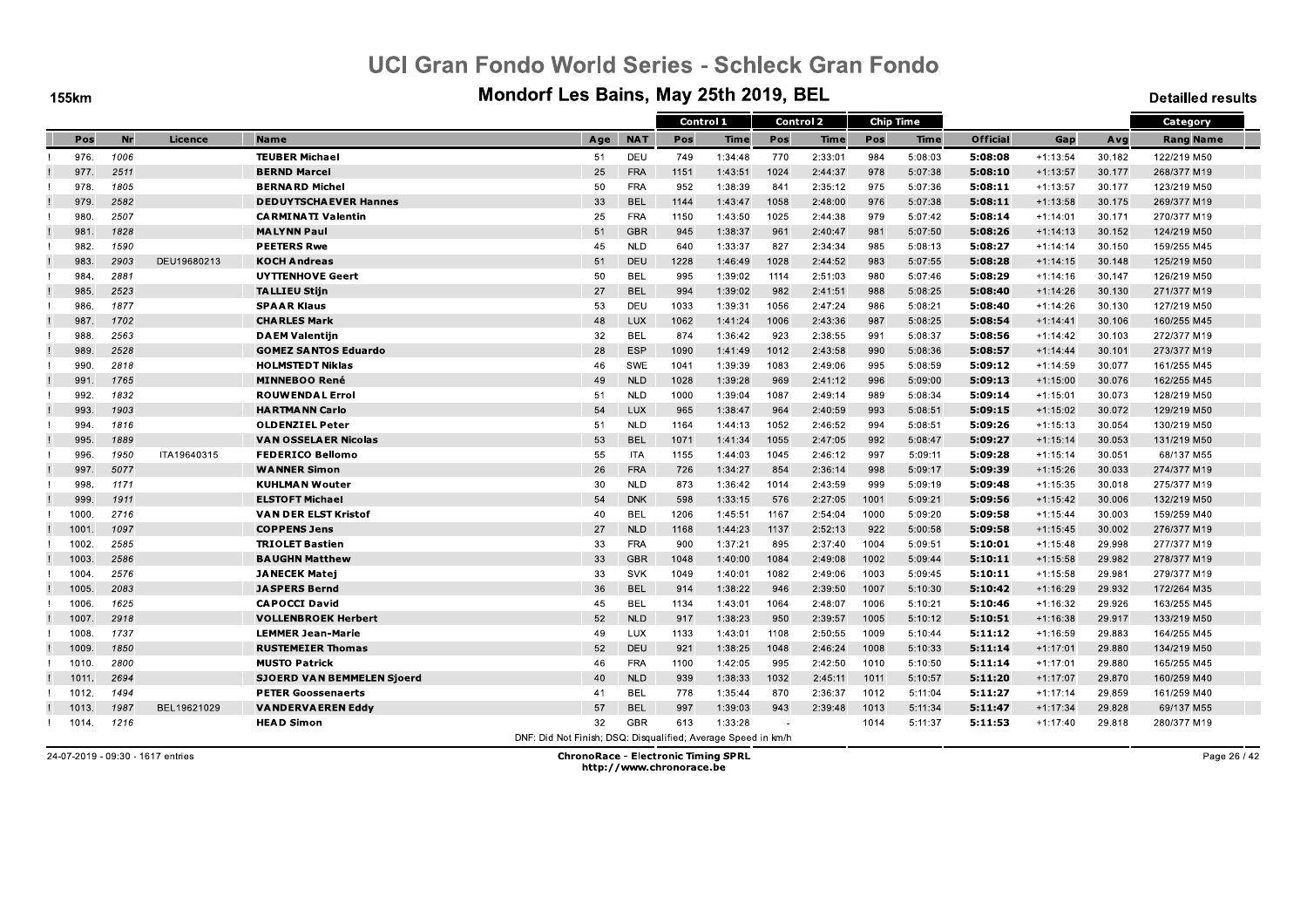**155km** 

#### Mondorf Les Bains, May 25th 2019, BEL

**Detailled results** 

|       |           |             |                                   |                                                               |            | Control 1 |             |      | Control 2   |      | <b>Chip Time</b> |          |            |        | Category         |
|-------|-----------|-------------|-----------------------------------|---------------------------------------------------------------|------------|-----------|-------------|------|-------------|------|------------------|----------|------------|--------|------------------|
| Pos   | <b>Nr</b> | Licence     | <b>Name</b>                       | Age                                                           | <b>NAT</b> | Pos       | <b>Time</b> | Pos  | <b>Time</b> | Pos  | Time             | Official | Gap        | Avg    | <b>Rang Name</b> |
| 976.  | 1006      |             | <b>TEUBER Michael</b>             | 51                                                            | DEU        | 749       | 1:34:48     | 770  | 2:33:01     | 984  | 5:08:03          | 5:08:08  | $+1:13:54$ | 30.182 | 122/219 M50      |
| 977.  | 2511      |             | <b>BERND Marcel</b>               | 25                                                            | <b>FRA</b> | 1151      | 1:43:51     | 1024 | 2:44:37     | 978  | 5:07:38          | 5:08:10  | $+1:13:57$ | 30.177 | 268/377 M19      |
| 978   | 1805      |             | <b>BERNARD Michel</b>             | 50                                                            | <b>FRA</b> | 952       | 1:38:39     | 841  | 2:35:12     | 975  | 5:07:36          | 5:08:11  | $+1:13:57$ | 30.177 | 123/219 M50      |
| 979   | 2582      |             | <b>DEDUYTSCHAEVER Hannes</b>      | 33                                                            | <b>BEL</b> | 1144      | 1:43:47     | 1058 | 2:48:00     | 976  | 5:07:38          | 5:08:11  | $+1:13:58$ | 30.175 | 269/377 M19      |
| 980   | 2507      |             | <b>CARMINATI Valentin</b>         | 25                                                            | <b>FRA</b> | 1150      | 1:43:50     | 1025 | 2:44:38     | 979  | 5:07:42          | 5:08:14  | $+1:14:01$ | 30.171 | 270/377 M19      |
| 981   | 1828      |             | <b>MALYNN Paul</b>                | 51                                                            | <b>GBR</b> | 945       | 1:38:37     | 961  | 2:40:47     | 981  | 5:07:50          | 5:08:26  | $+1:14:13$ | 30.152 | 124/219 M50      |
| 982   | 1590      |             | <b>PEETERS Rwe</b>                | 45                                                            | <b>NLD</b> | 640       | 1:33:37     | 827  | 2:34:34     | 985  | 5:08:13          | 5:08:27  | $+1:14:14$ | 30.150 | 159/255 M45      |
| 983   | 2903      | DEU19680213 | <b>KOCH Andreas</b>               | 51                                                            | DEU        | 1228      | 1:46:49     | 1028 | 2:44:52     | 983  | 5:07:55          | 5:08:28  | $+1:14:15$ | 30.148 | 125/219 M50      |
| 984   | 2881      |             | <b>UYTTENHOVE Geert</b>           | 50                                                            | <b>BEL</b> | 995       | 1:39:02     | 1114 | 2:51:03     | 980  | 5:07:46          | 5:08:29  | $+1:14:16$ | 30.147 | 126/219 M50      |
| 985   | 2523      |             | <b>TALLIEU Stijn</b>              | 27                                                            | <b>BEL</b> | 994       | 1:39:02     | 982  | 2:41:51     | 988  | 5:08:25          | 5:08:40  | $+1:14:26$ | 30.130 | 271/377 M19      |
| 986   | 1877      |             | <b>SPAAR Klaus</b>                | 53                                                            | DEU        | 1033      | 1:39:31     | 1056 | 2:47:24     | 986  | 5:08:21          | 5:08:40  | $+1:14:26$ | 30.130 | 127/219 M50      |
| 987   | 1702      |             | <b>CHARLES Mark</b>               | 48                                                            | <b>LUX</b> | 1062      | 1:41:24     | 1006 | 2:43:36     | 987  | 5:08:25          | 5:08:54  | $+1:14:41$ | 30.106 | 160/255 M45      |
| 988   | 2563      |             | <b>DAEM Valentijn</b>             | 32                                                            | <b>BEL</b> | 874       | 1:36:42     | 923  | 2:38:55     | 991  | 5:08:37          | 5:08:56  | $+1:14:42$ | 30.103 | 272/377 M19      |
| 989   | 2528      |             | <b>GOMEZ SANTOS Eduardo</b>       | 28                                                            | <b>ESP</b> | 1090      | 1:41:49     | 1012 | 2:43:58     | 990  | 5:08:36          | 5.08.57  | $+1:14:44$ | 30.101 | 273/377 M19      |
| 990   | 2818      |             | <b>HOLMSTEDT Niklas</b>           | 46                                                            | SWE        | 1041      | 1:39:39     | 1083 | 2:49:06     | 995  | 5:08:59          | 5:09:12  | $+1:14:59$ | 30.077 | 161/255 M45      |
| 991   | 1765      |             | <b>MINNEBOO René</b>              | 49                                                            | <b>NLD</b> | 1028      | 1:39:28     | 969  | 2:41:12     | 996  | 5:09:00          | 5.09.13  | $+1:15:00$ | 30.076 | 162/255 M45      |
| 992   | 1832      |             | <b>ROUWENDAL Errol</b>            | 51                                                            | <b>NLD</b> | 1000      | 1:39:04     | 1087 | 2:49:14     | 989  | 5:08:34          | 5:09:14  | $+1:15:01$ | 30.073 | 128/219 M50      |
| 993   | 1903      |             | <b>HARTMANN Carlo</b>             | 54                                                            | <b>LUX</b> | 965       | 1:38:47     | 964  | 2:40:59     | 993  | 5:08:51          | 5:09:15  | $+1:15:02$ | 30.072 | 129/219 M50      |
| 994   | 1816      |             | <b>OLDENZIEL Peter</b>            | 51                                                            | <b>NLD</b> | 1164      | 1:44:13     | 1052 | 2:46:52     | 994  | 5:08:51          | 5:09:26  | $+1:15:13$ | 30.054 | 130/219 M50      |
| 995   | 1889      |             | <b>VAN OSSELAER Nicolas</b>       | 53                                                            | <b>BEL</b> | 1071      | 1:41:34     | 1055 | 2:47:05     | 992  | 5:08:47          | 5:09:27  | $+1:15:14$ | 30.053 | 131/219 M50      |
| 996   | 1950      | ITA19640315 | <b>FEDERICO Bellomo</b>           | 55                                                            | <b>ITA</b> | 1155      | 1:44:03     | 1045 | 2:46:12     | 997  | 5:09:11          | 5.09.28  | $+1:15:14$ | 30.051 | 68/137 M55       |
| 997   | 5077      |             | <b>WANNER Simon</b>               | 26                                                            | <b>FRA</b> | 726       | 1:34:27     | 854  | 2:36:14     | 998  | 5:09:17          | 5:09:39  | $+1:15:26$ | 30.033 | 274/377 M19      |
| 998   | 1171      |             | <b>KUHLMAN Wouter</b>             | 30                                                            | <b>NLD</b> | 873       | 1:36:42     | 1014 | 2:43:59     | 999  | 5:09:19          | 5:09:48  | $+1:15:35$ | 30.018 | 275/377 M19      |
| 999   | 1911      |             | <b>ELSTOFT Michael</b>            | 54                                                            | <b>DNK</b> | 598       | 1:33:15     | 576  | 2:27:05     | 1001 | 5:09:21          | 5:09:56  | $+1:15:42$ | 30.006 | 132/219 M50      |
| 1000. | 2716      |             | <b>VAN DER ELST Kristof</b>       | 40                                                            | <b>BEL</b> | 1206      | 1:45:51     | 1167 | 2:54:04     | 1000 | 5:09:20          | 5:09:58  | $+1:15:44$ | 30.003 | 159/259 M40      |
| 1001  | 1097      |             | <b>COPPENS Jens</b>               | 27                                                            | <b>NLD</b> | 1168      | 1:44:23     | 1137 | 2:52:13     | 922  | 5:00:58          | 5:09:58  | $+1:15:45$ | 30.002 | 276/377 M19      |
| 1002. | 2585      |             | <b>TRIOLET Bastien</b>            | 33                                                            | <b>FRA</b> | 900       | 1:37:21     | 895  | 2:37:40     | 1004 | 5:09:51          | 5:10:01  | $+1:15:48$ | 29.998 | 277/377 M19      |
| 1003  | 2586      |             | <b>BAUGHN Matthew</b>             | 33                                                            | <b>GBR</b> | 1048      | 1:40:00     | 1084 | 2:49:08     | 1002 | 5:09:44          | 5:10:11  | $+1:15:58$ | 29.982 | 278/377 M19      |
| 1004  | 2576      |             | <b>JANECEK Matej</b>              | 33                                                            | SVK        | 1049      | 1:40:01     | 1082 | 2:49:06     | 1003 | 5:09:45          | 5:10:11  | $+1:15:58$ | 29.981 | 279/377 M19      |
| 1005  | 2083      |             | <b>JASPERS Bernd</b>              | 36                                                            | <b>BEL</b> | 914       | 1:38:22     | 946  | 2:39:50     | 1007 | 5:10:30          | 5.10.42  | $+1:16:29$ | 29.932 | 172/264 M35      |
| 1006  | 1625      |             | <b>CAPOCCI David</b>              | 45                                                            | <b>BEL</b> | 1134      | 1:43:01     | 1064 | 2:48:07     | 1006 | 5:10:21          | 5:10:46  | $+1:16:32$ | 29.926 | 163/255 M45      |
| 1007  | 2918      |             | <b>VOLLENBROEK Herbert</b>        | 52                                                            | <b>NLD</b> | 917       | 1:38:23     | 950  | 2:39:57     | 1005 | 5:10:12          | 5.10.51  | $+1:16:38$ | 29.917 | 133/219 M50      |
| 1008  | 1737      |             | <b>LEMMER Jean-Marie</b>          | 49                                                            | LUX        | 1133      | 1:43:01     | 1108 | 2:50:55     | 1009 | 5:10:44          | 5:11:12  | $+1:16:59$ | 29.883 | 164/255 M45      |
| 1009  | 1850      |             | <b>RUSTEMEIER Thomas</b>          | 52                                                            | DEU        | 921       | 1:38:25     | 1048 | 2:46:24     | 1008 | 5:10:33          | 5:11:14  | $+1:17:01$ | 29.880 | 134/219 M50      |
| 1010  | 2800      |             | <b>MUSTO Patrick</b>              | 46                                                            | <b>FRA</b> | 1100      | 1:42:05     | 995  | 2:42:50     | 1010 | 5:10:50          | 5:11:14  | $+1:17:01$ | 29.880 | 165/255 M45      |
| 1011  | 2694      |             | <b>SJOERD VAN BEMMELEN Sjoerd</b> | 40                                                            | <b>NLD</b> | 939       | 1:38:33     | 1032 | 2:45:11     | 1011 | 5:10:57          | 5:11:20  | $+1:17:07$ | 29.870 | 160/259 M40      |
| 1012. | 1494      |             | <b>PETER Goossenaerts</b>         | 41                                                            | <b>BEL</b> | 778       | 1:35:44     | 870  | 2:36:37     | 1012 | 5:11:04          | 5.11.27  | $+1:17:14$ | 29.859 | 161/259 M40      |
| 1013  | 1987      | BEL19621029 | <b>VANDERVAEREN Eddy</b>          | 57                                                            | <b>BEL</b> | 997       | 1:39:03     | 943  | 2:39:48     | 1013 | 5:11:34          | 5:11:47  | $+1:17:34$ | 29.828 | 69/137 M55       |
| 1014. | 1216      |             | <b>HEAD Simon</b>                 | 32                                                            | <b>GBR</b> | 613       | 1:33:28     |      |             | 1014 | 5:11:37          | 5.11.53  | $+1:17:40$ | 29.818 | 280/377 M19      |
|       |           |             |                                   | DNF: Did Not Finish; DSQ: Disqualified; Average Speed in km/h |            |           |             |      |             |      |                  |          |            |        |                  |

24-07-2019 - 09:30 - 1617 entries

**ChronoRace - Electronic Timing SPRL** http://www.chronorace.be

Page 26 / 42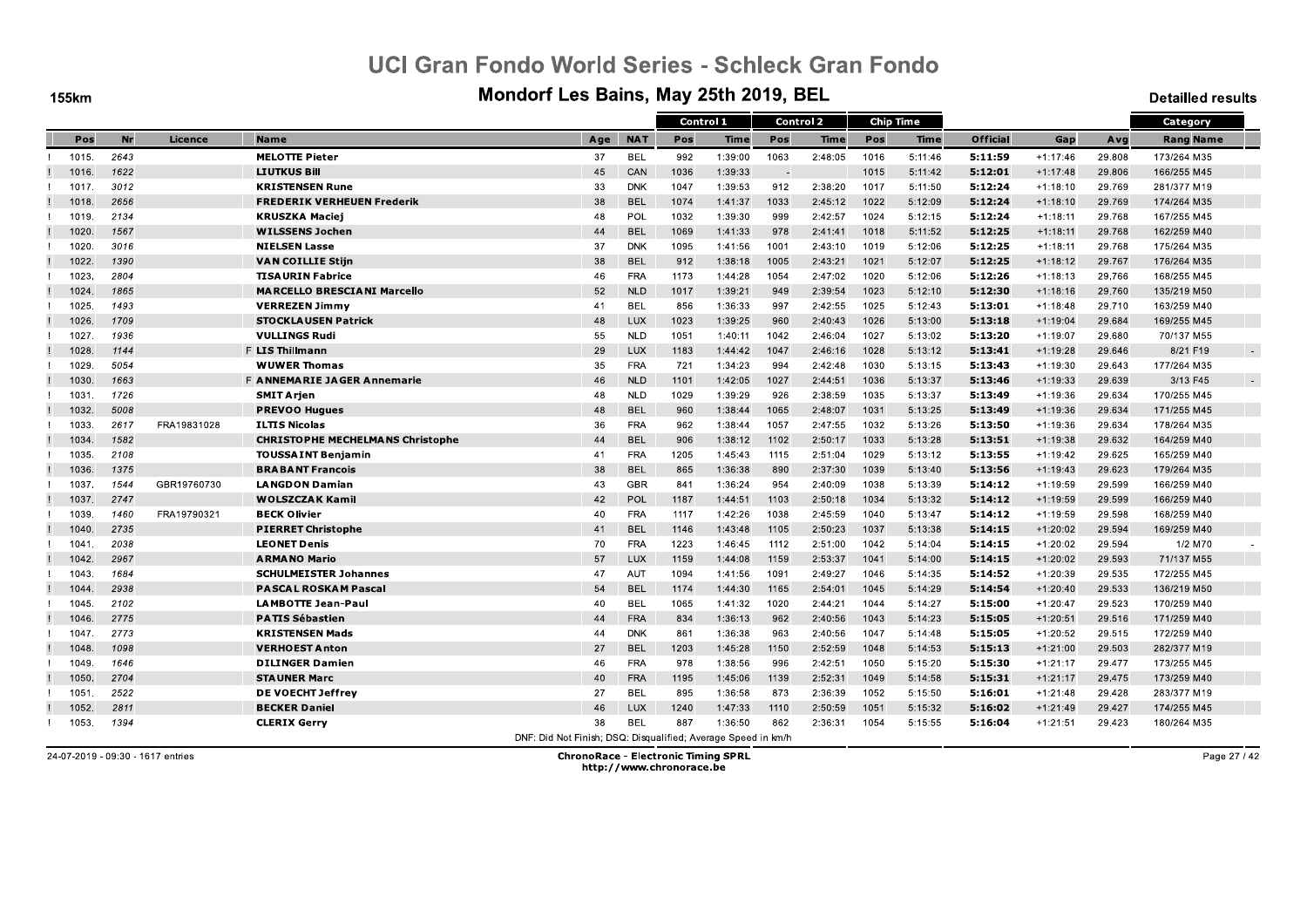**155km** 

#### Mondorf Les Bains, May 25th 2019, BEL

**Detailled results** 

|       |           |             |                                         |                                                               |            |      | Control 1   |        | <b>Control 2</b> |      | <b>Chip Time</b> |                 |            |        | Category         |        |
|-------|-----------|-------------|-----------------------------------------|---------------------------------------------------------------|------------|------|-------------|--------|------------------|------|------------------|-----------------|------------|--------|------------------|--------|
| Pos   | <b>Nr</b> | Licence     | <b>Name</b>                             | Age                                                           | <b>NAT</b> | Pos  | <b>Time</b> | Pos    | <b>Time</b>      | Pos  | Time             | <b>Official</b> | Gap        | Avg    | <b>Rang Name</b> |        |
| 1015. | 2643      |             | <b>MELOTTE Pieter</b>                   | 37                                                            | <b>BEL</b> | 992  | 1:39:00     | 1063   | 2:48:05          | 1016 | 5:11:46          | 5:11:59         | $+1:17:46$ | 29.808 | 173/264 M35      |        |
| 1016. | 1622      |             | <b>LIUTKUS Bill</b>                     | 45                                                            | CAN        | 1036 | 1:39:33     | $\sim$ |                  | 1015 | 5:11:42          | 5:12:01         | $+1:17:48$ | 29.806 | 166/255 M45      |        |
| 1017. | 3012      |             | <b>KRISTENSEN Rune</b>                  | 33                                                            | <b>DNK</b> | 1047 | 1:39:53     | 912    | 2:38:20          | 1017 | 5:11:50          | 5:12:24         | $+1:18:10$ | 29.769 | 281/377 M19      |        |
| 1018. | 2656      |             | <b>FREDERIK VERHEUEN Frederik</b>       | 38                                                            | <b>BEL</b> | 1074 | 1:41:37     | 1033   | 2:45:12          | 1022 | 5:12:09          | 5:12:24         | $+1:18:10$ | 29.769 | 174/264 M35      |        |
| 1019. | 2134      |             | <b>KRUSZKA Maciej</b>                   | 48                                                            | POL        | 1032 | 1:39:30     | 999    | 2:42:57          | 1024 | 5:12:15          | 5:12:24         | $+1:18:11$ | 29.768 | 167/255 M45      |        |
| 1020  | 1567      |             | <b>WILSSENS Jochen</b>                  | 44                                                            | <b>BEL</b> | 1069 | 1:41:33     | 978    | 2:41:41          | 1018 | 5:11:52          | 5:12:25         | $+1:18:11$ | 29.768 | 162/259 M40      |        |
| 1020. | 3016      |             | <b>NIELSEN Lasse</b>                    | 37                                                            | <b>DNK</b> | 1095 | 1:41:56     | 1001   | 2:43:10          | 1019 | 5:12:06          | 5:12:25         | $+1:18:11$ | 29.768 | 175/264 M35      |        |
| 1022. | 1390      |             | <b>VAN COILLIE Stijn</b>                | 38                                                            | <b>BEL</b> | 912  | 1:38:18     | 1005   | 2:43:21          | 1021 | 5:12:07          | 5:12:25         | $+1:18:12$ | 29.767 | 176/264 M35      |        |
| 1023  | 2804      |             | <b>TISAURIN Fabrice</b>                 | 46                                                            | <b>FRA</b> | 1173 | 1:44:28     | 1054   | 2:47:02          | 1020 | 5:12:06          | 5:12:26         | $+1:18:13$ | 29.766 | 168/255 M45      |        |
| 1024  | 1865      |             | <b>MARCELLO BRESCIANI Marcello</b>      | 52                                                            | <b>NLD</b> | 1017 | 1:39:21     | 949    | 2:39:54          | 1023 | 5:12:10          | 5:12:30         | $+1:18:16$ | 29.760 | 135/219 M50      |        |
| 1025. | 1493      |             | <b>VERREZEN Jimmy</b>                   | 41                                                            | <b>BEL</b> | 856  | 1:36:33     | 997    | 2:42:55          | 1025 | 5:12:43          | 5:13:01         | $+1:18:48$ | 29.710 | 163/259 M40      |        |
| 1026. | 1709      |             | <b>STOCKLAUSEN Patrick</b>              | 48                                                            | <b>LUX</b> | 1023 | 1:39:25     | 960    | 2:40:43          | 1026 | 5:13:00          | 5:13:18         | $+1:19:04$ | 29.684 | 169/255 M45      |        |
| 1027  | 1936      |             | <b>VULLINGS Rudi</b>                    | 55                                                            | <b>NLD</b> | 1051 | 1:40:11     | 1042   | 2:46:04          | 1027 | 5:13:02          | 5:13:20         | $+1:19:07$ | 29.680 | 70/137 M55       |        |
| 1028  | 1144      |             | <b>F LIS Thillmann</b>                  | 29                                                            | <b>LUX</b> | 1183 | 1:44:42     | 1047   | 2:46:16          | 1028 | 5:13:12          | 5.13.41         | $+1:19:28$ | 29.646 | 8/21 F19         | $\sim$ |
| 1029  | 5054      |             | <b>WUWER Thomas</b>                     | 35                                                            | <b>FRA</b> | 721  | 1:34:23     | 994    | 2:42:48          | 1030 | 5:13:15          | 5:13:43         | $+1:19:30$ | 29.643 | 177/264 M35      |        |
| 1030  | 1663      |             | F ANNEMARIE JAGER Annemarie             | 46                                                            | <b>NLD</b> | 1101 | 1:42:05     | 1027   | 2:44:51          | 1036 | 5:13:37          | 5.13.46         | $+1:19:33$ | 29.639 | 3/13 F45         | $\sim$ |
| 1031. | 1726      |             | <b>SMIT Arjen</b>                       | 48                                                            | <b>NLD</b> | 1029 | 1:39:29     | 926    | 2:38:59          | 1035 | 5:13:37          | 5:13:49         | $+1:19:36$ | 29.634 | 170/255 M45      |        |
| 1032. | 5008      |             | <b>PREVOO Hugues</b>                    | 48                                                            | <b>BEL</b> | 960  | 1:38:44     | 1065   | 2:48:07          | 1031 | 5:13:25          | 5:13:49         | $+1:19:36$ | 29.634 | 171/255 M45      |        |
| 1033. | 2617      | FRA19831028 | <b>ILTIS Nicolas</b>                    | 36                                                            | <b>FRA</b> | 962  | 1:38:44     | 1057   | 2:47:55          | 1032 | 5:13:26          | 5:13:50         | $+1:19:36$ | 29.634 | 178/264 M35      |        |
| 1034. | 1582      |             | <b>CHRISTOPHE MECHELMANS Christophe</b> | 44                                                            | <b>BEL</b> | 906  | 1:38:12     | 1102   | 2:50:17          | 1033 | 5:13:28          | 5:13:51         | $+1:19:38$ | 29.632 | 164/259 M40      |        |
| 1035. | 2108      |             | <b>TOUSSAINT Benjamin</b>               | 41                                                            | <b>FRA</b> | 1205 | 1:45:43     | 1115   | 2:51:04          | 1029 | 5:13:12          | 5:13:55         | $+1:19:42$ | 29.625 | 165/259 M40      |        |
| 1036. | 1375      |             | <b>BRABANT Francois</b>                 | 38                                                            | <b>BEL</b> | 865  | 1:36:38     | 890    | 2:37:30          | 1039 | 5:13:40          | 5:13:56         | $+1:19:43$ | 29.623 | 179/264 M35      |        |
| 1037. | 1544      | GBR19760730 | <b>LANGDON Damian</b>                   | 43                                                            | <b>GBR</b> | 841  | 1:36:24     | 954    | 2:40:09          | 1038 | 5:13:39          | 5.14.12         | $+1:19:59$ | 29.599 | 166/259 M40      |        |
| 1037. | 2747      |             | <b>WOLSZCZAK Kamil</b>                  | 42                                                            | POL        | 1187 | 1:44:51     | 1103   | 2:50:18          | 1034 | 5:13:32          | 5:14:12         | $+1:19:59$ | 29.599 | 166/259 M40      |        |
| 1039. | 1460      | FRA19790321 | <b>BECK Olivier</b>                     | 40                                                            | <b>FRA</b> | 1117 | 1:42:26     | 1038   | 2:45:59          | 1040 | 5:13:47          | 5:14:12         | $+1:19:59$ | 29.598 | 168/259 M40      |        |
| 1040  | 2735      |             | <b>PIERRET Christophe</b>               | 41                                                            | <b>BEL</b> | 1146 | 1:43:48     | 1105   | 2:50:23          | 1037 | 5:13:38          | 5:14:15         | $+1:20:02$ | 29.594 | 169/259 M40      |        |
| 1041. | 2038      |             | <b>LEONET Denis</b>                     | 70                                                            | <b>FRA</b> | 1223 | 1:46:45     | 1112   | 2:51:00          | 1042 | 5:14:04          | 5:14:15         | $+1:20:02$ | 29.594 | 1/2 M70          |        |
| 1042. | 2967      |             | <b>ARMANO Mario</b>                     | 57                                                            | <b>LUX</b> | 1159 | 1:44:08     | 1159   | 2:53:37          | 1041 | 5:14:00          | 5:14:15         | $+1:20:02$ | 29.593 | 71/137 M55       |        |
| 1043. | 1684      |             | <b>SCHULMEISTER Johannes</b>            | 47                                                            | AUT        | 1094 | 1:41:56     | 1091   | 2:49:27          | 1046 | 5:14:35          | 5:14:52         | $+1:20:39$ | 29.535 | 172/255 M45      |        |
| 1044  | 2938      |             | <b>PASCAL ROSKAM Pascal</b>             | 54                                                            | <b>BEL</b> | 1174 | 1:44:30     | 1165   | 2:54:01          | 1045 | 5:14:29          | 5:14:54         | $+1:20:40$ | 29.533 | 136/219 M50      |        |
| 1045. | 2102      |             | <b>LAMBOTTE Jean-Paul</b>               | 40                                                            | <b>BEL</b> | 1065 | 1:41:32     | 1020   | 2:44:21          | 1044 | 5:14:27          | 5:15:00         | $+1:20:47$ | 29.523 | 170/259 M40      |        |
| 1046. | 2775      |             | <b>PATIS Sébastien</b>                  | 44                                                            | <b>FRA</b> | 834  | 1:36:13     | 962    | 2:40:56          | 1043 | 5:14:23          | 5:15:05         | $+1:20:51$ | 29.516 | 171/259 M40      |        |
| 1047  | 2773      |             | <b>KRISTENSEN Mads</b>                  | 44                                                            | <b>DNK</b> | 861  | 1:36:38     | 963    | 2:40:56          | 1047 | 5:14:48          | 5:15:05         | $+1:20:52$ | 29.515 | 172/259 M40      |        |
| 1048. | 1098      |             | <b>VERHOEST Anton</b>                   | 27                                                            | <b>BEL</b> | 1203 | 1:45:28     | 1150   | 2:52:59          | 1048 | 5:14:53          | 5:15:13         | $+1:21:00$ | 29.503 | 282/377 M19      |        |
| 1049. | 1646      |             | <b>DILINGER Damien</b>                  | 46                                                            | <b>FRA</b> | 978  | 1:38:56     | 996    | 2:42:51          | 1050 | 5:15:20          | 5:15:30         | $+1:21:17$ | 29.477 | 173/255 M45      |        |
| 1050  | 2704      |             | <b>STAUNER Marc</b>                     | 40                                                            | <b>FRA</b> | 1195 | 1:45:06     | 1139   | 2:52:31          | 1049 | 5:14:58          | 5:15:31         | $+1:21:17$ | 29.475 | 173/259 M40      |        |
| 1051. | 2522      |             | DE VOECHT Jeffrey                       | 27                                                            | BEL        | 895  | 1:36:58     | 873    | 2:36:39          | 1052 | 5:15:50          | 5.16.01         | $+1:21:48$ | 29.428 | 283/377 M19      |        |
| 1052. | 2811      |             | <b>BECKER Daniel</b>                    | 46                                                            | LUX        | 1240 | 1:47:33     | 1110   | 2:50:59          | 1051 | 5:15:32          | 5:16:02         | $+1:21:49$ | 29.427 | 174/255 M45      |        |
| 1053. | 1394      |             | <b>CLERIX Gerry</b>                     | 38                                                            | <b>BEL</b> | 887  | 1:36:50     | 862    | 2:36:31          | 1054 | 5:15:55          | 5.16.04         | $+1:21:51$ | 29.423 | 180/264 M35      |        |
|       |           |             |                                         | DNE: Did Not Finish: DSO: Disqualified: Average Speed in km/h |            |      |             |        |                  |      |                  |                 |            |        |                  |        |

24-07-2019 - 09:30 - 1617 entries

**ChronoRace - Electronic Timing SPRL** http://www.chronorace.be

Page 27 / 42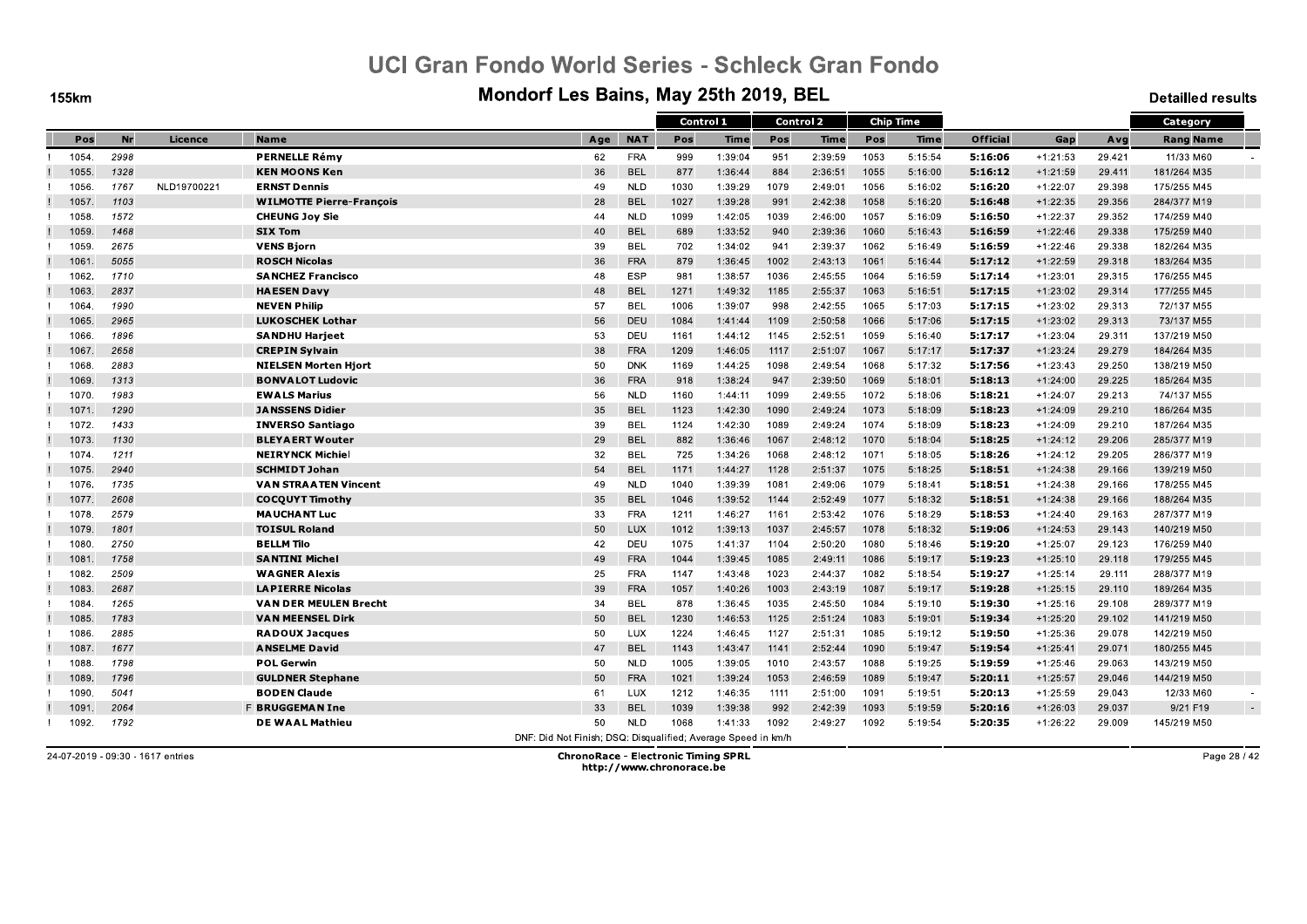**155km** 

#### Mondorf Les Bains, May 25th 2019, BEL

**Detailled results** 

|       |      |             |                                 |                                                               |            | Control 1 |         |      | Control 2 |      | <b>Chip Time</b> |                 |            |        | Category         |  |
|-------|------|-------------|---------------------------------|---------------------------------------------------------------|------------|-----------|---------|------|-----------|------|------------------|-----------------|------------|--------|------------------|--|
| Pos   | Nr   | Licence     | <b>Name</b>                     | Age                                                           | <b>NAT</b> | Pos       | Time    | Pos  | Time      | Pos  | Time             | <b>Official</b> | Gap        | Avg    | <b>Rang Name</b> |  |
| 1054. | 2998 |             | <b>PERNELLE Rémy</b>            | 62                                                            | <b>FRA</b> | 999       | 1:39:04 | 951  | 2:39:59   | 1053 | 5:15:54          | 5:16:06         | $+1:21:53$ | 29.421 | 11/33 M60        |  |
| 1055. | 1328 |             | <b>KEN MOONS Ken</b>            | 36                                                            | <b>BEL</b> | 877       | 1:36:44 | 884  | 2:36:51   | 1055 | 5:16:00          | 5:16:12         | $+1:21:59$ | 29.411 | 181/264 M35      |  |
| 1056. | 1767 | NLD19700221 | <b>ERNST Dennis</b>             | 49                                                            | <b>NLD</b> | 1030      | 1:39:29 | 1079 | 2:49:01   | 1056 | 5:16:02          | 5:16:20         | $+1:22:07$ | 29.398 | 175/255 M45      |  |
| 1057  | 1103 |             | <b>WILMOTTE Pierre-François</b> | 28                                                            | <b>BEL</b> | 1027      | 1:39:28 | 991  | 2:42:38   | 1058 | 5:16:20          | 5:16:48         | $+1:22:35$ | 29.356 | 284/377 M19      |  |
| 1058  | 1572 |             | <b>CHEUNG Joy Sie</b>           | 44                                                            | <b>NLD</b> | 1099      | 1:42:05 | 1039 | 2:46:00   | 1057 | 5:16:09          | 5:16:50         | $+1:22:37$ | 29.352 | 174/259 M40      |  |
| 1059. | 1468 |             | <b>SIX Tom</b>                  | 40                                                            | <b>BEL</b> | 689       | 1:33:52 | 940  | 2:39:36   | 1060 | 5:16:43          | 5:16:59         | $+1:22:46$ | 29.338 | 175/259 M40      |  |
| 1059  | 2675 |             | <b>VENS Bjorn</b>               | 39                                                            | <b>BEL</b> | 702       | 1:34:02 | 941  | 2:39:37   | 1062 | 5:16:49          | 5.16.59         | $+1:22:46$ | 29.338 | 182/264 M35      |  |
| 1061  | 5055 |             | <b>ROSCH Nicolas</b>            | 36                                                            | <b>FRA</b> | 879       | 1:36:45 | 1002 | 2:43:13   | 1061 | 5:16:44          | 5:17:12         | $+1:22:59$ | 29.318 | 183/264 M35      |  |
| 1062. | 1710 |             | <b>SANCHEZ Francisco</b>        | 48                                                            | <b>ESP</b> | 981       | 1:38:57 | 1036 | 2:45:55   | 1064 | 5:16:59          | 5:17:14         | $+1:23:01$ | 29.315 | 176/255 M45      |  |
| 1063  | 2837 |             | <b>HAESEN Davy</b>              | 48                                                            | <b>BEL</b> | 1271      | 1:49:32 | 1185 | 2:55:37   | 1063 | 5:16:51          | 5:17:15         | $+1:23:02$ | 29.314 | 177/255 M45      |  |
| 1064  | 1990 |             | <b>NEVEN Philip</b>             | 57                                                            | <b>BEL</b> | 1006      | 1:39:07 | 998  | 2:42:55   | 1065 | 5:17:03          | 5:17:15         | $+1:23:02$ | 29.313 | 72/137 M55       |  |
| 1065. | 2965 |             | <b>LUKOSCHEK Lothar</b>         | 56                                                            | DEU        | 1084      | 1:41:44 | 1109 | 2:50:58   | 1066 | 5:17:06          | 5:17:15         | $+1:23:02$ | 29.313 | 73/137 M55       |  |
| 1066  | 1896 |             | <b>SANDHU Harjeet</b>           | 53                                                            | DEU        | 1161      | 1:44:12 | 1145 | 2:52:51   | 1059 | 5:16:40          | 5:17:17         | $+1:23:04$ | 29.311 | 137/219 M50      |  |
| 1067  | 2658 |             | <b>CREPIN Sylvain</b>           | 38                                                            | <b>FRA</b> | 1209      | 1:46:05 | 1117 | 2:51:07   | 1067 | 5:17:17          | 5:17:37         | $+1:23:24$ | 29.279 | 184/264 M35      |  |
| 1068  | 2883 |             | <b>NIELSEN Morten Hjort</b>     | 50                                                            | <b>DNK</b> | 1169      | 1:44:25 | 1098 | 2:49:54   | 1068 | 5:17:32          | 5:17:56         | $+1:23:43$ | 29.250 | 138/219 M50      |  |
| 1069. | 1313 |             | <b>BONVALOT Ludovic</b>         | 36                                                            | <b>FRA</b> | 918       | 1:38:24 | 947  | 2:39:50   | 1069 | 5:18:01          | 5:18:13         | $+1:24:00$ | 29.225 | 185/264 M35      |  |
| 1070. | 1983 |             | <b>EWALS Marius</b>             | 56                                                            | <b>NLD</b> | 1160      | 1:44:11 | 1099 | 2:49:55   | 1072 | 5:18:06          | 5:18:21         | $+1:24:07$ | 29.213 | 74/137 M55       |  |
| 1071. | 1290 |             | <b>JANSSENS Didier</b>          | 35                                                            | <b>BEL</b> | 1123      | 1:42:30 | 1090 | 2:49:24   | 1073 | 5:18:09          | 5:18:23         | $+1:24:09$ | 29.210 | 186/264 M35      |  |
| 1072. | 1433 |             | <b>INVERSO Santiago</b>         | 39                                                            | BEL        | 1124      | 1:42:30 | 1089 | 2:49:24   | 1074 | 5:18:09          | 5:18:23         | $+1:24:09$ | 29.210 | 187/264 M35      |  |
| 1073. | 1130 |             | <b>BLEYAERT Wouter</b>          | 29                                                            | <b>BEL</b> | 882       | 1:36:46 | 1067 | 2:48:12   | 1070 | 5:18:04          | 5:18:25         | $+1:24:12$ | 29.206 | 285/377 M19      |  |
| 1074. | 1211 |             | <b>NEIRYNCK Michiel</b>         | 32                                                            | <b>BEL</b> | 725       | 1:34:26 | 1068 | 2:48:12   | 1071 | 5:18:05          | 5.18.26         | $+1:24:12$ | 29.205 | 286/377 M19      |  |
| 1075. | 2940 |             | <b>SCHMIDT Johan</b>            | 54                                                            | <b>BEL</b> | 1171      | 1:44:27 | 1128 | 2:51:37   | 1075 | 5:18:25          | 5:18:51         | $+1:24:38$ | 29.166 | 139/219 M50      |  |
| 1076. | 1735 |             | <b>VAN STRAATEN Vincent</b>     | 49                                                            | <b>NLD</b> | 1040      | 1:39:39 | 1081 | 2:49:06   | 1079 | 5:18:41          | 5.18.51         | $+1:24:38$ | 29.166 | 178/255 M45      |  |
| 1077. | 2608 |             | <b>COCQUYT Timothy</b>          | 35                                                            | <b>BEL</b> | 1046      | 1:39:52 | 1144 | 2:52:49   | 1077 | 5:18:32          | 5:18:51         | $+1:24:38$ | 29.166 | 188/264 M35      |  |
| 1078. | 2579 |             | <b>MAUCHANT Luc</b>             | 33                                                            | <b>FRA</b> | 1211      | 1:46:27 | 1161 | 2:53:42   | 1076 | 5:18:29          | 5:18:53         | $+1:24:40$ | 29.163 | 287/377 M19      |  |
| 1079  | 1801 |             | <b>TOISUL Roland</b>            | 50                                                            | LUX        | 1012      | 1:39:13 | 1037 | 2:45:57   | 1078 | 5:18:32          | 5:19:06         | $+1:24:53$ | 29.143 | 140/219 M50      |  |
| 1080  | 2750 |             | <b>BELLM Tilo</b>               | 42                                                            | DEU        | 1075      | 1:41:37 | 1104 | 2:50:20   | 1080 | 5:18:46          | 5:19:20         | $+1:25:07$ | 29.123 | 176/259 M40      |  |
| 1081  | 1758 |             | <b>SANTINI Michel</b>           | 49                                                            | <b>FRA</b> | 1044      | 1:39:45 | 1085 | 2:49:11   | 1086 | 5:19:17          | 5:19:23         | $+1:25:10$ | 29.118 | 179/255 M45      |  |
| 1082. | 2509 |             | <b>WAGNER Alexis</b>            | 25                                                            | <b>FRA</b> | 1147      | 1:43:48 | 1023 | 2:44:37   | 1082 | 5:18:54          | 5:19:27         | $+1:25:14$ | 29.111 | 288/377 M19      |  |
| 1083  | 2687 |             | <b>LAPIERRE Nicolas</b>         | 39                                                            | <b>FRA</b> | 1057      | 1:40:26 | 1003 | 2:43:19   | 1087 | 5:19:17          | 5:19:28         | $+1:25:15$ | 29.110 | 189/264 M35      |  |
| 1084  | 1265 |             | <b>VAN DER MEULEN Brecht</b>    | 34                                                            | <b>BEL</b> | 878       | 1:36:45 | 1035 | 2:45:50   | 1084 | 5:19:10          | 5:19:30         | $+1:25:16$ | 29.108 | 289/377 M19      |  |
| 1085. | 1783 |             | <b>VAN MEENSEL Dirk</b>         | 50                                                            | <b>BEL</b> | 1230      | 1:46:53 | 1125 | 2:51:24   | 1083 | 5:19:01          | 5.19.34         | $+1:25:20$ | 29.102 | 141/219 M50      |  |
| 1086. | 2885 |             | <b>RADOUX Jacques</b>           | 50                                                            | LUX        | 1224      | 1:46:45 | 1127 | 2:51:31   | 1085 | 5:19:12          | 5:19:50         | $+1:25:36$ | 29.078 | 142/219 M50      |  |
| 1087. | 1677 |             | <b>ANSELME David</b>            | 47                                                            | <b>BEL</b> | 1143      | 1:43:47 | 1141 | 2:52:44   | 1090 | 5:19:47          | 5:19:54         | $+1:25:41$ | 29.071 | 180/255 M45      |  |
| 1088  | 1798 |             | <b>POL Gerwin</b>               | 50                                                            | <b>NLD</b> | 1005      | 1:39:05 | 1010 | 2:43:57   | 1088 | 5:19:25          | 5:19:59         | $+1:25:46$ | 29.063 | 143/219 M50      |  |
| 1089. | 1796 |             | <b>GULDNER Stephane</b>         | 50                                                            | <b>FRA</b> | 1021      | 1:39:24 | 1053 | 2:46:59   | 1089 | 5:19:47          | 5:20:11         | $+1:25:57$ | 29.046 | 144/219 M50      |  |
| 1090. | 5041 |             | <b>BODEN Claude</b>             | 61                                                            | LUX        | 1212      | 1:46:35 | 1111 | 2:51:00   | 1091 | 5:19:51          | 5.20.13         | $+1:25:59$ | 29.043 | 12/33 M60        |  |
| 1091  | 2064 |             | <b>F BRUGGEMAN Ine</b>          | 33                                                            | <b>BEL</b> | 1039      | 1:39:38 | 992  | 2:42:39   | 1093 | 5:19:59          | 5:20:16         | $+1:26:03$ | 29.037 | 9/21 F19         |  |
| 1092. | 1792 |             | <b>DE WAAL Mathieu</b>          | 50                                                            | <b>NLD</b> | 1068      | 1:41:33 | 1092 | 2:49:27   | 1092 | 5:19:54          | 5.20.35         | $+1:26:22$ | 29.009 | 145/219 M50      |  |
|       |      |             |                                 | DNE: Did Not Finish: DSO: Disqualified: Average Speed in km/h |            |           |         |      |           |      |                  |                 |            |        |                  |  |

24-07-2019 - 09:30 - 1617 entries

**ChronoRace - Electronic Timing SPRL** http://www.chronorace.be

Page 28 / 42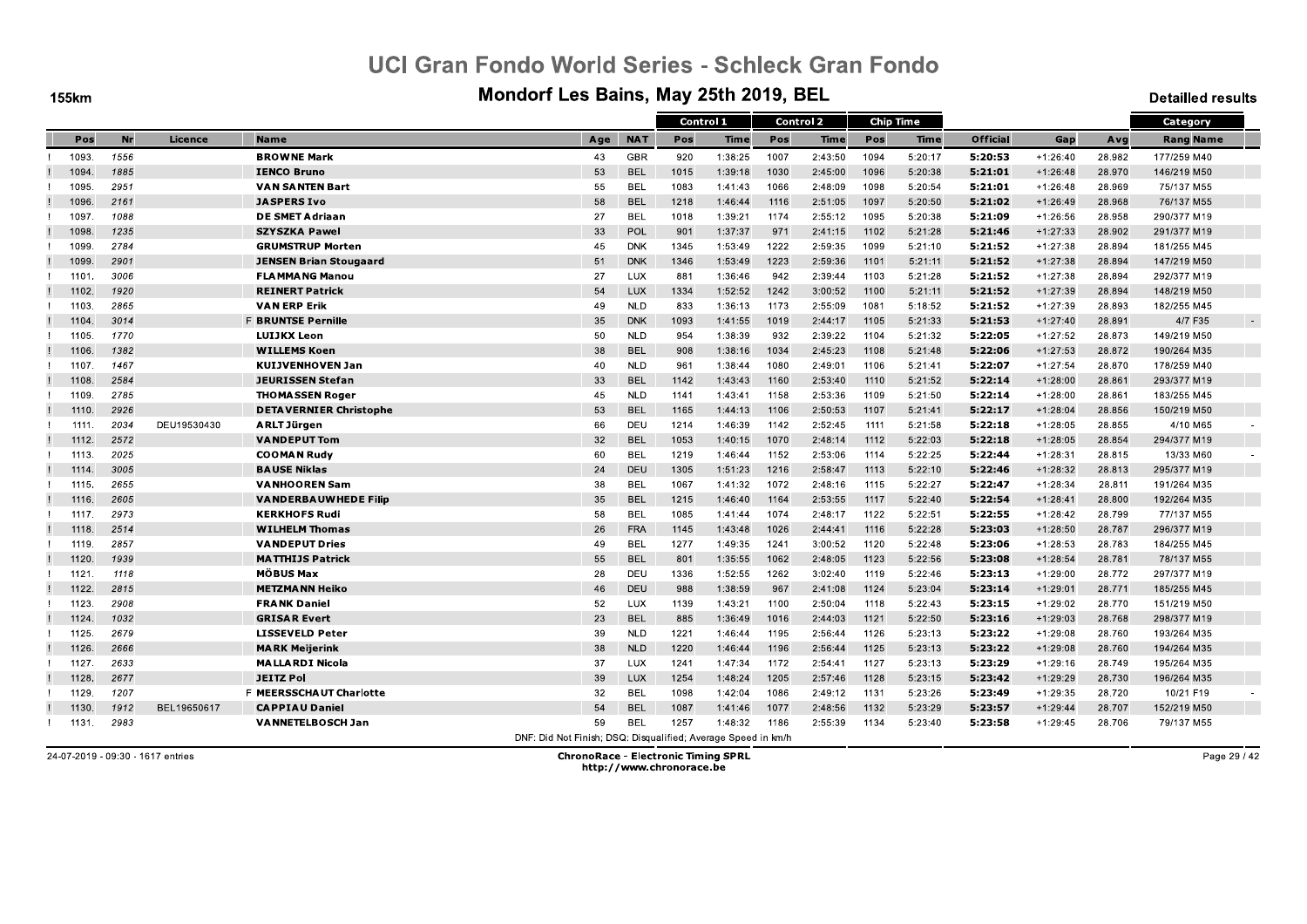**155km** 

#### Mondorf Les Bains, May 25th 2019, BEL

**Detailled results** 

|       |      |             |                               |                                                               |            | Control 1 |             |      | <b>Control 2</b> |      | <b>Chip Time</b> |                 |            |        | Category         |
|-------|------|-------------|-------------------------------|---------------------------------------------------------------|------------|-----------|-------------|------|------------------|------|------------------|-----------------|------------|--------|------------------|
| Pos   | Nr   | Licence     | <b>Name</b>                   | Age                                                           | <b>NAT</b> | Pos       | <b>Time</b> | Pos  | <b>Time</b>      | Pos  | Time             | <b>Official</b> | Gap        | Avg    | <b>Rang Name</b> |
| 1093. | 1556 |             | <b>BROWNE Mark</b>            | 43                                                            | <b>GBR</b> | 920       | 1:38:25     | 1007 | 2:43:50          | 1094 | 5:20:17          | 5:20:53         | $+1:26:40$ | 28.982 | 177/259 M40      |
| 1094  | 1885 |             | <b>IENCO Bruno</b>            | 53                                                            | <b>BEL</b> | 1015      | 1:39:18     | 1030 | 2:45:00          | 1096 | 5:20:38          | 5:21:01         | $+1:26:48$ | 28.970 | 146/219 M50      |
| 1095  | 2951 |             | <b>VAN SANTEN Bart</b>        | 55                                                            | <b>BEL</b> | 1083      | 1:41:43     | 1066 | 2:48:09          | 1098 | 5:20:54          | 5:21:01         | $+1:26:48$ | 28.969 | 75/137 M55       |
| 1096  | 2161 |             | <b>JASPERS Ivo</b>            | 58                                                            | <b>BEL</b> | 1218      | 1:46:44     | 1116 | 2:51:05          | 1097 | 5:20:50          | 5:21:02         | $+1:26:49$ | 28.968 | 76/137 M55       |
| 1097  | 1088 |             | <b>DE SMET Adriaan</b>        | 27                                                            | <b>BEL</b> | 1018      | 1:39:21     | 1174 | 2:55:12          | 1095 | 5:20:38          | 5:21:09         | $+1:26:56$ | 28.958 | 290/377 M19      |
| 1098  | 1235 |             | <b>SZYSZKA Pawel</b>          | 33                                                            | POL        | 901       | 1:37:37     | 971  | 2:41:15          | 1102 | 5:21:28          | 5:21:46         | $+1:27:33$ | 28.902 | 291/377 M19      |
| 1099  | 2784 |             | <b>GRUMSTRUP Morten</b>       | 45                                                            | <b>DNK</b> | 1345      | 1:53:49     | 1222 | 2:59:35          | 1099 | 5:21:10          | 5.21.52         | $+1:27:38$ | 28.894 | 181/255 M45      |
| 1099  | 2901 |             | <b>JENSEN Brian Stougaard</b> | 51                                                            | <b>DNK</b> | 1346      | 1:53:49     | 1223 | 2:59:36          | 1101 | 5:21:11          | 5:21:52         | $+1:27:38$ | 28.894 | 147/219 M50      |
| 1101  | 3006 |             | <b>FLAMMANG Manou</b>         | 27                                                            | LUX        | 881       | 1:36:46     | 942  | 2:39:44          | 1103 | 5:21:28          | 5:21:52         | $+1:27:38$ | 28.894 | 292/377 M19      |
| 1102  | 1920 |             | <b>REINERT Patrick</b>        | 54                                                            | LUX        | 1334      | 1:52:52     | 1242 | 3:00:52          | 1100 | 5:21:11          | 5:21:52         | $+1:27:39$ | 28.894 | 148/219 M50      |
| 1103. | 2865 |             | <b>VAN ERP Erik</b>           | 49                                                            | <b>NLD</b> | 833       | 1:36:13     | 1173 | 2:55:09          | 1081 | 5:18:52          | 5:21:52         | $+1:27:39$ | 28.893 | 182/255 M45      |
| 1104  | 3014 |             | <b>F BRUNTSE Pernille</b>     | 35                                                            | <b>DNK</b> | 1093      | 1:41:55     | 1019 | 2:44:17          | 1105 | 5:21:33          | 5:21:53         | $+1:27:40$ | 28.891 | 4/7 F35          |
| 1105  | 1770 |             | <b>LUIJKX Leon</b>            | 50                                                            | <b>NLD</b> | 954       | 1:38:39     | 932  | 2:39:22          | 1104 | 5:21:32          | 5:22:05         | $+1:27:52$ | 28.873 | 149/219 M50      |
| 1106  | 1382 |             | <b>WILLEMS Koen</b>           | 38                                                            | <b>BEL</b> | 908       | 1:38:16     | 1034 | 2:45:23          | 1108 | 5:21:48          | 5.22.06         | $+1:27:53$ | 28.872 | 190/264 M35      |
| 1107  | 1467 |             | <b>KUIJVENHOVEN Jan</b>       | 40                                                            | <b>NLD</b> | 961       | 1:38:44     | 1080 | 2:49:01          | 1106 | 5:21:41          | 5:22:07         | $+1:27:54$ | 28.870 | 178/259 M40      |
| 1108. | 2584 |             | <b>JEURISSEN Stefan</b>       | 33                                                            | <b>BEL</b> | 1142      | 1:43:43     | 1160 | 2:53:40          | 1110 | 5:21:52          | 5:22:14         | $+1:28:00$ | 28.861 | 293/377 M19      |
| 1109  | 2785 |             | <b>THOMASSEN Roger</b>        | 45                                                            | <b>NLD</b> | 1141      | 1:43:41     | 1158 | 2:53:36          | 1109 | 5:21:50          | 5:22:14         | $+1:28:00$ | 28.861 | 183/255 M45      |
| 1110  | 2926 |             | <b>DETAVERNIER Christophe</b> | 53                                                            | <b>BEL</b> | 1165      | 1:44:13     | 1106 | 2:50:53          | 1107 | 5:21:41          | 5:22:17         | $+1:28:04$ | 28.856 | 150/219 M50      |
| 1111  | 2034 | DEU19530430 | ARLT Jürgen                   | 66                                                            | <b>DEU</b> | 1214      | 1:46:39     | 1142 | 2:52:45          | 1111 | 5:21:58          | 5:22:18         | $+1:28:05$ | 28.855 | 4/10 M65         |
| 1112. | 2572 |             | <b>VANDEPUT Tom</b>           | 32                                                            | <b>BEL</b> | 1053      | 1:40:15     | 1070 | 2:48:14          | 1112 | 5:22:03          | 5:22:18         | $+1:28:05$ | 28.854 | 294/377 M19      |
| 1113. | 2025 |             | <b>COOMAN Rudy</b>            | 60                                                            | <b>BEL</b> | 1219      | 1:46:44     | 1152 | 2:53:06          | 1114 | 5:22:25          | 5:22:44         | $+1:28:31$ | 28.815 | 13/33 M60        |
| 1114  | 3005 |             | <b>BAUSE Niklas</b>           | 24                                                            | DEU        | 1305      | 1:51:23     | 1216 | 2:58:47          | 1113 | 5:22:10          | 5:22:46         | $+1:28:32$ | 28.813 | 295/377 M19      |
| 1115. | 2655 |             | <b>VANHOOREN Sam</b>          | 38                                                            | <b>BEL</b> | 1067      | 1:41:32     | 1072 | 2:48:16          | 1115 | 5:22:27          | 5.22.47         | $+1:28:34$ | 28.811 | 191/264 M35      |
| 1116. | 2605 |             | <b>VANDERBAUWHEDE Filip</b>   | 35                                                            | <b>BEL</b> | 1215      | 1:46:40     | 1164 | 2:53:55          | 1117 | 5:22:40          | 5:22:54         | $+1:28:41$ | 28.800 | 192/264 M35      |
| 1117. | 2973 |             | <b>KERKHOFS Rudi</b>          | 58                                                            | <b>BEL</b> | 1085      | 1:41:44     | 1074 | 2:48:17          | 1122 | 5:22:51          | 5:22:55         | $+1:28:42$ | 28.799 | 77/137 M55       |
| 1118  | 2514 |             | <b>WILHELM Thomas</b>         | 26                                                            | <b>FRA</b> | 1145      | 1:43:48     | 1026 | 2:44:41          | 1116 | 5:22:28          | 5:23:03         | $+1:28:50$ | 28.787 | 296/377 M19      |
| 1119. | 2857 |             | <b>VANDEPUT Dries</b>         | 49                                                            | <b>BEL</b> | 1277      | 1:49:35     | 1241 | 3:00:52          | 1120 | 5:22:48          | 5:23:06         | $+1:28:53$ | 28.783 | 184/255 M45      |
| 1120. | 1939 |             | <b>MATTHIJS Patrick</b>       | 55                                                            | <b>BEL</b> | 801       | 1:35:55     | 1062 | 2:48:05          | 1123 | 5:22:56          | 5:23:08         | $+1:28:54$ | 28.781 | 78/137 M55       |
| 1121  | 1118 |             | <b>MÖBUS Max</b>              | 28                                                            | DEU        | 1336      | 1:52:55     | 1262 | 3:02:40          | 1119 | 5:22:46          | 5:23:13         | $+1:29:00$ | 28.772 | 297/377 M19      |
| 1122  | 2815 |             | <b>METZMA NN Heiko</b>        | 46                                                            | <b>DEU</b> | 988       | 1:38:59     | 967  | 2:41:08          | 1124 | 5:23:04          | 5.23.14         | $+1:29:01$ | 28.771 | 185/255 M45      |
| 1123  | 2908 |             | <b>FRANK Daniel</b>           | 52                                                            | LUX        | 1139      | 1:43:21     | 1100 | 2:50:04          | 1118 | 5:22:43          | 5:23:15         | $+1:29:02$ | 28.770 | 151/219 M50      |
| 1124  | 1032 |             | <b>GRISAR Evert</b>           | 23                                                            | <b>BEL</b> | 885       | 1:36:49     | 1016 | 2:44:03          | 1121 | 5:22:50          | 5:23:16         | $+1:29:03$ | 28.768 | 298/377 M19      |
| 1125  | 2679 |             | <b>LISSEVELD Peter</b>        | 39                                                            | <b>NLD</b> | 1221      | 1:46:44     | 1195 | 2:56:44          | 1126 | 5:23:13          | 5:23:22         | $+1:29:08$ | 28.760 | 193/264 M35      |
| 1126  | 2666 |             | <b>MARK Meijerink</b>         | 38                                                            | <b>NLD</b> | 1220      | 1:46:44     | 1196 | 2:56:44          | 1125 | 5:23:13          | 5:23:22         | $+1:29:08$ | 28.760 | 194/264 M35      |
| 1127  | 2633 |             | <b>MALLARDI Nicola</b>        | 37                                                            | LUX        | 1241      | 1:47:34     | 1172 | 2:54:41          | 1127 | 5:23:13          | 5:23:29         | $+1:29:16$ | 28.749 | 195/264 M35      |
| 1128. | 2677 |             | <b>JEITZ Pol</b>              | 39                                                            | <b>LUX</b> | 1254      | 1:48:24     | 1205 | 2:57:46          | 1128 | 5:23:15          | 5:23:42         | $+1:29:29$ | 28.730 | 196/264 M35      |
| 1129  | 1207 |             | F MEERSSCHAUT Charlotte       | 32                                                            | <b>BEL</b> | 1098      | 1:42:04     | 1086 | 2:49:12          | 1131 | 5:23:26          | 5:23:49         | $+1:29:35$ | 28.720 | 10/21 F19        |
| 1130  | 1912 | BEL19650617 | <b>CAPPIAU Daniel</b>         | 54                                                            | <b>BEL</b> | 1087      | 1:41:46     | 1077 | 2:48:56          | 1132 | 5:23:29          | 5:23:57         | $+1:29:44$ | 28.707 | 152/219 M50      |
| 1131. | 2983 |             | <b>VANNETELBOSCH Jan</b>      | 59                                                            | <b>BEL</b> | 1257      | 1:48:32     | 1186 | 2:55:39          | 1134 | 5:23:40          | 5.23.58         | $+1:29:45$ | 28.706 | 79/137 M55       |
|       |      |             |                               | DNF: Did Not Finish; DSQ: Disqualified; Average Speed in km/h |            |           |             |      |                  |      |                  |                 |            |        |                  |

24-07-2019 - 09:30 - 1617 entries

**ChronoRace - Electronic Timing SPRL** http://www.chronorace.be

Page 29 / 42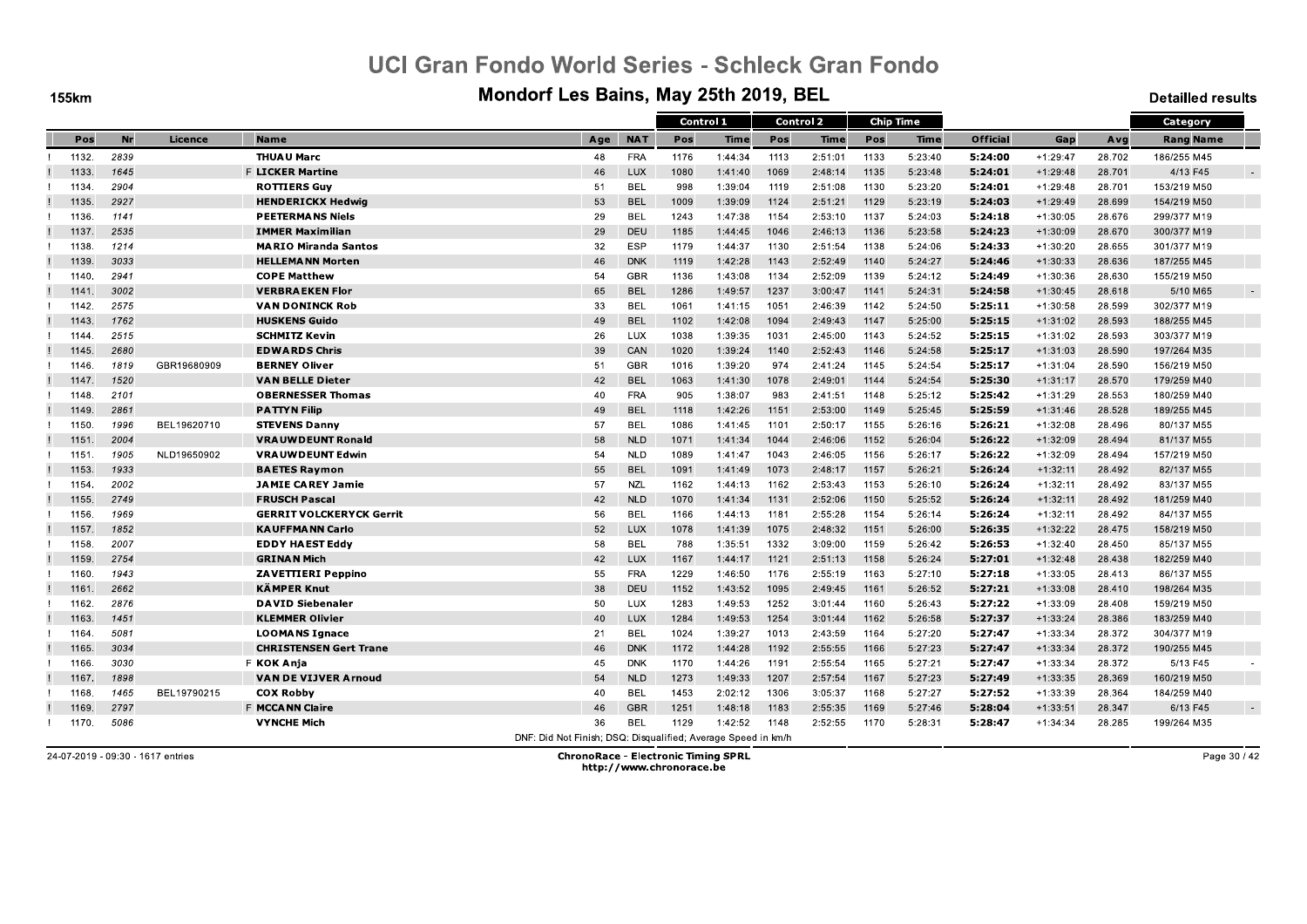**155km** 

#### Mondorf Les Bains, May 25th 2019, BEL

**Detailled results** 

|       |      |             |                                 |                                                               |            |      | Control 1 |      | <b>Control 2</b> |      | <b>Chip Time</b> |                 |            |        | Category         |  |
|-------|------|-------------|---------------------------------|---------------------------------------------------------------|------------|------|-----------|------|------------------|------|------------------|-----------------|------------|--------|------------------|--|
| Pos   | Nr   | Licence     | <b>Name</b>                     | Age                                                           | <b>NAT</b> | Pos  | Time      | Pos  | Time             | Pos  | Time             | <b>Official</b> | Gap        | Avg    | <b>Rang Name</b> |  |
| 1132. | 2839 |             | <b>THUAU Marc</b>               | 48                                                            | <b>FRA</b> | 1176 | 1:44:34   | 1113 | 2:51:01          | 1133 | 5:23:40          | 5:24:00         | $+1:29:47$ | 28.702 | 186/255 M45      |  |
| 1133. | 1645 |             | <b>F LICKER Martine</b>         | 46                                                            | <b>LUX</b> | 1080 | 1:41:40   | 1069 | 2:48:14          | 1135 | 5:23:48          | 5:24:01         | $+1:29:48$ | 28.701 | 4/13 F45         |  |
| 1134. | 2904 |             | <b>ROTTIERS Guy</b>             | 51                                                            | <b>BEL</b> | 998  | 1:39:04   | 1119 | 2:51:08          | 1130 | 5:23:20          | 5:24:01         | $+1:29:48$ | 28.701 | 153/219 M50      |  |
| 1135. | 2927 |             | <b>HENDERICKX Hedwig</b>        | 53                                                            | <b>BEL</b> | 1009 | 1:39:09   | 1124 | 2:51:21          | 1129 | 5:23:19          | 5:24:03         | $+1:29:49$ | 28.699 | 154/219 M50      |  |
| 1136. | 1141 |             | <b>PEETERMANS Niels</b>         | 29                                                            | <b>BEL</b> | 1243 | 1:47:38   | 1154 | 2:53:10          | 1137 | 5:24:03          | 5.24.18         | $+1:30:05$ | 28.676 | 299/377 M19      |  |
| 1137. | 2535 |             | <b>IMMER Maximilian</b>         | 29                                                            | <b>DEU</b> | 1185 | 1:44:45   | 1046 | 2:46:13          | 1136 | 5:23:58          | 5:24:23         | $+1:30:09$ | 28.670 | 300/377 M19      |  |
| 1138. | 1214 |             | <b>MARIO Miranda Santos</b>     | 32                                                            | <b>ESP</b> | 1179 | 1:44:37   | 1130 | 2:51:54          | 1138 | 5:24:06          | 5.24.33         | $+1:30:20$ | 28.655 | 301/377 M19      |  |
| 1139. | 3033 |             | <b>HELLEMANN Morten</b>         | 46                                                            | <b>DNK</b> | 1119 | 1:42:28   | 1143 | 2:52:49          | 1140 | 5:24:27          | 5:24:46         | $+1:30:33$ | 28.636 | 187/255 M45      |  |
| 1140. | 2941 |             | <b>COPE Matthew</b>             | 54                                                            | <b>GBR</b> | 1136 | 1:43:08   | 1134 | 2:52:09          | 1139 | 5:24:12          | 5:24:49         | $+1:30:36$ | 28.630 | 155/219 M50      |  |
| 1141. | 3002 |             | <b>VERBRAEKEN Flor</b>          | 65                                                            | <b>BEL</b> | 1286 | 1:49:57   | 1237 | 3:00:47          | 1141 | 5:24:31          | 5:24:58         | $+1:30:45$ | 28.618 | 5/10 M65         |  |
| 1142. | 2575 |             | <b>VAN DONINCK Rob</b>          | 33                                                            | <b>BEL</b> | 1061 | 1:41:15   | 1051 | 2:46:39          | 1142 | 5:24:50          | 5:25:11         | $+1:30:58$ | 28.599 | 302/377 M19      |  |
| 1143. | 1762 |             | <b>HUSKENS Guido</b>            | 49                                                            | <b>BEL</b> | 1102 | 1:42:08   | 1094 | 2:49:43          | 1147 | 5:25:00          | 5:25:15         | $+1:31:02$ | 28.593 | 188/255 M45      |  |
| 1144  | 2515 |             | <b>SCHMITZ Kevin</b>            | 26                                                            | LUX        | 1038 | 1:39:35   | 1031 | 2:45:00          | 1143 | 5:24:52          | 5:25:15         | $+1:31:02$ | 28.593 | 303/377 M19      |  |
| 1145. | 2680 |             | <b>EDWARDS Chris</b>            | 39                                                            | CAN        | 1020 | 1:39:24   | 1140 | 2:52:43          | 1146 | 5:24:58          | 5.25.17         | $+1:31:03$ | 28.590 | 197/264 M35      |  |
| 1146. | 1819 | GBR19680909 | <b>BERNEY Oliver</b>            | 51                                                            | <b>GBR</b> | 1016 | 1:39:20   | 974  | 2:41:24          | 1145 | 5:24:54          | 5:25:17         | $+1:31:04$ | 28.590 | 156/219 M50      |  |
| 1147. | 1520 |             | <b>VAN BELLE Dieter</b>         | 42                                                            | <b>BEL</b> | 1063 | 1:41:30   | 1078 | 2:49:01          | 1144 | 5:24:54          | 5:25:30         | $+1:31:17$ | 28.570 | 179/259 M40      |  |
| 1148. | 2101 |             | <b>OBERNESSER Thomas</b>        | 40                                                            | <b>FRA</b> | 905  | 1:38:07   | 983  | 2:41:51          | 1148 | 5:25:12          | 5:25:42         | $+1:31:29$ | 28.553 | 180/259 M40      |  |
| 1149. | 2861 |             | <b>PATTYN Filip</b>             | 49                                                            | <b>BEL</b> | 1118 | 1:42:26   | 1151 | 2:53:00          | 1149 | 5:25:45          | 5:25:59         | $+1:31:46$ | 28.528 | 189/255 M45      |  |
| 1150. | 1996 | BEL19620710 | <b>STEVENS Danny</b>            | 57                                                            | <b>BEL</b> | 1086 | 1:41:45   | 1101 | 2:50:17          | 1155 | 5:26:16          | 5:26:21         | $+1:32:08$ | 28.496 | 80/137 M55       |  |
| 1151. | 2004 |             | <b>VRAUWDEUNT Ronald</b>        | 58                                                            | <b>NLD</b> | 1071 | 1:41:34   | 1044 | 2:46:06          | 1152 | 5:26:04          | 5:26:22         | $+1:32:09$ | 28.494 | 81/137 M55       |  |
| 1151. | 1905 | NLD19650902 | <b>VRAUWDEUNT Edwin</b>         | 54                                                            | <b>NLD</b> | 1089 | 1:41:47   | 1043 | 2:46:05          | 1156 | 5:26:17          | 5:26:22         | $+1:32:09$ | 28.494 | 157/219 M50      |  |
| 1153  | 1933 |             | <b>BAETES Raymon</b>            | 55                                                            | <b>BEL</b> | 1091 | 1:41:49   | 1073 | 2:48:17          | 1157 | 5:26:21          | 5:26:24         | $+1:32:11$ | 28.492 | 82/137 M55       |  |
| 1154  | 2002 |             | <b>JAMIE CAREY Jamie</b>        | 57                                                            | <b>NZL</b> | 1162 | 1:44:13   | 1162 | 2:53:43          | 1153 | 5:26:10          | 5.26.24         | $+1:32:11$ | 28.492 | 83/137 M55       |  |
| 1155. | 2749 |             | <b>FRUSCH Pascal</b>            | 42                                                            | <b>NLD</b> | 1070 | 1:41:34   | 1131 | 2:52:06          | 1150 | 5:25:52          | 5:26:24         | $+1:32:11$ | 28.492 | 181/259 M40      |  |
| 1156. | 1969 |             | <b>GERRIT VOLCKERYCK Gerrit</b> | 56                                                            | <b>BEL</b> | 1166 | 1:44:13   | 1181 | 2:55:28          | 1154 | 5:26:14          | 5:26:24         | $+1:32:11$ | 28.492 | 84/137 M55       |  |
| 1157  | 1852 |             | <b>KAUFFMANN Carlo</b>          | 52                                                            | <b>LUX</b> | 1078 | 1:41:39   | 1075 | 2:48:32          | 1151 | 5:26:00          | 5:26:35         | $+1:32:22$ | 28.475 | 158/219 M50      |  |
| 1158  | 2007 |             | <b>EDDY HAEST Eddy</b>          | 58                                                            | <b>BEL</b> | 788  | 1:35:51   | 1332 | 3:09:00          | 1159 | 5:26:42          | 5:26:53         | $+1:32:40$ | 28.450 | 85/137 M55       |  |
| 1159. | 2754 |             | <b>GRINAN Mich</b>              | 42                                                            | <b>LUX</b> | 1167 | 1:44:17   | 1121 | 2:51:13          | 1158 | 5:26:24          | 5:27:01         | $+1:32:48$ | 28.438 | 182/259 M40      |  |
| 1160. | 1943 |             | <b>ZAVETTIERI Peppino</b>       | 55                                                            | <b>FRA</b> | 1229 | 1:46:50   | 1176 | 2:55:19          | 1163 | 5:27:10          | 5:27:18         | $+1:33:05$ | 28.413 | 86/137 M55       |  |
| 1161  | 2662 |             | <b>KÄMPER Knut</b>              | 38                                                            | DEU        | 1152 | 1:43:52   | 1095 | 2:49:45          | 1161 | 5:26:52          | 5:27:21         | $+1:33:08$ | 28.410 | 198/264 M35      |  |
| 1162. | 2876 |             | <b>DAVID Siebenaler</b>         | 50                                                            | LUX        | 1283 | 1:49:53   | 1252 | 3:01:44          | 1160 | 5:26:43          | 5:27:22         | $+1:33:09$ | 28.408 | 159/219 M50      |  |
| 1163. | 1451 |             | <b>KLEMMER Olivier</b>          | 40                                                            | <b>LUX</b> | 1284 | 1:49:53   | 1254 | 3:01:44          | 1162 | 5:26:58          | 5:27:37         | $+1:33:24$ | 28.386 | 183/259 M40      |  |
| 1164  | 5081 |             | <b>LOOMANS Ignace</b>           | 21                                                            | <b>BEL</b> | 1024 | 1:39:27   | 1013 | 2:43:59          | 1164 | 5:27:20          | 5:27:47         | $+1:33:34$ | 28.372 | 304/377 M19      |  |
| 1165. | 3034 |             | <b>CHRISTENSEN Gert Trane</b>   | 46                                                            | <b>DNK</b> | 1172 | 1:44:28   | 1192 | 2:55:55          | 1166 | 5:27:23          | 5:27:47         | $+1:33:34$ | 28.372 | 190/255 M45      |  |
| 1166. | 3030 |             | F KOK Anja                      | 45                                                            | <b>DNK</b> | 1170 | 1:44:26   | 1191 | 2:55:54          | 1165 | 5:27:21          | 5:27:47         | $+1:33:34$ | 28.372 | 5/13 F45         |  |
| 1167  | 1898 |             | <b>VAN DE VIJVER Arnoud</b>     | 54                                                            | <b>NLD</b> | 1273 | 1:49:33   | 1207 | 2:57:54          | 1167 | 5:27:23          | 5:27:49         | $+1:33:35$ | 28.369 | 160/219 M50      |  |
| 1168. | 1465 | BEL19790215 | <b>COX Robby</b>                | 40                                                            | BEL        | 1453 | 2:02:12   | 1306 | 3:05:37          | 1168 | 5:27:27          | 5.27.52         | $+1:33:39$ | 28.364 | 184/259 M40      |  |
| 1169. | 2797 |             | F MCCA NN Claire                | 46                                                            | <b>GBR</b> | 1251 | 1:48:18   | 1183 | 2:55:35          | 1169 | 5:27:46          | 5:28:04         | $+1:33:51$ | 28.347 | 6/13 F45         |  |
| 1170. | 5086 |             | <b>VYNCHE Mich</b>              | 36                                                            | <b>BEL</b> | 1129 | 1:42:52   | 1148 | 2:52:55          | 1170 | 5:28:31          | 5:28:47         | $+1:34:34$ | 28.285 | 199/264 M35      |  |
|       |      |             |                                 | DNF: Did Not Finish: DSO: Disqualified: Average Speed in km/h |            |      |           |      |                  |      |                  |                 |            |        |                  |  |

24-07-2019 - 09:30 - 1617 entries

**ChronoRace - Electronic Timing SPRL** http://www.chronorace.be

Page 30 / 42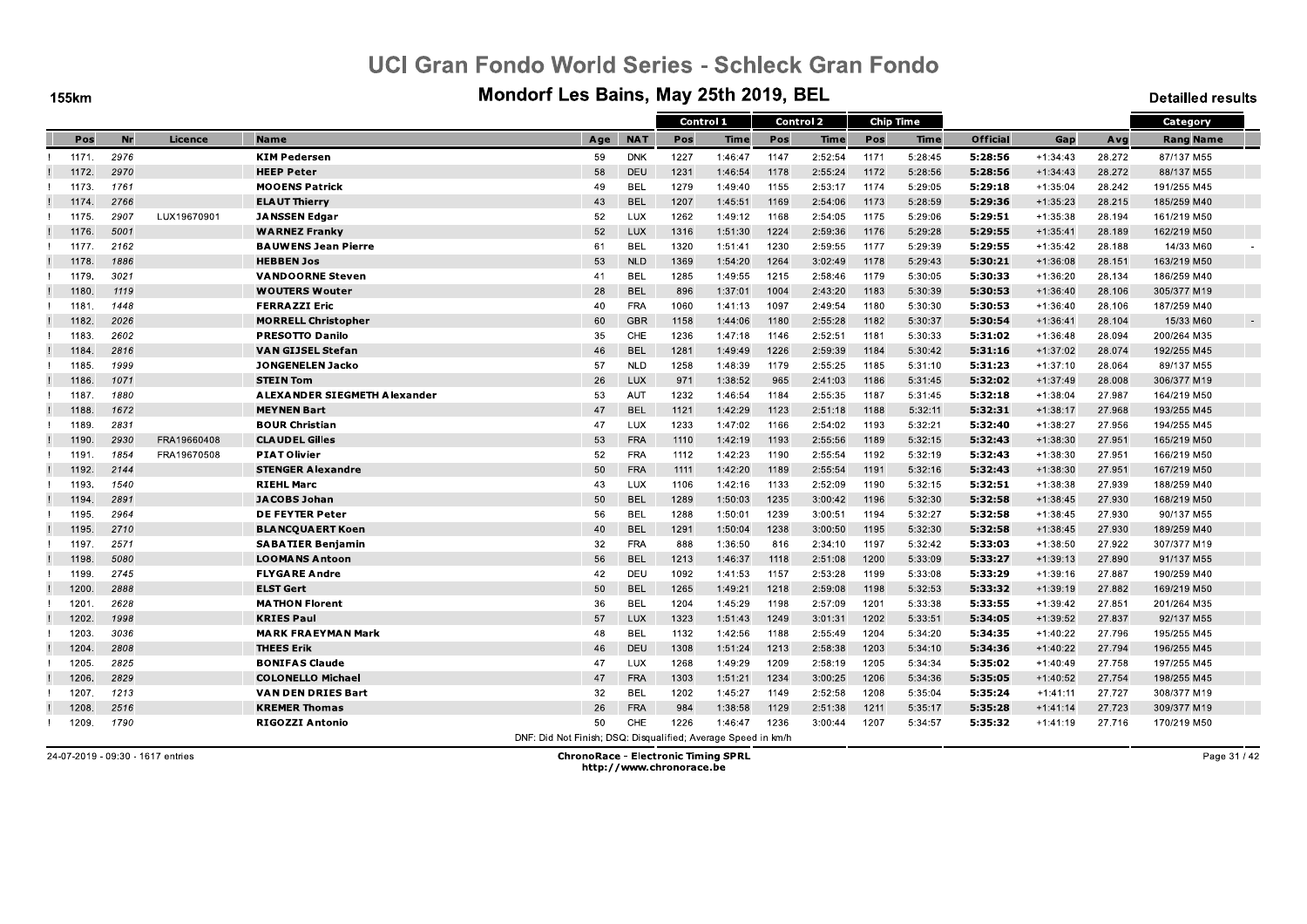**155km** 

#### Mondorf Les Bains, May 25th 2019, BEL

**Detailled results** 

|       |           |             |                                     |                                                               |            | Control 1 |             | <b>Control 2</b> |         |      | <b>Chip Time</b> |          |            |        | Category         |  |
|-------|-----------|-------------|-------------------------------------|---------------------------------------------------------------|------------|-----------|-------------|------------------|---------|------|------------------|----------|------------|--------|------------------|--|
| Pos   | <b>Nr</b> | Licence     | <b>Name</b>                         | Age                                                           | <b>NAT</b> | Pos       | <b>Time</b> | Pos              | Time    | Pos  | Time             | Official | Gap        | Avg    | <b>Rang Name</b> |  |
| 1171. | 2976      |             | <b>KIM Pedersen</b>                 | 59                                                            | <b>DNK</b> | 1227      | 1:46:47     | 1147             | 2:52:54 | 1171 | 5:28:45          | 5:28:56  | $+1:34:43$ | 28.272 | 87/137 M55       |  |
| 1172. | 2970      |             | <b>HEEP Peter</b>                   | 58                                                            | <b>DEU</b> | 1231      | 1:46:54     | 1178             | 2:55:24 | 1172 | 5:28:56          | 5:28:56  | $+1:34:43$ | 28.272 | 88/137 M55       |  |
| 1173. | 1761      |             | <b>MOOENS Patrick</b>               | 49                                                            | <b>BEL</b> | 1279      | 1:49:40     | 1155             | 2:53:17 | 1174 | 5:29:05          | 5:29:18  | $+1:35:04$ | 28.242 | 191/255 M45      |  |
| 1174. | 2766      |             | <b>ELAUT Thierry</b>                | 43                                                            | <b>BEL</b> | 1207      | 1:45:51     | 1169             | 2:54:06 | 1173 | 5:28:59          | 5:29:36  | $+1:35:23$ | 28.215 | 185/259 M40      |  |
| 1175. | 2907      | LUX19670901 | <b>JANSSEN Edgar</b>                | 52                                                            | <b>LUX</b> | 1262      | 1:49:12     | 1168             | 2:54:05 | 1175 | 5:29:06          | 5:29:51  | $+1:35:38$ | 28.194 | 161/219 M50      |  |
| 1176. | 5001      |             | <b>WARNEZ Franky</b>                | 52                                                            | <b>LUX</b> | 1316      | 1:51:30     | 1224             | 2:59:36 | 1176 | 5:29:28          | 5:29:55  | $+1:35:41$ | 28.189 | 162/219 M50      |  |
| 1177  | 2162      |             | <b>BAUWENS Jean Pierre</b>          | 61                                                            | <b>BEL</b> | 1320      | 1:51:41     | 1230             | 2:59:55 | 1177 | 5:29:39          | 5.29.55  | $+1:35:42$ | 28.188 | 14/33 M60        |  |
| 1178. | 1886      |             | <b>HEBBEN Jos</b>                   | 53                                                            | <b>NLD</b> | 1369      | 1:54:20     | 1264             | 3:02:49 | 1178 | 5:29:43          | 5:30:21  | $+1:36:08$ | 28.151 | 163/219 M50      |  |
| 1179. | 3021      |             | <b>VANDOORNE Steven</b>             | 41                                                            | <b>BEL</b> | 1285      | 1:49:55     | 1215             | 2:58:46 | 1179 | 5:30:05          | 5.30.33  | $+1:36:20$ | 28.134 | 186/259 M40      |  |
| 1180. | 1119      |             | <b>WOUTERS Wouter</b>               | 28                                                            | <b>BEL</b> | 896       | 1:37:01     | 1004             | 2:43:20 | 1183 | 5:30:39          | 5:30:53  | $+1:36:40$ | 28.106 | 305/377 M19      |  |
| 1181. | 1448      |             | <b>FERRAZZI Eric</b>                | 40                                                            | <b>FRA</b> | 1060      | 1:41:13     | 1097             | 2:49:54 | 1180 | 5:30:30          | 5:30:53  | $+1:36:40$ | 28.106 | 187/259 M40      |  |
| 1182. | 2026      |             | <b>MORRELL Christopher</b>          | 60                                                            | <b>GBR</b> | 1158      | 1:44:06     | 1180             | 2:55:28 | 1182 | 5:30:37          | 5:30:54  | $+1:36:41$ | 28.104 | 15/33 M60        |  |
| 1183  | 2602      |             | <b>PRESOTTO Danilo</b>              | 35                                                            | CHE        | 1236      | 1:47:18     | 1146             | 2:52:51 | 1181 | 5:30:33          | 5:31:02  | $+1:36:48$ | 28.094 | 200/264 M35      |  |
| 1184  | 2816      |             | <b>VAN GIJSEL Stefan</b>            | 46                                                            | <b>BEL</b> | 1281      | 1:49:49     | 1226             | 2:59:39 | 1184 | 5:30:42          | 5.31.16  | $+1:37:02$ | 28.074 | 192/255 M45      |  |
| 1185. | 1999      |             | <b>JONGENELEN Jacko</b>             | 57                                                            | <b>NLD</b> | 1258      | 1:48:39     | 1179             | 2:55:25 | 1185 | 5:31:10          | 5:31:23  | $+1:37:10$ | 28.064 | 89/137 M55       |  |
| 1186. | 1071      |             | <b>STEIN Tom</b>                    | 26                                                            | <b>LUX</b> | 971       | 1:38:52     | 965              | 2:41:03 | 1186 | 5:31:45          | 5:32:02  | $+1:37:49$ | 28.008 | 306/377 M19      |  |
| 1187  | 1880      |             | <b>ALEXANDER SIEGMETH Alexander</b> | 53                                                            | AUT        | 1232      | 1:46:54     | 1184             | 2:55:35 | 1187 | 5:31:45          | 5:32:18  | $+1:38:04$ | 27.987 | 164/219 M50      |  |
| 1188  | 1672      |             | <b>MEYNEN Bart</b>                  | 47                                                            | <b>BEL</b> | 1121      | 1:42:29     | 1123             | 2:51:18 | 1188 | 5:32:11          | 5:32:31  | $+1:38:17$ | 27.968 | 193/255 M45      |  |
| 1189. | 2831      |             | <b>BOUR Christian</b>               | 47                                                            | LUX        | 1233      | 1:47:02     | 1166             | 2:54:02 | 1193 | 5:32:21          | 5:32:40  | $+1:38:27$ | 27.956 | 194/255 M45      |  |
| 1190. | 2930      | FRA19660408 | <b>CLAUDEL Gilles</b>               | 53                                                            | <b>FRA</b> | 1110      | 1:42:19     | 1193             | 2:55:56 | 1189 | 5:32:15          | 5:32:43  | $+1:38:30$ | 27.951 | 165/219 M50      |  |
| 1191. | 1854      | FRA19670508 | <b>PIAT Olivier</b>                 | 52                                                            | <b>FRA</b> | 1112      | 1:42:23     | 1190             | 2:55:54 | 1192 | 5:32:19          | 5:32:43  | $+1:38:30$ | 27.951 | 166/219 M50      |  |
| 1192. | 2144      |             | <b>STENGER Alexandre</b>            | 50                                                            | <b>FRA</b> | 1111      | 1:42:20     | 1189             | 2:55:54 | 1191 | 5:32:16          | 5:32:43  | $+1:38:30$ | 27.951 | 167/219 M50      |  |
| 1193. | 1540      |             | <b>RIEHL Marc</b>                   | 43                                                            | <b>LUX</b> | 1106      | 1:42:16     | 1133             | 2:52:09 | 1190 | 5:32:15          | 5.32.51  | $+1:38:38$ | 27.939 | 188/259 M40      |  |
| 1194. | 2891      |             | JACOBS Johan                        | 50                                                            | <b>BEL</b> | 1289      | 1:50:03     | 1235             | 3:00:42 | 1196 | 5:32:30          | 5:32:58  | $+1:38:45$ | 27.930 | 168/219 M50      |  |
| 1195. | 2964      |             | <b>DE FEYTER Peter</b>              | 56                                                            | <b>BEL</b> | 1288      | 1:50:01     | 1239             | 3:00:51 | 1194 | 5:32:27          | 5:32:58  | $+1:38:45$ | 27.930 | 90/137 M55       |  |
| 1195. | 2710      |             | <b>BLANCQUAERT Koen</b>             | 40                                                            | <b>BEL</b> | 1291      | 1:50:04     | 1238             | 3:00:50 | 1195 | 5:32:30          | 5:32:58  | $+1:38:45$ | 27.930 | 189/259 M40      |  |
| 1197. | 2571      |             | <b>SABATIER Benjamin</b>            | 32                                                            | <b>FRA</b> | 888       | 1:36:50     | 816              | 2:34:10 | 1197 | 5:32:42          | 5:33:03  | $+1:38:50$ | 27.922 | 307/377 M19      |  |
| 1198. | 5080      |             | <b>LOOMANS Antoon</b>               | 56                                                            | <b>BEL</b> | 1213      | 1:46:37     | 1118             | 2:51:08 | 1200 | 5:33:09          | 5:33:27  | $+1:39:13$ | 27.890 | 91/137 M55       |  |
| 1199. | 2745      |             | <b>FLYGARE Andre</b>                | 42                                                            | DEU        | 1092      | 1:41:53     | 1157             | 2:53:28 | 1199 | 5:33:08          | 5:33:29  | $+1:39:16$ | 27.887 | 190/259 M40      |  |
| 1200  | 2888      |             | <b>ELST Gert</b>                    | 50                                                            | <b>BEL</b> | 1265      | 1:49:21     | 1218             | 2:59:08 | 1198 | 5:32:53          | 5.33.32  | $+1:39:19$ | 27.882 | 169/219 M50      |  |
| 1201  | 2628      |             | <b>MATHON Florent</b>               | 36                                                            | <b>BEL</b> | 1204      | 1:45:29     | 1198             | 2:57:09 | 1201 | 5:33:38          | 5:33:55  | $+1:39:42$ | 27.851 | 201/264 M35      |  |
| 1202. | 1998      |             | <b>KRIES Paul</b>                   | 57                                                            | <b>LUX</b> | 1323      | 1:51:43     | 1249             | 3:01:31 | 1202 | 5:33:51          | 5:34:05  | $+1:39:52$ | 27.837 | 92/137 M55       |  |
| 1203. | 3036      |             | <b>MARK FRAEYMAN Mark</b>           | 48                                                            | <b>BEL</b> | 1132      | 1:42:56     | 1188             | 2:55:49 | 1204 | 5:34:20          | 5:34:35  | $+1:40:22$ | 27.796 | 195/255 M45      |  |
| 1204  | 2808      |             | <b>THEES Erik</b>                   | 46                                                            | DEU        | 1308      | 1:51:24     | 1213             | 2:58:38 | 1203 | 5:34:10          | 5:34:36  | $+1:40:22$ | 27.794 | 196/255 M45      |  |
| 1205. | 2825      |             | <b>BONIFAS Claude</b>               | 47                                                            | <b>LUX</b> | 1268      | 1:49:29     | 1209             | 2:58:19 | 1205 | 5:34:34          | 5:35:02  | $+1:40:49$ | 27.758 | 197/255 M45      |  |
| 1206. | 2829      |             | <b>COLONELLO Michael</b>            | 47                                                            | <b>FRA</b> | 1303      | 1:51:21     | 1234             | 3:00:25 | 1206 | 5:34:36          | 5:35:05  | $+1:40:52$ | 27.754 | 198/255 M45      |  |
| 1207. | 1213      |             | <b>VAN DEN DRIES Bart</b>           | 32                                                            | <b>BEL</b> | 1202      | 1:45:27     | 1149             | 2:52:58 | 1208 | 5:35:04          | 5:35:24  | $+1:41:11$ | 27.727 | 308/377 M19      |  |
| 1208. | 2516      |             | <b>KREMER Thomas</b>                | 26                                                            | <b>FRA</b> | 984       | 1:38:58     | 1129             | 2:51:38 | 1211 | 5:35:17          | 5:35:28  | $+1:41:14$ | 27.723 | 309/377 M19      |  |
| 1209. | 1790      |             | <b>RIGOZZI Antonio</b>              | 50                                                            | CHE.       | 1226      | 1:46:47     | 1236             | 3:00:44 | 1207 | 5:34:57          | 5.35.32  | $+1:41:19$ | 27.716 | 170/219 M50      |  |
|       |           |             |                                     | DNF: Did Not Finish; DSQ: Disqualified; Average Speed in km/h |            |           |             |                  |         |      |                  |          |            |        |                  |  |

24-07-2019 - 09:30 - 1617 entries

**ChronoRace - Electronic Timing SPRL** http://www.chronorace.be

Page 31 / 42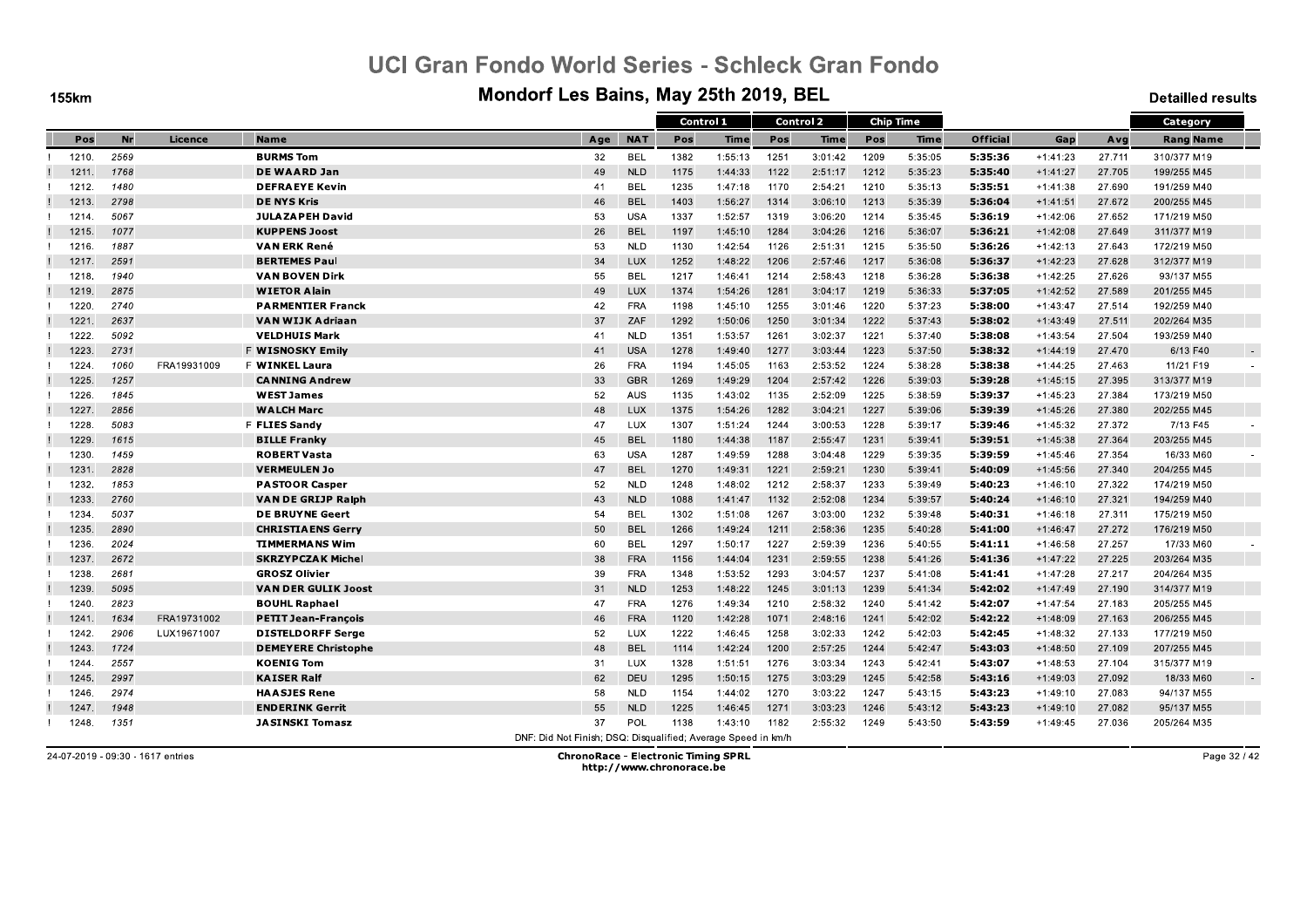**155km** 

#### Mondorf Les Bains, May 25th 2019, BEL

**Detailled results** 

|       |      |             |                            |                                                               |            | Control 1 |             |      | Control 2 |      | <b>Chip Time</b> |                 |            |        | Category         |  |
|-------|------|-------------|----------------------------|---------------------------------------------------------------|------------|-----------|-------------|------|-----------|------|------------------|-----------------|------------|--------|------------------|--|
| Pos   | Nr   | Licence     | <b>Name</b>                | Age                                                           | <b>NAT</b> | Pos       | <b>Time</b> | Pos  | Time      | Pos  | <b>Time</b>      | <b>Official</b> | Gap        | Avg    | <b>Rang Name</b> |  |
| 1210. | 2569 |             | <b>BURMS Tom</b>           | 32                                                            | <b>BEL</b> | 1382      | 1:55:13     | 1251 | 3:01:42   | 1209 | 5:35:05          | 5:35:36         | $+1:41:23$ | 27.711 | 310/377 M19      |  |
| 1211. | 1768 |             | DE WAARD Jan               | 49                                                            | <b>NLD</b> | 1175      | 1:44:33     | 1122 | 2:51:17   | 1212 | 5:35:23          | 5:35:40         | $+1:41:27$ | 27.705 | 199/255 M45      |  |
| 1212. | 1480 |             | <b>DEFRAEYE Kevin</b>      | 41                                                            | <b>BEL</b> | 1235      | 1:47:18     | 1170 | 2:54:21   | 1210 | 5:35:13          | 5:35:51         | $+1:41:38$ | 27.690 | 191/259 M40      |  |
| 1213. | 2798 |             | <b>DE NYS Kris</b>         | 46                                                            | <b>BEL</b> | 1403      | 1:56:27     | 1314 | 3:06:10   | 1213 | 5:35:39          | 5:36:04         | $+1:41:51$ | 27.672 | 200/255 M45      |  |
| 1214  | 5067 |             | <b>JULAZAPEH David</b>     | 53                                                            | <b>USA</b> | 1337      | 1:52:57     | 1319 | 3:06:20   | 1214 | 5:35:45          | 5:36:19         | $+1:42:06$ | 27.652 | 171/219 M50      |  |
| 1215. | 1077 |             | <b>KUPPENS Joost</b>       | 26                                                            | <b>BEL</b> | 1197      | 1:45:10     | 1284 | 3:04:26   | 1216 | 5:36:07          | 5:36:21         | $+1:42:08$ | 27.649 | 311/377 M19      |  |
| 1216. | 1887 |             | <b>VAN ERK René</b>        | 53                                                            | <b>NLD</b> | 1130      | 1:42:54     | 1126 | 2:51:31   | 1215 | 5:35:50          | 5.36.26         | $+1:42:13$ | 27.643 | 172/219 M50      |  |
| 1217. | 2591 |             | <b>BERTEMES Paul</b>       | 34                                                            | LUX        | 1252      | 1:48:22     | 1206 | 2:57:46   | 1217 | 5:36:08          | 5:36:37         | $+1:42:23$ | 27.628 | 312/377 M19      |  |
| 1218  | 1940 |             | <b>VAN BOVEN Dirk</b>      | 55                                                            | <b>BEL</b> | 1217      | 1:46:41     | 1214 | 2:58:43   | 1218 | 5:36:28          | 5.36.38         | $+1:42:25$ | 27.626 | 93/137 M55       |  |
| 1219. | 2875 |             | <b>WIETOR Alain</b>        | 49                                                            | LUX        | 1374      | 1:54:26     | 1281 | 3:04:17   | 1219 | 5:36:33          | 5:37:05         | $+1:42:52$ | 27.589 | 201/255 M45      |  |
| 1220  | 2740 |             | <b>PARMENTIER Franck</b>   | 42                                                            | <b>FRA</b> | 1198      | 1:45:10     | 1255 | 3:01:46   | 1220 | 5:37:23          | 5:38:00         | $+1:43:47$ | 27.514 | 192/259 M40      |  |
| 1221  | 2637 |             | VAN WIJK Adriaan           | 37                                                            | ZAF        | 1292      | 1:50:06     | 1250 | 3:01:34   | 1222 | 5:37:43          | 5:38:02         | $+1:43:49$ | 27.511 | 202/264 M35      |  |
| 1222. | 5092 |             | <b>VELDHUIS Mark</b>       | 41                                                            | <b>NLD</b> | 1351      | 1:53:57     | 1261 | 3:02:37   | 1221 | 5:37:40          | 5:38:08         | $+1:43:54$ | 27.504 | 193/259 M40      |  |
| 1223. | 2731 |             | F WISNOSKY Emily           | 41                                                            | <b>USA</b> | 1278      | 1:49:40     | 1277 | 3:03:44   | 1223 | 5:37:50          | 5.38.32         | $+1:44:19$ | 27.470 | 6/13 F40         |  |
| 1224  | 1060 | FRA19931009 | <b>F WINKEL Laura</b>      | 26                                                            | <b>FRA</b> | 1194      | 1:45:05     | 1163 | 2:53:52   | 1224 | 5:38:28          | 5:38:38         | $+1:44:25$ | 27.463 | 11/21 F19        |  |
| 1225. | 1257 |             | <b>CANNING Andrew</b>      | 33                                                            | <b>GBR</b> | 1269      | 1:49:29     | 1204 | 2:57:42   | 1226 | 5:39:03          | 5:39:28         | $+1:45:15$ | 27.395 | 313/377 M19      |  |
| 1226. | 1845 |             | <b>WEST James</b>          | 52                                                            | AUS        | 1135      | 1:43:02     | 1135 | 2:52:09   | 1225 | 5:38:59          | 5:39:37         | $+1:45:23$ | 27.384 | 173/219 M50      |  |
| 1227  | 2856 |             | <b>WALCH Marc</b>          | 48                                                            | LUX        | 1375      | 1:54:26     | 1282 | 3:04:21   | 1227 | 5:39:06          | 5:39:39         | $+1:45:26$ | 27.380 | 202/255 M45      |  |
| 1228. | 5083 |             | <b>F FLIES Sandy</b>       | 47                                                            | LUX        | 1307      | 1:51:24     | 1244 | 3:00:53   | 1228 | 5:39:17          | 5:39:46         | $+1:45:32$ | 27.372 | 7/13 F45         |  |
| 1229. | 1615 |             | <b>BILLE Franky</b>        | 45                                                            | <b>BEL</b> | 1180      | 1:44:38     | 1187 | 2:55:47   | 1231 | 5:39:41          | 5:39:51         | $+1:45:38$ | 27.364 | 203/255 M45      |  |
| 1230. | 1459 |             | <b>ROBERT Vasta</b>        | 63                                                            | <b>USA</b> | 1287      | 1:49:59     | 1288 | 3:04:48   | 1229 | 5:39:35          | 5:39:59         | $+1:45:46$ | 27.354 | 16/33 M60        |  |
| 1231  | 2828 |             | <b>VERMEULEN Jo</b>        | 47                                                            | <b>BEL</b> | 1270      | 1:49:31     | 1221 | 2:59:21   | 1230 | 5:39:41          | 5:40:09         | $+1:45:56$ | 27.340 | 204/255 M45      |  |
| 1232. | 1853 |             | <b>PASTOOR Casper</b>      | 52                                                            | <b>NLD</b> | 1248      | 1:48:02     | 1212 | 2:58:37   | 1233 | 5:39:49          | 5:40:23         | $+1:46:10$ | 27.322 | 174/219 M50      |  |
| 1233. | 2760 |             | VAN DE GRIJP Ralph         | 43                                                            | <b>NLD</b> | 1088      | 1:41:47     | 1132 | 2:52:08   | 1234 | 5:39:57          | 5:40:24         | $+1:46:10$ | 27.321 | 194/259 M40      |  |
| 1234. | 5037 |             | <b>DE BRUYNE Geert</b>     | 54                                                            | <b>BEL</b> | 1302      | 1:51:08     | 1267 | 3:03:00   | 1232 | 5:39:48          | 5:40:31         | $+1:46:18$ | 27.311 | 175/219 M50      |  |
| 1235. | 2890 |             | <b>CHRISTIAENS Gerry</b>   | 50                                                            | <b>BEL</b> | 1266      | 1:49:24     | 1211 | 2:58:36   | 1235 | 5:40:28          | 5:41:00         | $+1:46:47$ | 27.272 | 176/219 M50      |  |
| 1236. | 2024 |             | <b>TIMMERMANS Wim</b>      | 60                                                            | <b>BEL</b> | 1297      | 1:50:17     | 1227 | 2:59:39   | 1236 | 5:40:55          | 5:41:11         | $+1:46:58$ | 27.257 | 17/33 M60        |  |
| 1237  | 2672 |             | <b>SKRZYPCZAK Michel</b>   | 38                                                            | <b>FRA</b> | 1156      | 1:44:04     | 1231 | 2:59:55   | 1238 | 5:41:26          | 5:41:36         | $+1:47:22$ | 27.225 | 203/264 M35      |  |
| 1238. | 2681 |             | <b>GROSZ Olivier</b>       | 39                                                            | <b>FRA</b> | 1348      | 1:53:52     | 1293 | 3:04:57   | 1237 | 5:41:08          | 5:41:41         | $+1:47:28$ | 27.217 | 204/264 M35      |  |
| 1239  | 5095 |             | <b>VAN DER GULIK Joost</b> | 31                                                            | <b>NLD</b> | 1253      | 1:48:22     | 1245 | 3:01:13   | 1239 | 5:41:34          | 5.42.02         | $+1:47:49$ | 27.190 | 314/377 M19      |  |
| 1240. | 2823 |             | <b>BOUHL Raphael</b>       | 47                                                            | <b>FRA</b> | 1276      | 1:49:34     | 1210 | 2:58:32   | 1240 | 5:41:42          | 5:42:07         | $+1:47:54$ | 27.183 | 205/255 M45      |  |
| 1241. | 1634 | FRA19731002 | <b>PETIT Jean-Francois</b> | 46                                                            | <b>FRA</b> | 1120      | 1:42:28     | 1071 | 2:48:16   | 1241 | 5:42:02          | 5:42:22         | $+1:48:09$ | 27.163 | 206/255 M45      |  |
| 1242. | 2906 | LUX19671007 | <b>DISTELDORFF Serge</b>   | 52                                                            | LUX        | 1222      | 1:46:45     | 1258 | 3:02:33   | 1242 | 5:42:03          | 5:42:45         | $+1:48:32$ | 27.133 | 177/219 M50      |  |
| 1243. | 1724 |             | <b>DEMEYERE Christophe</b> | 48                                                            | <b>BEL</b> | 1114      | 1:42:24     | 1200 | 2:57:25   | 1244 | 5:42:47          | 5:43:03         | $+1:48:50$ | 27.109 | 207/255 M45      |  |
| 1244  | 2557 |             | <b>KOENIG Tom</b>          | 31                                                            | LUX        | 1328      | 1:51:51     | 1276 | 3:03:34   | 1243 | 5:42:41          | 5:43:07         | $+1:48:53$ | 27.104 | 315/377 M19      |  |
| 1245. | 2997 |             | <b>KAISER Ralf</b>         | 62                                                            | DEU        | 1295      | 1:50:15     | 1275 | 3:03:29   | 1245 | 5:42:58          | 5:43:16         | $+1:49:03$ | 27.092 | 18/33 M60        |  |
| 1246. | 2974 |             | <b>HAASJES Rene</b>        | 58                                                            | <b>NLD</b> | 1154      | 1:44:02     | 1270 | 3:03:22   | 1247 | 5:43:15          | 5:43:23         | $+1:49:10$ | 27.083 | 94/137 M55       |  |
| 1247  | 1948 |             | <b>ENDERINK Gerrit</b>     | 55                                                            | <b>NLD</b> | 1225      | 1:46:45     | 1271 | 3:03:23   | 1246 | 5:43:12          | 5:43:23         | $+1:49:10$ | 27.082 | 95/137 M55       |  |
| 1248. | 1351 |             | <b>JASINSKI Tomasz</b>     | 37                                                            | POL        | 1138      | 1:43:10     | 1182 | 2:55:32   | 1249 | 5:43:50          | 5:43:59         | $+1:49:45$ | 27.036 | 205/264 M35      |  |
|       |      |             |                            | DNF: Did Not Finish: DSQ: Disqualified: Average Speed in km/h |            |           |             |      |           |      |                  |                 |            |        |                  |  |

24-07-2019 - 09:30 - 1617 entries

**ChronoRace - Electronic Timing SPRL** http://www.chronorace.be

Page 32 / 42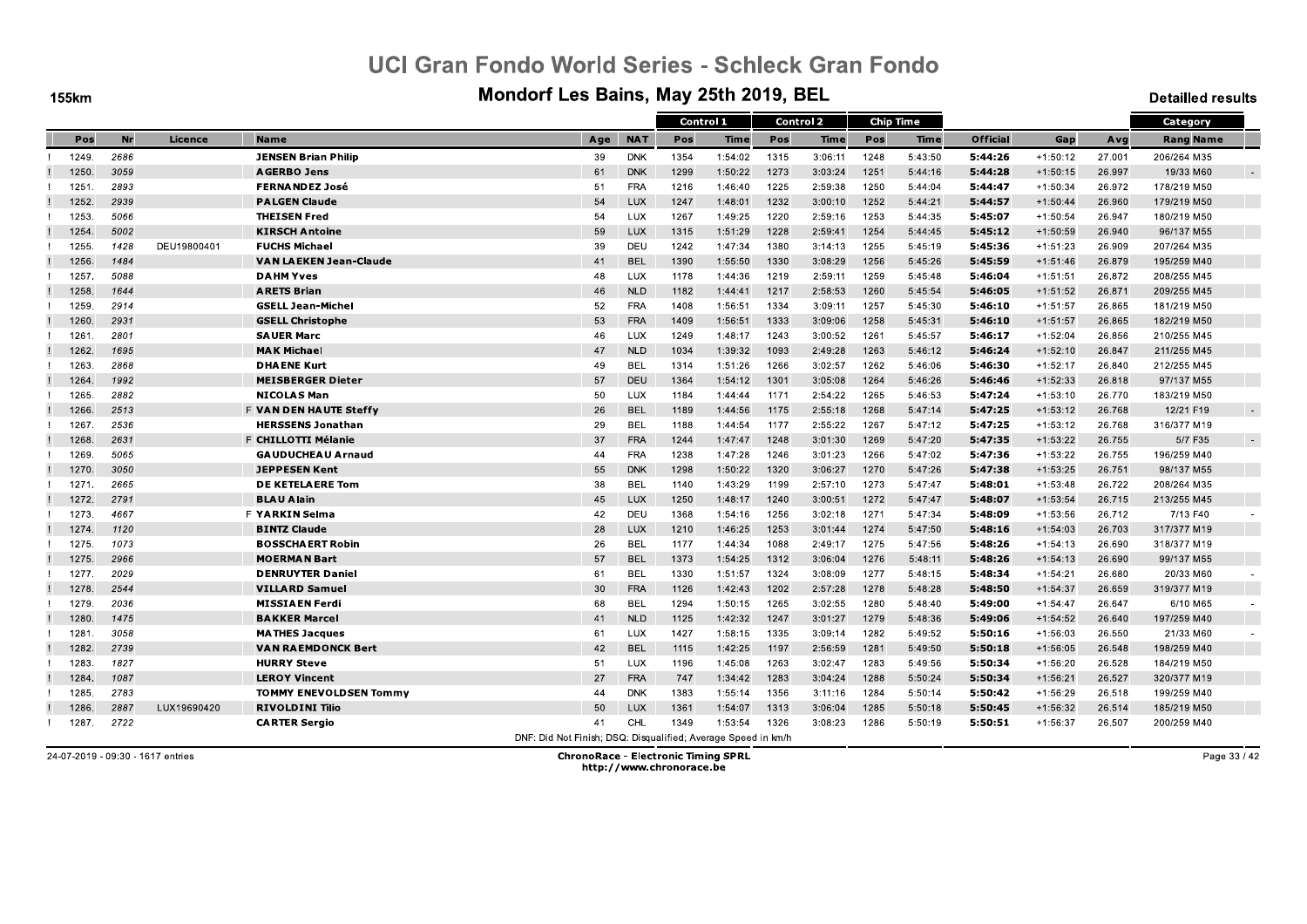**155km** 

#### Mondorf Les Bains, May 25th 2019, BEL

**Detailled results** 

|       |      |             |                               |                                                               |            | Control 1 |             |      | Control 2   |      | <b>Chip Time</b> |                 |            |        | Category         |        |
|-------|------|-------------|-------------------------------|---------------------------------------------------------------|------------|-----------|-------------|------|-------------|------|------------------|-----------------|------------|--------|------------------|--------|
| Pos   | Nr   | Licence     | <b>Name</b>                   | Age                                                           | <b>NAT</b> | Pos       | <b>Time</b> | Pos  | <b>Time</b> | Pos  | Time             | <b>Official</b> | Gap        | Avg    | <b>Rang Name</b> |        |
| 1249. | 2686 |             | <b>JENSEN Brian Philip</b>    | 39                                                            | <b>DNK</b> | 1354      | 1:54:02     | 1315 | 3:06:11     | 1248 | 5:43:50          | 5:44:26         | $+1:50:12$ | 27.001 | 206/264 M35      |        |
| 1250  | 3059 |             | <b>AGERBO Jens</b>            | 61                                                            | <b>DNK</b> | 1299      | 1:50:22     | 1273 | 3:03:24     | 1251 | 5:44:16          | 5:44:28         | $+1:50:15$ | 26.997 | 19/33 M60        |        |
| 1251  | 2893 |             | <b>FERNANDEZ José</b>         | 51                                                            | <b>FRA</b> | 1216      | 1:46:40     | 1225 | 2:59:38     | 1250 | 5:44:04          | 5:44:47         | $+1:50:34$ | 26.972 | 178/219 M50      |        |
| 1252  | 2939 |             | <b>PALGEN Claude</b>          | 54                                                            | LUX        | 1247      | 1:48:01     | 1232 | 3:00:10     | 1252 | 5:44:21          | 5:44:57         | $+1:50:44$ | 26.960 | 179/219 M50      |        |
| 1253  | 5066 |             | <b>THEISEN Fred</b>           | 54                                                            | <b>LUX</b> | 1267      | 1:49:25     | 1220 | 2:59:16     | 1253 | 5:44:35          | 5:45:07         | $+1:50:54$ | 26.947 | 180/219 M50      |        |
| 1254  | 5002 |             | <b>KIRSCH Antoine</b>         | 59                                                            | LUX        | 1315      | 1:51:29     | 1228 | 2:59:41     | 1254 | 5:44:45          | 5:45:12         | $+1:50:59$ | 26.940 | 96/137 M55       |        |
| 1255  | 1428 | DEU19800401 | <b>FUCHS Michael</b>          | 39                                                            | DEU        | 1242      | 1:47:34     | 1380 | 3:14:13     | 1255 | 5:45:19          | 5.45.36         | $+1:51:23$ | 26.909 | 207/264 M35      |        |
| 1256  | 1484 |             | <b>VAN LAEKEN Jean-Claude</b> | 41                                                            | <b>BEL</b> | 1390      | 1:55:50     | 1330 | 3:08:29     | 1256 | 5:45:26          | 5:45:59         | $+1:51:46$ | 26.879 | 195/259 M40      |        |
| 1257  | 5088 |             | <b>DAHM Yves</b>              | 48                                                            | LUX        | 1178      | 1:44:36     | 1219 | 2:59:11     | 1259 | 5:45:48          | 5:46:04         | $+1:51:51$ | 26.872 | 208/255 M45      |        |
| 1258  | 1644 |             | <b>ARETS Brian</b>            | 46                                                            | <b>NLD</b> | 1182      | 1:44:41     | 1217 | 2:58:53     | 1260 | 5:45:54          | 5:46:05         | $+1:51:52$ | 26.871 | 209/255 M45      |        |
| 1259  | 2914 |             | <b>GSELL Jean-Michel</b>      | 52                                                            | <b>FRA</b> | 1408      | 1:56:51     | 1334 | 3:09:11     | 1257 | 5:45:30          | 5:46:10         | $+1:51:57$ | 26.865 | 181/219 M50      |        |
| 1260. | 2931 |             | <b>GSELL Christophe</b>       | 53                                                            | <b>FRA</b> | 1409      | 1:56:51     | 1333 | 3:09:06     | 1258 | 5:45:31          | 5:46:10         | $+1:51:57$ | 26.865 | 182/219 M50      |        |
| 1261  | 2801 |             | <b>SAUER Marc</b>             | 46                                                            | LUX        | 1249      | 1:48:17     | 1243 | 3:00:52     | 1261 | 5:45:57          | 5:46:17         | $+1:52:04$ | 26.856 | 210/255 M45      |        |
| 1262  | 1695 |             | <b>MAK Michael</b>            | 47                                                            | <b>NLD</b> | 1034      | 1:39:32     | 1093 | 2:49:28     | 1263 | 5:46:12          | 5.46.24         | $+1:52:10$ | 26.847 | 211/255 M45      |        |
| 1263  | 2868 |             | <b>DHAENE Kurt</b>            | 49                                                            | <b>BEL</b> | 1314      | 1:51:26     | 1266 | 3:02:57     | 1262 | 5:46:06          | 5:46:30         | $+1:52:17$ | 26.840 | 212/255 M45      |        |
| 1264  | 1992 |             | <b>MEISBERGER Dieter</b>      | 57                                                            | <b>DEU</b> | 1364      | 1:54:12     | 1301 | 3:05:08     | 1264 | 5:46:26          | 5.46.46         | $+1:52:33$ | 26.818 | 97/137 M55       |        |
| 1265  | 2882 |             | <b>NICOLAS Man</b>            | 50                                                            | <b>LUX</b> | 1184      | 1:44:44     | 1171 | 2:54:22     | 1265 | 5:46:53          | 5:47:24         | $+1:53:10$ | 26.770 | 183/219 M50      |        |
| 1266  | 2513 |             | <b>F VAN DEN HAUTE Steffy</b> | 26                                                            | <b>BEL</b> | 1189      | 1:44:56     | 1175 | 2:55:18     | 1268 | 5:47:14          | 5:47:25         | $+1:53:12$ | 26.768 | 12/21 F19        |        |
| 1267. | 2536 |             | <b>HERSSENS Jonathan</b>      | 29                                                            | <b>BEL</b> | 1188      | 1:44:54     | 1177 | 2:55:22     | 1267 | 5:47:12          | 5:47:25         | $+1:53:12$ | 26.768 | 316/377 M19      |        |
| 1268  | 2631 |             | F CHILLOTTI Mélanie           | 37                                                            | <b>FRA</b> | 1244      | 1:47:47     | 1248 | 3:01:30     | 1269 | 5:47:20          | 5:47:35         | $+1:53:22$ | 26.755 | 5/7 F35          | $\sim$ |
| 1269. | 5065 |             | <b>GAUDUCHEAU Arnaud</b>      | 44                                                            | <b>FRA</b> | 1238      | 1:47:28     | 1246 | 3:01:23     | 1266 | 5:47:02          | 5.47.36         | $+1:53:22$ | 26.755 | 196/259 M40      |        |
| 1270  | 3050 |             | <b>JEPPESEN Kent</b>          | 55                                                            | <b>DNK</b> | 1298      | 1:50:22     | 1320 | 3:06:27     | 1270 | 5:47:26          | 5:47:38         | $+1:53:25$ | 26.751 | 98/137 M55       |        |
| 1271. | 2665 |             | <b>DE KETELAERE Tom</b>       | 38                                                            | <b>BEL</b> | 1140      | 1:43:29     | 1199 | 2:57:10     | 1273 | 5:47:47          | 5:48:01         | $+1:53:48$ | 26.722 | 208/264 M35      |        |
| 1272. | 2791 |             | <b>BLAU Alain</b>             | 45                                                            | LUX        | 1250      | 1:48:17     | 1240 | 3:00:51     | 1272 | 5:47:47          | 5:48:07         | $+1:53:54$ | 26.715 | 213/255 M45      |        |
| 1273. | 4667 |             | <b>F YARKIN Selma</b>         | 42                                                            | DEU        | 1368      | 1:54:16     | 1256 | 3:02:18     | 1271 | 5:47:34          | 5:48:09         | $+1:53:56$ | 26.712 | 7/13 F40         |        |
| 1274  | 1120 |             | <b>BINTZ Claude</b>           | 28                                                            | <b>LUX</b> | 1210      | 1:46:25     | 1253 | 3:01:44     | 1274 | 5:47:50          | 5:48:16         | $+1:54:03$ | 26.703 | 317/377 M19      |        |
| 1275. | 1073 |             | <b>BOSSCHAERT Robin</b>       | 26                                                            | BEL        | 1177      | 1:44:34     | 1088 | 2:49:17     | 1275 | 5:47:56          | 5:48:26         | $+1:54:13$ | 26.690 | 318/377 M19      |        |
| 1275. | 2966 |             | <b>MOERMAN Bart</b>           | 57                                                            | <b>BEL</b> | 1373      | 1:54:25     | 1312 | 3:06:04     | 1276 | 5:48:11          | 5:48:26         | $+1:54:13$ | 26.690 | 99/137 M55       |        |
| 1277. | 2029 |             | <b>DENRUYTER Daniel</b>       | 61                                                            | <b>BEL</b> | 1330      | 1:51:57     | 1324 | 3:08:09     | 1277 | 5:48:15          | 5:48:34         | $+1:54:21$ | 26.680 | 20/33 M60        |        |
| 1278  | 2544 |             | <b>VILLARD Samuel</b>         | 30                                                            | <b>FRA</b> | 1126      | 1:42:43     | 1202 | 2:57:28     | 1278 | 5:48:28          | 5.48.50         | $+1:54:37$ | 26.659 | 319/377 M19      |        |
| 1279  | 2036 |             | <b>MISSIAEN Ferdi</b>         | 68                                                            | <b>BEL</b> | 1294      | 1:50:15     | 1265 | 3:02:55     | 1280 | 5:48:40          | 5:49:00         | $+1:54:47$ | 26.647 | 6/10 M65         |        |
| 1280. | 1475 |             | <b>BAKKER Marcel</b>          | 41                                                            | <b>NLD</b> | 1125      | 1:42:32     | 1247 | 3:01:27     | 1279 | 5:48:36          | 5:49:06         | $+1:54:52$ | 26.640 | 197/259 M40      |        |
| 1281  | 3058 |             | <b>MATHES Jacques</b>         | 61                                                            | LUX        | 1427      | 1:58:15     | 1335 | 3:09:14     | 1282 | 5:49:52          | 5:50:16         | $+1:56:03$ | 26.550 | 21/33 M60        |        |
| 1282. | 2739 |             | <b>VAN RAEMDONCK Bert</b>     | 42                                                            | <b>BEL</b> | 1115      | 1:42:25     | 1197 | 2:56:59     | 1281 | 5:49:50          | 5:50:18         | $+1:56:05$ | 26.548 | 198/259 M40      |        |
| 1283  | 1827 |             | <b>HURRY Steve</b>            | 51                                                            | LUX        | 1196      | 1:45:08     | 1263 | 3:02:47     | 1283 | 5:49:56          | 5:50:34         | $+1:56:20$ | 26.528 | 184/219 M50      |        |
| 1284  | 1087 |             | <b>LEROY Vincent</b>          | 27                                                            | <b>FRA</b> | 747       | 1:34:42     | 1283 | 3:04:24     | 1288 | 5:50:24          | 5:50:34         | $+1:56:21$ | 26.527 | 320/377 M19      |        |
| 1285. | 2783 |             | <b>TOMMY ENEVOLDSEN Tommy</b> | 44                                                            | <b>DNK</b> | 1383      | 1:55:14     | 1356 | 3:11:16     | 1284 | 5:50:14          | 5.50.42         | $+1:56:29$ | 26.518 | 199/259 M40      |        |
| 1286  | 2887 | LUX19690420 | <b>RIVOLDINI Tilio</b>        | 50                                                            | LUX        | 1361      | 1:54:07     | 1313 | 3:06:04     | 1285 | 5:50:18          | 5:50:45         | $+1:56:32$ | 26.514 | 185/219 M50      |        |
| 1287. | 2722 |             | <b>CARTER Sergio</b>          | 41                                                            | CHL        | 1349      | 1:53:54     | 1326 | 3:08:23     | 1286 | 5:50:19          | 5.50.51         | $+1:56:37$ | 26.507 | 200/259 M40      |        |
|       |      |             |                               | DNF: Did Not Finish: DSQ: Disqualified: Average Speed in km/h |            |           |             |      |             |      |                  |                 |            |        |                  |        |

24-07-2019 - 09:30 - 1617 entries

**ChronoRace - Electronic Timing SPRL** http://www.chronorace.be

Page 33 / 42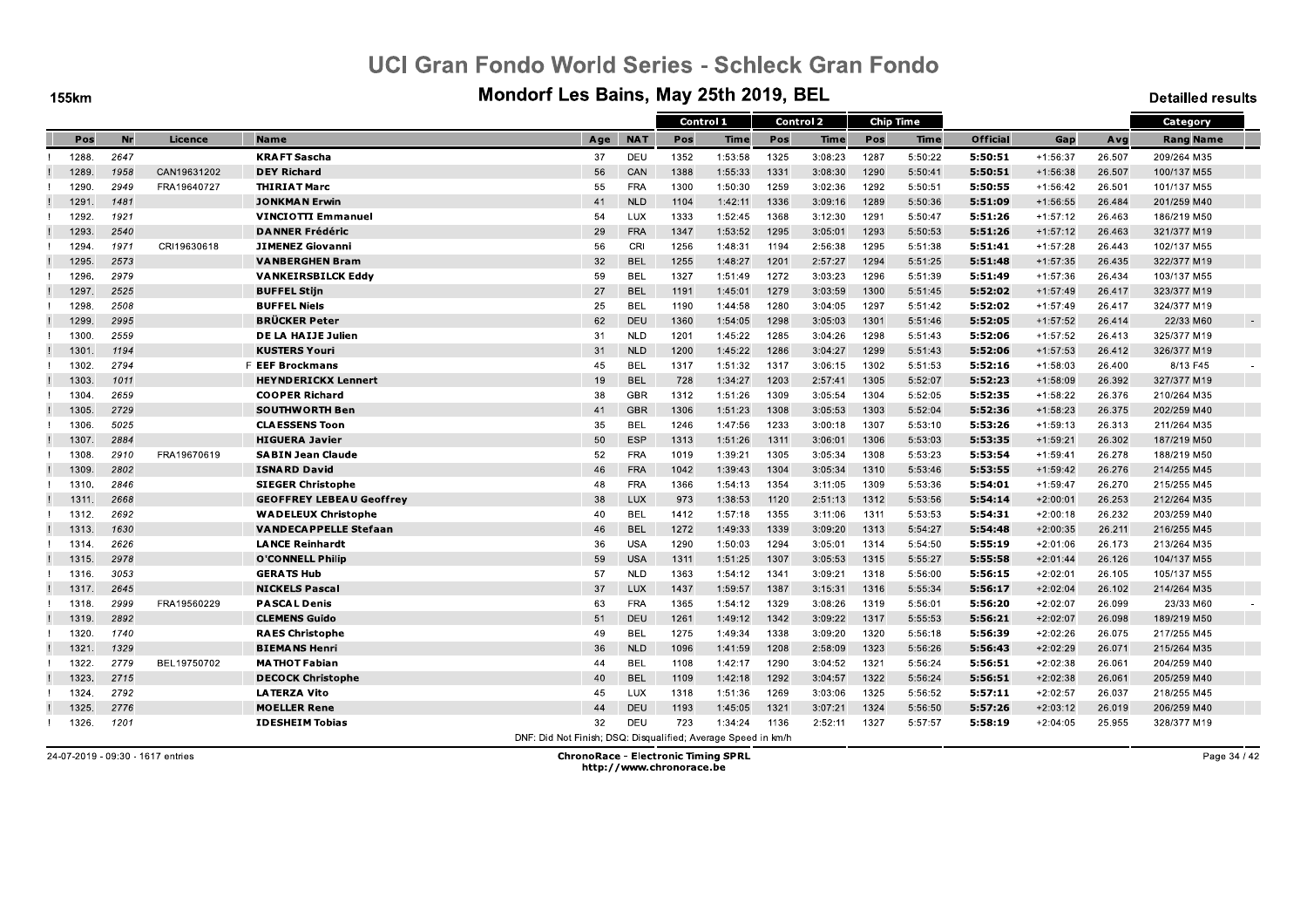**155km** 

#### Mondorf Les Bains, May 25th 2019, BEL

**Detailled results** 

|       |      |             |                                 |                                                               |            | Control 1 |             | Control 2 |             | <b>Chip Time</b> |             |                 |            |        | Category            |
|-------|------|-------------|---------------------------------|---------------------------------------------------------------|------------|-----------|-------------|-----------|-------------|------------------|-------------|-----------------|------------|--------|---------------------|
| Pos   | Nr   | Licence     | <b>Name</b>                     | Age                                                           | <b>NAT</b> | Pos       | <b>Time</b> | Pos       | <b>Time</b> | Pos              | <b>Time</b> | <b>Official</b> | Gap        | Avg    | <b>Rang Name</b>    |
| 1288  | 2647 |             | <b>KRAFT Sascha</b>             | 37                                                            | DEU        | 1352      | 1:53:58     | 1325      | 3:08:23     | 1287             | 5:50:22     | 5:50:51         | $+1:56:37$ | 26.507 | 209/264 M35         |
| 1289  | 1958 | CAN19631202 | <b>DEY Richard</b>              | 56                                                            | CAN        | 1388      | 1:55:33     | 1331      | 3:08:30     | 1290             | 5:50:41     | 5:50:51         | $+1:56:38$ | 26.507 | 100/137 M55         |
| 1290  | 2949 | FRA19640727 | <b>THIRIAT Marc</b>             | 55                                                            | <b>FRA</b> | 1300      | 1:50:30     | 1259      | 3:02:36     | 1292             | 5:50:51     | 5:50:55         | $+1:56:42$ | 26.501 | 101/137 M55         |
| 1291  | 1481 |             | <b>JONKMAN Erwin</b>            | 41                                                            | <b>NLD</b> | 1104      | 1:42:11     | 1336      | 3:09:16     | 1289             | 5:50:36     | 5:51:09         | $+1:56:55$ | 26.484 | 201/259 M40         |
| 1292  | 1921 |             | <b>VINCIOTTI Emmanuel</b>       | 54                                                            | <b>LUX</b> | 1333      | 1:52:45     | 1368      | 3:12:30     | 1291             | 5:50:47     | 5.51.26         | $+1:57:12$ | 26.463 | 186/219 M50         |
| 1293. | 2540 |             | <b>DANNER Frédéric</b>          | 29                                                            | <b>FRA</b> | 1347      | 1:53:52     | 1295      | 3:05:01     | 1293             | 5:50:53     | 5:51:26         | $+1:57:12$ | 26.463 | 321/377 M19         |
| 1294  | 1971 | CRI19630618 | <b>JIMENEZ Giovanni</b>         | 56                                                            | CRI        | 1256      | 1:48:31     | 1194      | 2:56:38     | 1295             | 5:51:38     | 5:51:41         | $+1:57:28$ | 26.443 | 102/137 M55         |
| 1295. | 2573 |             | <b>VANBERGHEN Bram</b>          | 32                                                            | <b>BEL</b> | 1255      | 1:48:27     | 1201      | 2:57:27     | 1294             | 5:51:25     | 5:51:48         | $+1:57:35$ | 26.435 | 322/377 M19         |
| 1296  | 2979 |             | <b>VANKEIRSBILCK Eddy</b>       | 59                                                            | <b>BEL</b> | 1327      | 1:51:49     | 1272      | 3:03:23     | 1296             | 5:51:39     | 5:51:49         | $+1:57:36$ | 26.434 | 103/137 M55         |
| 1297  | 2525 |             | <b>BUFFEL Stijn</b>             | 27                                                            | <b>BEL</b> | 1191      | 1:45:01     | 1279      | 3:03:59     | 1300             | 5:51:45     | 5:52:02         | $+1:57:49$ | 26.417 | 323/377 M19         |
| 1298  | 2508 |             | <b>BUFFEL Niels</b>             | 25                                                            | <b>BEL</b> | 1190      | 1:44:58     | 1280      | 3:04:05     | 1297             | 5:51:42     | 5:52:02         | $+1:57:49$ | 26.417 | 324/377 M19         |
| 1299  | 2995 |             | <b>BRÜCKER Peter</b>            | 62                                                            | <b>DEU</b> | 1360      | 1:54:05     | 1298      | 3:05:03     | 1301             | 5:51:46     | 5:52:05         | $+1:57:52$ | 26.414 | 22/33 M60<br>$\sim$ |
| 1300  | 2559 |             | DE LA HAIJE Julien              | 31                                                            | <b>NLD</b> | 1201      | 1:45:22     | 1285      | 3:04:26     | 1298             | 5:51:43     | 5:52:06         | $+1:57:52$ | 26.413 | 325/377 M19         |
| 1301  | 1194 |             | <b>KUSTERS Youri</b>            | 31                                                            | <b>NLD</b> | 1200      | 1:45:22     | 1286      | 3:04:27     | 1299             | 5:51:43     | 5.52.06         | $+1:57:53$ | 26.412 | 326/377 M19         |
| 1302. | 2794 |             | <b>F EEF Brockmans</b>          | 45                                                            | <b>BEL</b> | 1317      | 1:51:32     | 1317      | 3:06:15     | 1302             | 5:51:53     | 5:52:16         | $+1:58:03$ | 26.400 | 8/13 F45            |
| 1303. | 1011 |             | <b>HEYNDERICKX Lennert</b>      | 19                                                            | <b>BEL</b> | 728       | 1:34:27     | 1203      | 2:57:41     | 1305             | 5:52:07     | 5:52:23         | $+1:58:09$ | 26.392 | 327/377 M19         |
| 1304  | 2659 |             | <b>COOPER Richard</b>           | 38                                                            | <b>GBR</b> | 1312      | 1:51:26     | 1309      | 3:05:54     | 1304             | 5:52:05     | 5:52:35         | $+1:58:22$ | 26.376 | 210/264 M35         |
| 1305  | 2729 |             | <b>SOUTHWORTH Ben</b>           | 41                                                            | <b>GBR</b> | 1306      | 1:51:23     | 1308      | 3:05:53     | 1303             | 5:52:04     | 5:52:36         | $+1:58:23$ | 26.375 | 202/259 M40         |
| 1306. | 5025 |             | <b>CLAESSENS Toon</b>           | 35                                                            | <b>BEL</b> | 1246      | 1:47:56     | 1233      | 3:00:18     | 1307             | 5:53:10     | 5:53:26         | $+1:59:13$ | 26.313 | 211/264 M35         |
| 1307. | 2884 |             | <b>HIGUERA Javier</b>           | 50                                                            | <b>ESP</b> | 1313      | 1:51:26     | 1311      | 3:06:01     | 1306             | 5:53:03     | 5:53:35         | $+1:59:21$ | 26.302 | 187/219 M50         |
| 1308. | 2910 | FRA19670619 | <b>SABIN Jean Claude</b>        | 52                                                            | <b>FRA</b> | 1019      | 1:39:21     | 1305      | 3:05:34     | 1308             | 5:53:23     | 5:53:54         | $+1:59:41$ | 26.278 | 188/219 M50         |
| 1309  | 2802 |             | <b>ISNARD David</b>             | 46                                                            | <b>FRA</b> | 1042      | 1:39:43     | 1304      | 3:05:34     | 1310             | 5:53:46     | 5:53:55         | $+1:59:42$ | 26.276 | 214/255 M45         |
| 1310. | 2846 |             | <b>SIEGER Christophe</b>        | 48                                                            | <b>FRA</b> | 1366      | 1:54:13     | 1354      | 3:11:05     | 1309             | 5:53:36     | 5:54:01         | $+1:59:47$ | 26.270 | 215/255 M45         |
| 1311  | 2668 |             | <b>GEOFFREY LEBEAU Geoffrey</b> | 38                                                            | <b>LUX</b> | 973       | 1:38:53     | 1120      | 2:51:13     | 1312             | 5:53:56     | 5:54:14         | $+2:00:01$ | 26.253 | 212/264 M35         |
| 1312. | 2692 |             | <b>WADELEUX Christophe</b>      | 40                                                            | <b>BEL</b> | 1412      | 1:57:18     | 1355      | 3:11:06     | 1311             | 5:53:53     | 5:54:31         | $+2:00:18$ | 26.232 | 203/259 M40         |
| 1313. | 1630 |             | <b>VANDECAPPELLE Stefaan</b>    | 46                                                            | <b>BEL</b> | 1272      | 1:49:33     | 1339      | 3:09:20     | 1313             | 5:54:27     | 5:54:48         | $+2:00:35$ | 26.211 | 216/255 M45         |
| 1314  | 2626 |             | <b>LANCE Reinhardt</b>          | 36                                                            | <b>USA</b> | 1290      | 1:50:03     | 1294      | 3:05:01     | 1314             | 5:54:50     | 5:55:19         | $+2:01:06$ | 26.173 | 213/264 M35         |
| 1315. | 2978 |             | <b>O'CONNELL Philip</b>         | 59                                                            | <b>USA</b> | 1311      | 1:51:25     | 1307      | 3:05:53     | 1315             | 5:55:27     | 5:55:58         | $+2:01:44$ | 26.126 | 104/137 M55         |
| 1316. | 3053 |             | <b>GERATS Hub</b>               | 57                                                            | <b>NLD</b> | 1363      | 1:54:12     | 1341      | 3:09:21     | 1318             | 5:56:00     | 5:56:15         | $+2:02:01$ | 26.105 | 105/137 M55         |
| 1317  | 2645 |             | <b>NICKELS Pascal</b>           | 37                                                            | <b>LUX</b> | 1437      | 1:59:57     | 1387      | 3:15:31     | 1316             | 5:55:34     | 5:56:17         | $+2:02:04$ | 26.102 | 214/264 M35         |
| 1318  | 2999 | FRA19560229 | <b>PASCAL Denis</b>             | 63                                                            | <b>FRA</b> | 1365      | 1:54:12     | 1329      | 3:08:26     | 1319             | 5:56:01     | 5:56:20         | $+2:02:07$ | 26.099 | 23/33 M60           |
| 1319. | 2892 |             | <b>CLEMENS Guido</b>            | 51                                                            | <b>DEU</b> | 1261      | 1:49:12     | 1342      | 3:09:22     | 1317             | 5:55:53     | 5:56:21         | $+2:02:07$ | 26.098 | 189/219 M50         |
| 1320  | 1740 |             | <b>RAES Christophe</b>          | 49                                                            | <b>BEL</b> | 1275      | 1:49:34     | 1338      | 3:09:20     | 1320             | 5:56:18     | 5:56:39         | $+2:02:26$ | 26.075 | 217/255 M45         |
| 1321  | 1329 |             | <b>BIEMANS Henri</b>            | 36                                                            | <b>NLD</b> | 1096      | 1:41:59     | 1208      | 2:58:09     | 1323             | 5:56:26     | 5:56:43         | $+2:02:29$ | 26.071 | 215/264 M35         |
| 1322  | 2779 | BEL19750702 | <b>MATHOT Fabian</b>            | 44                                                            | <b>BEL</b> | 1108      | 1:42:17     | 1290      | 3:04:52     | 1321             | 5:56:24     | 5:56:51         | $+2:02:38$ | 26.061 | 204/259 M40         |
| 1323. | 2715 |             | <b>DECOCK Christophe</b>        | 40                                                            | <b>BEL</b> | 1109      | 1:42:18     | 1292      | 3:04:57     | 1322             | 5:56:24     | 5:56:51         | $+2:02:38$ | 26.061 | 205/259 M40         |
| 1324  | 2792 |             | <b>LATERZA Vito</b>             | 45                                                            | <b>LUX</b> | 1318      | 1:51:36     | 1269      | 3:03:06     | 1325             | 5:56:52     | 5:57:11         | $+2:02:57$ | 26.037 | 218/255 M45         |
| 1325  | 2776 |             | <b>MOELLER Rene</b>             | 44                                                            | <b>DEU</b> | 1193      | 1:45:05     | 1321      | 3:07:21     | 1324             | 5:56:50     | 5:57:26         | $+2:03:12$ | 26.019 | 206/259 M40         |
| 1326. | 1201 |             | <b>IDESHEIM Tobias</b>          | 32                                                            | DEU        | 723       | 1:34:24     | 1136      | 2:52:11     | 1327             | 5:57:57     | 5:58:19         | $+2:04:05$ | 25.955 | 328/377 M19         |
|       |      |             |                                 | DNF: Did Not Finish: DSQ: Disqualified: Average Speed in km/h |            |           |             |           |             |                  |             |                 |            |        |                     |

24-07-2019 - 09:30 - 1617 entries

**ChronoRace - Electronic Timing SPRL** http://www.chronorace.be

Page 34 / 42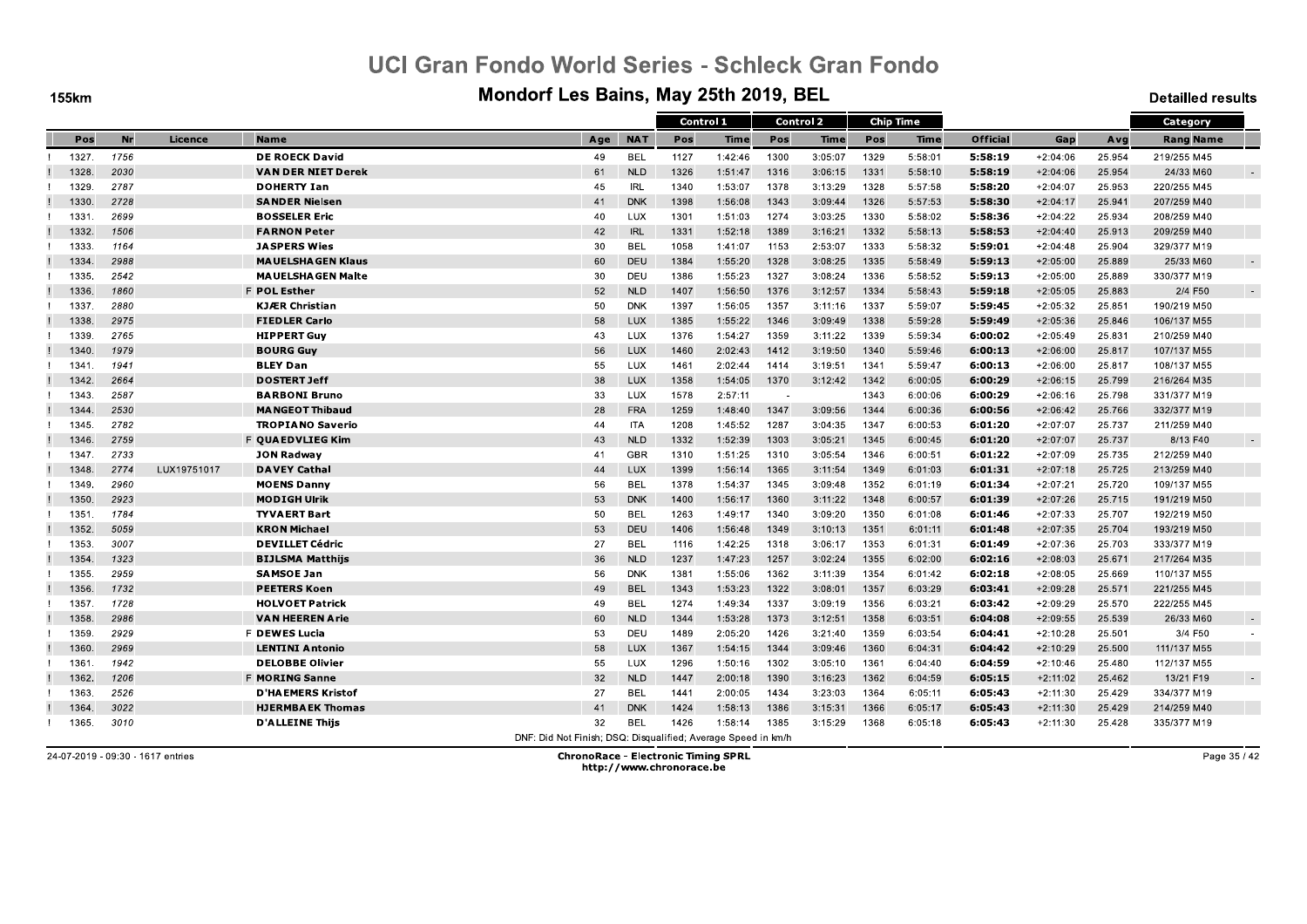**155km** 

#### Mondorf Les Bains, May 25th 2019, BEL

**Detailled results** 

|       |      |             |                           |                                                               |            | Control 1 |             |        | <b>Control 2</b> |      | <b>Chip Time</b> |                 |            |        | Category         |  |
|-------|------|-------------|---------------------------|---------------------------------------------------------------|------------|-----------|-------------|--------|------------------|------|------------------|-----------------|------------|--------|------------------|--|
| Pos   | Nr   | Licence     | <b>Name</b>               | Age                                                           | <b>NAT</b> | Pos       | <b>Time</b> | Pos    | <b>Time</b>      | Pos  | Time             | <b>Official</b> | Gap        | Avg    | <b>Rang Name</b> |  |
| 1327  | 1756 |             | <b>DE ROECK David</b>     | 49                                                            | <b>BEL</b> | 1127      | 1:42:46     | 1300   | 3:05:07          | 1329 | 5:58:01          | 5:58:19         | $+2:04:06$ | 25.954 | 219/255 M45      |  |
| 1328  | 2030 |             | <b>VAN DER NIET Derek</b> | 61                                                            | <b>NLD</b> | 1326      | 1:51:47     | 1316   | 3:06:15          | 1331 | 5:58:10          | 5:58:19         | $+2:04:06$ | 25.954 | 24/33 M60        |  |
| 1329  | 2787 |             | <b>DOHERTY Ian</b>        | 45                                                            | <b>IRL</b> | 1340      | 1:53:07     | 1378   | 3:13:29          | 1328 | 5:57:58          | 5:58:20         | $+2:04:07$ | 25.953 | 220/255 M45      |  |
| 1330  | 2728 |             | <b>SANDER Nielsen</b>     | 41                                                            | <b>DNK</b> | 1398      | 1:56:08     | 1343   | 3:09:44          | 1326 | 5:57:53          | 5:58:30         | $+2:04:17$ | 25.941 | 207/259 M40      |  |
| 1331  | 2699 |             | <b>BOSSELER Eric</b>      | 40                                                            | LUX        | 1301      | 1:51:03     | 1274   | 3:03:25          | 1330 | 5:58:02          | 5:58:36         | $+2:04:22$ | 25.934 | 208/259 M40      |  |
| 1332. | 1506 |             | <b>FARNON Peter</b>       | 42                                                            | <b>IRL</b> | 1331      | 1:52:18     | 1389   | 3:16:21          | 1332 | 5:58:13          | 5:58:53         | $+2:04:40$ | 25.913 | 209/259 M40      |  |
| 1333  | 1164 |             | <b>JASPERS Wies</b>       | 30                                                            | <b>BEL</b> | 1058      | 1:41:07     | 1153   | 2:53:07          | 1333 | 5:58:32          | 5:59:01         | $+2:04:48$ | 25.904 | 329/377 M19      |  |
| 1334  | 2988 |             | <b>MAUELSHAGEN Klaus</b>  | 60                                                            | DEU        | 1384      | 1:55:20     | 1328   | 3:08:25          | 1335 | 5:58:49          | 5:59:13         | $+2:05:00$ | 25.889 | 25/33 M60        |  |
| 1335  | 2542 |             | <b>MAUELSHAGEN Malte</b>  | 30                                                            | DEU        | 1386      | 1:55:23     | 1327   | 3:08:24          | 1336 | 5:58:52          | 5:59:13         | $+2:05:00$ | 25.889 | 330/377 M19      |  |
| 1336  | 1860 |             | <b>F POL Esther</b>       | 52                                                            | <b>NLD</b> | 1407      | 1:56:50     | 1376   | 3:12:57          | 1334 | 5:58:43          | 5:59:18         | $+2:05:05$ | 25.883 | 2/4 F50          |  |
| 1337  | 2880 |             | <b>KJÆR Christian</b>     | 50                                                            | <b>DNK</b> | 1397      | 1:56:05     | 1357   | 3:11:16          | 1337 | 5:59:07          | 5:59:45         | $+2:05:32$ | 25.851 | 190/219 M50      |  |
| 1338  | 2975 |             | <b>FIEDLER Carlo</b>      | 58                                                            | <b>LUX</b> | 1385      | 1:55:22     | 1346   | 3:09:49          | 1338 | 5:59:28          | 5:59:49         | $+2:05:36$ | 25.846 | 106/137 M55      |  |
| 1339  | 2765 |             | <b>HIPPERT Guy</b>        | 43                                                            | <b>LUX</b> | 1376      | 1:54:27     | 1359   | 3:11:22          | 1339 | 5:59:34          | 6:00:02         | $+2:05:49$ | 25.831 | 210/259 M40      |  |
| 1340. | 1979 |             | <b>BOURG Guy</b>          | 56                                                            | <b>LUX</b> | 1460      | 2:02:43     | 1412   | 3:19:50          | 1340 | 5:59:46          | 6.00.13         | $+2:06:00$ | 25.817 | 107/137 M55      |  |
| 1341  | 1941 |             | <b>BLEY Dan</b>           | 55                                                            | LUX        | 1461      | 2:02:44     | 1414   | 3:19:51          | 1341 | 5:59:47          | 6:00:13         | $+2:06:00$ | 25.817 | 108/137 M55      |  |
| 1342. | 2664 |             | <b>DOSTERT Jeff</b>       | 38                                                            | <b>LUX</b> | 1358      | 1:54:05     | 1370   | 3:12:42          | 1342 | 6:00:05          | 6:00:29         | $+2:06:15$ | 25.799 | 216/264 M35      |  |
| 1343  | 2587 |             | <b>BARBONI Bruno</b>      | 33                                                            | LUX        | 1578      | 2:57:11     | $\sim$ |                  | 1343 | 6:00:06          | 6:00:29         | $+2:06:16$ | 25.798 | 331/377 M19      |  |
| 1344  | 2530 |             | <b>MANGEOT Thibaud</b>    | 28                                                            | <b>FRA</b> | 1259      | 1:48:40     | 1347   | 3:09:56          | 1344 | 6:00:36          | 6:00:56         | $+2:06:42$ | 25.766 | 332/377 M19      |  |
| 1345. | 2782 |             | <b>TROPIANO Saverio</b>   | 44                                                            | <b>ITA</b> | 1208      | 1:45:52     | 1287   | 3:04:35          | 1347 | 6:00:53          | 6:01:20         | $+2:07:07$ | 25.737 | 211/259 M40      |  |
| 1346. | 2759 |             | F QUAEDVLIEG Kim          | 43                                                            | <b>NLD</b> | 1332      | 1:52:39     | 1303   | 3:05:21          | 1345 | 6:00:45          | 6:01:20         | $+2:07:07$ | 25.737 | 8/13 F40         |  |
| 1347. | 2733 |             | <b>JON Radway</b>         | 41                                                            | <b>GBR</b> | 1310      | 1:51:25     | 1310   | 3:05:54          | 1346 | 6:00:51          | 6.01.22         | $+2:07:09$ | 25.735 | 212/259 M40      |  |
| 1348  | 2774 | LUX19751017 | <b>DAVEY Cathal</b>       | 44                                                            | <b>LUX</b> | 1399      | 1:56:14     | 1365   | 3:11:54          | 1349 | 6:01:03          | 6:01:31         | $+2:07:18$ | 25.725 | 213/259 M40      |  |
| 1349. | 2960 |             | <b>MOENS Danny</b>        | 56                                                            | <b>BEL</b> | 1378      | 1:54:37     | 1345   | 3:09:48          | 1352 | 6:01:19          | 6:01:34         | $+2:07:21$ | 25.720 | 109/137 M55      |  |
| 1350. | 2923 |             | <b>MODIGH Ulrik</b>       | 53                                                            | <b>DNK</b> | 1400      | 1:56:17     | 1360   | 3:11:22          | 1348 | 6:00:57          | 6:01:39         | $+2:07:26$ | 25.715 | 191/219 M50      |  |
| 1351  | 1784 |             | <b>TYVAERT Bart</b>       | 50                                                            | <b>BEL</b> | 1263      | 1:49:17     | 1340   | 3:09:20          | 1350 | 6:01:08          | 6:01:46         | $+2:07:33$ | 25.707 | 192/219 M50      |  |
| 1352. | 5059 |             | <b>KRON Michael</b>       | 53                                                            | DEU        | 1406      | 1:56:48     | 1349   | 3:10:13          | 1351 | 6:01:11          | 6:01:48         | $+2:07:35$ | 25.704 | 193/219 M50      |  |
| 1353. | 3007 |             | <b>DEVILLET Cédric</b>    | 27                                                            | <b>BEL</b> | 1116      | 1:42:25     | 1318   | 3:06:17          | 1353 | 6:01:31          | 6:01:49         | $+2:07:36$ | 25.703 | 333/377 M19      |  |
| 1354  | 1323 |             | <b>BIJLSMA Matthijs</b>   | 36                                                            | <b>NLD</b> | 1237      | 1:47:23     | 1257   | 3:02:24          | 1355 | 6:02:00          | 6:02:16         | $+2:08:03$ | 25.671 | 217/264 M35      |  |
| 1355. | 2959 |             | <b>SAMSOE Jan</b>         | 56                                                            | <b>DNK</b> | 1381      | 1:55:06     | 1362   | 3:11:39          | 1354 | 6:01:42          | 6:02:18         | $+2:08:05$ | 25.669 | 110/137 M55      |  |
| 1356  | 1732 |             | <b>PEETERS Koen</b>       | 49                                                            | <b>BEL</b> | 1343      | 1:53:23     | 1322   | 3:08:01          | 1357 | 6:03:29          | 6.03.41         | $+2:09:28$ | 25.571 | 221/255 M45      |  |
| 1357. | 1728 |             | <b>HOLVOET Patrick</b>    | 49                                                            | <b>BEL</b> | 1274      | 1:49:34     | 1337   | 3:09:19          | 1356 | 6:03:21          | 6:03:42         | $+2:09:29$ | 25.570 | 222/255 M45      |  |
| 1358. | 2986 |             | <b>VAN HEEREN Arie</b>    | 60                                                            | <b>NLD</b> | 1344      | 1:53:28     | 1373   | 3:12:51          | 1358 | 6:03:51          | 6:04:08         | $+2:09:55$ | 25.539 | 26/33 M60        |  |
| 1359  | 2929 |             | <b>F DEWES Lucia</b>      | 53                                                            | DEU        | 1489      | 2:05:20     | 1426   | 3:21:40          | 1359 | 6:03:54          | 6:04:41         | $+2:10:28$ | 25.501 | 3/4 F50          |  |
| 1360  | 2969 |             | <b>LENTINI Antonio</b>    | 58                                                            | <b>LUX</b> | 1367      | 1:54:15     | 1344   | 3:09:46          | 1360 | 6:04:31          | 6:04:42         | $+2:10:29$ | 25.500 | 111/137 M55      |  |
| 1361  | 1942 |             | <b>DELOBBE Olivier</b>    | 55                                                            | LUX        | 1296      | 1:50:16     | 1302   | 3:05:10          | 1361 | 6:04:40          | 6:04:59         | $+2:10:46$ | 25.480 | 112/137 M55      |  |
| 1362. | 1206 |             | <b>F MORING Sanne</b>     | 32                                                            | <b>NLD</b> | 1447      | 2:00:18     | 1390   | 3:16:23          | 1362 | 6:04:59          | 6:05:15         | $+2:11:02$ | 25.462 | 13/21 F19        |  |
| 1363. | 2526 |             | <b>D'HAEMERS Kristof</b>  | 27                                                            | BEL        | 1441      | 2:00:05     | 1434   | 3:23:03          | 1364 | 6:05:11          | 6.05.43         | $+2:11:30$ | 25.429 | 334/377 M19      |  |
| 1364  | 3022 |             | <b>HJERMBAEK Thomas</b>   | 41                                                            | <b>DNK</b> | 1424      | 1:58:13     | 1386   | 3:15:31          | 1366 | 6:05:17          | 6:05:43         | $+2:11:30$ | 25.429 | 214/259 M40      |  |
| 1365. | 3010 |             | <b>D'ALLEINE Thiis</b>    | 32                                                            | <b>BEL</b> | 1426      | 1:58:14     | 1385   | 3:15:29          | 1368 | 6:05:18          | 6.05.43         | $+2:11:30$ | 25.428 | 335/377 M19      |  |
|       |      |             |                           | DNF: Did Not Finish; DSQ: Disqualified; Average Speed in km/h |            |           |             |        |                  |      |                  |                 |            |        |                  |  |

24-07-2019 - 09:30 - 1617 entries

**ChronoRace - Electronic Timing SPRL** http://www.chronorace.be

Page 35 / 42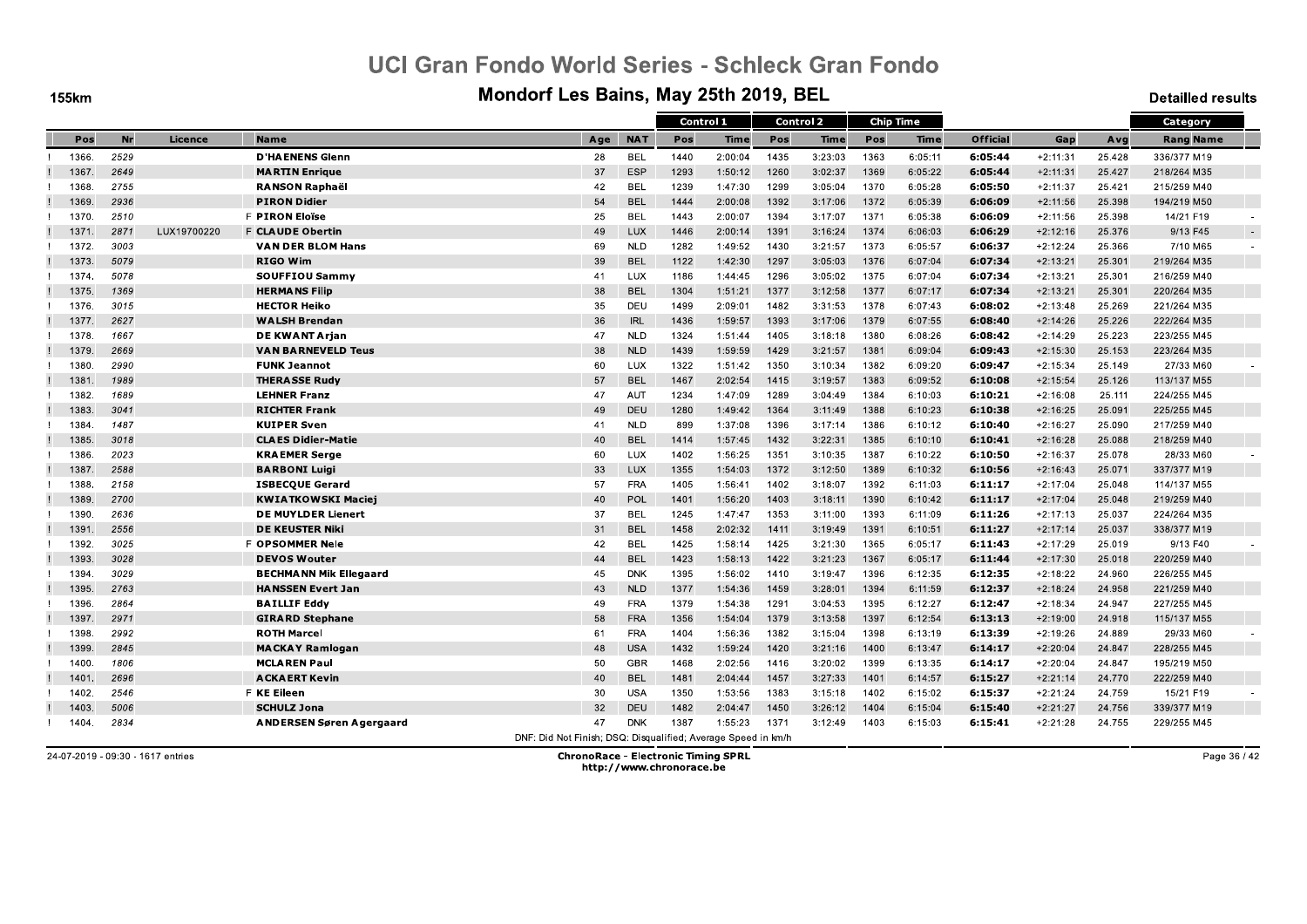**155km** 

#### Mondorf Les Bains, May 25th 2019, BEL

**Detailled results** 

|       |      |             |                                 |     |            |      | Control 1   |      | <b>Control 2</b> |      | <b>Chip Time</b> |                 |            |        | Category         |
|-------|------|-------------|---------------------------------|-----|------------|------|-------------|------|------------------|------|------------------|-----------------|------------|--------|------------------|
| Pos   | Nr   | Licence     | <b>Name</b>                     | Age | <b>NAT</b> | Pos  | <b>Time</b> | Pos  | Time             | Pos  | Time             | <b>Official</b> | Gap        | Avg    | <b>Rang Name</b> |
| 1366. | 2529 |             | <b>D'HAENENS Glenn</b>          | 28  | <b>BEL</b> | 1440 | 2:00:04     | 1435 | 3:23:03          | 1363 | 6:05:11          | 6:05:44         | $+2:11:31$ | 25.428 | 336/377 M19      |
| 1367  | 2649 |             | <b>MARTIN Enrique</b>           | 37  | <b>ESP</b> | 1293 | 1:50:12     | 1260 | 3:02:37          | 1369 | 6:05:22          | 6:05:44         | $+2:11:31$ | 25.427 | 218/264 M35      |
| 1368  | 2755 |             | <b>RANSON Raphaël</b>           | 42  | <b>BEL</b> | 1239 | 1:47:30     | 1299 | 3:05:04          | 1370 | 6:05:28          | 6:05:50         | $+2:11:37$ | 25.421 | 215/259 M40      |
| 1369  | 2936 |             | <b>PIRON Didier</b>             | 54  | <b>BEL</b> | 1444 | 2:00:08     | 1392 | 3:17:06          | 1372 | 6:05:39          | 6:06:09         | $+2:11:56$ | 25.398 | 194/219 M50      |
| 1370  | 2510 |             | F PIRON Eloïse                  | 25  | <b>BEL</b> | 1443 | 2:00:07     | 1394 | 3:17:07          | 1371 | 6:05:38          | 6:06:09         | $+2:11:56$ | 25.398 | 14/21 F19        |
| 1371  | 2871 | LUX19700220 | <b>F CLAUDE Obertin</b>         | 49  | LUX        | 1446 | 2:00:14     | 1391 | 3:16:24          | 1374 | 6:06:03          | 6:06:29         | $+2:12:16$ | 25.376 | 9/13 F45         |
| 1372  | 3003 |             | <b>VAN DER BLOM Hans</b>        | 69  | <b>NLD</b> | 1282 | 1:49:52     | 1430 | 3:21:57          | 1373 | 6:05:57          | 6:06:37         | $+2:12:24$ | 25.366 | 7/10 M65         |
| 1373  | 5079 |             | <b>RIGO Wim</b>                 | 39  | <b>BEL</b> | 1122 | 1:42:30     | 1297 | 3:05:03          | 1376 | 6:07:04          | 6:07:34         | $+2:13:21$ | 25.301 | 219/264 M35      |
| 1374  | 5078 |             | <b>SOUFFIOU Sammy</b>           | 41  | LUX        | 1186 | 1:44:45     | 1296 | 3:05:02          | 1375 | 6:07:04          | 6:07:34         | $+2:13:21$ | 25.301 | 216/259 M40      |
| 1375. | 1369 |             | <b>HERMANS Filip</b>            | 38  | <b>BEL</b> | 1304 | 1:51:21     | 1377 | 3:12:58          | 1377 | 6:07:17          | 6:07:34         | $+2:13:21$ | 25.301 | 220/264 M35      |
| 1376. | 3015 |             | <b>HECTOR Heiko</b>             | 35  | DEU        | 1499 | 2:09:01     | 1482 | 3:31:53          | 1378 | 6:07:43          | 6:08:02         | $+2:13:48$ | 25.269 | 221/264 M35      |
| 1377  | 2627 |             | <b>WALSH Brendan</b>            | 36  | <b>IRL</b> | 1436 | 1:59:57     | 1393 | 3:17:06          | 1379 | 6:07:55          | 6:08:40         | $+2:14:26$ | 25.226 | 222/264 M35      |
| 1378  | 1667 |             | DE KWANT Arjan                  | 47  | <b>NLD</b> | 1324 | 1:51:44     | 1405 | 3:18:18          | 1380 | 6:08:26          | 6:08:42         | $+2:14:29$ | 25.223 | 223/255 M45      |
| 1379  | 2669 |             | <b>VAN BARNEVELD Teus</b>       | 38  | <b>NLD</b> | 1439 | 1:59:59     | 1429 | 3:21:57          | 1381 | 6:09:04          | 6.09.43         | $+2:15:30$ | 25.153 | 223/264 M35      |
| 1380  | 2990 |             | <b>FUNK Jeannot</b>             | 60  | LUX        | 1322 | 1:51:42     | 1350 | 3:10:34          | 1382 | 6:09:20          | 6:09:47         | $+2:15:34$ | 25.149 | 27/33 M60        |
| 1381  | 1989 |             | <b>THERASSE Rudy</b>            | 57  | <b>BEL</b> | 1467 | 2:02:54     | 1415 | 3:19:57          | 1383 | 6:09:52          | 6.10.08         | $+2:15:54$ | 25.126 | 113/137 M55      |
| 1382  | 1689 |             | <b>LEHNER Franz</b>             | 47  | AUT        | 1234 | 1:47:09     | 1289 | 3:04:49          | 1384 | 6:10:03          | 6:10:21         | $+2:16:08$ | 25.111 | 224/255 M45      |
| 1383  | 3041 |             | <b>RICHTER Frank</b>            | 49  | DEU        | 1280 | 1:49:42     | 1364 | 3:11:49          | 1388 | 6:10:23          | 6:10:38         | $+2:16:25$ | 25.091 | 225/255 M45      |
| 1384. | 1487 |             | <b>KUIPER Sven</b>              | 41  | <b>NLD</b> | 899  | 1:37:08     | 1396 | 3:17:14          | 1386 | 6:10:12          | 6:10:40         | $+2:16:27$ | 25.090 | 217/259 M40      |
| 1385  | 3018 |             | <b>CLAES Didier-Matie</b>       | 40  | <b>BEL</b> | 1414 | 1:57:45     | 1432 | 3:22:31          | 1385 | 6:10:10          | 6:10:41         | $+2:16:28$ | 25.088 | 218/259 M40      |
| 1386. | 2023 |             | <b>KRAEMER Serge</b>            | 60  | LUX        | 1402 | 1:56:25     | 1351 | 3:10:35          | 1387 | 6:10:22          | 6.10.50         | $+2:16:37$ | 25.078 | 28/33 M60        |
| 1387  | 2588 |             | <b>BARBONI Luigi</b>            | 33  | <b>LUX</b> | 1355 | 1:54:03     | 1372 | 3:12:50          | 1389 | 6:10:32          | 6:10:56         | $+2:16:43$ | 25.071 | 337/377 M19      |
| 1388  | 2158 |             | <b>ISBECQUE Gerard</b>          | 57  | <b>FRA</b> | 1405 | 1:56:41     | 1402 | 3:18:07          | 1392 | 6:11:03          | 6:11:17         | $+2:17:04$ | 25.048 | 114/137 M55      |
| 1389. | 2700 |             | <b>KWIATKOWSKI Maciej</b>       | 40  | POL        | 1401 | 1:56:20     | 1403 | 3:18:11          | 1390 | 6:10:42          | 6:11:17         | $+2:17:04$ | 25.048 | 219/259 M40      |
| 1390  | 2636 |             | <b>DE MUYLDER Lienert</b>       | 37  | <b>BEL</b> | 1245 | 1:47:47     | 1353 | 3:11:00          | 1393 | 6:11:09          | 6:11:26         | $+2:17:13$ | 25.037 | 224/264 M35      |
| 1391  | 2556 |             | <b>DE KEUSTER Niki</b>          | 31  | <b>BEL</b> | 1458 | 2:02:32     | 1411 | 3:19:49          | 1391 | 6:10:51          | 6:11:27         | $+2:17:14$ | 25.037 | 338/377 M19      |
| 1392. | 3025 |             | <b>F OPSOMMER Nele</b>          | 42  | BEL        | 1425 | 1:58:14     | 1425 | 3:21:30          | 1365 | 6:05:17          | 6:11:43         | $+2:17:29$ | 25.019 | 9/13 F40         |
| 1393. | 3028 |             | <b>DEVOS Wouter</b>             | 44  | <b>BEL</b> | 1423 | 1:58:13     | 1422 | 3:21:23          | 1367 | 6:05:17          | 6:11:44         | $+2:17:30$ | 25.018 | 220/259 M40      |
| 1394  | 3029 |             | <b>BECHMANN Mik Ellegaard</b>   | 45  | <b>DNK</b> | 1395 | 1:56:02     | 1410 | 3:19:47          | 1396 | 6:12:35          | 6:12:35         | $+2:18:22$ | 24.960 | 226/255 M45      |
| 1395  | 2763 |             | <b>HANSSEN Evert Jan</b>        | 43  | <b>NLD</b> | 1377 | 1:54:36     | 1459 | 3:28:01          | 1394 | 6:11:59          | 6.12.37         | $+2:18:24$ | 24.958 | 221/259 M40      |
| 1396  | 2864 |             | <b>BAILLIF Eddy</b>             | 49  | <b>FRA</b> | 1379 | 1:54:38     | 1291 | 3:04:53          | 1395 | 6:12:27          | 6:12:47         | $+2:18:34$ | 24.947 | 227/255 M45      |
| 1397  | 2971 |             | <b>GIRARD Stephane</b>          | 58  | <b>FRA</b> | 1356 | 1:54:04     | 1379 | 3:13:58          | 1397 | 6:12:54          | 6:13:13         | $+2:19:00$ | 24.918 | 115/137 M55      |
| 1398  | 2992 |             | <b>ROTH Marcel</b>              | 61  | <b>FRA</b> | 1404 | 1:56:36     | 1382 | 3:15:04          | 1398 | 6:13:19          | 6:13:39         | $+2:19:26$ | 24.889 | 29/33 M60        |
| 1399  | 2845 |             | <b>MACKAY Ramlogan</b>          | 48  | <b>USA</b> | 1432 | 1:59:24     | 1420 | 3:21:16          | 1400 | 6:13:47          | 6:14:17         | $+2:20:04$ | 24.847 | 228/255 M45      |
| 1400  | 1806 |             | <b>MCLAREN Paul</b>             | 50  | <b>GBR</b> | 1468 | 2:02:56     | 1416 | 3:20:02          | 1399 | 6:13:35          | 6:14:17         | $+2:20:04$ | 24.847 | 195/219 M50      |
| 1401  | 2696 |             | <b>ACKAERT Kevin</b>            | 40  | <b>BEL</b> | 1481 | 2:04:44     | 1457 | 3:27:33          | 1401 | 6:14:57          | 6:15:27         | $+2:21:14$ | 24.770 | 222/259 M40      |
| 1402. | 2546 |             | F KE Eileen                     | 30  | <b>USA</b> | 1350 | 1:53:56     | 1383 | 3:15:18          | 1402 | 6:15:02          | 6:15:37         | $+2:21:24$ | 24.759 | 15/21 F19        |
| 1403  | 5006 |             | <b>SCHULZ Jona</b>              | 32  | DEU        | 1482 | 2:04:47     | 1450 | 3:26:12          | 1404 | 6:15:04          | 6:15:40         | $+2:21:27$ | 24.756 | 339/377 M19      |
|       | 2834 |             | <b>ANDERSEN Søren Agergaard</b> | 47  | <b>DNK</b> | 1387 | 1:55:23     | 1371 | 3:12:49          | 1403 | 6:15:03          | 6:15:41         | $+2:21:28$ | 24.755 | 229/255 M45      |

24-07-2019 - 09:30 - 1617 entries

**ChronoRace - Electronic Timing SPRL** http://www.chronorace.be

Page 36 / 42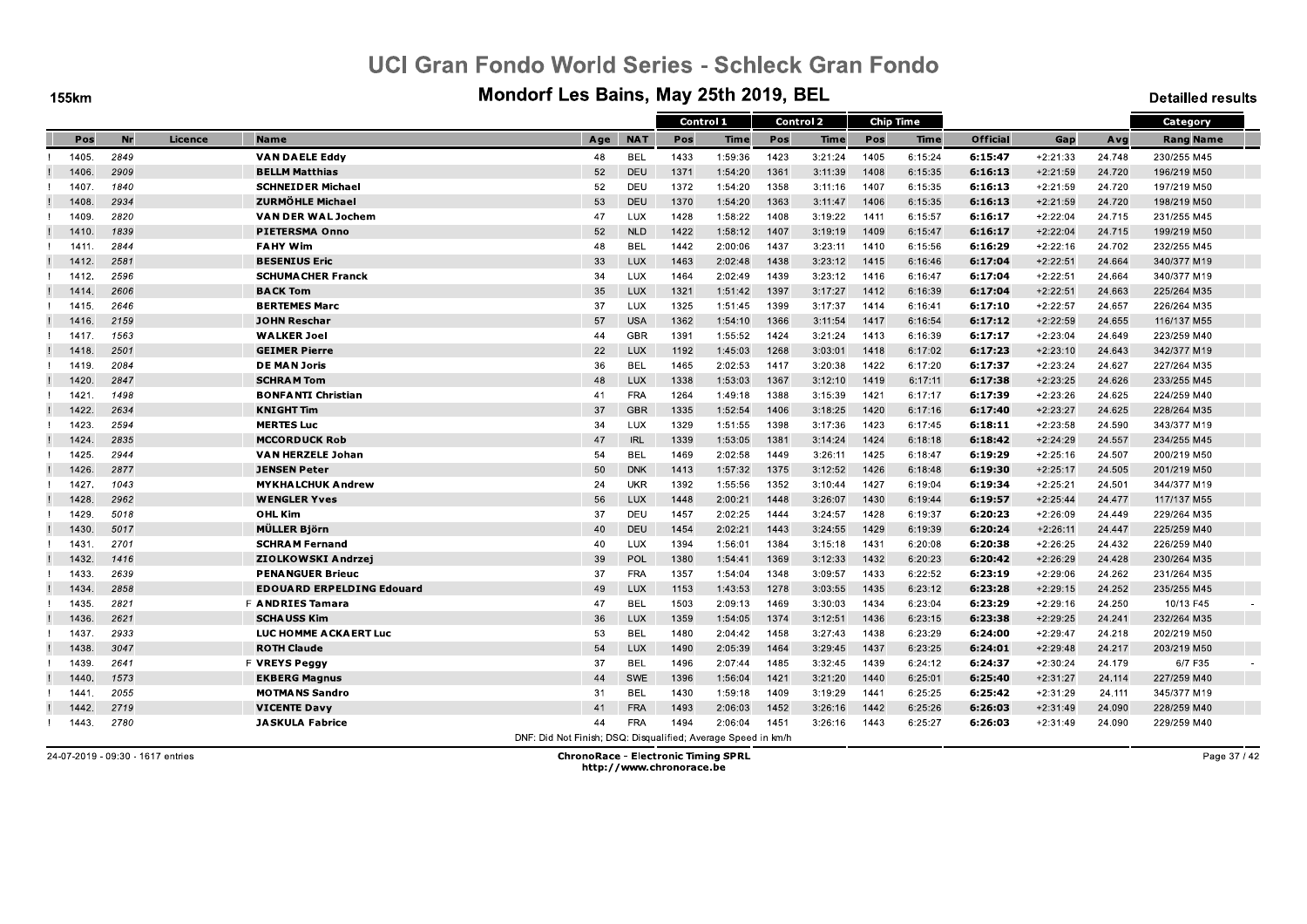**155km** 

#### Mondorf Les Bains, May 25th 2019, BEL

**Detailled results** 

|       |           |         |                                  |                                                               |            | Control 1 |         |      | <b>Control 2</b> |      | <b>Chip Time</b> |                 |            |        | Category         |
|-------|-----------|---------|----------------------------------|---------------------------------------------------------------|------------|-----------|---------|------|------------------|------|------------------|-----------------|------------|--------|------------------|
| Pos   | <b>Nr</b> | Licence | <b>Name</b>                      | Age                                                           | <b>NAT</b> | Pos       | Time    | Pos  | Time             | Pos  | Time             | <b>Official</b> | Gap        | Avg    | <b>Rang Name</b> |
| 1405. | 2849      |         | <b>VAN DAELE Eddy</b>            | 48                                                            | <b>BEL</b> | 1433      | 1:59:36 | 1423 | 3:21:24          | 1405 | 6:15:24          | 6:15:47         | $+2:21:33$ | 24.748 | 230/255 M45      |
| 1406. | 2909      |         | <b>BELLM Matthias</b>            | 52                                                            | <b>DEU</b> | 1371      | 1:54:20 | 1361 | 3:11:39          | 1408 | 6:15:35          | 6:16:13         | $+2:21:59$ | 24.720 | 196/219 M50      |
| 1407. | 1840      |         | <b>SCHNEIDER Michael</b>         | 52                                                            | DEU        | 1372      | 1:54:20 | 1358 | 3:11:16          | 1407 | 6:15:35          | 6:16:13         | $+2:21:59$ | 24.720 | 197/219 M50      |
| 1408. | 2934      |         | <b>ZURMÖHLE Michael</b>          | 53                                                            | DEU        | 1370      | 1:54:20 | 1363 | 3:11:47          | 1406 | 6:15:35          | 6:16:13         | $+2:21:59$ | 24.720 | 198/219 M50      |
| 1409. | 2820      |         | VAN DER WAL Jochem               | 47                                                            | <b>LUX</b> | 1428      | 1:58:22 | 1408 | 3:19:22          | 1411 | 6:15:57          | 6:16:17         | $+2:22:04$ | 24.715 | 231/255 M45      |
| 1410. | 1839      |         | <b>PIETERSMA Onno</b>            | 52                                                            | <b>NLD</b> | 1422      | 1:58:12 | 1407 | 3:19:19          | 1409 | 6:15:47          | 6:16:17         | $+2:22:04$ | 24.715 | 199/219 M50      |
| 1411. | 2844      |         | <b>FAHY Wim</b>                  | 48                                                            | <b>BEL</b> | 1442      | 2:00:06 | 1437 | 3:23:11          | 1410 | 6:15:56          | 6.16.29         | $+2:22:16$ | 24.702 | 232/255 M45      |
| 1412. | 2581      |         | <b>BESENIUS Eric</b>             | 33                                                            | <b>LUX</b> | 1463      | 2:02:48 | 1438 | 3:23:12          | 1415 | 6:16:46          | 6:17:04         | $+2:22:51$ | 24.664 | 340/377 M19      |
| 1412. | 2596      |         | <b>SCHUMA CHER Franck</b>        | 34                                                            | <b>LUX</b> | 1464      | 2:02:49 | 1439 | 3:23:12          | 1416 | 6:16:47          | 6:17:04         | $+2:22:51$ | 24.664 | 340/377 M19      |
| 1414  | 2606      |         | <b>BACK Tom</b>                  | 35                                                            | <b>LUX</b> | 1321      | 1:51:42 | 1397 | 3:17:27          | 1412 | 6:16:39          | 6:17:04         | $+2:22:51$ | 24.663 | 225/264 M35      |
| 1415. | 2646      |         | <b>BERTEMES Marc</b>             | 37                                                            | LUX        | 1325      | 1:51:45 | 1399 | 3:17:37          | 1414 | 6:16:41          | 6:17:10         | $+2:22:57$ | 24.657 | 226/264 M35      |
| 1416. | 2159      |         | <b>JOHN Reschar</b>              | 57                                                            | <b>USA</b> | 1362      | 1:54:10 | 1366 | 3:11:54          | 1417 | 6:16:54          | 6:17:12         | $+2:22:59$ | 24.655 | 116/137 M55      |
| 1417  | 1563      |         | <b>WALKER Joel</b>               | 44                                                            | <b>GBR</b> | 1391      | 1:55:52 | 1424 | 3:21:24          | 1413 | 6:16:39          | 6:17:17         | $+2:23:04$ | 24.649 | 223/259 M40      |
| 1418. | 2501      |         | <b>GEIMER Pierre</b>             | 22                                                            | <b>LUX</b> | 1192      | 1:45:03 | 1268 | 3:03:01          | 1418 | 6:17:02          | 6.17.23         | $+2:23:10$ | 24.643 | 342/377 M19      |
| 1419. | 2084      |         | <b>DE MAN Joris</b>              | 36                                                            | <b>BEL</b> | 1465      | 2:02:53 | 1417 | 3:20:38          | 1422 | 6:17:20          | 6:17:37         | $+2:23:24$ | 24.627 | 227/264 M35      |
| 1420. | 2847      |         | <b>SCHRAM Tom</b>                | 48                                                            | LUX        | 1338      | 1:53:03 | 1367 | 3:12:10          | 1419 | 6:17:11          | 6.17.38         | $+2:23:25$ | 24.626 | 233/255 M45      |
| 1421. | 1498      |         | <b>BONFANTI Christian</b>        | 41                                                            | <b>FRA</b> | 1264      | 1:49:18 | 1388 | 3:15:39          | 1421 | 6:17:17          | 6:17:39         | $+2:23:26$ | 24.625 | 224/259 M40      |
| 1422. | 2634      |         | <b>KNIGHT Tim</b>                | 37                                                            | <b>GBR</b> | 1335      | 1:52:54 | 1406 | 3:18:25          | 1420 | 6:17:16          | 6:17:40         | $+2:23:27$ | 24.625 | 228/264 M35      |
| 1423. | 2594      |         | <b>MERTES Luc</b>                | 34                                                            | <b>LUX</b> | 1329      | 1:51:55 | 1398 | 3:17:36          | 1423 | 6:17:45          | 6:18:11         | $+2:23:58$ | 24.590 | 343/377 M19      |
| 1424. | 2835      |         | <b>MCCORDUCK Rob</b>             | 47                                                            | <b>IRL</b> | 1339      | 1:53:05 | 1381 | 3:14:24          | 1424 | 6:18:18          | 6:18:42         | $+2:24:29$ | 24.557 | 234/255 M45      |
| 1425. | 2944      |         | <b>VAN HERZELE Johan</b>         | 54                                                            | <b>BEL</b> | 1469      | 2:02:58 | 1449 | 3:26:11          | 1425 | 6:18:47          | 6.19.29         | $+2:25:16$ | 24.507 | 200/219 M50      |
| 1426. | 2877      |         | <b>JENSEN Peter</b>              | 50                                                            | <b>DNK</b> | 1413      | 1:57:32 | 1375 | 3:12:52          | 1426 | 6:18:48          | 6:19:30         | $+2:25:17$ | 24.505 | 201/219 M50      |
| 1427. | 1043      |         | <b>MYKHALCHUK Andrew</b>         | 24                                                            | <b>UKR</b> | 1392      | 1:55:56 | 1352 | 3:10:44          | 1427 | 6:19:04          | 6:19:34         | $+2:25:21$ | 24.501 | 344/377 M19      |
| 1428. | 2962      |         | <b>WENGLER Yves</b>              | 56                                                            | <b>LUX</b> | 1448      | 2:00:21 | 1448 | 3:26:07          | 1430 | 6:19:44          | 6:19:57         | $+2:25:44$ | 24,477 | 117/137 M55      |
| 1429. | 5018      |         | OHL Kim                          | 37                                                            | DEU        | 1457      | 2:02:25 | 1444 | 3:24:57          | 1428 | 6:19:37          | 6:20:23         | $+2:26:09$ | 24.449 | 229/264 M35      |
| 1430. | 5017      |         | MÜLLER Björn                     | 40                                                            | DEU        | 1454      | 2:02:21 | 1443 | 3:24:55          | 1429 | 6:19:39          | 6:20:24         | $+2:26:11$ | 24.447 | 225/259 M40      |
| 1431. | 2701      |         | <b>SCHRAM Fernand</b>            | 40                                                            | LUX        | 1394      | 1:56:01 | 1384 | 3:15:18          | 1431 | 6:20:08          | 6:20:38         | $+2:26:25$ | 24.432 | 226/259 M40      |
| 1432. | 1416      |         | ZIOLKOWSKI Andrzej               | 39                                                            | POL        | 1380      | 1:54:41 | 1369 | 3:12:33          | 1432 | 6:20:23          | 6:20:42         | $+2:26:29$ | 24.428 | 230/264 M35      |
| 1433. | 2639      |         | <b>PENANGUER Brieuc</b>          | 37                                                            | <b>FRA</b> | 1357      | 1:54:04 | 1348 | 3:09:57          | 1433 | 6:22:52          | 6:23:19         | $+2:29:06$ | 24.262 | 231/264 M35      |
| 1434  | 2858      |         | <b>EDOUARD ERPELDING Edouard</b> | 49                                                            | <b>LUX</b> | 1153      | 1:43:53 | 1278 | 3:03:55          | 1435 | 6:23:12          | 6.23.28         | $+2:29:15$ | 24.252 | 235/255 M45      |
| 1435. | 2821      |         | <b>F ANDRIES Tamara</b>          | 47                                                            | <b>BEL</b> | 1503      | 2:09:13 | 1469 | 3:30:03          | 1434 | 6:23:04          | 6:23:29         | $+2:29:16$ | 24.250 | 10/13 F45        |
| 1436. | 2621      |         | <b>SCHAUSS Kim</b>               | 36                                                            | <b>LUX</b> | 1359      | 1:54:05 | 1374 | 3:12:51          | 1436 | 6:23:15          | 6.23.38         | $+2:29:25$ | 24.241 | 232/264 M35      |
| 1437. | 2933      |         | <b>LUC HOMME A CKAERT Luc</b>    | 53                                                            | <b>BEL</b> | 1480      | 2:04:42 | 1458 | 3:27:43          | 1438 | 6:23:29          | 6:24:00         | $+2:29:47$ | 24.218 | 202/219 M50      |
| 1438. | 3047      |         | <b>ROTH Claude</b>               | 54                                                            | <b>LUX</b> | 1490      | 2:05:39 | 1464 | 3:29:45          | 1437 | 6:23:25          | 6:24:01         | $+2:29:48$ | 24.217 | 203/219 M50      |
| 1439. | 2641      |         | <b>F VREYS Peggy</b>             | 37                                                            | <b>BEL</b> | 1496      | 2:07:44 | 1485 | 3:32:45          | 1439 | 6:24:12          | 6:24:37         | $+2:30:24$ | 24.179 | 6/7 F35          |
| 1440. | 1573      |         | <b>EKBERG Magnus</b>             | 44                                                            | SWE        | 1396      | 1:56:04 | 1421 | 3:21:20          | 1440 | 6:25:01          | 6:25:40         | $+2:31:27$ | 24.114 | 227/259 M40      |
| 1441. | 2055      |         | <b>MOTMANS Sandro</b>            | 31                                                            | <b>BEL</b> | 1430      | 1:59:18 | 1409 | 3:19:29          | 1441 | 6:25:25          | 6:25:42         | $+2:31:29$ | 24.111 | 345/377 M19      |
| 1442  | 2719      |         | <b>VICENTE Davy</b>              | 41                                                            | <b>FRA</b> | 1493      | 2:06:03 | 1452 | 3:26:16          | 1442 | 6:25:26          | 6:26:03         | $+2:31:49$ | 24.090 | 228/259 M40      |
| 1443. | 2780      |         | <b>JASKULA Fabrice</b>           | 44                                                            | <b>FRA</b> | 1494      | 2:06:04 | 1451 | 3:26:16          | 1443 | 6:25:27          | 6.26.03         | $+2:31:49$ | 24.090 | 229/259 M40      |
|       |           |         |                                  | DNF: Did Not Finish: DSQ: Disqualified: Average Speed in km/h |            |           |         |      |                  |      |                  |                 |            |        |                  |

24-07-2019 - 09:30 - 1617 entries

**ChronoRace - Electronic Timing SPRL** http://www.chronorace.be

Page 37 / 42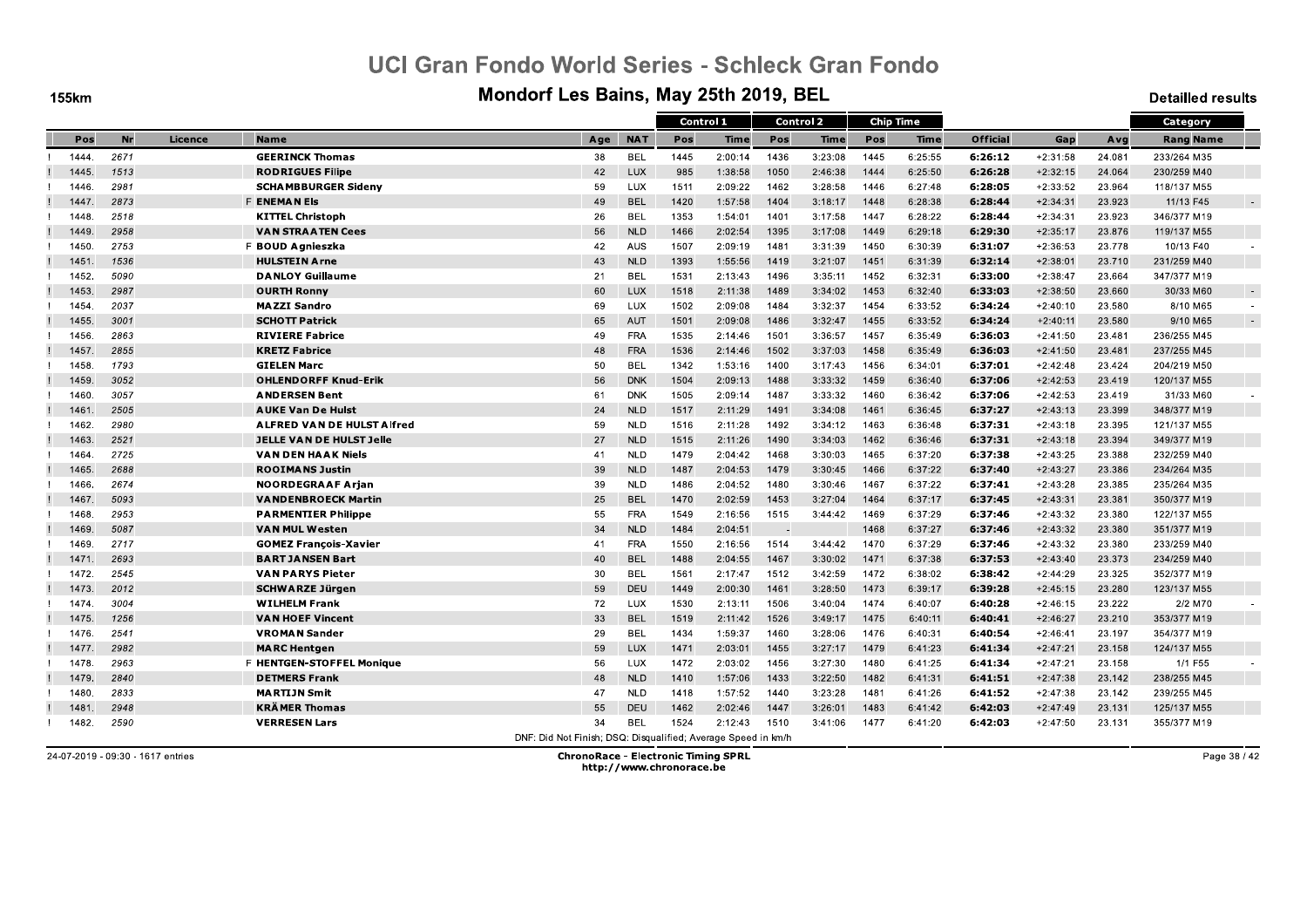**155km** 

#### Mondorf Les Bains, May 25th 2019, BEL

**Detailled results** 

|       |           |         |                                   |                                                               |            | Control 1 |         |      | <b>Control 2</b> |      | <b>Chip Time</b> |                 |            |        | Category         |        |
|-------|-----------|---------|-----------------------------------|---------------------------------------------------------------|------------|-----------|---------|------|------------------|------|------------------|-----------------|------------|--------|------------------|--------|
| Pos   | <b>Nr</b> | Licence | <b>Name</b>                       | Age                                                           | <b>NAT</b> | Pos       | Time    | Pos  | Time             | Pos  | Time             | <b>Official</b> | Gap        | Avg    | <b>Rang Name</b> |        |
| 1444. | 2671      |         | <b>GEERINCK Thomas</b>            | 38                                                            | <b>BEL</b> | 1445      | 2:00:14 | 1436 | 3:23:08          | 1445 | 6:25:55          | 6:26:12         | $+2:31:58$ | 24.081 | 233/264 M35      |        |
| 1445. | 1513      |         | <b>RODRIGUES Filipe</b>           | 42                                                            | <b>LUX</b> | 985       | 1:38:58 | 1050 | 2:46:38          | 1444 | 6:25:50          | 6:26:28         | $+2:32:15$ | 24.064 | 230/259 M40      |        |
| 1446. | 2981      |         | <b>SCHAMBBURGER Sideny</b>        | 59                                                            | <b>LUX</b> | 1511      | 2:09:22 | 1462 | 3:28:58          | 1446 | 6:27:48          | 6:28:05         | $+2:33:52$ | 23.964 | 118/137 M55      |        |
| 1447  | 2873      |         | <b>F ENEMAN Els</b>               | 49                                                            | <b>BEL</b> | 1420      | 1:57:58 | 1404 | 3:18:17          | 1448 | 6:28:38          | 6:28:44         | $+2:34:31$ | 23.923 | 11/13 F45        |        |
| 1448  | 2518      |         | <b>KITTEL Christoph</b>           | 26                                                            | <b>BEL</b> | 1353      | 1:54:01 | 1401 | 3:17:58          | 1447 | 6:28:22          | 6:28:44         | $+2:34:31$ | 23.923 | 346/377 M19      |        |
| 1449  | 2958      |         | <b>VAN STRAATEN Cees</b>          | 56                                                            | <b>NLD</b> | 1466      | 2:02:54 | 1395 | 3:17:08          | 1449 | 6:29:18          | 6:29:30         | $+2:35:17$ | 23.876 | 119/137 M55      |        |
| 1450  | 2753      |         | F BOUD Agnieszka                  | 42                                                            | <b>AUS</b> | 1507      | 2:09:19 | 1481 | 3:31:39          | 1450 | 6:30:39          | 6.31.07         | $+2:36:53$ | 23.778 | 10/13 F40        |        |
| 1451  | 1536      |         | <b>HULSTEIN Arne</b>              | 43                                                            | <b>NLD</b> | 1393      | 1:55:56 | 1419 | 3:21:07          | 1451 | 6:31:39          | 6:32:14         | $+2:38:01$ | 23.710 | 231/259 M40      |        |
| 1452. | 5090      |         | <b>DANLOY Guillaume</b>           | 21                                                            | <b>BEL</b> | 1531      | 2:13:43 | 1496 | 3:35:11          | 1452 | 6:32:31          | 6.33.00         | $+2:38:47$ | 23.664 | 347/377 M19      |        |
| 1453  | 2987      |         | <b>OURTH Ronny</b>                | 60                                                            | <b>LUX</b> | 1518      | 2:11:38 | 1489 | 3:34:02          | 1453 | 6:32:40          | 6:33:03         | $+2:38:50$ | 23.660 | 30/33 M60        | $\sim$ |
| 1454  | 2037      |         | <b>MAZZI Sandro</b>               | 69                                                            | LUX        | 1502      | 2:09:08 | 1484 | 3:32:37          | 1454 | 6:33:52          | 6:34:24         | $+2:40:10$ | 23.580 | 8/10 M65         |        |
| 1455. | 3001      |         | <b>SCHOTT Patrick</b>             | 65                                                            | AUT        | 1501      | 2:09:08 | 1486 | 3:32:47          | 1455 | 6:33:52          | 6:34:24         | $+2:40:11$ | 23.580 | 9/10 M65         | $\sim$ |
| 1456. | 2863      |         | <b>RIVIERE Fabrice</b>            | 49                                                            | <b>FRA</b> | 1535      | 2:14:46 | 1501 | 3:36:57          | 1457 | 6:35:49          | 6:36:03         | $+2:41:50$ | 23.481 | 236/255 M45      |        |
| 1457  | 2855      |         | <b>KRETZ Fabrice</b>              | 48                                                            | <b>FRA</b> | 1536      | 2:14:46 | 1502 | 3:37:03          | 1458 | 6:35:49          | 6.36.03         | $+2:41:50$ | 23.481 | 237/255 M45      |        |
| 1458. | 1793      |         | <b>GIELEN Marc</b>                | 50                                                            | <b>BEL</b> | 1342      | 1:53:16 | 1400 | 3:17:43          | 1456 | 6:34:01          | 6:37:01         | $+2:42:48$ | 23.424 | 204/219 M50      |        |
| 1459. | 3052      |         | <b>OHLENDORFF Knud-Erik</b>       | 56                                                            | <b>DNK</b> | 1504      | 2:09:13 | 1488 | 3:33:32          | 1459 | 6:36:40          | 6:37:06         | $+2:42:53$ | 23.419 | 120/137 M55      |        |
| 1460. | 3057      |         | <b>ANDERSEN Bent</b>              | 61                                                            | <b>DNK</b> | 1505      | 2:09:14 | 1487 | 3:33:32          | 1460 | 6:36:42          | 6:37:06         | $+2:42:53$ | 23.419 | 31/33 M60        |        |
| 1461  | 2505      |         | <b>AUKE Van De Hulst</b>          | 24                                                            | <b>NLD</b> | 1517      | 2:11:29 | 1491 | 3:34:08          | 1461 | 6:36:45          | 6:37:27         | $+2:43:13$ | 23.399 | 348/377 M19      |        |
| 1462. | 2980      |         | <b>ALFRED VAN DE HULST Alfred</b> | 59                                                            | <b>NLD</b> | 1516      | 2:11:28 | 1492 | 3:34:12          | 1463 | 6:36:48          | 6:37:31         | $+2:43:18$ | 23.395 | 121/137 M55      |        |
| 1463. | 2521      |         | <b>JELLE VAN DE HULST Jelle</b>   | 27                                                            | <b>NLD</b> | 1515      | 2:11:26 | 1490 | 3:34:03          | 1462 | 6:36:46          | 6:37:31         | $+2:43:18$ | 23.394 | 349/377 M19      |        |
| 1464. | 2725      |         | <b>VAN DEN HAAK Niels</b>         | 41                                                            | <b>NLD</b> | 1479      | 2:04:42 | 1468 | 3:30:03          | 1465 | 6:37:20          | 6:37:38         | $+2:43:25$ | 23.388 | 232/259 M40      |        |
| 1465  | 2688      |         | <b>ROOIMANS Justin</b>            | 39                                                            | <b>NLD</b> | 1487      | 2:04:53 | 1479 | 3:30:45          | 1466 | 6:37:22          | 6:37:40         | $+2:43:27$ | 23.386 | 234/264 M35      |        |
| 1466. | 2674      |         | <b>NOORDEGRAAF Arjan</b>          | 39                                                            | <b>NLD</b> | 1486      | 2:04:52 | 1480 | 3:30:46          | 1467 | 6:37:22          | 6:37:41         | $+2:43:28$ | 23.385 | 235/264 M35      |        |
| 1467  | 5093      |         | <b>VANDENBROECK Martin</b>        | 25                                                            | <b>BEL</b> | 1470      | 2:02:59 | 1453 | 3:27:04          | 1464 | 6:37:17          | 6:37:45         | $+2:43:31$ | 23.381 | 350/377 M19      |        |
| 1468. | 2953      |         | <b>PARMENTIER Philippe</b>        | 55                                                            | <b>FRA</b> | 1549      | 2:16:56 | 1515 | 3:44:42          | 1469 | 6:37:29          | 6:37:46         | $+2:43:32$ | 23.380 | 122/137 M55      |        |
| 1469  | 5087      |         | <b>VAN MUL Westen</b>             | 34                                                            | <b>NLD</b> | 1484      | 2:04:51 |      |                  | 1468 | 6:37:27          | 6:37:46         | $+2:43:32$ | 23.380 | 351/377 M19      |        |
| 1469. | 2717      |         | <b>GOMEZ François-Xavier</b>      | 41                                                            | <b>FRA</b> | 1550      | 2:16:56 | 1514 | 3:44:42          | 1470 | 6:37:29          | 6:37:46         | $+2:43:32$ | 23.380 | 233/259 M40      |        |
| 1471. | 2693      |         | <b>BART JANSEN Bart</b>           | 40                                                            | <b>BEL</b> | 1488      | 2:04:55 | 1467 | 3:30:02          | 1471 | 6:37:38          | 6:37:53         | $+2:43:40$ | 23.373 | 234/259 M40      |        |
| 1472. | 2545      |         | <b>VAN PARYS Pieter</b>           | 30                                                            | <b>BEL</b> | 1561      | 2:17:47 | 1512 | 3:42:59          | 1472 | 6:38:02          | 6:38:42         | $+2:44:29$ | 23.325 | 352/377 M19      |        |
| 1473. | 2012      |         | <b>SCHWARZE Jürgen</b>            | 59                                                            | DEU        | 1449      | 2:00:30 | 1461 | 3:28:50          | 1473 | 6:39:17          | 6:39:28         | $+2:45:15$ | 23.280 | 123/137 M55      |        |
| 1474  | 3004      |         | <b>WILHELM Frank</b>              | 72                                                            | <b>LUX</b> | 1530      | 2:13:11 | 1506 | 3:40:04          | 1474 | 6:40:07          | 6:40:28         | $+2:46:15$ | 23.222 | 2/2 M70          |        |
| 1475. | 1256      |         | <b>VAN HOEF Vincent</b>           | 33                                                            | <b>BEL</b> | 1519      | 2:11:42 | 1526 | 3:49:17          | 1475 | 6:40:11          | 6:40:41         | $+2:46:27$ | 23.210 | 353/377 M19      |        |
| 1476. | 2541      |         | <b>VROMAN Sander</b>              | 29                                                            | <b>BEL</b> | 1434      | 1:59:37 | 1460 | 3:28:06          | 1476 | 6:40:31          | 6:40:54         | $+2:46:41$ | 23.197 | 354/377 M19      |        |
| 1477  | 2982      |         | <b>MARC Hentgen</b>               | 59                                                            | <b>LUX</b> | 1471      | 2:03:01 | 1455 | 3:27:17          | 1479 | 6:41:23          | 6:41:34         | $+2:47:21$ | 23.158 | 124/137 M55      |        |
| 1478. | 2963      |         | F HENTGEN-STOFFEL Monique         | 56                                                            | <b>LUX</b> | 1472      | 2:03:02 | 1456 | 3:27:30          | 1480 | 6:41:25          | 6:41:34         | $+2:47:21$ | 23.158 | 1/1 F55          |        |
| 1479. | 2840      |         | <b>DETMERS Frank</b>              | 48                                                            | <b>NLD</b> | 1410      | 1:57:06 | 1433 | 3:22:50          | 1482 | 6:41:31          | 6:41:51         | $+2:47:38$ | 23.142 | 238/255 M45      |        |
| 1480. | 2833      |         | <b>MARTIJN Smit</b>               | 47                                                            | <b>NLD</b> | 1418      | 1:57:52 | 1440 | 3:23:28          | 1481 | 6:41:26          | 6.41.52         | $+2:47:38$ | 23.142 | 239/255 M45      |        |
| 1481  | 2948      |         | <b>KRÄMER Thomas</b>              | 55                                                            | <b>DEU</b> | 1462      | 2:02:46 | 1447 | 3:26:01          | 1483 | 6:41:42          | 6:42:03         | $+2:47:49$ | 23.131 | 125/137 M55      |        |
| 1482. | 2590      |         | <b>VERRESEN Lars</b>              | 34                                                            | <b>BEL</b> | 1524      | 2:12:43 | 1510 | 3:41:06          | 1477 | 6:41:20          | 6.42.03         | $+2:47:50$ | 23.131 | 355/377 M19      |        |
|       |           |         |                                   | DNE: Did Not Finish: DSO: Disqualified: Average Speed in km/h |            |           |         |      |                  |      |                  |                 |            |        |                  |        |

24-07-2019 - 09:30 - 1617 entries

**ChronoRace - Electronic Timing SPRL** http://www.chronorace.be

Page 38 / 42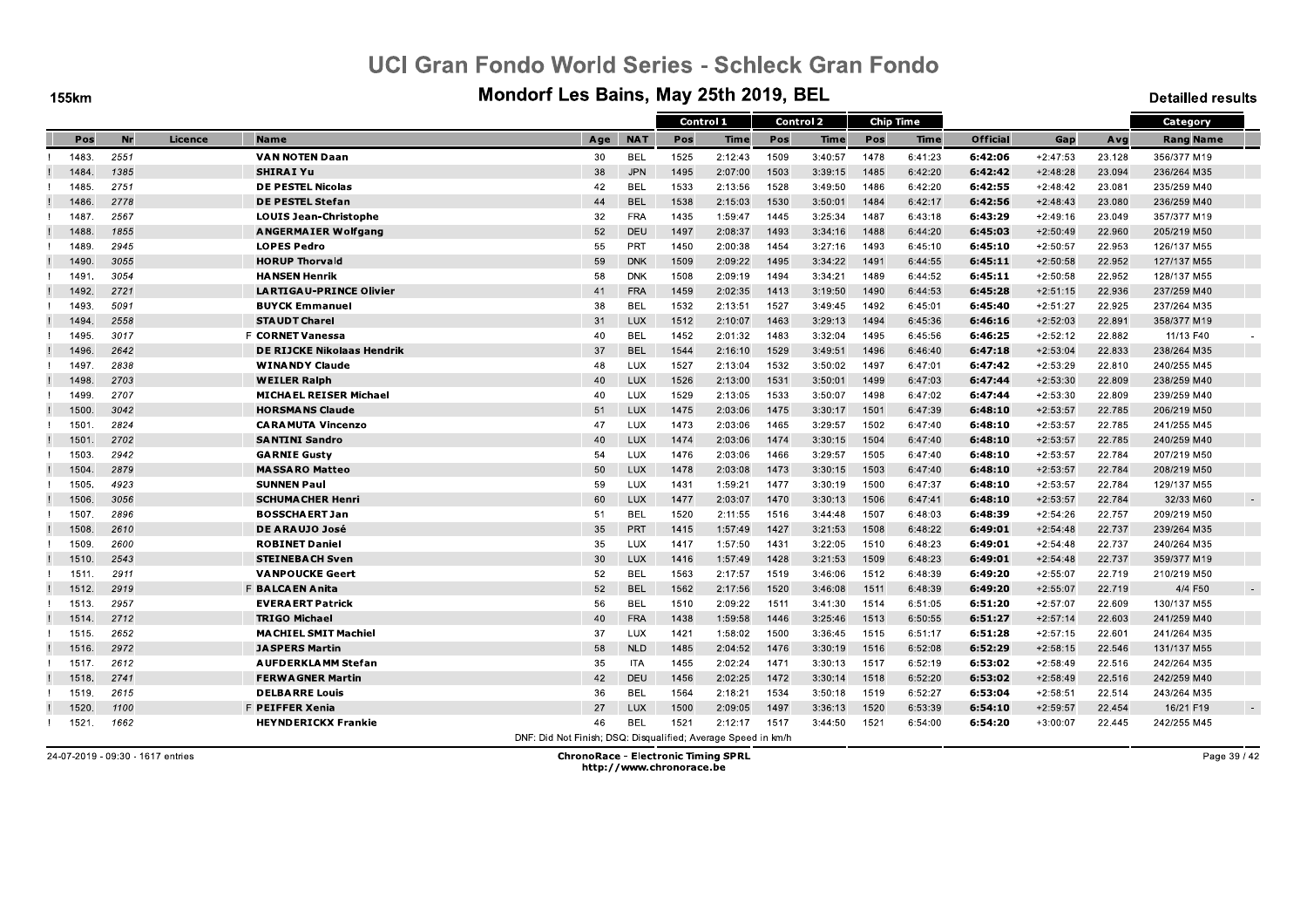**155km** 

#### Mondorf Les Bains, May 25th 2019, BEL

**Detailled results** 

|       |      |         |                                   |                                                               |            | Control 1 |             |      | <b>Control 2</b> |      | <b>Chip Time</b> |                 |            |        | Category         |
|-------|------|---------|-----------------------------------|---------------------------------------------------------------|------------|-----------|-------------|------|------------------|------|------------------|-----------------|------------|--------|------------------|
| Pos   | Nr   | Licence | <b>Name</b>                       | Age                                                           | <b>NAT</b> | Pos       | <b>Time</b> | Pos  | <b>Time</b>      | Pos  | <b>Time</b>      | <b>Official</b> | Gap        | Avg    | <b>Rang Name</b> |
| 1483. | 2551 |         | <b>VAN NOTEN Daan</b>             | 30                                                            | <b>BEL</b> | 1525      | 2:12:43     | 1509 | 3:40:57          | 1478 | 6:41:23          | 6:42:06         | $+2:47:53$ | 23.128 | 356/377 M19      |
| 1484  | 1385 |         | <b>SHIRAI Yu</b>                  | 38                                                            | <b>JPN</b> | 1495      | 2:07:00     | 1503 | 3:39:15          | 1485 | 6:42:20          | 6:42:42         | $+2:48:28$ | 23.094 | 236/264 M35      |
| 1485. | 2751 |         | <b>DE PESTEL Nicolas</b>          | 42                                                            | <b>BEL</b> | 1533      | 2:13:56     | 1528 | 3:49:50          | 1486 | 6:42:20          | 6:42:55         | $+2:48:42$ | 23.081 | 235/259 M40      |
| 1486  | 2778 |         | <b>DE PESTEL Stefan</b>           | 44                                                            | <b>BEL</b> | 1538      | 2:15:03     | 1530 | 3:50:01          | 1484 | 6:42:17          | 6:42:56         | $+2:48:43$ | 23.080 | 236/259 M40      |
| 1487  | 2567 |         | <b>LOUIS Jean-Christophe</b>      | 32                                                            | <b>FRA</b> | 1435      | 1:59:47     | 1445 | 3:25:34          | 1487 | 6:43:18          | 6:43:29         | $+2:49:16$ | 23.049 | 357/377 M19      |
| 1488  | 1855 |         | <b>ANGERMAIER Wolfgang</b>        | 52                                                            | DEU        | 1497      | 2:08:37     | 1493 | 3:34:16          | 1488 | 6:44:20          | 6:45:03         | $+2:50:49$ | 22.960 | 205/219 M50      |
| 1489  | 2945 |         | <b>LOPES Pedro</b>                | 55                                                            | <b>PRT</b> | 1450      | 2:00:38     | 1454 | 3:27:16          | 1493 | 6:45:10          | 6:45:10         | $+2:50:57$ | 22.953 | 126/137 M55      |
| 1490  | 3055 |         | <b>HORUP Thorvald</b>             | 59                                                            | <b>DNK</b> | 1509      | 2:09:22     | 1495 | 3:34:22          | 1491 | 6:44:55          | 6:45:11         | $+2:50:58$ | 22.952 | 127/137 M55      |
| 1491  | 3054 |         | <b>HANSEN Henrik</b>              | 58                                                            | <b>DNK</b> | 1508      | 2:09:19     | 1494 | 3:34:21          | 1489 | 6:44:52          | 6:45:11         | $+2:50:58$ | 22.952 | 128/137 M55      |
| 1492  | 2721 |         | <b>LARTIGAU-PRINCE Olivier</b>    | 41                                                            | <b>FRA</b> | 1459      | 2:02:35     | 1413 | 3:19:50          | 1490 | 6:44:53          | 6:45:28         | $+2:51:15$ | 22.936 | 237/259 M40      |
| 1493  | 5091 |         | <b>BUYCK Emmanuel</b>             | 38                                                            | <b>BEL</b> | 1532      | 2:13:51     | 1527 | 3:49:45          | 1492 | 6:45:01          | 6:45:40         | $+2:51:27$ | 22.925 | 237/264 M35      |
| 1494  | 2558 |         | <b>STAUDT Charel</b>              | 31                                                            | LUX        | 1512      | 2:10:07     | 1463 | 3:29:13          | 1494 | 6:45:36          | 6:46:16         | $+2:52:03$ | 22.891 | 358/377 M19      |
| 1495  | 3017 |         | <b>F CORNET Vanessa</b>           | 40                                                            | <b>BEL</b> | 1452      | 2:01:32     | 1483 | 3:32:04          | 1495 | 6:45:56          | 6:46:25         | $+2:52:12$ | 22.882 | 11/13 F40        |
| 1496  | 2642 |         | <b>DE RIJCKE Nikolaas Hendrik</b> | 37                                                            | <b>BEL</b> | 1544      | 2:16:10     | 1529 | 3:49:51          | 1496 | 6:46:40          | 6.47:18         | $+2:53:04$ | 22.833 | 238/264 M35      |
| 1497  | 2838 |         | <b>WINANDY Claude</b>             | 48                                                            | LUX        | 1527      | 2:13:04     | 1532 | 3:50:02          | 1497 | 6:47:01          | 6:47:42         | $+2:53:29$ | 22.810 | 240/255 M45      |
| 1498  | 2703 |         | <b>WEILER Ralph</b>               | 40                                                            | LUX        | 1526      | 2:13:00     | 1531 | 3:50:01          | 1499 | 6:47:03          | 6:47:44         | $+2:53:30$ | 22.809 | 238/259 M40      |
| 1499  | 2707 |         | <b>MICHAEL REISER Michael</b>     | 40                                                            | LUX        | 1529      | 2:13:05     | 1533 | 3:50:07          | 1498 | 6:47:02          | 6:47:44         | $+2:53:30$ | 22.809 | 239/259 M40      |
| 1500  | 3042 |         | <b>HORSMANS Claude</b>            | 51                                                            | LUX        | 1475      | 2:03:06     | 1475 | 3:30:17          | 1501 | 6:47:39          | 6:48:10         | $+2:53:57$ | 22.785 | 206/219 M50      |
| 1501  | 2824 |         | <b>CARAMUTA Vincenzo</b>          | 47                                                            | LUX        | 1473      | 2:03:06     | 1465 | 3:29:57          | 1502 | 6:47:40          | 6:48:10         | $+2:53:57$ | 22.785 | 241/255 M45      |
| 1501  | 2702 |         | <b>SANTINI Sandro</b>             | 40                                                            | LUX        | 1474      | 2:03:06     | 1474 | 3:30:15          | 1504 | 6:47:40          | 6:48:10         | $+2:53:57$ | 22.785 | 240/259 M40      |
| 1503. | 2942 |         | <b>GARNIE Gusty</b>               | 54                                                            | LUX        | 1476      | 2:03:06     | 1466 | 3:29:57          | 1505 | 6:47:40          | 6:48:10         | $+2:53:57$ | 22.784 | 207/219 M50      |
| 1504  | 2879 |         | <b>MASSARO Matteo</b>             | 50                                                            | LUX        | 1478      | 2:03:08     | 1473 | 3:30:15          | 1503 | 6:47:40          | 6:48:10         | $+2:53:57$ | 22.784 | 208/219 M50      |
| 1505. | 4923 |         | <b>SUNNEN Paul</b>                | 59                                                            | LUX        | 1431      | 1:59:21     | 1477 | 3:30:19          | 1500 | 6:47:37          | 6:48:10         | $+2:53:57$ | 22.784 | 129/137 M55      |
| 1506  | 3056 |         | <b>SCHUMA CHER Henri</b>          | 60                                                            | LUX        | 1477      | 2:03:07     | 1470 | 3:30:13          | 1506 | 6:47:41          | 6:48:10         | $+2:53:57$ | 22.784 | 32/33 M60        |
| 1507. | 2896 |         | <b>BOSSCHAERT Jan</b>             | 51                                                            | <b>BEL</b> | 1520      | 2:11:55     | 1516 | 3:44:48          | 1507 | 6:48:03          | 6:48:39         | $+2:54:26$ | 22.757 | 209/219 M50      |
| 1508  | 2610 |         | DE ARAUJO José                    | 35                                                            | <b>PRT</b> | 1415      | 1:57:49     | 1427 | 3:21:53          | 1508 | 6:48:22          | 6:49:01         | $+2:54:48$ | 22.737 | 239/264 M35      |
| 1509  | 2600 |         | <b>ROBINET Daniel</b>             | 35                                                            | LUX        | 1417      | 1:57:50     | 1431 | 3:22:05          | 1510 | 6:48:23          | 6:49:01         | $+2:54:48$ | 22.737 | 240/264 M35      |
| 1510. | 2543 |         | <b>STEINEBACH Sven</b>            | 30                                                            | <b>LUX</b> | 1416      | 1:57:49     | 1428 | 3:21:53          | 1509 | 6:48:23          | 6:49:01         | $+2:54:48$ | 22.737 | 359/377 M19      |
| 1511  | 2911 |         | <b>VANPOUCKE Geert</b>            | 52                                                            | <b>BEL</b> | 1563      | 2:17:57     | 1519 | 3:46:06          | 1512 | 6:48:39          | 6:49:20         | $+2:55:07$ | 22.719 | 210/219 M50      |
| 1512  | 2919 |         | F BALCAEN Anita                   | 52                                                            | <b>BEL</b> | 1562      | 2:17:56     | 1520 | 3:46:08          | 1511 | 6:48:39          | 6.49.20         | $+2:55:07$ | 22.719 | 4/4 F50          |
| 1513  | 2957 |         | <b>EVERAERT Patrick</b>           | 56                                                            | <b>BEL</b> | 1510      | 2:09:22     | 1511 | 3:41:30          | 1514 | 6:51:05          | 6:51:20         | $+2:57:07$ | 22.609 | 130/137 M55      |
| 1514  | 2712 |         | <b>TRIGO Michael</b>              | 40                                                            | <b>FRA</b> | 1438      | 1:59:58     | 1446 | 3:25:46          | 1513 | 6:50:55          | 6:51:27         | $+2:57:14$ | 22.603 | 241/259 M40      |
| 1515. | 2652 |         | <b>MACHIEL SMIT Machiel</b>       | 37                                                            | LUX        | 1421      | 1:58:02     | 1500 | 3:36:45          | 1515 | 6:51:17          | 6:51:28         | $+2:57:15$ | 22.601 | 241/264 M35      |
| 1516  | 2972 |         | <b>JASPERS Martin</b>             | 58                                                            | <b>NLD</b> | 1485      | 2:04:52     | 1476 | 3:30:19          | 1516 | 6:52:08          | 6:52:29         | $+2:58:15$ | 22.546 | 131/137 M55      |
| 1517  | 2612 |         | <b>AUFDERKLAMM Stefan</b>         | 35                                                            | <b>ITA</b> | 1455      | 2:02:24     | 1471 | 3:30:13          | 1517 | 6:52:19          | 6:53:02         | $+2:58:49$ | 22.516 | 242/264 M35      |
| 1518. | 2741 |         | <b>FERWAGNER Martin</b>           | 42                                                            | DEU        | 1456      | 2:02:25     | 1472 | 3:30:14          | 1518 | 6:52:20          | 6:53:02         | $+2:58:49$ | 22.516 | 242/259 M40      |
| 1519  | 2615 |         | <b>DELBARRE Louis</b>             | 36                                                            | <b>BEL</b> | 1564      | 2:18:21     | 1534 | 3:50:18          | 1519 | 6:52:27          | 6:53:04         | $+2:58:51$ | 22.514 | 243/264 M35      |
| 1520  | 1100 |         | F PEIFFER Xenia                   | 27                                                            | LUX        | 1500      | 2:09:05     | 1497 | 3:36:13          | 1520 | 6:53:39          | 6:54:10         | $+2:59:57$ | 22.454 | 16/21 F19        |
| 1521  | 1662 |         | <b>HEYNDERICKX Frankie</b>        | 46                                                            | <b>BEL</b> | 1521      | 2:12:17     | 1517 | 3:44:50          | 1521 | 6:54:00          | 6.54.20         | $+3:00:07$ | 22.445 | 242/255 M45      |
|       |      |         |                                   | DNF: Did Not Finish: DSQ: Disqualified: Average Speed in km/h |            |           |             |      |                  |      |                  |                 |            |        |                  |

24-07-2019 - 09:30 - 1617 entries

**ChronoRace - Electronic Timing SPRL** http://www.chronorace.be

Page 39 / 42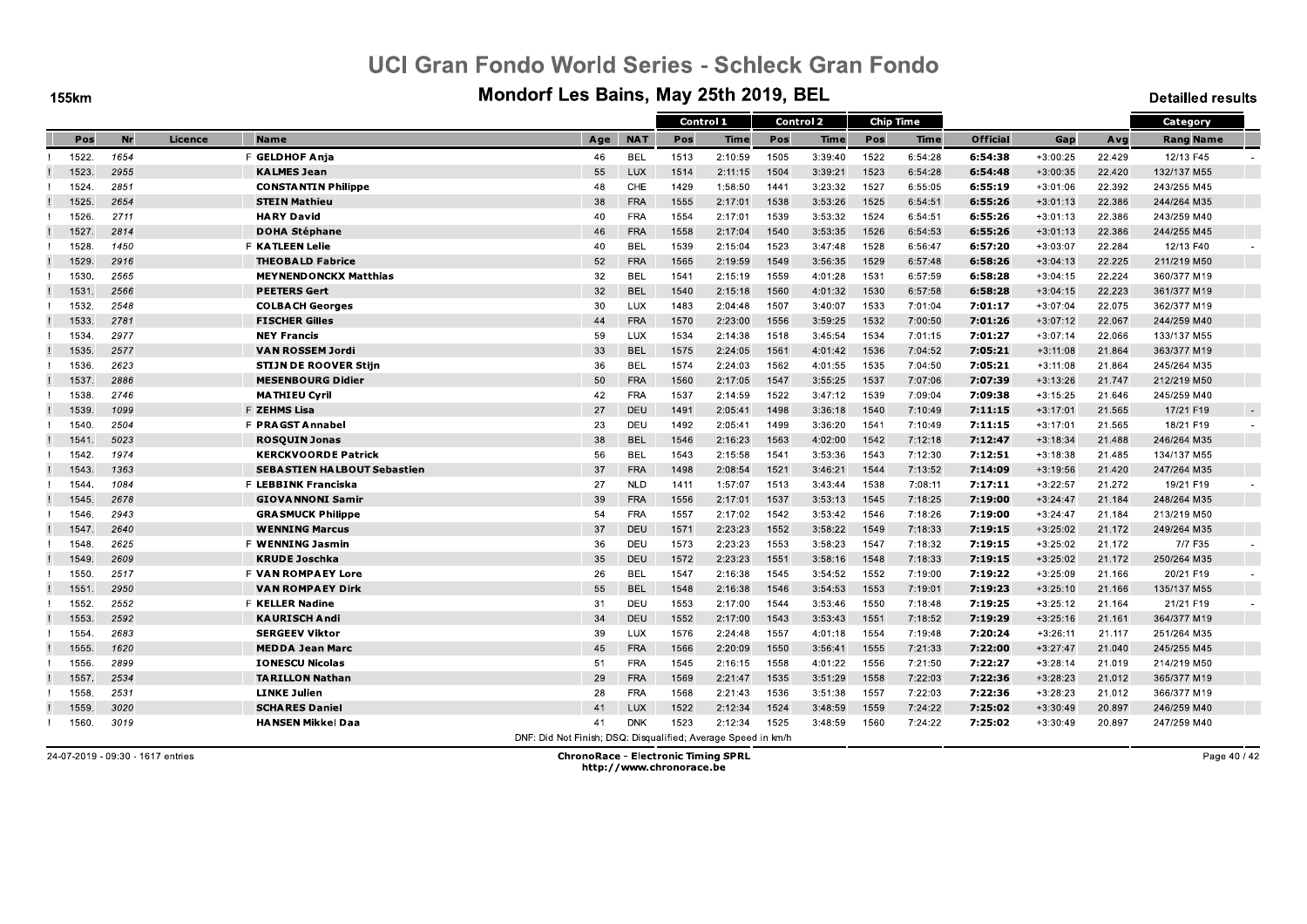**155km** 

#### Mondorf Les Bains, May 25th 2019, BEL

**Detailled results** 

|       |      |         |                                    |                                                               |            | Control 1 |             |      | <b>Control 2</b> |      | <b>Chip Time</b> |                 |            |        | Category         |  |
|-------|------|---------|------------------------------------|---------------------------------------------------------------|------------|-----------|-------------|------|------------------|------|------------------|-----------------|------------|--------|------------------|--|
| Pos   | Nr   | Licence | <b>Name</b>                        | Age                                                           | <b>NAT</b> | Pos       | <b>Time</b> | Pos  | <b>Time</b>      | Pos  | Time             | <b>Official</b> | Gap        | Avg    | <b>Rang Name</b> |  |
| 1522. | 1654 |         | F GELDHOF Anja                     | 46                                                            | <b>BEL</b> | 1513      | 2:10:59     | 1505 | 3:39:40          | 1522 | 6:54:28          | 6:54:38         | $+3:00:25$ | 22.429 | 12/13 F45        |  |
| 1523  | 2955 |         | <b>KALMES Jean</b>                 | 55                                                            | <b>LUX</b> | 1514      | 2:11:15     | 1504 | 3:39:21          | 1523 | 6:54:28          | 6:54:48         | $+3:00:35$ | 22.420 | 132/137 M55      |  |
| 1524  | 2851 |         | <b>CONSTANTIN Philippe</b>         | 48                                                            | CHE        | 1429      | 1:58:50     | 1441 | 3:23:32          | 1527 | 6:55:05          | 6:55:19         | $+3:01:06$ | 22.392 | 243/255 M45      |  |
| 1525. | 2654 |         | <b>STEIN Mathieu</b>               | 38                                                            | <b>FRA</b> | 1555      | 2:17:01     | 1538 | 3:53:26          | 1525 | 6:54:51          | 6:55:26         | $+3:01:13$ | 22.386 | 244/264 M35      |  |
| 1526  | 2711 |         | <b>HARY David</b>                  | 40                                                            | <b>FRA</b> | 1554      | 2:17:01     | 1539 | 3:53:32          | 1524 | 6:54:51          | 6:55:26         | $+3:01:13$ | 22.386 | 243/259 M40      |  |
| 1527  | 2814 |         | <b>DOHA Stéphane</b>               | 46                                                            | <b>FRA</b> | 1558      | 2:17:04     | 1540 | 3:53:35          | 1526 | 6:54:53          | 6:55:26         | $+3:01:13$ | 22.386 | 244/255 M45      |  |
| 1528  | 1450 |         | <b>F KATLEEN Lelie</b>             | 40                                                            | <b>BEL</b> | 1539      | 2:15:04     | 1523 | 3:47:48          | 1528 | 6:56:47          | 6:57:20         | $+3:03:07$ | 22.284 | 12/13 F40        |  |
| 1529. | 2916 |         | <b>THEOBALD Fabrice</b>            | 52                                                            | <b>FRA</b> | 1565      | 2:19:59     | 1549 | 3:56:35          | 1529 | 6:57:48          | 6:58:26         | $+3:04:13$ | 22.225 | 211/219 M50      |  |
| 1530. | 2565 |         | <b>MEYNENDONCKX Matthias</b>       | 32                                                            | <b>BEL</b> | 1541      | 2:15:19     | 1559 | 4:01:28          | 1531 | 6:57:59          | 6:58:28         | $+3:04:15$ | 22.224 | 360/377 M19      |  |
| 1531  | 2566 |         | <b>PEETERS Gert</b>                | 32                                                            | <b>BEL</b> | 1540      | 2:15:18     | 1560 | 4:01:32          | 1530 | 6:57:58          | 6:58:28         | $+3:04:15$ | 22.223 | 361/377 M19      |  |
| 1532. | 2548 |         | <b>COLBACH Georges</b>             | 30                                                            | LUX        | 1483      | 2:04:48     | 1507 | 3:40:07          | 1533 | 7:01:04          | 7:01:17         | $+3:07:04$ | 22.075 | 362/377 M19      |  |
| 1533. | 2781 |         | <b>FISCHER Gilles</b>              | 44                                                            | <b>FRA</b> | 1570      | 2:23:00     | 1556 | 3:59:25          | 1532 | 7:00:50          | 7:01:26         | $+3:07:12$ | 22.067 | 244/259 M40      |  |
| 1534  | 2977 |         | <b>NEY Francis</b>                 | 59                                                            | LUX        | 1534      | 2:14:38     | 1518 | 3:45:54          | 1534 | 7:01:15          | 7:01:27         | $+3:07:14$ | 22.066 | 133/137 M55      |  |
| 1535. | 2577 |         | <b>VAN ROSSEM Jordi</b>            | 33                                                            | <b>BEL</b> | 1575      | 2:24:05     | 1561 | 4:01:42          | 1536 | 7:04:52          | 7:05:21         | $+3:11:08$ | 21.864 | 363/377 M19      |  |
| 1536  | 2623 |         | <b>STIJN DE ROOVER Stijn</b>       | 36                                                            | BEL        | 1574      | 2:24:03     | 1562 | 4:01:55          | 1535 | 7:04:50          | 7:05:21         | $+3:11:08$ | 21.864 | 245/264 M35      |  |
| 1537. | 2886 |         | <b>MESENBOURG Didier</b>           | 50                                                            | <b>FRA</b> | 1560      | 2:17:05     | 1547 | 3:55:25          | 1537 | 7:07:06          | 7:07:39         | $+3:13:26$ | 21.747 | 212/219 M50      |  |
| 1538. | 2746 |         | <b>MATHIEU Cyril</b>               | 42                                                            | <b>FRA</b> | 1537      | 2:14:59     | 1522 | 3:47:12          | 1539 | 7:09:04          | 7:09:38         | $+3:15:25$ | 21.646 | 245/259 M40      |  |
| 1539  | 1099 |         | F ZEHMS Lisa                       | 27                                                            | DEU        | 1491      | 2:05:41     | 1498 | 3:36:18          | 1540 | 7:10:49          | 7 11:15         | $+3:17:01$ | 21.565 | 17/21 F19        |  |
| 1540. | 2504 |         | F PRAGST Annabel                   | 23                                                            | DEU        | 1492      | 2:05:41     | 1499 | 3:36:20          | 1541 | 7:10:49          | 7:11:15         | $+3:17:01$ | 21.565 | 18/21 F19        |  |
| 1541  | 5023 |         | <b>ROSQUIN Jonas</b>               | 38                                                            | <b>BEL</b> | 1546      | 2:16:23     | 1563 | 4:02:00          | 1542 | 7:12:18          | 7:12:47         | $+3:18:34$ | 21.488 | 246/264 M35      |  |
| 1542. | 1974 |         | <b>KERCKVOORDE Patrick</b>         | 56                                                            | <b>BEL</b> | 1543      | 2:15:58     | 1541 | 3:53:36          | 1543 | 7:12:30          | 7:12:51         | $+3:18:38$ | 21.485 | 134/137 M55      |  |
| 1543  | 1363 |         | <b>SEBASTIEN HALBOUT Sebastien</b> | 37                                                            | <b>FRA</b> | 1498      | 2:08:54     | 1521 | 3:46:21          | 1544 | 7:13:52          | 7:14:09         | $+3:19:56$ | 21.420 | 247/264 M35      |  |
| 1544  | 1084 |         | F LEBBINK Franciska                | 27                                                            | <b>NLD</b> | 1411      | 1:57:07     | 1513 | 3:43:44          | 1538 | 7:08:11          | 7.17.11         | $+3:22:57$ | 21.272 | 19/21 F19        |  |
| 1545. | 2678 |         | <b>GIOVANNONI Samir</b>            | 39                                                            | <b>FRA</b> | 1556      | 2:17:01     | 1537 | 3:53:13          | 1545 | 7:18:25          | 7:19:00         | $+3:24:47$ | 21.184 | 248/264 M35      |  |
| 1546. | 2943 |         | <b>GRASMUCK Philippe</b>           | 54                                                            | <b>FRA</b> | 1557      | 2:17:02     | 1542 | 3:53:42          | 1546 | 7:18:26          | 7:19:00         | $+3:24:47$ | 21.184 | 213/219 M50      |  |
| 1547  | 2640 |         | <b>WENNING Marcus</b>              | 37                                                            | <b>DEU</b> | 1571      | 2:23:23     | 1552 | 3:58:22          | 1549 | 7:18:33          | 7:19:15         | $+3:25:02$ | 21.172 | 249/264 M35      |  |
| 1548  | 2625 |         | F WENNING Jasmin                   | 36                                                            | DEU        | 1573      | 2:23:23     | 1553 | 3:58:23          | 1547 | 7:18:32          | 7:19:15         | $+3:25:02$ | 21.172 | 7/7 F35          |  |
| 1549. | 2609 |         | <b>KRUDE Joschka</b>               | 35                                                            | DEU        | 1572      | 2:23:23     | 1551 | 3:58:16          | 1548 | 7:18:33          | 7:19:15         | $+3:25:02$ | 21.172 | 250/264 M35      |  |
| 1550. | 2517 |         | <b>F VAN ROMPAEY Lore</b>          | 26                                                            | <b>BEL</b> | 1547      | 2:16:38     | 1545 | 3:54:52          | 1552 | 7:19:00          | 7:19:22         | $+3:25:09$ | 21.166 | 20/21 F19        |  |
| 1551  | 2950 |         | <b>VAN ROMPAEY Dirk</b>            | 55                                                            | <b>BEL</b> | 1548      | 2:16:38     | 1546 | 3:54:53          | 1553 | 7:19:01          | 7:19:23         | $+3:25:10$ | 21.166 | 135/137 M55      |  |
| 1552  | 2552 |         | <b>F KELLER Nadine</b>             | 31                                                            | DEU        | 1553      | 2:17:00     | 1544 | 3:53:46          | 1550 | 7:18:48          | 7:19:25         | $+3:25:12$ | 21.164 | 21/21 F19        |  |
| 1553. | 2592 |         | <b>KAURISCH Andi</b>               | 34                                                            | DEU        | 1552      | 2:17:00     | 1543 | 3:53:43          | 1551 | 7:18:52          | 7.19.29         | $+3:25:16$ | 21.161 | 364/377 M19      |  |
| 1554  | 2683 |         | <b>SERGEEV Viktor</b>              | 39                                                            | LUX        | 1576      | 2:24:48     | 1557 | 4:01:18          | 1554 | 7:19:48          | 7:20:24         | $+3:26:11$ | 21.117 | 251/264 M35      |  |
| 1555. | 1620 |         | <b>MEDDA Jean Marc</b>             | 45                                                            | <b>FRA</b> | 1566      | 2:20:09     | 1550 | 3:56:41          | 1555 | 7:21:33          | 7:22:00         | $+3:27:47$ | 21.040 | 245/255 M45      |  |
| 1556. | 2899 |         | <b>IONESCU Nicolas</b>             | 51                                                            | <b>FRA</b> | 1545      | 2:16:15     | 1558 | 4:01:22          | 1556 | 7:21:50          | 7:22:27         | $+3:28:14$ | 21.019 | 214/219 M50      |  |
| 1557. | 2534 |         | <b>TARILLON Nathan</b>             | 29                                                            | <b>FRA</b> | 1569      | 2:21:47     | 1535 | 3:51:29          | 1558 | 7:22:03          | 7:22:36         | $+3:28:23$ | 21.012 | 365/377 M19      |  |
| 1558  | 2531 |         | <b>LINKE Julien</b>                | 28                                                            | <b>FRA</b> | 1568      | 2:21:43     | 1536 | 3:51:38          | 1557 | 7:22:03          | 7:22:36         | $+3:28:23$ | 21.012 | 366/377 M19      |  |
| 1559  | 3020 |         | <b>SCHARES Daniel</b>              | 41                                                            | LUX        | 1522      | 2:12:34     | 1524 | 3:48:59          | 1559 | 7:24:22          | 7:25:02         | $+3:30:49$ | 20.897 | 246/259 M40      |  |
| 1560. | 3019 |         | <b>HANSEN Mikkel Daa</b>           | 41                                                            | <b>DNK</b> | 1523      | 2:12:34     | 1525 | 3:48:59          | 1560 | 7:24:22          | 7:25:02         | $+3:30:49$ | 20.897 | 247/259 M40      |  |
|       |      |         |                                    | DNF: Did Not Finish: DSQ: Disqualified: Average Speed in km/h |            |           |             |      |                  |      |                  |                 |            |        |                  |  |

24-07-2019 - 09:30 - 1617 entries

**ChronoRace - Electronic Timing SPRL** http://www.chronorace.be

Page 40 / 42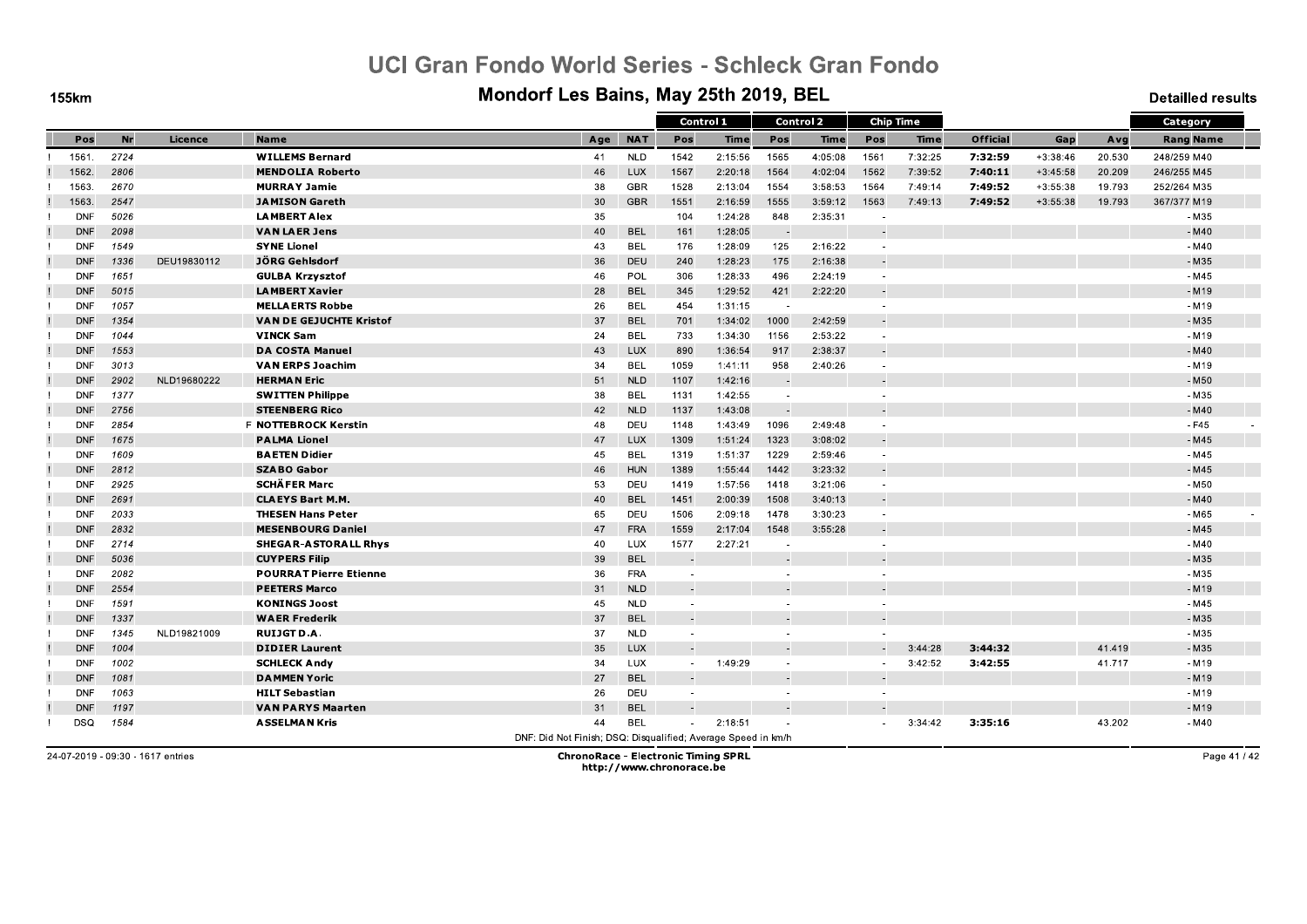**155km** 

#### Mondorf Les Bains, May 25th 2019, BEL

**Detailled results** 

|            |      |             |                                |                                                               |            | Control 1                |             | <b>Control 2</b>         |             |                          | <b>Chip Time</b> |                 |            |        | Category         |
|------------|------|-------------|--------------------------------|---------------------------------------------------------------|------------|--------------------------|-------------|--------------------------|-------------|--------------------------|------------------|-----------------|------------|--------|------------------|
| Pos        | Nr   | Licence     | <b>Name</b>                    | Age                                                           | <b>NAT</b> | Pos                      | <b>Time</b> | Pos                      | <b>Time</b> | Pos                      | <b>Time</b>      | <b>Official</b> | Gap        | Avg    | <b>Rang Name</b> |
| 1561       | 2724 |             | <b>WILLEMS Bernard</b>         | 41                                                            | <b>NLD</b> | 1542                     | 2:15:56     | 1565                     | 4:05:08     | 1561                     | 7:32:25          | 7:32:59         | $+3:38:46$ | 20.530 | 248/259 M40      |
| 1562       | 2806 |             | <b>MENDOLIA Roberto</b>        | 46                                                            | <b>LUX</b> | 1567                     | 2:20:18     | 1564                     | 4:02:04     | 1562                     | 7:39:52          | 7:40:11         | $+3:45:58$ | 20.209 | 246/255 M45      |
| 1563       | 2670 |             | <b>MURRAY Jamie</b>            | 38                                                            | <b>GBR</b> | 1528                     | 2:13:04     | 1554                     | 3:58:53     | 1564                     | 7:49:14          | 7:49:52         | $+3:55:38$ | 19.793 | 252/264 M35      |
| 1563       | 2547 |             | <b>JAMISON Gareth</b>          | 30                                                            | <b>GBR</b> | 1551                     | 2:16:59     | 1555                     | 3:59:12     | 1563                     | 7:49:13          | 7:49:52         | $+3:55:38$ | 19.793 | 367/377 M19      |
| <b>DNF</b> | 5026 |             | <b>LAMBERT Alex</b>            | 35                                                            |            | 104                      | 1:24:28     | 848                      | 2:35:31     | $\overline{\phantom{a}}$ |                  |                 |            |        | $-M35$           |
| <b>DNF</b> | 2098 |             | <b>VAN LAER Jens</b>           | 40                                                            | <b>BEL</b> | 161                      | 1:28:05     | $\sim$                   |             | $\sim$                   |                  |                 |            |        | $-M40$           |
| <b>DNF</b> | 1549 |             | <b>SYNE Lionel</b>             | 43                                                            | BEL        | 176                      | 1:28:09     | 125                      | 2:16:22     | $\blacksquare$           |                  |                 |            |        | $-M40$           |
| <b>DNF</b> | 1336 | DEU19830112 | JÖRG Gehlsdorf                 | 36                                                            | DEU        | 240                      | 1:28:23     | 175                      | 2:16:38     |                          |                  |                 |            |        | $-M35$           |
| <b>DNF</b> | 1651 |             | <b>GULBA Krzysztof</b>         | 46                                                            | POL        | 306                      | 1:28:33     | 496                      | 2:24:19     | $\sim$                   |                  |                 |            |        | $-M45$           |
| <b>DNF</b> | 5015 |             | <b>LAMBERT Xavier</b>          | 28                                                            | <b>BEL</b> | 345                      | 1:29:52     | 421                      | 2:22:20     |                          |                  |                 |            |        | $-M19$           |
| <b>DNF</b> | 1057 |             | <b>MELLAERTS Robbe</b>         | 26                                                            | <b>BEL</b> | 454                      | 1:31:15     | $\sim$                   |             | $\sim$                   |                  |                 |            |        | $-M19$           |
| <b>DNF</b> | 1354 |             | <b>VAN DE GEJUCHTE Kristof</b> | 37                                                            | <b>BEL</b> | 701                      | 1:34:02     | 1000                     | 2:42:59     | $\sim$                   |                  |                 |            |        | $-M35$           |
| <b>DNF</b> | 1044 |             | <b>VINCK Sam</b>               | 24                                                            | <b>BEL</b> | 733                      | 1:34:30     | 1156                     | 2:53:22     | $\overline{\phantom{a}}$ |                  |                 |            |        | $-M19$           |
| <b>DNF</b> | 1553 |             | <b>DA COSTA Manuel</b>         | 43                                                            | LUX        | 890                      | 1:36:54     | 917                      | 2:38:37     | $\sim$                   |                  |                 |            |        | $-M40$           |
| <b>DNF</b> | 3013 |             | <b>VAN ERPS Joachim</b>        | 34                                                            | <b>BEL</b> | 1059                     | 1:41:11     | 958                      | 2:40:26     | $\sim$                   |                  |                 |            |        | $-M19$           |
| <b>DNF</b> | 2902 | NLD19680222 | <b>HERMAN Eric</b>             | 51                                                            | <b>NLD</b> | 1107                     | 1:42:16     | $\sim$                   |             |                          |                  |                 |            |        | $-M50$           |
| <b>DNF</b> | 1377 |             | <b>SWITTEN Philippe</b>        | 38                                                            | BEL        | 1131                     | 1:42:55     | $\sim$                   |             | $\sim$                   |                  |                 |            |        | - M35            |
| <b>DNF</b> | 2756 |             | <b>STEENBERG Rico</b>          | 42                                                            | <b>NLD</b> | 1137                     | 1:43:08     | $\sim$                   |             |                          |                  |                 |            |        | $-M40$           |
| <b>DNF</b> | 2854 |             | F NOTTEBROCK Kerstin           | 48                                                            | DEU        | 1148                     | 1:43:49     | 1096                     | 2:49:48     | $\sim$                   |                  |                 |            |        | $-F45$           |
| <b>DNF</b> | 1675 |             | <b>PALMA Lionel</b>            | 47                                                            | LUX        | 1309                     | 1:51:24     | 1323                     | 3:08:02     | $\sim$                   |                  |                 |            |        | $-M45$           |
| <b>DNF</b> | 1609 |             | <b>BAETEN Didier</b>           | 45                                                            | <b>BEL</b> | 1319                     | 1:51:37     | 1229                     | 2:59:46     | $\overline{\phantom{a}}$ |                  |                 |            |        | $-M45$           |
| <b>DNF</b> | 2812 |             | <b>SZABO Gabor</b>             | 46                                                            | <b>HUN</b> | 1389                     | 1:55:44     | 1442                     | 3:23:32     | ÷.                       |                  |                 |            |        | $-M45$           |
| <b>DNF</b> | 2925 |             | <b>SCHÄFER Marc</b>            | 53                                                            | DEU        | 1419                     | 1:57:56     | 1418                     | 3:21:06     | $\sim$                   |                  |                 |            |        | - M50            |
| <b>DNF</b> | 2691 |             | <b>CLAEYS Bart M.M.</b>        | 40                                                            | <b>BEL</b> | 1451                     | 2:00:39     | 1508                     | 3:40:13     |                          |                  |                 |            |        | $-M40$           |
| <b>DNF</b> | 2033 |             | <b>THESEN Hans Peter</b>       | 65                                                            | DEU        | 1506                     | 2:09:18     | 1478                     | 3:30:23     | $\sim$                   |                  |                 |            |        | $-M65$           |
| <b>DNF</b> | 2832 |             | <b>MESENBOURG Daniel</b>       | 47                                                            | <b>FRA</b> | 1559                     | 2:17:04     | 1548                     | 3:55:28     | $\overline{\phantom{a}}$ |                  |                 |            |        | $-M45$           |
| <b>DNF</b> | 2714 |             | <b>SHEGAR-ASTORALL Rhys</b>    | 40                                                            | LUX        | 1577                     | 2:27:21     | $\sim$                   |             | ٠                        |                  |                 |            |        | - M40            |
| <b>DNF</b> | 5036 |             | <b>CUYPERS Filip</b>           | 39                                                            | <b>BEL</b> | $\sim$                   |             | $\sim$                   |             |                          |                  |                 |            |        | $-M35$           |
| <b>DNF</b> | 2082 |             | <b>POURRAT Pierre Etienne</b>  | 36                                                            | <b>FRA</b> | $\sim$                   |             |                          |             | $\overline{\phantom{a}}$ |                  |                 |            |        | $-M35$           |
| <b>DNF</b> | 2554 |             | <b>PEETERS Marco</b>           | 31                                                            | <b>NLD</b> |                          |             |                          |             |                          |                  |                 |            |        | $-M19$           |
| <b>DNF</b> | 1591 |             | <b>KONINGS Joost</b>           | 45                                                            | <b>NLD</b> | $\mathbf{r}$             |             |                          |             |                          |                  |                 |            |        | $-M45$           |
| <b>DNF</b> | 1337 |             | <b>WAER Frederik</b>           | 37                                                            | <b>BEL</b> |                          |             |                          |             |                          |                  |                 |            |        | $-M35$           |
| <b>DNF</b> | 1345 | NLD19821009 | <b>RUIJGT D.A.</b>             | 37                                                            | <b>NLD</b> | $\overline{\phantom{a}}$ |             | $\sim$                   |             |                          |                  |                 |            |        | $-M35$           |
| <b>DNF</b> | 1004 |             | <b>DIDIER Laurent</b>          | 35                                                            | <b>LUX</b> | $\omega$                 |             | i all                    |             |                          | 3:44:28          | 3:44:32         |            | 41.419 | $-M35$           |
| <b>DNF</b> | 1002 |             | <b>SCHLECK Andy</b>            | 34                                                            | <b>LUX</b> | $\sim$                   | 1:49:29     | $\overline{\phantom{a}}$ |             | $\sim$                   | 3:42:52          | 3:42:55         |            | 41.717 | $-M19$           |
| <b>DNF</b> | 1081 |             | <b>DAMMEN Yoric</b>            | 27                                                            | <b>BEL</b> | u,                       |             | ш.                       |             | $\overline{a}$           |                  |                 |            |        | $-M19$           |
| <b>DNF</b> | 1063 |             | <b>HILT Sebastian</b>          | 26                                                            | DEU        | $\sim$                   |             | $\overline{\phantom{a}}$ |             |                          |                  |                 |            |        | $-M19$           |
| <b>DNF</b> | 1197 |             | <b>VAN PARYS Maarten</b>       | 31                                                            | <b>BEL</b> |                          |             | $\sim$                   |             |                          |                  |                 |            |        | $-M19$           |
| DSQ        | 1584 |             | <b>ASSELMAN Kris</b>           | 44                                                            | <b>BEL</b> | $\sim$                   | 2:18:51     |                          |             | $\overline{\phantom{a}}$ | 3:34:42          | 3.35.16         |            | 43.202 | - M40            |
|            |      |             |                                | DNF: Did Not Finish; DSQ: Disqualified; Average Speed in km/h |            |                          |             |                          |             |                          |                  |                 |            |        |                  |

24-07-2019 - 09:30 - 1617 entries

**ChronoRace - Electronic Timing SPRL** http://www.chronorace.be